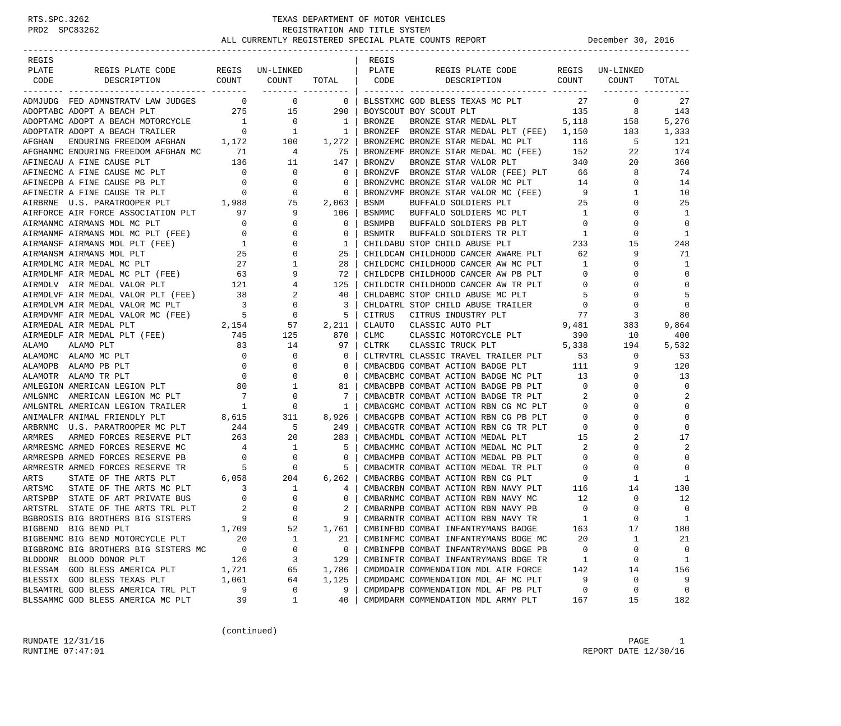| REGIS  |                                                                                                                                                                                                                                                                                                              |                                       |                                                                                                       |                              | REGIS         |                                                                                                                                                                                                                                                                                                                                                            |                            |                 |              |
|--------|--------------------------------------------------------------------------------------------------------------------------------------------------------------------------------------------------------------------------------------------------------------------------------------------------------------|---------------------------------------|-------------------------------------------------------------------------------------------------------|------------------------------|---------------|------------------------------------------------------------------------------------------------------------------------------------------------------------------------------------------------------------------------------------------------------------------------------------------------------------------------------------------------------------|----------------------------|-----------------|--------------|
| PLATE  | REGIS PLATE CODE REGIS UN-LINKED<br>COUNT COUNT                                                                                                                                                                                                                                                              |                                       |                                                                                                       |                              | PLATE         | REGIS PLATE CODE<br>DESCRIPTION COUNT                                                                                                                                                                                                                                                                                                                      |                            | REGIS UN-LINKED |              |
| CODE   | DESCRIPTION                                                                                                                                                                                                                                                                                                  |                                       | ------- ---------                                                                                     | TOTAL   CODE                 |               |                                                                                                                                                                                                                                                                                                                                                            |                            | COUNT           | TOTAL        |
|        | ADMJUDG FED ADMNSTRATV LAW JUDGES 0 0 0                                                                                                                                                                                                                                                                      |                                       |                                                                                                       | $\overline{\phantom{0}}$     |               | BLSSTXMC GOD BLESS TEXAS MC PLT                                                                                                                                                                                                                                                                                                                            | 27                         | $\overline{0}$  | 27           |
|        | 275 15<br>ADOPTABC ADOPT A BEACH PLT                                                                                                                                                                                                                                                                         |                                       |                                                                                                       | 290                          |               | 135 8<br>BOYSCOUT BOY SCOUT PLT                                                                                                                                                                                                                                                                                                                            |                            |                 | 143          |
|        |                                                                                                                                                                                                                                                                                                              |                                       |                                                                                                       |                              | BRONZE        | BRONZE STAR MEDAL PLT 5,118                                                                                                                                                                                                                                                                                                                                |                            | 158             | 5,276        |
|        | ADOPTAMC ADOPT A BEACH MOTORCYCLE 1 0 1<br>ADOPTATR ADOPT A BEACH TRAILER 0 1 1                                                                                                                                                                                                                              |                                       |                                                                                                       |                              |               | BRONZEF BRONZE STAR MEDAL PLT (FEE) 1,150 183                                                                                                                                                                                                                                                                                                              |                            |                 | 1,333        |
| AFGHAN |                                                                                                                                                                                                                                                                                                              |                                       |                                                                                                       |                              |               | BRONZEMC BRONZE STAR MEDAL MC PLT 116<br>BRONZEMF BRONZE STAR MEDAL MC (FEE) 152 2                                                                                                                                                                                                                                                                         |                            | 5               | 121          |
|        | AFGHANMC ENDURING FREEDOM AFGHAN MC 71                                                                                                                                                                                                                                                                       |                                       |                                                                                                       |                              |               |                                                                                                                                                                                                                                                                                                                                                            |                            | 22              | 174          |
|        |                                                                                                                                                                                                                                                                                                              |                                       |                                                                                                       | 147                          | <b>BRONZV</b> | BRONZE STAR VALOR PLT                                                                                                                                                                                                                                                                                                                                      | 340                        | 20              | 360          |
|        | AFGHAMC ENDURING FREEDOM AFGHAN MC 71 4<br>AFTNECAU A FINE CAUSE PLT 136 11<br>AFTNECMC A FINE CAUSE MC PLT 0 0<br>AFTNECPB A FINE CAUSE PB PLT 0 0 0<br>AFTNECTR A FINE CAUSE PB PLT 0 0 0<br>AIRBRNE U.S. PARATROOPER PLT 1,988 75<br>AI                                                                   |                                       |                                                                                                       | $\overline{0}$               |               | BRONZVF BRONZE STAR VALOR (FEE) PLT                                                                                                                                                                                                                                                                                                                        | 66                         | 8               | 74           |
|        |                                                                                                                                                                                                                                                                                                              |                                       |                                                                                                       | $\mathbf 0$                  |               | BRONZVMC BRONZE STAR VALOR MC PLT 14<br>BRONZVMF BRONZE STAR VALOR MC PLT 14                                                                                                                                                                                                                                                                               |                            | $\mathbf{0}$    | 14           |
|        |                                                                                                                                                                                                                                                                                                              |                                       |                                                                                                       | 0                            |               | BRONZVMF BRONZE STAR VALOR MC (FEE) 9<br>BSNM BUFFALO SOLDIERS PLT 25                                                                                                                                                                                                                                                                                      |                            | 1               | 10           |
|        |                                                                                                                                                                                                                                                                                                              |                                       |                                                                                                       | 2,063                        |               |                                                                                                                                                                                                                                                                                                                                                            |                            | 0               | 25           |
|        |                                                                                                                                                                                                                                                                                                              |                                       |                                                                                                       | 106                          | BSNMMC        | BUFFALO SOLDIERS MC PLT 1                                                                                                                                                                                                                                                                                                                                  |                            | 0               | 1            |
|        |                                                                                                                                                                                                                                                                                                              |                                       |                                                                                                       | 0                            |               | BSNMPB BUFFALO SOLDIERS PB PLT                                                                                                                                                                                                                                                                                                                             | $\overline{0}$             | 0               | $\Omega$     |
|        |                                                                                                                                                                                                                                                                                                              |                                       |                                                                                                       | 0                            | BSNMTR        | BUFFALO SOLDIERS TR PLT 1                                                                                                                                                                                                                                                                                                                                  |                            | 0               | 1            |
|        |                                                                                                                                                                                                                                                                                                              |                                       |                                                                                                       | $\mathbf{1}$                 |               | $\begin{tabular}{lllllllllll} {\bf CHILDABU} \hspace*{2mm} {\bf STOP} \hspace*{2mm} {\bf CHILD} \hspace*{2mm} {\bf ABUSE} \hspace*{2mm} {\bf PLT} & \hspace*{2mm} \hbox{\bf 233} \\ {\bf CHILDCAN} \hspace*{2mm} {\bf CHILDHOOD} \hspace*{2mm} {\bf CANCER} \hspace*{2mm} {\bf AMARE} \hspace*{2mm} {\bf PLT} & \hspace*{2mm} \hbox{\bf 62} \end{tabular}$ |                            | 15              | 248          |
|        |                                                                                                                                                                                                                                                                                                              |                                       |                                                                                                       | 25                           |               |                                                                                                                                                                                                                                                                                                                                                            |                            | 9               | 71           |
|        | AIRMDLMC AIR MEDAL MC PLT                                                                                                                                                                                                                                                                                    |                                       | $\begin{array}{ccccccc}\n & & 27 & & 1 \\  & & 63 & & 9 \\  & & & 121 & & 4\n\end{array}$             | 28                           |               | CHILDCMC CHILDHOOD CANCER AW MC PLT 1                                                                                                                                                                                                                                                                                                                      |                            | 0               | 1            |
|        | AIRMDLMF AIR MEDAL MC PLT (FEE)                                                                                                                                                                                                                                                                              |                                       |                                                                                                       | 72                           |               | CHILDCPB CHILDHOOD CANCER AW PB PLT                                                                                                                                                                                                                                                                                                                        | $\overline{0}$             | 0               | $\Omega$     |
|        | AIRMDLV AIR MEDAL VALOR PLT                                                                                                                                                                                                                                                                                  |                                       |                                                                                                       | 125                          |               | CHILDCTR CHILDHOOD CANCER AW TR PLT                                                                                                                                                                                                                                                                                                                        | $\overline{0}$             | 0               | $\Omega$     |
|        |                                                                                                                                                                                                                                                                                                              |                                       |                                                                                                       | -40                          |               | CHLDABMC STOP CHILD ABUSE MC PLT                                                                                                                                                                                                                                                                                                                           | $5^{\circ}$                | 0               | 5            |
|        |                                                                                                                                                                                                                                                                                                              |                                       |                                                                                                       | $\overline{\mathbf{3}}$      |               | CHLDATRL STOP CHILD ABUSE TRAILER                                                                                                                                                                                                                                                                                                                          | $\overline{0}$             | $\mathbf 0$     | $\mathbf 0$  |
|        |                                                                                                                                                                                                                                                                                                              |                                       |                                                                                                       | $\overline{5}$               |               | CITRUS CITRUS INDUSTRY PLT 77<br>CLAUTO CLASSIC AUTO PLT 9,481                                                                                                                                                                                                                                                                                             |                            | 3               | 80           |
|        |                                                                                                                                                                                                                                                                                                              |                                       |                                                                                                       | 2,211                        |               | CLASSIC MOTORCYCLE PLT 390                                                                                                                                                                                                                                                                                                                                 |                            | 383             | 9,864        |
|        | AIRMDLVF AIR MEDAL VALOR PLT (FEE) 38<br>AIRMDLVM AIR MEDAL VALOR MC PLT 3 0<br>AIRMDVMF AIR MEDAL VALOR MC (FEE) 5 0<br>AIRMEDAL AIR MEDAL PLT 2,154 57<br>AIRMEDLF AIR MEDAL PLT (FEE) 745 125<br>AIRMEDLF AIR MEDAL PLT (FEE) 745 125                                                                     |                                       |                                                                                                       | 870                          | <b>CLMC</b>   | $\frac{P_{L1}}{S}$ , 338                                                                                                                                                                                                                                                                                                                                   |                            | 10              | 400          |
| ALAMO  | ALAMO PLT                                                                                                                                                                                                                                                                                                    | 83                                    | 14                                                                                                    | 97                           | CLTRK         | CLASSIC TRUCK PLT                                                                                                                                                                                                                                                                                                                                          |                            | 194             | 5,532        |
|        |                                                                                                                                                                                                                                                                                                              |                                       |                                                                                                       | $\overline{\phantom{0}}$     |               | CLTRVTRL CLASSIC TRAVEL TRAILER PLT                                                                                                                                                                                                                                                                                                                        | 53                         | $\mathbf{0}$    | 53           |
|        | ALAMO ALAMO ALAMO ALAMO ALAMO ALAMO ALAMO ALAMO ALAMO PE PLT $\begin{array}{ccccc} 0 & 0 & 0 \\ 0 & 0 & 0 \\ 0 & 0 & 0 \\ 0 & 0 & 0 \\ 0 & 0 & 0 \\ 0 & 0 & 0 \\ 0 & 0 & 0 \\ 0 & 0 & 0 \\ 0 & 0 & 0 \\ 0 & 0 & 0 \\ 0 & 0 & 0 \\ 0 & 0 & 0 \\ 0 & 0 & 0 \\ 0 & 0 & 0 \\ 0 & 0 & 0 \\ 0 & 0 & 0 \\ 0 & 0 & $ |                                       |                                                                                                       | $\mathbf{0}$<br>$\mathbf{0}$ |               | CMBACBDG COMBAT ACTION BADGE PLT 111<br>CMBACBMC COMBAT ACTION BADGE MC PLT 13                                                                                                                                                                                                                                                                             |                            | 9<br>0          | 120<br>13    |
|        |                                                                                                                                                                                                                                                                                                              |                                       |                                                                                                       | 81                           |               | CMBACBPB COMBAT ACTION BADGE PB PLT                                                                                                                                                                                                                                                                                                                        | $\overline{0}$             | $\Omega$        | $\Omega$     |
|        |                                                                                                                                                                                                                                                                                                              |                                       |                                                                                                       | 7                            |               |                                                                                                                                                                                                                                                                                                                                                            | 2                          | 0               | 2            |
|        |                                                                                                                                                                                                                                                                                                              |                                       |                                                                                                       | 1                            |               | CMBACBTR COMBAT ACTION BADGE TR PLT<br>CMBACGMC COMBAT ACTION RBN CG MC PLT                                                                                                                                                                                                                                                                                | $\overline{0}$             | $\Omega$        | $\mathbf 0$  |
|        | ANIMALFR ANIMAL FRIENDLY PLT                                                                                                                                                                                                                                                                                 |                                       | PLT 8,615 311                                                                                         | 8,926                        |               | CMBACGPB COMBAT ACTION RBN CG PB PLT                                                                                                                                                                                                                                                                                                                       | $\overline{0}$             | 0               | $\mathbf 0$  |
|        | ARBRNMC U.S. PARATROOPER MC PLT                                                                                                                                                                                                                                                                              |                                       |                                                                                                       | 249                          |               |                                                                                                                                                                                                                                                                                                                                                            | $\overline{0}$             | 0               | $\Omega$     |
| ARMRES | ARMED FORCES RESERVE PLT                                                                                                                                                                                                                                                                                     | 263                                   | 20                                                                                                    | 283                          |               |                                                                                                                                                                                                                                                                                                                                                            |                            | 2               | 17           |
|        | ARMRESMC ARMED FORCES RESERVE MC                                                                                                                                                                                                                                                                             |                                       |                                                                                                       | 5                            |               |                                                                                                                                                                                                                                                                                                                                                            | $\overline{\phantom{a}}^2$ | 0               | 2            |
|        | ARMRESPB ARMED FORCES RESERVE PB                                                                                                                                                                                                                                                                             | $\begin{array}{c} 4 \\ 0 \end{array}$ | $\begin{array}{c} 1 \\ 0 \end{array}$                                                                 | $\mathbf{0}$                 |               | CMBACMMC COMBAT ACTION MEDAL MC PLT<br>CMBACMPB COMBAT ACTION MEDAL PB PLT                                                                                                                                                                                                                                                                                 | $\overline{0}$             | $\Omega$        | $\mathbf 0$  |
|        | ARMRESTR ARMED FORCES RESERVE TR                                                                                                                                                                                                                                                                             |                                       |                                                                                                       | 5                            |               |                                                                                                                                                                                                                                                                                                                                                            |                            | $\mathbf 0$     | $\mathbf 0$  |
| ARTS   | STATE OF THE ARTS PLT                                                                                                                                                                                                                                                                                        |                                       | $\begin{array}{ccc} \n \text{R} & \text{5} & \text{0} \\ \n \text{6,058} & \text{204} \n \end{array}$ | 6,262                        |               | CMBACMTR COMBAT ACTION MEDAL TR PLT 0<br>CMBACRBG COMBAT ACTION RBN CG PLT 0<br>CMBACRBN COMBAT ACTION RBN NAVY PLT 116                                                                                                                                                                                                                                    |                            | 1               | $\mathbf{1}$ |
| ARTSMC | STATE OF THE ARTS MC PLT                                                                                                                                                                                                                                                                                     |                                       |                                                                                                       | 4                            |               |                                                                                                                                                                                                                                                                                                                                                            |                            | 14              | 130          |
|        | ARTSPBP STATE OF ART PRIVATE BUS                                                                                                                                                                                                                                                                             |                                       |                                                                                                       | 0                            |               | CMBARNMC COMBAT ACTION RBN NAVY MC                                                                                                                                                                                                                                                                                                                         | 12                         | 0               | 12           |
|        | ARTSTRL STATE OF THE ARTS TRL PLT                                                                                                                                                                                                                                                                            |                                       |                                                                                                       | 2                            |               | CMBARNPB COMBAT ACTION RBN NAVY PB                                                                                                                                                                                                                                                                                                                         | $\overline{0}$             | $\Omega$        | $\mathbf 0$  |
|        | BGBROSIS BIG BROTHERS BIG SISTERS                                                                                                                                                                                                                                                                            |                                       |                                                                                                       |                              |               | CMBARNTR COMBAT ACTION RBN NAVY TR                                                                                                                                                                                                                                                                                                                         | -1                         | $\cap$          | 1            |
|        | BIGBEND BIG BEND PLT                                                                                                                                                                                                                                                                                         | 1,709                                 | 52                                                                                                    | 1,761                        |               | CMBINFBD COMBAT INFANTRYMANS BADGE                                                                                                                                                                                                                                                                                                                         | 163                        | 17              | 180          |
|        | BIGBENMC BIG BEND MOTORCYCLE PLT                                                                                                                                                                                                                                                                             | 20                                    | 1                                                                                                     | 21                           |               | CMBINFMC COMBAT INFANTRYMANS BDGE MC                                                                                                                                                                                                                                                                                                                       | 20                         | 1               | 21           |
|        | BIGBROMC BIG BROTHERS BIG SISTERS MC                                                                                                                                                                                                                                                                         | $\overline{\phantom{0}}$              | 0                                                                                                     | 0                            |               | CMBINFPB COMBAT INFANTRYMANS BDGE PB                                                                                                                                                                                                                                                                                                                       | 0                          | 0               | 0            |
|        | BLDDONR BLOOD DONOR PLT                                                                                                                                                                                                                                                                                      | 126                                   | 3                                                                                                     | 129                          |               | CMBINFTR COMBAT INFANTRYMANS BDGE TR                                                                                                                                                                                                                                                                                                                       | 1                          | 0               | 1            |
|        | BLESSAM GOD BLESS AMERICA PLT                                                                                                                                                                                                                                                                                | 1,721                                 | 65                                                                                                    | 1,786                        |               | CMDMDAIR COMMENDATION MDL AIR FORCE                                                                                                                                                                                                                                                                                                                        | 142                        | 14              | 156          |
|        | BLESSTX GOD BLESS TEXAS PLT                                                                                                                                                                                                                                                                                  | 1,061                                 | 64                                                                                                    | 1,125                        |               | CMDMDAMC COMMENDATION MDL AF MC PLT                                                                                                                                                                                                                                                                                                                        | 9                          | 0               | 9            |
|        | BLSAMTRL GOD BLESS AMERICA TRL PLT                                                                                                                                                                                                                                                                           | 9                                     | 0                                                                                                     | 9                            |               | CMDMDAPB COMMENDATION MDL AF PB PLT                                                                                                                                                                                                                                                                                                                        | 0                          | 0               | 0            |
|        | BLSSAMMC GOD BLESS AMERICA MC PLT                                                                                                                                                                                                                                                                            | 39                                    | 1                                                                                                     | 40                           |               | CMDMDARM COMMENDATION MDL ARMY PLT                                                                                                                                                                                                                                                                                                                         | 167                        | 15              | 182          |

(continued)

RUNDATE  $12/31/16$  PAGE 1 RUNTIME  $07:47:01$  REPORT DATE  $12/30/16$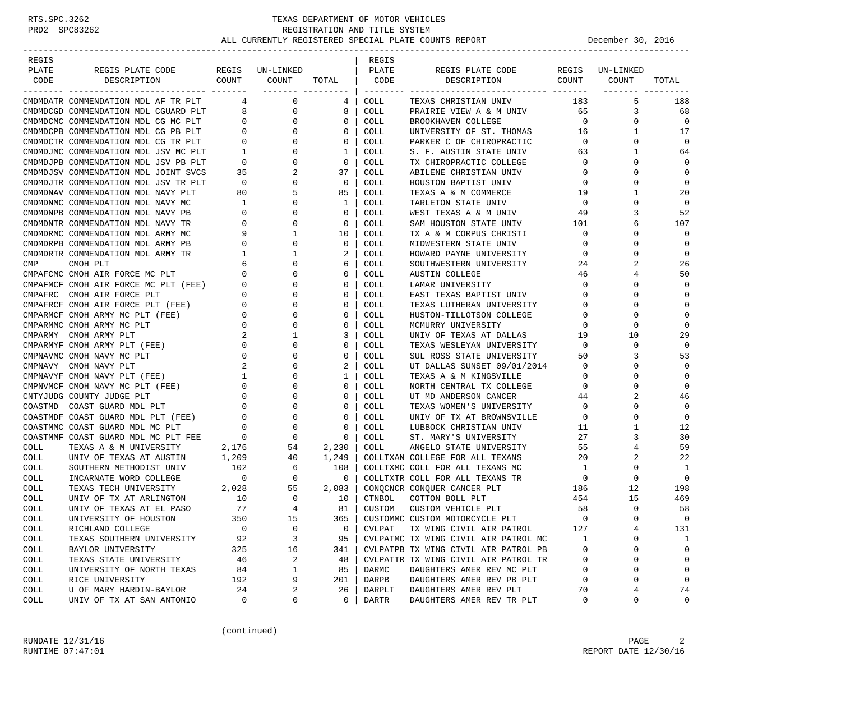| REGIS       |                                      |                                     |                          |              | REGIS               |                                      |                |                 |              |
|-------------|--------------------------------------|-------------------------------------|--------------------------|--------------|---------------------|--------------------------------------|----------------|-----------------|--------------|
| PLATE       | REGIS PLATE CODE                     |                                     | REGIS UN-LINKED          |              | PLATE               | REGIS PLATE CODE                     |                | REGIS UN-LINKED |              |
| CODE        | DESCRIPTION                          | COUNT                               | COUNT                    | TOTAL        | CODE                | DESCRIPTION                          | COUNT          | COUNT           | TOTAL        |
|             | CMDMDATR COMMENDATION MDL AF TR PLT  | 4                                   | -------- ----------<br>0 | 4            | COLL                | TEXAS CHRISTIAN UNIV                 | 183            | 5               | 188          |
|             | CMDMDCGD COMMENDATION MDL CGUARD PLT | 8                                   | 0                        | 8            | COLL                | PRAIRIE VIEW A & M UNIV              | 65             | 3               | 68           |
|             | CMDMDCMC COMMENDATION MDL CG MC PLT  | 0                                   | 0                        | 0            | COLL                | BROOKHAVEN COLLEGE                   | $\overline{0}$ | 0               | $\mathbf 0$  |
|             | CMDMDCPB COMMENDATION MDL CG PB PLT  | 0                                   | 0                        | 0            | COLL                | UNIVERSITY OF ST. THOMAS             | 16             | 1               | 17           |
|             | CMDMDCTR COMMENDATION MDL CG TR PLT  | $\mathbf{0}$                        | 0                        | 0            | <b>COLL</b>         | PARKER C OF CHIROPRACTIC             | $\mathbf 0$    | 0               | $\mathbf 0$  |
|             | CMDMDJMC COMMENDATION MDL JSV MC PLT | $\mathbf{1}$                        | $\mathbf 0$              | 1            | COLL                | S. F. AUSTIN STATE UNIV              | 63             | 1               | 64           |
|             | CMDMDJPB COMMENDATION MDL JSV PB PLT | $\overline{0}$                      | 0                        | $\mathbf{0}$ | COLL                | TX CHIROPRACTIC COLLEGE              | $\overline{0}$ | 0               | $\Omega$     |
|             | CMDMDJSV COMMENDATION MDL JOINT SVCS | 35                                  | 2                        | 37           | COLL                | ABILENE CHRISTIAN UNIV               | 0              | 0               | $\mathbf{0}$ |
|             | CMDMDJTR COMMENDATION MDL JSV TR PLT | $\overline{0}$                      | 0                        | 0            | COLL                | HOUSTON BAPTIST UNIV                 | 0              | $\Omega$        | $\Omega$     |
|             | CMDMDNAV COMMENDATION MDL NAVY PLT   | 80                                  | 5                        | 85           | COLL                | TEXAS A & M COMMERCE                 | 19             | 1               | 20           |
|             | CMDMDNMC COMMENDATION MDL NAVY MC    | 1                                   | $\mathbf 0$              | 1            | COLL                | TARLETON STATE UNIV                  | 0              | 0               | $\mathbf 0$  |
|             | CMDMDNPB COMMENDATION MDL NAVY PB    | 0                                   | 0                        | 0            | COLL                | WEST TEXAS A & M UNIV                | 49             | 3               | 52           |
|             | CMDMDNTR COMMENDATION MDL NAVY TR    | 0                                   | 0                        | 0            | COLL                |                                      | 101            | 6               | 107          |
|             |                                      | 9                                   | 1                        |              |                     | SAM HOUSTON STATE UNIV               | $\mathbf 0$    | 0               | $\Omega$     |
|             | CMDMDRMC COMMENDATION MDL ARMY MC    | 0                                   |                          | 10<br>0      | COLL<br><b>COLL</b> | TX A & M CORPUS CHRISTI              | 0              | 0               | $\mathbf 0$  |
|             | CMDMDRPB COMMENDATION MDL ARMY PB    |                                     | 0                        |              |                     | MIDWESTERN STATE UNIV                |                |                 |              |
|             | CMDMDRTR COMMENDATION MDL ARMY TR    | 1                                   | 1                        | 2            | COLL                | HOWARD PAYNE UNIVERSITY              | $\mathbf 0$    | 0               | $\mathbf 0$  |
| CMP         | CMOH PLT                             | 6                                   | 0                        | 6            | COLL                | SOUTHWESTERN UNIVERSITY              | 24             | 2               | 26           |
|             | CMPAFCMC CMOH AIR FORCE MC PLT       | 0                                   | 0                        | 0            | COLL                | AUSTIN COLLEGE                       | 46             | 4               | 50           |
|             | CMPAFMCF CMOH AIR FORCE MC PLT (FEE) | 0                                   | 0                        | 0            | COLL                | LAMAR UNIVERSITY                     | $\mathbf 0$    | $\Omega$        | $\Omega$     |
|             | CMPAFRC CMOH AIR FORCE PLT           | 0                                   | 0                        | 0            | COLL                | EAST TEXAS BAPTIST UNIV              | 0              | 0               | $\mathbf 0$  |
|             | CMPAFRCF CMOH AIR FORCE PLT (FEE)    | 0                                   | 0                        | $\mathbf 0$  | COLL                | TEXAS LUTHERAN UNIVERSITY            | 0              | 0               | $\mathbf{0}$ |
|             | CMPARMCF CMOH ARMY MC PLT (FEE)      | 0                                   | 0                        | 0            | COLL                | HUSTON-TILLOTSON COLLEGE             | 0              | 0               | $\mathbf 0$  |
|             | CMPARMMC CMOH ARMY MC PLT            | 0                                   | 0                        | 0            | COLL                | MCMURRY UNIVERSITY                   | 0              | 0               | $\Omega$     |
|             | CMPARMY CMOH ARMY PLT                | 2                                   | 1                        | 3            | COLL                | UNIV OF TEXAS AT DALLAS              | 19             | 10              | 29           |
|             | CMPARMYF CMOH ARMY PLT (FEE)         | 0                                   | 0                        | 0            | COLL                | TEXAS WESLEYAN UNIVERSITY            | $\mathbf 0$    | 0               | $\Omega$     |
|             | CMPNAVMC CMOH NAVY MC PLT            | 0                                   | 0                        | 0            | COLL                | SUL ROSS STATE UNIVERSITY            | 50             | 3               | 53           |
|             | CMPNAVY CMOH NAVY PLT                | 2                                   | 0                        | 2            | COLL                | UT DALLAS SUNSET 09/01/2014          | $\overline{0}$ | 0               | $\mathbf 0$  |
|             | CMPNAVYF CMOH NAVY PLT (FEE)         | $\mathbf{1}$                        | 0                        | $\mathbf{1}$ | COLL                | TEXAS A & M KINGSVILLE               | 0              | 0               | $\mathbf{0}$ |
|             | CMPNVMCF CMOH NAVY MC PLT (FEE)      | 0                                   | 0                        | 0            | COLL                | NORTH CENTRAL TX COLLEGE             | $\mathbf 0$    | $\Omega$        | $\Omega$     |
|             | CNTYJUDG COUNTY JUDGE PLT            | 0                                   | 0                        | 0            | COLL                | UT MD ANDERSON CANCER                | 44             | 2               | 46           |
|             | COASTMD COAST GUARD MDL PLT          | 0                                   | 0                        | $\mathbf 0$  | COLL                | TEXAS WOMEN'S UNIVERSITY             | $\overline{0}$ | 0               | $\mathbf{0}$ |
|             | COASTMDF COAST GUARD MDL PLT (FEE)   | $\mathbf 0$                         | $\mathbf 0$              | 0            | COLL                | UNIV OF TX AT BROWNSVILLE            | $\overline{0}$ | 0               | $\mathbf 0$  |
|             | COASTMMC COAST GUARD MDL MC PLT      | $\mathbf 0$                         | $\mathbf 0$              | 0            | COLL                | LUBBOCK CHRISTIAN UNIV               | 11             | 1               | 12           |
|             | COASTMMF COAST GUARD MDL MC PLT FEE  | - 0                                 | $\circ$                  | $\mathbf 0$  | COLL                | ST. MARY'S UNIVERSITY                | 27             | 3               | 30           |
| COLL        | TEXAS A & M UNIVERSITY               | 2,176                               | 54                       | 2,230        | COLL                | ANGELO STATE UNIVERSITY              | 55             | 4               | 59           |
| COLL        | UNIV OF TEXAS AT AUSTIN              | 1,209                               | 40                       | 1,249        |                     | COLLTXAN COLLEGE FOR ALL TEXANS      | 20             | 2               | 22           |
| COLL        | SOUTHERN METHODIST UNIV              | 102                                 | - 6                      | 108          |                     | COLLTXMC COLL FOR ALL TEXANS MC      | 1              | 0               | 1            |
| COLL        | INCARNATE WORD COLLEGE               | $\overline{0}$                      | $\overline{0}$           | 0            |                     | COLLTXTR COLL FOR ALL TEXANS TR      | $\overline{0}$ | $\mathbf 0$     | $\mathbf{0}$ |
| COLL        | TEXAS TECH UNIVERSITY 2,028          |                                     | 55                       | 2,083        |                     | CONQCNCR CONQUER CANCER PLT          | 186            | 12              | 198          |
| COLL        | UNIV OF TX AT ARLINGTON              | $\begin{array}{c}\n10\n\end{array}$ | 0                        | 10           | CTNBOL              | COTTON BOLL PLT                      | 454            | 15              | 469          |
| COLL        | UNIV OF TEXAS AT EL PASO             | 77                                  | $\overline{4}$           | 81           | CUSTOM              | CUSTOM VEHICLE PLT                   | 58             | $\mathbf 0$     | 58           |
| <b>COLL</b> | UNIVERSITY OF HOUSTON                | 350                                 | 15                       | $365$        |                     | CUSTOMMC CUSTOM MOTORCYCLE PLT       | $\Omega$       | $\Omega$        | $\Omega$     |
| COLL        | RICHLAND COLLEGE                     | $\mathbf 0$                         | 0                        | 0            | CVLPAT              | TX WING CIVIL AIR PATROL             | 127            | 4               | 131          |
| COLL        | TEXAS SOUTHERN UNIVERSITY            | 92                                  | 3                        | 95           |                     | CVLPATMC TX WING CIVIL AIR PATROL MC | 1              | 0               | 1            |
| COLL        | BAYLOR UNIVERSITY                    | 325                                 | 16                       | 341          |                     | CVLPATPB TX WING CIVIL AIR PATROL PB | 0              | 0               | 0            |
| COLL        | TEXAS STATE UNIVERSITY               | 46                                  | 2                        | 48           |                     | CVLPATTR TX WING CIVIL AIR PATROL TR | 0              | 0               | $\mathbf 0$  |
| COLL        | UNIVERSITY OF NORTH TEXAS            | 84                                  | 1                        | 85           | DARMC               | DAUGHTERS AMER REV MC PLT            | 0              | 0               | $\mathbf 0$  |
| COLL        | RICE UNIVERSITY                      | 192                                 | 9                        | 201          | DARPB               | DAUGHTERS AMER REV PB PLT            | 0              | 0               | $\mathbf{0}$ |
| COLL        | U OF MARY HARDIN-BAYLOR              | 24                                  | 2                        | 26           | DARPLT              | DAUGHTERS AMER REV PLT               | 70             | 4               | 74           |
| COLL        | UNIV OF TX AT SAN ANTONIO            | 0                                   | 0                        | 0            | DARTR               | DAUGHTERS AMER REV TR PLT            | 0              | 0               | 0            |

(continued)

RUNDATE  $12/31/16$  PAGE 2 RUNTIME 07:47:01 REPORT DATE 12/30/16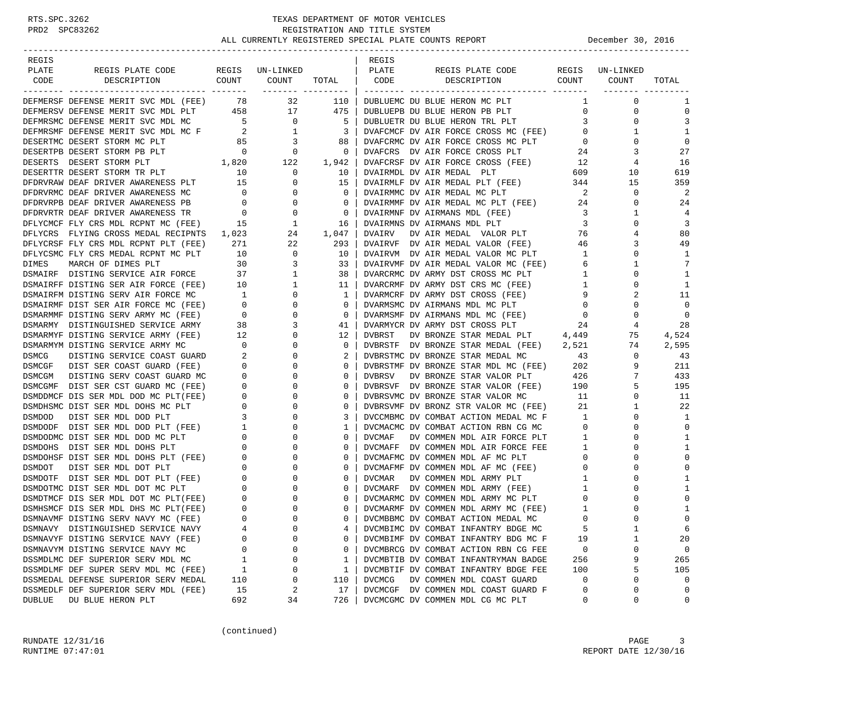| REGIS         |                                                                                                                                                                                                                                                  |                                       |                                                                              |                         | REGIS         |                                                                            |                         |                 |                            |
|---------------|--------------------------------------------------------------------------------------------------------------------------------------------------------------------------------------------------------------------------------------------------|---------------------------------------|------------------------------------------------------------------------------|-------------------------|---------------|----------------------------------------------------------------------------|-------------------------|-----------------|----------------------------|
| PLATE         | REGIS PLATE CODE                                                                                                                                                                                                                                 |                                       | REGIS UN-LINKED                                                              |                         | PLATE         | REGIS PLATE CODE                                                           |                         | REGIS UN-LINKED |                            |
| CODE          | COUNT COUNT<br>DESCRIPTION                                                                                                                                                                                                                       |                                       |                                                                              | TOTAL   CODE            |               | COUNT<br>DESCRIPTION                                                       |                         | COUNT           | TOTAL                      |
|               | DEFMERSF DEFENSE MERIT SVC MDL (FEE) 78 32                                                                                                                                                                                                       |                                       |                                                                              | 110                     |               | DUBLUEMC DU BLUE HERON MC PLT                                              | $\mathbf{1}$            | $\mathbf 0$     | 1                          |
|               | DEFMERSV DEFENSE MERIT SVC MDL PLT 458 17                                                                                                                                                                                                        |                                       |                                                                              | 475                     |               | DUBLUEPB DU BLUE HERON PB PLT                                              | $\overline{0}$          | 0               | $\mathbf 0$                |
|               |                                                                                                                                                                                                                                                  |                                       | $\begin{array}{ccc} 0 & & \\ 1 & & \\ 3 & & \\ 0 & & \\ 122 & & \end{array}$ | - 5                     |               | DUBLUETR DU BLUE HERON TRL PLT                                             | $\overline{3}$          | 0               | 3                          |
|               | DEFMRSMF DEFENSE MERIT SVC MDL MC F 2 1<br>DESERTMC DESERT STORM MC PIT                                                                                                                                                                          |                                       |                                                                              | $\overline{\mathbf{3}}$ |               | DVAFCMCF DV AIR FORCE CROSS MC (FEE)                                       | $\overline{0}$          | 1               | 1                          |
|               |                                                                                                                                                                                                                                                  |                                       |                                                                              | 88                      |               | DVAFCRMC DV AIR FORCE CROSS MC PLT                                         | $\mathbf{0}$            | 0               | $\mathbf 0$                |
|               |                                                                                                                                                                                                                                                  |                                       |                                                                              | $\overline{0}$          |               | DVAFCRS DV AIR FORCE CROSS PLT                                             | 24                      | 3               | 27                         |
|               |                                                                                                                                                                                                                                                  |                                       |                                                                              | 1,942                   |               | DVAFCRSF DV AIR FORCE CROSS (FEE) 12                                       |                         | 4               | 16                         |
|               | DESERTMC DESERT STORM MC PLT<br>DESERTPB DESERT STORM PB PLT<br>DESERTPB DESERT STORM PB PLT<br>DESERTS DESERT STORM PLT<br>DESERTTR DESERT STORM TR PLT<br>DEPERTRIES PLT<br>DEPERTRIES PRIVER AWARENESS PLT<br>15                              |                                       |                                                                              | 10                      |               | DVAIRMDL DV AIR MEDAL PLT                                                  | 609                     | 10              | 619                        |
|               |                                                                                                                                                                                                                                                  |                                       |                                                                              | 15                      |               | DVAIRMLF DV AIR MEDAL PLT (FEE) 344                                        |                         | 15              | 359                        |
|               | DFDRVRMC DEAF DRIVER AWARENESS MC                                                                                                                                                                                                                |                                       |                                                                              | $\mathbf{0}$            |               | DVAIRMMC DV AIR MEDAL MC PLT                                               | $\overline{\mathbf{c}}$ | 0               | 2                          |
|               | DFDRVRPB DEAF DRIVER AWARENESS PB                                                                                                                                                                                                                |                                       | $\begin{matrix} 0 & & & 0 \\ 0 & & & 0 \end{matrix}$                         | $\mathbf{0}$            |               | DVAIRMMF DV AIR MEDAL MC PLT (FEE)                                         | 24                      | $\mathbf 0$     | 24                         |
|               | DFDRVRTR DEAF DRIVER AWARENESS TR                                                                                                                                                                                                                |                                       | $\begin{matrix} 0 & 0 \\ 0 & 0 \end{matrix}$                                 | $\mathbf{0}$            |               | DVAIRMNF DV AIRMANS MDL (FEE)                                              | $\overline{\mathbf{3}}$ | 1               | 4                          |
|               | DFLYCMCF FLY CRS MDL RCPNT MC (FEE) 15                                                                                                                                                                                                           |                                       |                                                                              | 16                      |               | DVAIRMNS DV AIRMANS MDL PLT                                                | $\overline{3}$          | $\mathbf 0$     | 3                          |
|               | DFLYCRS FLYING CROSS MEDAL RECIPNTS 1,023                                                                                                                                                                                                        |                                       |                                                                              | 1,047                   | DVAIRV        | DV AIR MEDAL VALOR PLT                                                     | 76                      | 4               | 80                         |
|               | DFLYCRSF FLY CRS MDL RCPNT PLT (FEE)                                                                                                                                                                                                             | 271                                   |                                                                              | 293                     |               | DVAIRVF DV AIR MEDAL VALOR (FEE)                                           | 46                      | 3               | 49                         |
|               | DFLYCSMC FLY CRS MEDAL RCPNT MC PLT                                                                                                                                                                                                              | 10                                    | $\begin{array}{c}\n\bullet \\ \bullet \\ \bullet\n\end{array}$               | 10                      |               | DVAIRVM DV AIR MEDAL VALOR MC PLT                                          | $\mathbf{1}$            | $\mathbf 0$     | 1                          |
|               |                                                                                                                                                                                                                                                  |                                       | $\overline{3}$                                                               | 33                      |               | DVAIRVMF DV AIR MEDAL VALOR MC (FEE)                                       | - 6                     | 1               | 7                          |
|               |                                                                                                                                                                                                                                                  |                                       | $\mathbf{1}$                                                                 | 38                      |               | DVARCRMC DV ARMY DST CROSS MC PLT 1<br>DVARCRMF DV ARMY DST CRS MC (FEE) 1 |                         | 0               | 1                          |
|               | DIMES MARCH OF DIMES PLT 30<br>DSMAIRF DISTING SERVICE AIR FORCE 37<br>DSMAIRFF DISTING SER AIR FORCE (FEE) 10                                                                                                                                   |                                       | $\mathbf{1}$                                                                 | 11                      |               |                                                                            |                         | 0               | 1                          |
|               |                                                                                                                                                                                                                                                  |                                       | 0                                                                            | 1                       |               | DVARMCRF DV ARMY DST CROSS (FEE)                                           | 9                       | 2               | 11                         |
|               |                                                                                                                                                                                                                                                  |                                       | $\mathbf 0$                                                                  | $\mathbf{0}$            |               | DVARMSMC DV AIRMANS MDL MC PLT                                             | $\overline{0}$          | 0               | $\mathbf 0$                |
|               |                                                                                                                                                                                                                                                  |                                       | $\mathbf 0$                                                                  | $\mathbf{0}$            |               | DVARMSMF DV AIRMANS MDL MC (FEE)                                           | $\overline{0}$          | 0               | $\mathbf 0$                |
|               |                                                                                                                                                                                                                                                  |                                       | 3                                                                            | 41                      |               | DVARMYCR DV ARMY DST CROSS PLT                                             | 24                      | 4               | 28                         |
|               | DSMAIRFM DISTING SERV AIR FORCE MC 1<br>DSMAIRMF DIST SER AIR FORCE MC (FEE) 0<br>DSMARMMF DISTING SERV ARMY MC (FEE) 0<br>DSMARMY DISTINGUISHED SERVICE ARMY 38<br>DSMARMYF DISTING SERVICE ARMY (FEE) 12                                       |                                       | 0                                                                            | 12                      | DVBRST        | DV BRONZE STAR MEDAL PLT 4,449                                             |                         | 75              | 4,524                      |
|               | DSMARMYM DISTING SERVICE ARMY MC<br>DISTING SERVICE ARMY MC 0<br>DISTING SERVICE COAST GUARD 2                                                                                                                                                   |                                       | $\mathbf 0$                                                                  | 0                       |               | DVBRSTF DV BRONZE STAR MEDAL (FEE) 2,521                                   |                         | 74              | 2,595                      |
| DSMCG         |                                                                                                                                                                                                                                                  |                                       | $\mathbf 0$                                                                  | 2                       |               | DVBRSTMC DV BRONZE STAR MEDAL MC                                           | 43                      | $\mathbf{0}$    | 43                         |
|               | DSMCGF DIST SER COAST GUARD (FEE)                                                                                                                                                                                                                | $\overline{0}$                        | $\mathbf 0$                                                                  | $\mathbf{0}$            |               | DVBRSTMF DV BRONZE STAR MDL MC (FEE) 202                                   |                         | 9               | 211                        |
| DSMCGM        | DISTING SERV COAST GUARD MC                                                                                                                                                                                                                      | $\begin{array}{c} 0 \\ 0 \end{array}$ | 0                                                                            | 0                       | DVBRSV        | DV BRONZE STAR VALOR PLT                                                   | 426                     | $7\overline{ }$ | 433                        |
|               | DSMCGMF DIST SER CST GUARD MC (FEE)                                                                                                                                                                                                              |                                       | 0                                                                            | 0                       |               | DVBRSVF DV BRONZE STAR VALOR (FEE) 190                                     |                         | 5               | 195                        |
|               |                                                                                                                                                                                                                                                  |                                       | 0                                                                            | $\circ$                 |               | DVBRSVMC DV BRONZE STAR VALOR MC                                           | 11                      | $\mathbf{0}$    | 11                         |
|               |                                                                                                                                                                                                                                                  |                                       | $\mathbf 0$                                                                  | $\circ$                 |               | DVBRSVMF DV BRONZ STR VALOR MC (FEE)                                       | 21                      | $\mathbf{1}$    | 22                         |
|               |                                                                                                                                                                                                                                                  |                                       | 0                                                                            | 3                       |               | DVCCMBMC DV COMBAT ACTION MEDAL MC F                                       | $\overline{\mathbf{1}}$ | $\mathbf 0$     | 1                          |
|               |                                                                                                                                                                                                                                                  |                                       | 0                                                                            | 1                       |               | DVCMACMC DV COMBAT ACTION RBN CG MC                                        | $\overline{0}$          | $\mathbf 0$     | $\Omega$                   |
|               |                                                                                                                                                                                                                                                  |                                       | 0                                                                            | 0                       | DVCMAF        | DV COMMEN MDL AIR FORCE PLT                                                | $\overline{1}$          | 0               | 1                          |
|               | DSMODMCF DISI SER MDL DOD MC PLT(FEE) 0<br>DSMDHSMC DIST SER MDL DOD MC PLT(FEE) 0<br>DSMDHSMC DIST SER MDL DOD PLT 0<br>DSMDODF DIST SER MDL DOD PLT (FEE) 1<br>DSMDODF DIST SER MDL DOD MC PLT 0<br>DSMDODMC DIST SER MDL DOD MC PLT 0<br>DSMD |                                       | 0                                                                            | 0                       |               | DVCMAFF DV COMMEN MDL AIR FORCE FEE                                        | $\frac{1}{0}$           | 0               | 1                          |
|               |                                                                                                                                                                                                                                                  |                                       | $\mathbf 0$                                                                  | $\circ$                 |               | DVCMAFMC DV COMMEN MDL AF MC PLT                                           | $\overline{0}$          | $\Omega$        | $\mathbf 0$                |
|               |                                                                                                                                                                                                                                                  |                                       | $\mathbf 0$                                                                  | $\mathbf{0}$            |               | DVCMAFMF DV COMMEN MDL AF MC (FEE) 0                                       |                         | 0               | $\mathbf 0$                |
|               |                                                                                                                                                                                                                                                  |                                       | 0                                                                            | $\circ$                 |               | DVCMAR DV COMMEN MDL ARMY PLT<br>DVCMARF DV COMMEN MDL ARMY (FEE)          | $\mathbf{1}$            | 0               | 1                          |
|               |                                                                                                                                                                                                                                                  |                                       | 0                                                                            | $\circ$                 |               | DVCMARF DV COMMEN MDL ARMY MC PLT<br>DVCMARMC DV COMMEN MDL ARMY MC (FEE)  | 1                       | 0               | 1                          |
|               | DSMDTMCF DIS SER MDL DOT MC PLT(FEE) 0<br>DSMHSMCF DIS SER MDL DHS MC PLT(FEE) 0                                                                                                                                                                 |                                       | 0                                                                            | $\mathbf{0}$            |               |                                                                            | $\mathbf 0$             | 0               | $\mathbf 0$                |
|               |                                                                                                                                                                                                                                                  |                                       | $\Omega$                                                                     | $\Omega$                |               | DVCMARMF DV COMMEN MDL ARMY MC (FEE)                                       | 1                       | $\Omega$        | $\mathbf{1}$               |
|               | DSMNAVMF DISTING SERV NAVY MC (FEE)                                                                                                                                                                                                              | $\Omega$                              | $\Omega$                                                                     | $\Omega$                |               | DVCMBBMC DV COMBAT ACTION MEDAL MC                                         | $\Omega$                | $\Omega$        | $\Omega$                   |
|               | DSMNAVY DISTINGUISHED SERVICE NAVY                                                                                                                                                                                                               | 4                                     | 0                                                                            | 4                       |               | DVCMBIMC DV COMBAT INFANTRY BDGE MC                                        | 5                       | 1               | 6                          |
|               | DSMNAVYF DISTING SERVICE NAVY (FEE)                                                                                                                                                                                                              | 0                                     | 0                                                                            | 0                       |               | DVCMBIMF DV COMBAT INFANTRY BDG MC F                                       | 19                      | 1               | 20                         |
|               | DSMNAVYM DISTING SERVICE NAVY MC                                                                                                                                                                                                                 | 0                                     | 0                                                                            | 0                       |               | DVCMBRCG DV COMBAT ACTION RBN CG FEE                                       | 0                       | 0               | $\mathbf 0$                |
|               | DSSMDLMC DEF SUPERIOR SERV MDL MC                                                                                                                                                                                                                | 1                                     | 0                                                                            | 1                       |               | DVCMBTIB DV COMBAT INFANTRYMAN BADGE                                       | 256                     | 9               | 265                        |
|               | DSSMDLMF DEF SUPER SERV MDL MC (FEE)                                                                                                                                                                                                             | 1                                     | 0                                                                            | 1                       |               | DVCMBTIF DV COMBAT INFANTRY BDGE FEE                                       | 100                     | 5               | 105                        |
|               | DSSMEDAL DEFENSE SUPERIOR SERV MEDAL<br>DSSMEDLF DEF SUPERIOR SERV MDL (FEE)                                                                                                                                                                     | 110                                   | 0                                                                            | 110                     | <b>DVCMCG</b> | DV COMMEN MDL COAST GUARD                                                  | 0<br>$\Omega$           | 0<br>0          | $\mathbf 0$<br>$\mathbf 0$ |
| <b>DUBLUE</b> | DU BLUE HERON PLT                                                                                                                                                                                                                                | 15<br>692                             | 2<br>34                                                                      | 17<br>726               |               | DVCMCGF DV COMMEN MDL COAST GUARD F<br>DVCMCGMC DV COMMEN MDL CG MC PLT    | 0                       | 0               | 0                          |
|               |                                                                                                                                                                                                                                                  |                                       |                                                                              |                         |               |                                                                            |                         |                 |                            |

(continued)

RUNDATE  $12/31/16$  PAGE 3 RUNTIME  $07:47:01$  REPORT DATE  $12/30/16$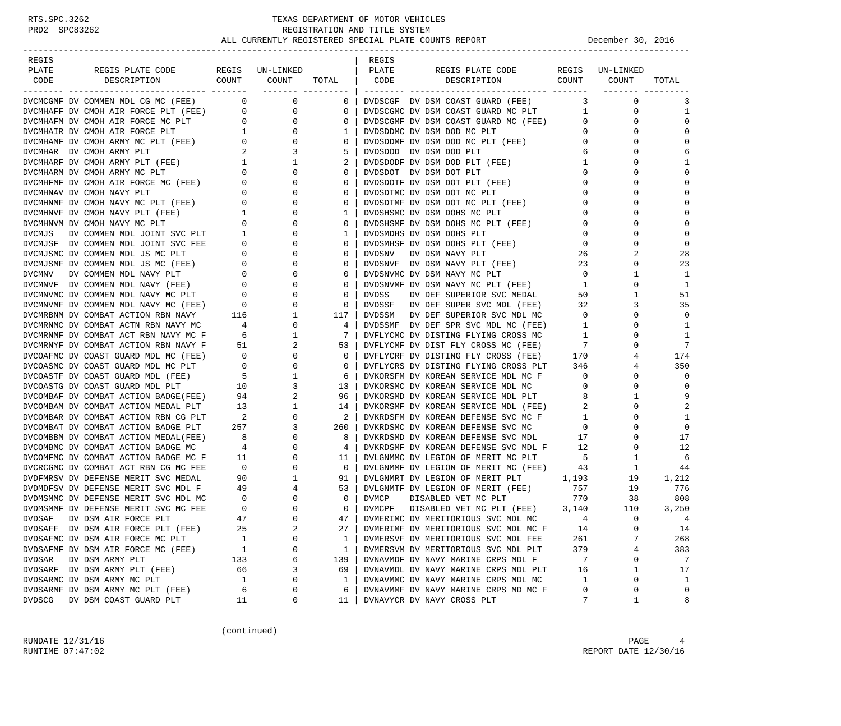| REGIS                                                                                                                                                                                                                                         |                         |                     |                            | REGIS        |                                                                                                                       |                |                         |              |
|-----------------------------------------------------------------------------------------------------------------------------------------------------------------------------------------------------------------------------------------------|-------------------------|---------------------|----------------------------|--------------|-----------------------------------------------------------------------------------------------------------------------|----------------|-------------------------|--------------|
| PLATE<br>REGIS PLATE CODE                                                                                                                                                                                                                     |                         | REGIS UN-LINKED     |                            | PLATE        | REGIS PLATE CODE                                                                                                      |                | REGIS UN-LINKED         |              |
| CODE<br>DESCRIPTION                                                                                                                                                                                                                           |                         | COUNT COUNT         | TOTAL                      | CODE         | COUNT<br>DESCRIPTION                                                                                                  |                | COUNT                   | TOTAL        |
| DVCMCGMF DV COMMEN MDL CG MC (FEE) 0 0 0                                                                                                                                                                                                      |                         | ___________________ | 0 <sup>1</sup>             |              | DVDSCGF DV DSM COAST GUARD (FEE)                                                                                      |                | $\mathbf 0$<br>$3 \sim$ | 3            |
| DVCMHAFF DV CMOH AIR FORCE PLT (FEE) 0                                                                                                                                                                                                        |                         | $\overline{0}$      | $\overline{0}$             |              | DVDSCGMC DV DSM COAST GUARD MC PLT                                                                                    | 1              | 0                       | 1            |
|                                                                                                                                                                                                                                               |                         |                     | $\mathbf 0$                |              | DVDSCGMF DV DSM COAST GUARD MC (FEE)                                                                                  | $\overline{0}$ | $\mathbf 0$             | $\Omega$     |
| DVCMHAFF DV CMOH AIR FORCE PLT (FEE) 0<br>DVCMHAFM DV CMOH AIR FORCE MC PLT 0<br>DVCMHAIR DV CMOH AIR FORCE PLT 1<br>DVCMHAMF DV CMOH ARMY MC PLT (FEE) 0<br>DVCMHAR DV CMOH ARMY PLT (FEE) 1<br>DVCMHARF DV CMOH ARMY PLT (FEE) 1<br>DVCM    |                         |                     | $\mathbf{1}$               |              | DVDSDDMC DV DSM DOD MC PLT                                                                                            | $\circ$        | 0                       | $\Omega$     |
|                                                                                                                                                                                                                                               |                         |                     | $\overline{0}$             |              | DVDSDDMF DV DSM DOD MC PLT (FEE) 0                                                                                    |                | 0                       | $\Omega$     |
|                                                                                                                                                                                                                                               |                         |                     | 5                          |              | DVDSDOD DV DSM DOD PLT                                                                                                | 6              | $\Omega$                | 6            |
|                                                                                                                                                                                                                                               |                         |                     | 2                          |              | DVDSDODF DV DSM DOD PLT (FEE)                                                                                         | $\mathbf{1}$   | 0                       | 1            |
|                                                                                                                                                                                                                                               |                         |                     | $\overline{0}$             |              | DVDSDOT DV DSM DOT PLT                                                                                                | $\overline{0}$ | $\Omega$                | $\Omega$     |
|                                                                                                                                                                                                                                               |                         |                     | 0                          |              | DVDSDOTF DV DSM DOT PLT (FEE)                                                                                         | $\mathbf{0}$   | $\Omega$                | $\Omega$     |
|                                                                                                                                                                                                                                               |                         |                     | 0                          |              | DVDSDTMC DV DSM DOT MC PLT                                                                                            | $\overline{0}$ | 0                       | $\Omega$     |
|                                                                                                                                                                                                                                               |                         |                     | $\mathbf{0}$               |              | DVDSDTMF DV DSM DOT MC PLT (FEE)                                                                                      | $\overline{0}$ | $\Omega$                | $\Omega$     |
|                                                                                                                                                                                                                                               |                         |                     | $\mathbf{1}$               |              | DVDSHSMC DV DSM DOHS MC PLT                                                                                           | $\overline{0}$ | $\Omega$                | $\Omega$     |
|                                                                                                                                                                                                                                               |                         |                     | 0                          |              | DVDSHSMF DV DSM DOHS MC PLT (FEE)                                                                                     | $\overline{0}$ | $\Omega$                | $\Omega$     |
|                                                                                                                                                                                                                                               |                         |                     | $\mathbf{1}$               |              | DVDSMDHS DV DSM DOHS PLT                                                                                              | $\mathbf 0$    | $\Omega$                | $\Omega$     |
|                                                                                                                                                                                                                                               |                         | 0                   | $\mathbf 0$                |              | DVDSMHSF DV DSM DOHS PLT (FEE)                                                                                        | $\overline{0}$ | 0                       | $\mathbf 0$  |
|                                                                                                                                                                                                                                               |                         | $\mathbf 0$         | $\mathbf{0}$               | DVDSNV       | DV DSM NAVY PLT                                                                                                       | 26             | 2                       | 28           |
|                                                                                                                                                                                                                                               |                         | $\mathbf{0}$        | $\overline{0}$             |              | DVDSNVF DV DSM NAVY PLT (FEE)                                                                                         | 23             | $\mathbf 0$             | 23           |
| DVCMJSF DV COMMEN MDL JOINT SVC FEE<br>DVCMJSMC DV COMMEN MDL JS MC PLT<br>DVCMJSMF DV COMMEN MDL JS MC (FEE) 0<br>DVCMNV DV COMMEN MDL NAVY PLT 0<br>DVCMNVF DV COMMEN MDL NAVY (FEE) 0<br>DVCMNVF DV COMMEN MDL NAVY (FEE) 0                |                         | $\mathbf 0$         | $0-1$                      |              | DVDSNVMC DV DSM NAVY MC PLT                                                                                           | $\overline{0}$ | $\mathbf 1$             | 1            |
|                                                                                                                                                                                                                                               |                         | $\mathbf 0$         | 0                          |              | DVDSNVMF DV DSM NAVY MC PLT (FEE)                                                                                     | $\mathbf{1}$   | $\mathbf 0$             | 1            |
|                                                                                                                                                                                                                                               |                         | 0                   | $\overline{0}$             | DVDSS        | DV DEF SUPERIOR SVC MEDAL                                                                                             | 50             | 1                       | 51           |
| DVCMNVMC DV COMMEN MDL NAVY MC PLT 0<br>DVCMNVMF DV COMMEN MDL NAVY MC (FEE) 0                                                                                                                                                                |                         | $\mathbf{0}$        | 0                          |              | DVDSSF DV DEF SUPER SVC MDL (FEE)                                                                                     | 32             | 3                       | 35           |
|                                                                                                                                                                                                                                               |                         |                     | 117                        | DVDSSM       |                                                                                                                       | $\overline{0}$ | 0                       | $\mathbf 0$  |
|                                                                                                                                                                                                                                               |                         |                     | 4                          |              | DV DEF SUPERIOR SVC MDL MC<br>DVDSSMF DV DEF SPR SVC MDL MC (FEE)                                                     | $\overline{1}$ | $\Omega$                | $\mathbf{1}$ |
| DVCMRBNM DV COMBAT ACTION RBN NAVY 116<br>DVCMRNMC DV COMBAT ACTN RBN NAVY MC 4 0<br>DVCMRNMF DV COMBAT ACT RBN NAVY MC F 6 1<br>DVCMRNYF DV COMBAT ACTION RBN NAVY F 51 2<br>DVCOAFMC DV COAST GUARD MDL MC (FEE) 0 0                        |                         |                     | 7                          |              | DVFLYCMC DV DISTING FLYING CROSS MC                                                                                   | $\overline{1}$ | $\Omega$                | 1            |
|                                                                                                                                                                                                                                               |                         |                     | 53                         |              |                                                                                                                       | $7\phantom{0}$ | 0                       | 7            |
|                                                                                                                                                                                                                                               |                         |                     | $\mathbf{0}$               |              | DVFLYCMF DV DIST FLY CROSS MC (FEE) 7<br>DVFLYCRF DV DISTING FLY CROSS (FEE) 170                                      |                | 4                       | 174          |
| DVCOASMC DV COAST GUARD MDL MC PLT                                                                                                                                                                                                            |                         | $\mathbf 0$         | $\overline{0}$             |              | DVFLYCRS DV DISTING FLYING CROSS PLT 346                                                                              |                | 4                       | 350          |
| DVCOASTF DV COAST GUARD MDL (FEE)                                                                                                                                                                                                             |                         | $\mathbf{1}$        | 6                          |              | DVKORSFM DV KOREAN SERVICE MDL MC F                                                                                   | $\overline{0}$ | 0                       | $\Omega$     |
| DVCOASTG DV COAST GUARD MDL PLT                                                                                                                                                                                                               |                         | $\mathbf{3}$        | 13                         |              | DVKORSMC DV KOREAN SERVICE MDL MC                                                                                     | $\overline{0}$ | $\mathbf 0$             | $\Omega$     |
|                                                                                                                                                                                                                                               |                         | $\overline{a}$      | 96                         |              |                                                                                                                       | 8              | 1                       | 9            |
|                                                                                                                                                                                                                                               |                         | $\mathbf{1}$        | 14                         |              | DVKORSMD DV KOREAN SERVICE MDL PLT<br>DVKORSMF DV KOREAN SERVICE MDL (FEE)                                            | 2              | 0                       | 2            |
|                                                                                                                                                                                                                                               |                         | $\mathbf{0}$        | $\overline{\phantom{a}}^2$ |              |                                                                                                                       |                | 0                       | 1            |
|                                                                                                                                                                                                                                               |                         | $\mathbf{3}$        | 260                        |              | DVKRDSFM DV KOREAN DEFENSE SVC MC F 1<br>DVKRDSMC DV KOREAN DEFENSE SVC MC 0<br>DVKRDSMD DV KOREAN DEFENSE SVC MDL 17 |                | $\Omega$                | $\mathbf{0}$ |
|                                                                                                                                                                                                                                               |                         | $\mathbf{0}$        | 8                          |              |                                                                                                                       |                | $\Omega$                | 17           |
|                                                                                                                                                                                                                                               |                         | 0                   | 4                          |              |                                                                                                                       |                | $\mathbf{0}$            | 12           |
|                                                                                                                                                                                                                                               |                         | $\mathbf 0$         | 11 <sub>1</sub>            |              | DVKRDSMF DV KOREAN DEFENSE SVC MDL F $12$<br>DVICNMMC DV LEGION OF MEDIT MC DLT<br>DVLGNMMC DV LEGION OF MERIT MC PLT | $-5$           | $\mathbf{1}$            | 6            |
| DVCOMBAF DV COMBAT ACTION BADGE(FEE) 94<br>DVCOMBAR DV COMBAT ACTION MEDAL PLT 13<br>DVCOMBAN DV COMBAT ACTION NEDAL PLT 2<br>DVCOMBAR DV COMBAT ACTION REN CG PLT 2<br>DVCOMBAT DV COMBAT ACTION BADGE PLT 257<br>DVCOMBM DV COMBAT ACTION B |                         | $\mathbf{0}$        | $\overline{\mathbf{0}}$    |              | DVLGNMMF DV LEGION OF MERIT MC (FEE)                                                                                  | 43             | $\mathbf{1}$            | 44           |
|                                                                                                                                                                                                                                               |                         | $\mathbf{1}$        | 91                         |              | DVLGNMRT DV LEGION OF MERIT PLT 1,193                                                                                 |                | 19                      | 1,212        |
|                                                                                                                                                                                                                                               |                         | 4                   | 53                         |              | DVLGNMTF DV LEGION OF MERIT (FEE) 757                                                                                 |                | 19                      | 776          |
| DVDMSMMC DV DEFENSE MERIT SVC MDL MC                                                                                                                                                                                                          | $\overline{\mathbf{0}}$ | 0                   | $\overline{0}$             | <b>DVMCP</b> | DISABLED VET MC PLT                                                                                                   | 770            | 38                      | 808          |
| DVDMSMMF DV DEFENSE MERIT SVC MC FEE                                                                                                                                                                                                          | $\overline{0}$          | $\mathbf 0$         | $\overline{0}$             | DVMCPF       | DISABLED VET MC PLT (FEE) 3,140                                                                                       |                | 110                     | 3,250        |
| <b>DVDSAF</b><br>DV DSM AIR FORCE PLT                                                                                                                                                                                                         | 47                      | $\Omega$            | 47 <sup>1</sup>            |              | DVMERIMC DV MERITORIOUS SVC MDL MC                                                                                    | 4              | $\Omega$                | 4            |
| DVDSAFF DV DSM AIR FORCE PLT (FEE)                                                                                                                                                                                                            | 25                      | 2                   | 27                         |              | DVMERIMF DV MERITORIOUS SVC MDL MC F                                                                                  | 14             | $\Omega$                | 14           |
| DVDSAFMC DV DSM AIR FORCE MC PLT                                                                                                                                                                                                              | 1                       | $\Omega$            | 1                          |              | DVMERSVF DV MERITORIOUS SVC MDL FEE                                                                                   | 261            | 7                       | 268          |
| DVDSAFMF DV DSM AIR FORCE MC (FEE)                                                                                                                                                                                                            | 1                       | 0                   | 1                          |              | DVMERSVM DV MERITORIOUS SVC MDL PLT                                                                                   | 379            | 4                       | 383          |
| DVDSAR                                                                                                                                                                                                                                        |                         | 6                   | 139                        |              |                                                                                                                       | 7              | 0                       | 7            |
| DV DSM ARMY PLT                                                                                                                                                                                                                               | 133<br>66               | 3                   | 69                         |              | DVNAVMDF DV NAVY MARINE CRPS MDL F<br>DVNAVMDL DV NAVY MARINE CRPS MDL PLT                                            | 16             | 1                       | 17           |
| DVDSARF DV DSM ARMY PLT (FEE)<br>DVDSARMC DV DSM ARMY MC PLT                                                                                                                                                                                  | 1                       | $\Omega$            | 1                          |              | DVNAVMMC DV NAVY MARINE CRPS MDL MC                                                                                   | 1              | 0                       | 1            |
| DVDSARMF DV DSM ARMY MC PLT (FEE)                                                                                                                                                                                                             | 6                       | 0                   | 6                          |              | DVNAVMMF DV NAVY MARINE CRPS MD MC F                                                                                  | 0              | 0                       | $\mathbf 0$  |
| <b>DVDSCG</b><br>DV DSM COAST GUARD PLT                                                                                                                                                                                                       | 11                      | 0                   | 11                         |              | DVNAVYCR DV NAVY CROSS PLT                                                                                            | 7              | 1                       | 8            |
|                                                                                                                                                                                                                                               |                         |                     |                            |              |                                                                                                                       |                |                         |              |

(continued)

RUNDATE  $12/31/16$  PAGE 4 RUNTIME 07:47:02 REPORT DATE 12/30/16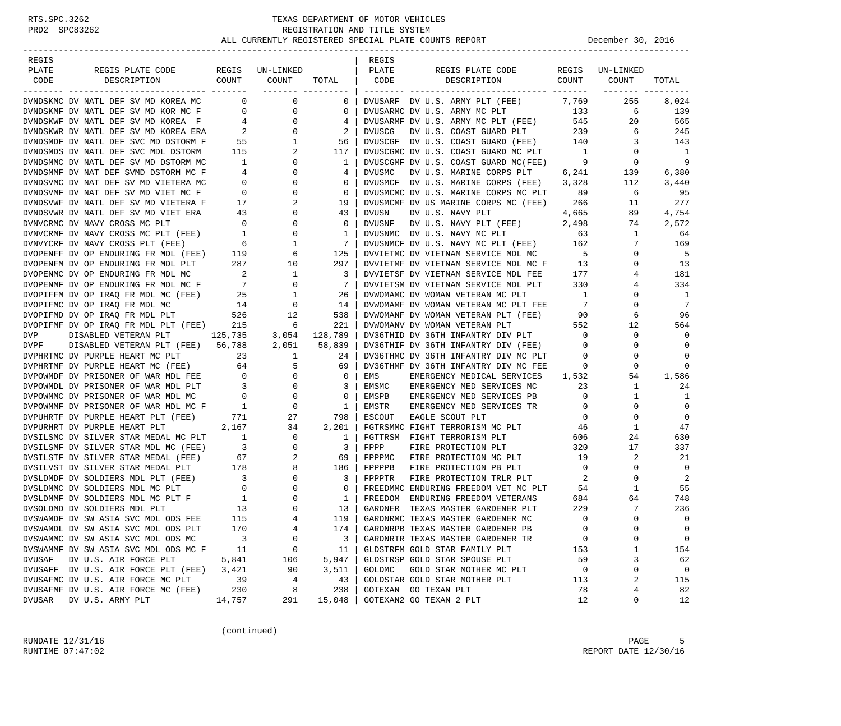| REGIS         |                                                                                                                                                                                                                        |                                             |                                                                 |                                 | REGIS         |                                                                                |                          |                         |                          |
|---------------|------------------------------------------------------------------------------------------------------------------------------------------------------------------------------------------------------------------------|---------------------------------------------|-----------------------------------------------------------------|---------------------------------|---------------|--------------------------------------------------------------------------------|--------------------------|-------------------------|--------------------------|
| PLATE         | REGIS PLATE CODE<br>COUNT                                                                                                                                                                                              |                                             | REGIS UN-LINKED                                                 |                                 | PLATE         | REGIS PLATE CODE<br>DESCRIPTION                                                |                          | REGIS UN-LINKED         |                          |
| CODE          | DESCRIPTION                                                                                                                                                                                                            |                                             | COUNT                                                           | TOTAL CODE<br>------- --------- |               |                                                                                | COUNT                    | COUNT<br>-------- ----- | TOTAL                    |
|               | DVNDSKMC DV NATL DEF SV MD KOREA MC 0                                                                                                                                                                                  |                                             | $\overline{0}$                                                  | $\mathbf 0$                     |               | DVUSARF DV U.S. ARMY PLT (FEE) 7,769                                           |                          | 255                     | 8,024                    |
|               |                                                                                                                                                                                                                        |                                             |                                                                 | $\circ$                         |               | DVUSARMC DV U.S. ARMY MC PLT 133                                               |                          | 6                       | 139                      |
|               |                                                                                                                                                                                                                        |                                             |                                                                 | 4                               |               | DVUSARMF DV U.S. ARMY MC PLT (FEE)                                             | 545                      | 20                      | 565                      |
|               |                                                                                                                                                                                                                        |                                             |                                                                 | 2                               | DVUSCG        | DV U.S. COAST GUARD PLT 239                                                    |                          | 6                       | 245                      |
|               |                                                                                                                                                                                                                        |                                             |                                                                 | 56                              |               | DVUSCGF DV U.S. COAST GUARD (FEE)                                              | 140                      | 3                       | 143                      |
|               |                                                                                                                                                                                                                        |                                             |                                                                 | 117                             |               | DVUSCGMC DV U.S. COAST GUARD MC PLT                                            | $\overline{1}$           | $\overline{0}$          | $\overline{\phantom{0}}$ |
|               | DVNDSMMC DV NATL DEF SV MD DSTORM MC                                                                                                                                                                                   | $\overline{1}$                              | $\mathbf{0}$                                                    | 1                               |               | DVUSCGMF DV U.S. COAST GUARD MC(FEE)                                           | $\overline{9}$           | $\overline{0}$          | 9                        |
|               | DVNDSMMF DV NAT DEF SVMD DSTORM MC F                                                                                                                                                                                   |                                             | $\mathbf 0$<br>$\begin{array}{c} 4 \\ 0 \\ 0 \\ 17 \end{array}$ | 4                               | DVUSMC        | DV U.S. MARINE CORPS PLT 6,241                                                 |                          | 139                     | 6,380                    |
|               | DVNDSVMC DV NAT DEF SV MD VIETERA MC                                                                                                                                                                                   |                                             | $\overline{0}$                                                  | $\mathbf 0$                     |               | DVUSMCF DV U.S. MARINE CORPS (FEE) 3,328                                       |                          | 112                     | 3,440                    |
|               | DVNDSVMF DV NAT DEF SV MD VIET MC F                                                                                                                                                                                    |                                             | $\overline{0}$                                                  | $\overline{0}$                  |               | DVUSMCMC DV U.S. MARINE CORPS MC PLT 89                                        |                          | 6                       | 95                       |
|               | DVNDSVWF DV NATL DEF SV MD VIETERA F                                                                                                                                                                                   |                                             | 2                                                               | 19                              |               | DVUSMCMF DV US MARINE CORPS MC (FEE) 266                                       |                          | 11                      | 277                      |
|               | DVNDSVWR DV NATL DEF SV MD VIET ERA                                                                                                                                                                                    |                                             | $\mathbf 0$                                                     | 43                              | DVUSN         | DV U.S. NAVY PLT                                                               | 4,665                    | 89                      | 4,754                    |
|               | DVNVCRMC DV NAVY CROSS MC PLT                                                                                                                                                                                          | $\begin{array}{c} 43 \\ 0 \\ 1 \end{array}$ | $\mathbf 0$                                                     | $\mathbf 0$                     |               | DVUSNF DV U.S. NAVY PLT (FEE) 2,498                                            |                          | 74                      | 2,572                    |
|               | DVNVCRMF DV NAVY CROSS MC PLT (FEE) 1                                                                                                                                                                                  |                                             | $\overline{0}$                                                  | 1                               |               | DVUSNMC DV U.S. NAVY MC PLT                                                    | 63                       | $\mathbf{1}$            | 64                       |
|               | DVNVYCRF DV NAVY CROSS PLT (FEE)                                                                                                                                                                                       | 6                                           | $\begin{array}{c} 1 \\ 6 \end{array}$                           | $\overline{7}$                  |               | DVUSNMCF DV U.S. NAVY MC PLT (FEE) 162<br>DVVIETMC DV VIETNAM SERVICE MDL MC 5 |                          | 7                       | 169                      |
|               | DVOPENFF DV OP ENDURING FR MDL (FEE) 119                                                                                                                                                                               |                                             |                                                                 | 125                             |               |                                                                                |                          | $\mathbf 0$             | 5                        |
|               | DVOPENFM DV OP ENDURING FR MDL PLT 287                                                                                                                                                                                 |                                             | 10                                                              | 297                             |               | DVVIETMF DV VIETNAM SERVICE MDL MC F 13                                        |                          | 0                       | 13                       |
|               |                                                                                                                                                                                                                        |                                             |                                                                 | 3                               |               | DVVIETSF DV VIETNAM SERVICE MDL FEE                                            | 177                      | 4                       | 181                      |
|               |                                                                                                                                                                                                                        |                                             |                                                                 | $\overline{7}$                  |               | DVVIETSM DV VIETNAM SERVICE MDL PLT                                            | 330                      | 4                       | 334                      |
|               |                                                                                                                                                                                                                        |                                             |                                                                 | 26                              |               | DVWOMAMC DV WOMAN VETERAN MC PLT                                               | $\overline{1}$           | 0                       | $\mathbf{1}$             |
|               |                                                                                                                                                                                                                        |                                             |                                                                 | 14                              |               | DVWOMAMF DV WOMAN VETERAN MC PLT FEE                                           | $7\phantom{0}$           | $\Omega$                | 7                        |
|               | DVOPIFMD DV OP IRAQ FR MDL PLT                                                                                                                                                                                         |                                             | $(FEE)$ 526 12<br>(FEE) 215 6                                   | 538                             |               | DVWOMANF DV WOMAN VETERAN PLT (FEE) 90                                         |                          | 6                       | 96                       |
|               | DVOPIFMF DV OP IRAQ FR MDL PLT (FEE)<br>DISABLED VETERAN PLT 125,735 3,054 128,789                                                                                                                                     |                                             |                                                                 | 221                             |               | DVWOMANV DV WOMAN VETERAN PLT<br>DV36THID DV 36TH INFANTRY DIV PLT             | 552<br>$\overline{0}$    | 12<br>$\mathbf 0$       | 564<br>$\Omega$          |
| DVP<br>DVPF   | DISABLED VETERAN PLT (FEE) 56,788 2,051                                                                                                                                                                                |                                             |                                                                 | 58,839                          |               | DV36THIF DV 36TH INFANTRY DIV (FEE)                                            | $\overline{0}$           | 0                       | 0                        |
|               | DVPHRTMC DV PURPLE HEART MC PLT                                                                                                                                                                                        |                                             | 23 1                                                            | 24                              |               | DV36THMC DV 36TH INFANTRY DIV MC PLT                                           | $\overline{0}$           | $\mathbf 0$             | $\mathbf 0$              |
|               |                                                                                                                                                                                                                        |                                             |                                                                 | 69                              |               | DV36THMF DV 36TH INFANTRY DIV MC FEE                                           | $\overline{\phantom{0}}$ | 0                       | 0                        |
|               |                                                                                                                                                                                                                        |                                             |                                                                 | $\overline{0}$                  | EMS           | EMERGENCY MEDICAL SERVICES 1,532                                               |                          | 54                      | 1,586                    |
|               | DVPHRTMF DV PURPLE HEART MC (FEE) 64<br>DVPOWMDF DV PRISONER OF WAR MDL FEE 0 0 0<br>DVPOWMDL DV PRISONER OF WAR MDL PLT 3 0<br>DVPOWMMC DV PRISONER OF WAR MDL MC 0 0<br>DVPOWMMF DV PRISONER OF WAR MDL MC F 1 0     |                                             |                                                                 | $\mathbf{3}$                    | EMSMC         | EMERGENCY MED SERVICES MC                                                      | 23                       | 1                       | 24                       |
|               |                                                                                                                                                                                                                        |                                             |                                                                 | $\overline{0}$                  | EMSPB         | EMERGENCY MED SERVICES PB                                                      | $\overline{0}$           | $\mathbf{1}$            | -1                       |
|               |                                                                                                                                                                                                                        |                                             |                                                                 | $\overline{1}$                  | EMSTR         | EMERGENCY MED SERVICES TR                                                      | $\overline{0}$           | 0                       | $\mathbf 0$              |
|               |                                                                                                                                                                                                                        |                                             |                                                                 | 798                             | <b>ESCOUT</b> | EAGLE SCOUT PLT                                                                | $\overline{0}$           | $\mathbf 0$             | $\mathbf 0$              |
|               |                                                                                                                                                                                                                        |                                             |                                                                 | 2,201                           |               | FGTRSMMC FIGHT TERRORISM MC PLT                                                | -46                      | 1                       | 47                       |
|               |                                                                                                                                                                                                                        |                                             |                                                                 | $\overline{1}$                  |               | FGTTRSM FIGHT TERRORISM PLT                                                    | 606                      | 24                      | 630                      |
|               |                                                                                                                                                                                                                        |                                             |                                                                 | $\overline{\mathbf{3}}$         | FPPP          | FINIL ALLER<br>FIRE PROTECTION PLT                                             | 320                      | 17                      | 337                      |
|               | DVPUHRTF DV PURPLE HEART PLT (FEE) 771 27<br>DVPURHRT DV PURPLE HEART PLT 2,167 34<br>DVSILSMC DV SILVER STAR MEDAL MC PLT 1 0<br>DVSILSMF DV SILVER STAR MDL MC (FEE) 3 0<br>DVSILSTF DV SILVER STAR MEDAL (FEE) 67 2 |                                             |                                                                 | 69                              | FPPPMC        | FIRE PROTECTION MC PLT                                                         | 19                       | 2                       | 21                       |
|               | POSILVST DV SILVER STAR MEDAL PLT 178 8 186<br>DVSILDMDF DV SOLDIERS MDL PLT (FEE) 3 0 3<br>DVSLDMMC DV SOLDIERS MDL MC PLT 0 0 0 0<br>DVSLDMMF DV SOLDIERS MDL MC PLT F 1 0 1<br>DVSOLDMD DV SOLDIERS MDL PLT 13 0 13 |                                             |                                                                 |                                 | FPPPPB        | FIRE PROTECTION PB PLT                                                         | $\overline{0}$           | $\mathbf 0$             | $\mathbf 0$              |
|               |                                                                                                                                                                                                                        |                                             |                                                                 |                                 | FPPPTR        | FIRE PROTECTION TRLR PLT                                                       | $\overline{\phantom{a}}$ | $\mathbf 0$             | 2                        |
|               |                                                                                                                                                                                                                        |                                             |                                                                 |                                 |               | FREEDMMC ENDURING FREEDOM VET MC PLT                                           | 54                       | 1                       | 55                       |
|               |                                                                                                                                                                                                                        |                                             |                                                                 |                                 | FREEDOM       | ENDURING FREEDOM VETERANS                                                      | 684                      | 64                      | 748                      |
|               | DVSOLDMD DV SOLDIERS MDL PLT                                                                                                                                                                                           | 13                                          | $\mathbf 0$                                                     | 13                              | GARDNER       | TEXAS MASTER GARDENER PLT                                                      | 229                      | 7                       | 236                      |
|               | DVSWAMDF DV SW ASIA SVC MDL ODS FEE                                                                                                                                                                                    | 115                                         |                                                                 | 119                             |               | GARDNRMC TEXAS MASTER GARDENER MC                                              | $\Omega$                 | $\Omega$                | $\Omega$                 |
|               | DVSWAMDL DV SW ASIA SVC MDL ODS PLT                                                                                                                                                                                    | 170                                         | 4                                                               | 174                             |               | GARDNRPB TEXAS MASTER GARDENER PB                                              | $\mathbf 0$              | 0                       | $\mathbf 0$              |
|               | DVSWAMMC DV SW ASIA SVC MDL ODS MC                                                                                                                                                                                     | 3                                           | 0                                                               | 3                               |               | GARDNRTR TEXAS MASTER GARDENER TR                                              | 0                        | 0                       | $\mathbf 0$              |
|               | DVSWAMMF DV SW ASIA SVC MDL ODS MC F                                                                                                                                                                                   | 11                                          | 0                                                               | 11                              |               | GLDSTRFM GOLD STAR FAMILY PLT                                                  | 153                      | 1                       | 154                      |
| <b>DVUSAF</b> | DV U.S. AIR FORCE PLT                                                                                                                                                                                                  | 5,841                                       | 106                                                             | 5,947                           |               | GLDSTRSP GOLD STAR SPOUSE PLT                                                  | 59                       | 3                       | 62                       |
|               | DVUSAFF DV U.S. AIR FORCE PLT (FEE)                                                                                                                                                                                    | 3,421                                       | 90                                                              | 3,511                           | GOLDMC        | GOLD STAR MOTHER MC PLT                                                        | 0                        | 0                       | $\mathbf 0$              |
|               | DVUSAFMC DV U.S. AIR FORCE MC PLT                                                                                                                                                                                      | 39                                          | 4                                                               | 43                              |               | GOLDSTAR GOLD STAR MOTHER PLT                                                  | 113                      | 2                       | 115                      |
|               | DVUSAFMF DV U.S. AIR FORCE MC (FEE)                                                                                                                                                                                    | 230                                         | 8                                                               | 238                             |               | GOTEXAN GO TEXAN PLT                                                           | 78                       | 4                       | 82                       |
| <b>DVUSAR</b> | DV U.S. ARMY PLT                                                                                                                                                                                                       | 14,757                                      | 291                                                             | 15,048                          |               | GOTEXAN2 GO TEXAN 2 PLT                                                        | 12                       | 0                       | 12                       |

(continued)

RUNDATE  $12/31/16$  PAGE 5 RUNTIME 07:47:02 REPORT DATE 12/30/16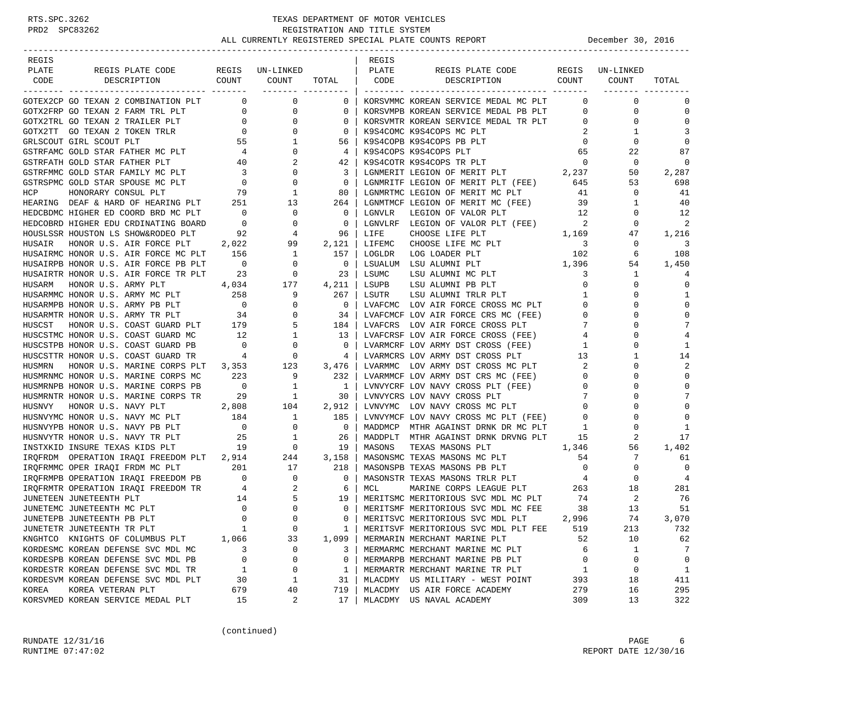| REGIS  |                                                                                                                                                                                                                                                                                                                                                                                                                                                                                                          |                                        |                          |                | REGIS  |                                                                  |                                         |             |                |
|--------|----------------------------------------------------------------------------------------------------------------------------------------------------------------------------------------------------------------------------------------------------------------------------------------------------------------------------------------------------------------------------------------------------------------------------------------------------------------------------------------------------------|----------------------------------------|--------------------------|----------------|--------|------------------------------------------------------------------|-----------------------------------------|-------------|----------------|
| PLATE  | REGIS PLATE CODE                                                                                                                                                                                                                                                                                                                                                                                                                                                                                         |                                        | REGIS UN-LINKED          |                | PLATE  | REGIS PLATE CODE                                                 | REGIS                                   | UN-LINKED   |                |
| CODE   | COUNT<br>DESCRIPTION                                                                                                                                                                                                                                                                                                                                                                                                                                                                                     |                                        | COUNT                    | TOTAL          | CODE   | COUNT<br>DESCRIPTION                                             |                                         | COUNT       | TOTAL          |
|        |                                                                                                                                                                                                                                                                                                                                                                                                                                                                                                          |                                        |                          |                |        |                                                                  |                                         |             |                |
|        | GOTEX2CP GO TEXAN 2 COMBINATION PLT                                                                                                                                                                                                                                                                                                                                                                                                                                                                      | $\overline{0}$                         | $\mathbf 0$              | 0              |        | KORSVMMC KOREAN SERVICE MEDAL MC PLT                             | $\mathbf{0}$                            | $\mathbf 0$ | 0              |
|        | GOTX2FRP GO TEXAN 2 FARM TRL PLT                                                                                                                                                                                                                                                                                                                                                                                                                                                                         | $\overline{0}$                         | 0                        | 0              |        | KORSVMPB KOREAN SERVICE MEDAL PB PLT                             | $\mathbf 0$                             | 0           | 0              |
|        | GOTX2TRL GO TEXAN 2 TRAILER PLT                                                                                                                                                                                                                                                                                                                                                                                                                                                                          | $\sim$ 0                               | $\mathbf 0$              | 0              |        | KORSVMTR KOREAN SERVICE MEDAL TR PLT                             | $\circ$                                 | 0           | $\mathbf 0$    |
|        | GOTX2TT GO TEXAN 2 TOKEN TRLR                                                                                                                                                                                                                                                                                                                                                                                                                                                                            | $\overline{0}$                         | $\mathbf 0$              | $\Omega$       |        | K9S4COMC K9S4COPS MC PLT                                         | -2                                      | 1           | 3              |
|        | GRLSCOUT GIRL SCOUT PLT                                                                                                                                                                                                                                                                                                                                                                                                                                                                                  |                                        | 1                        | 56             |        | K9S4COPB K9S4COPS PB PLT                                         | $\overline{0}$                          | 0           | $\Omega$       |
|        | GSTRFAMC GOLD STAR FATHER MC PLT                                                                                                                                                                                                                                                                                                                                                                                                                                                                         | $\frac{4}{10}$                         | $\mathbf 0$              | 4              |        | K9S4COPS K9S4COPS PLT                                            | 65                                      | 22          | 87             |
|        | GSTRFATH GOLD STAR FATHER PLT                                                                                                                                                                                                                                                                                                                                                                                                                                                                            | 40                                     | 2                        | 42             |        | K9S4COTR K9S4COPS TR PLT                                         | $\overline{0}$                          | 0           | $\mathbf 0$    |
|        | GSTRFMMC GOLD STAR FAMILY MC PLT                                                                                                                                                                                                                                                                                                                                                                                                                                                                         | $\overline{\phantom{a}}$               | 0                        | 3              |        | K9S4COTR K9S4COPS TR PLT 0<br>LGNMERIT LEGION OF MERIT PLT 2,237 |                                         | 50          | 2,287          |
|        | GSTRSPMC GOLD STAR SPOUSE MC PLT                                                                                                                                                                                                                                                                                                                                                                                                                                                                         | $\overline{0}$                         | $\mathbf 0$              | 0              |        | LGNMRITF LEGION OF MERIT PLT (FEE) 645                           |                                         | 53          | 698            |
|        |                                                                                                                                                                                                                                                                                                                                                                                                                                                                                                          |                                        | 1                        | 80             |        | LGNMRTMC LEGION OF MERIT MC PLT                                  | 41                                      | 0           | 41             |
|        | $\begin{tabular}{lllllll} \multicolumn{2}{l}{{\small \textsf{HCP}}} & \multicolumn{2}{c}{\small \textsf{HONORARY CONSUL PLT}} & \multicolumn{2}{c}{\small \textsf{79}}\\ \multicolumn{2}{l}{\small \textsf{HEARING} } & \multicolumn{2}{c}{\small \textsf{DEAF}} & \multicolumn{2}{c}{\small \textsf{HERAD OF HERRING PLT}} & \multicolumn{2}{c}{\small \textsf{79}}\\ \multicolumn{2}{l}{\small \textsf{HEARING PLT}} & \multicolumn{2}{c}{\small \textsf{251}} & \multicolumn{2}{c}{\small \textsf{21$ |                                        | 13                       | 264            |        | LGNMTMCF LEGION OF MERIT MC (FEE)                                | 39                                      | 1           | 40             |
|        | HEDCBDMC HIGHER ED COORD BRD MC PLT                                                                                                                                                                                                                                                                                                                                                                                                                                                                      | $\sim$ 0                               | 0                        | 0              | LGNVLR | LEGION OF VALOR PLT                                              | 12                                      | 0           | 12             |
|        | HEDCOBRD HIGHER EDU CRDINATING BOARD                                                                                                                                                                                                                                                                                                                                                                                                                                                                     | $\overline{\phantom{0}}$               | $\mathbf 0$              | $\mathbf 0$    |        | LGNVLRF LEGION OF VALOR PLT (FEE)                                | $\overline{\phantom{a}}$                | 0           | 2              |
|        | HOUSLSSR HOUSTON LS SHOW&RODEO PLT                                                                                                                                                                                                                                                                                                                                                                                                                                                                       | 92                                     | 4                        | 96             | LIFE   | CHOOSE LIFE PLT                                                  | 1,169                                   | 47          | 1,216          |
| HUSAIR | HONOR U.S. AIR FORCE PLT                                                                                                                                                                                                                                                                                                                                                                                                                                                                                 | 2,022                                  | 99                       | 2,121          | LIFEMC | CHOOSE LIFE MC PLT                                               |                                         | 0           | 3              |
|        | HUSAIRMC HONOR U.S. AIR FORCE MC PLT                                                                                                                                                                                                                                                                                                                                                                                                                                                                     | 156                                    | 1                        | 157            | LOGLDR | LOG LOADER PLT                                                   | $\begin{array}{c} 3 \\ 102 \end{array}$ | 6           | 108            |
|        | HUSAIRPB HONOR U.S. AIR FORCE PB PLT                                                                                                                                                                                                                                                                                                                                                                                                                                                                     | $\overline{\phantom{0}}$               | $\mathbf 0$              | 0              |        | LSUALUM LSU ALUMNI PLT 1,396                                     |                                         | 54          | 1,450          |
|        | HUSAIRTR HONOR U.S. AIR FORCE TR PLT                                                                                                                                                                                                                                                                                                                                                                                                                                                                     | 23                                     | 0                        | 23             | LSUMC  | LSU ALUMNI MC PLT                                                | 3                                       | 1           | 4              |
| HUSARM | HONOR U.S. ARMY PLT                                                                                                                                                                                                                                                                                                                                                                                                                                                                                      | 4,034                                  | 177                      | 4,211          | LSUPB  | LSU ALUMNI PB PLT                                                | $\mathbf 0$                             | $\Omega$    | $\mathbf 0$    |
|        | HUSARMMC HONOR U.S. ARMY MC PLT                                                                                                                                                                                                                                                                                                                                                                                                                                                                          | 258                                    | 9                        | 267            | LSUTR  | LSU ALUMNI TRLR PLT                                              | 1                                       | 0           | 1              |
|        | HUSARMPB HONOR U.S. ARMY PB PLT                                                                                                                                                                                                                                                                                                                                                                                                                                                                          | $\overline{\phantom{0}}$               | $\mathbf 0$              | $\overline{0}$ |        | LVAFCMC LOV AIR FORCE CROSS MC PLT                               | $\mathbf 0$                             | $\Omega$    | $\mathbf 0$    |
|        | HUSARMTR HONOR U.S. ARMY TR PLT                                                                                                                                                                                                                                                                                                                                                                                                                                                                          | 34                                     | 0                        | 34             |        | LVAFCMCF LOV AIR FORCE CRS MC (FEE)                              | $\mathbf{0}$                            | $\Omega$    | 0              |
| HUSCST | HONOR U.S. COAST GUARD PLT 179                                                                                                                                                                                                                                                                                                                                                                                                                                                                           |                                        | 5                        | 184            |        | LVAFCRS LOV AIR FORCE CROSS PLT                                  | 7                                       | $\Omega$    | 7              |
|        | HUSCSTMC HONOR U.S. COAST GUARD MC                                                                                                                                                                                                                                                                                                                                                                                                                                                                       | 12                                     | 1                        | 13             |        | LVAFCRSF LOV AIR FORCE CROSS (FEE)                               | 4                                       | $\Omega$    | 4              |
|        | HUSCSTPB HONOR U.S. COAST GUARD PB                                                                                                                                                                                                                                                                                                                                                                                                                                                                       | $\overline{0}$                         | 0                        | 0              |        | LVARMCRF LOV ARMY DST CROSS (FEE)                                | 1                                       | 0           | 1              |
|        | HUSCSTTR HONOR U.S. COAST GUARD TR                                                                                                                                                                                                                                                                                                                                                                                                                                                                       | $\overline{4}$                         | $\overline{0}$           | 4              |        | LVARMCRS LOV ARMY DST CROSS PLT                                  | 13                                      | 1           | 14             |
| HUSMRN | HONOR U.S. MARINE CORPS PLT                                                                                                                                                                                                                                                                                                                                                                                                                                                                              | 3,353                                  | 123                      | 3,476          |        | LVARMMC LOV ARMY DST CROSS MC PLT                                | 2                                       | 0           | $\overline{a}$ |
|        | HUSMRNMC HONOR U.S. MARINE CORPS MC                                                                                                                                                                                                                                                                                                                                                                                                                                                                      | 223                                    | 9                        | 232            |        | LVARMMCF LOV ARMY DST CRS MC (FEE)                               | $\mathbf{0}$                            | $\Omega$    | $\Omega$       |
|        | HUSMRNPB HONOR U.S. MARINE CORPS PB                                                                                                                                                                                                                                                                                                                                                                                                                                                                      | $\overline{0}$                         | 1                        | -1             |        | LVNVYCRF LOV NAVY CROSS PLT (FEE)                                | $\mathbf 0$                             | $\Omega$    | $\Omega$       |
|        | HUSMRNTR HONOR U.S. MARINE CORPS TR                                                                                                                                                                                                                                                                                                                                                                                                                                                                      | 29                                     | $\overline{\phantom{1}}$ | 30             |        | LVNVYCRS LOV NAVY CROSS PLT                                      | 7                                       | 0           | 7              |
| HUSNVY | HONOR U.S. NAVY PLT                                                                                                                                                                                                                                                                                                                                                                                                                                                                                      | 2,808                                  | 104                      | 2,912          |        | LVNVYMC LOV NAVY CROSS MC PLT                                    | $\mathbf 0$                             |             | $\mathbf 0$    |
|        | HUSNVYMC HONOR U.S. NAVY MC PLT                                                                                                                                                                                                                                                                                                                                                                                                                                                                          |                                        | $\mathbf{1}$             | 185            |        | LVNVYMCF LOV NAVY CROSS MC PLT (FEE)                             | $\mathbf{0}$                            | 0           | $\Omega$       |
|        | HUSNVYPB HONOR U.S. NAVY PB PLT                                                                                                                                                                                                                                                                                                                                                                                                                                                                          | 184<br>$\overline{\phantom{0}}$        | $\mathbf{0}$             | $\mathbf 0$    |        | MADDMCP MTHR AGAINST DRNK DR MC PLT                              | $\mathbf{1}$                            | $\Omega$    | 1              |
|        |                                                                                                                                                                                                                                                                                                                                                                                                                                                                                                          | 25                                     |                          | 26             |        | MADDPLT MTHR AGAINST DRNK DRVNG PLT                              | 15                                      | 2           | 17             |
|        | HUSNVYTR HONOR U.S. NAVY TR PLT<br>INSTXKID INSURE TEXAS KIDS PLT                                                                                                                                                                                                                                                                                                                                                                                                                                        | 19                                     | 1<br>$\overline{0}$      | 19             | MASONS | TEXAS MASONS PLT                                                 | 1,346                                   | 56          | 1,402          |
|        | IROFRDM OPERATION IRAOI FREEDOM PLT 2,914                                                                                                                                                                                                                                                                                                                                                                                                                                                                |                                        | 244                      |                |        |                                                                  |                                         | 7           |                |
|        |                                                                                                                                                                                                                                                                                                                                                                                                                                                                                                          |                                        |                          | 3,158          |        | MASONSMC TEXAS MASONS MC PLT                                     | 54                                      |             | 61             |
|        | IROFRMMC OPER IRAOI FRDM MC PLT                                                                                                                                                                                                                                                                                                                                                                                                                                                                          | 201                                    | 17                       | 218            |        | MASONSPB TEXAS MASONS PB PLT                                     | $\mathbf 0$                             | 0           | $\mathbf 0$    |
|        | IRQFRMPB OPERATION IRAQI FREEDOM PB<br>IRQFRMTR OPERATION IRAQI FREEDOM TR<br>INCREDOM TR                                                                                                                                                                                                                                                                                                                                                                                                                |                                        | $\mathbf{0}$             | $\mathbf 0$    |        | MASONSTR TEXAS MASONS TRLR PLT                                   | $\overline{4}$<br>263                   | 0           | $\overline{4}$ |
|        |                                                                                                                                                                                                                                                                                                                                                                                                                                                                                                          |                                        | 2                        | 6              | MCL    | MARINE CORPS LEAGUE PLT                                          |                                         | 18          | 281            |
|        | JUNETEEN JUNETEENTH PLT                                                                                                                                                                                                                                                                                                                                                                                                                                                                                  | $\begin{array}{c} 14 \\ 0 \end{array}$ | 5                        | 19             |        | MERITSMC MERITORIOUS SVC MDL MC PLT                              | 74                                      | 2           | 76             |
|        | JUNETEMC JUNETEENTH MC PLT                                                                                                                                                                                                                                                                                                                                                                                                                                                                               |                                        | $\mathbf 0$              | $\mathbf 0$    |        | MERITSMF MERITORIOUS SVC MDL MC FEE                              | 38                                      | 13          | 51             |
|        | JUNETEPB JUNETEENTH PB PLT                                                                                                                                                                                                                                                                                                                                                                                                                                                                               | $\Omega$                               | $\Omega$                 | $\Omega$       |        | MERITSVC MERITORIOUS SVC MDL PLT                                 | 2,996                                   | 74          | 3.070          |
|        | JUNETETR JUNETEENTH TR PLT                                                                                                                                                                                                                                                                                                                                                                                                                                                                               | 1                                      | $\mathbf 0$              | 1              |        | MERITSVF MERITORIOUS SVC MDL PLT FEE                             | 519                                     | 213         | 732            |
|        | KNGHTCO KNIGHTS OF COLUMBUS PLT                                                                                                                                                                                                                                                                                                                                                                                                                                                                          | 1,066                                  | 33                       | 1,099          |        | MERMARIN MERCHANT MARINE PLT                                     | 52                                      | 10          | 62             |
|        | KORDESMC KOREAN DEFENSE SVC MDL MC                                                                                                                                                                                                                                                                                                                                                                                                                                                                       | 3                                      | 0                        | 3              |        | MERMARMC MERCHANT MARINE MC PLT                                  | 6                                       | 1           | 7              |
|        | KORDESPB KOREAN DEFENSE SVC MDL PB                                                                                                                                                                                                                                                                                                                                                                                                                                                                       | $\mathbf 0$                            | 0                        | $\mathbf{0}$   |        | MERMARPB MERCHANT MARINE PB PLT                                  | 0                                       | 0           | $\mathbf 0$    |
|        | KORDESTR KOREAN DEFENSE SVC MDL TR                                                                                                                                                                                                                                                                                                                                                                                                                                                                       | 1                                      | 0                        | 1              |        | MERMARTR MERCHANT MARINE TR PLT                                  | 1                                       | 0           | 1              |
|        | KORDESVM KOREAN DEFENSE SVC MDL PLT                                                                                                                                                                                                                                                                                                                                                                                                                                                                      | 30                                     | 1                        | 31             |        | MLACDMY US MILITARY - WEST POINT                                 | 393                                     | 18          | 411            |
| KOREA  | KOREA VETERAN PLT                                                                                                                                                                                                                                                                                                                                                                                                                                                                                        | 679                                    | 40                       | 719            |        | MLACDMY US AIR FORCE ACADEMY                                     | 279                                     | 16          | 295            |
|        | KORSVMED KOREAN SERVICE MEDAL PLT                                                                                                                                                                                                                                                                                                                                                                                                                                                                        | 15                                     | 2                        | 17             |        | MLACDMY US NAVAL ACADEMY                                         | 309                                     | 13          | 322            |

(continued)

RUNDATE  $12/31/16$  PAGE 6 RUNTIME 07:47:02 REPORT DATE 12/30/16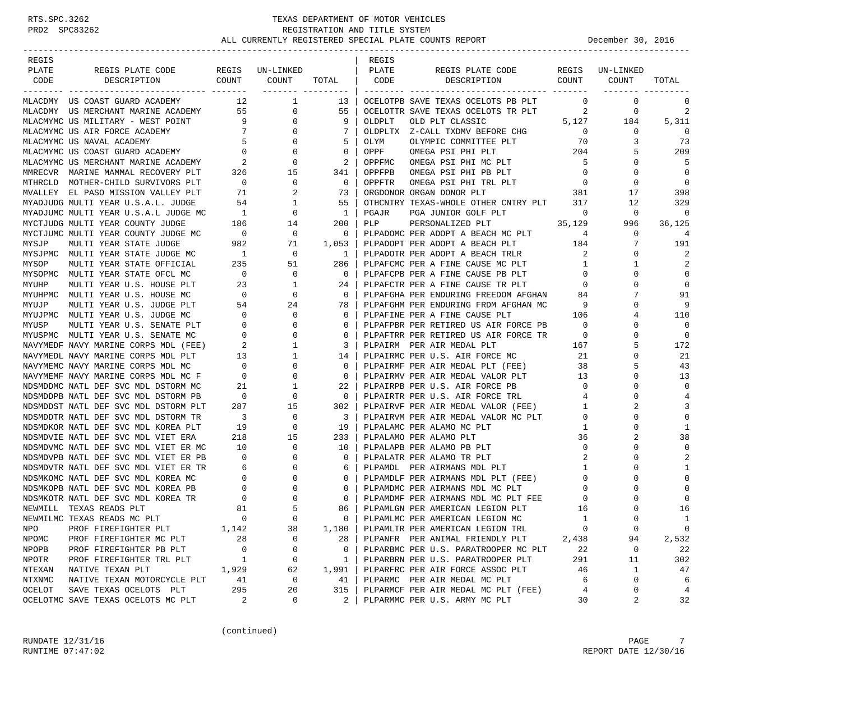| REGIS         |                                                                                                     |                                                          |                          |                         | REGIS  |                                                                              |                          |              |                |
|---------------|-----------------------------------------------------------------------------------------------------|----------------------------------------------------------|--------------------------|-------------------------|--------|------------------------------------------------------------------------------|--------------------------|--------------|----------------|
| PLATE         | REGIS PLATE CODE                                                                                    |                                                          | REGIS UN-LINKED          |                         | PLATE  | REGIS PLATE CODE                                                             | REGIS                    | UN-LINKED    |                |
| CODE          | COUNT<br>DESCRIPTION                                                                                |                                                          | COUNT                    | TOTAL                   | CODE   | COUNT<br>DESCRIPTION                                                         |                          | COUNT        | TOTAL          |
|               |                                                                                                     |                                                          | -------- ---------       |                         |        |                                                                              |                          |              |                |
|               | MLACDMY US COAST GUARD ACADEMY $12$ 1                                                               |                                                          |                          | - 13 I                  |        | OCELOTPB SAVE TEXAS OCELOTS PB PLT 0                                         |                          | $\mathbf 0$  | 0              |
|               | MLACDMY US MERCHANT MARINE ACADEMY 55<br>MLACMYMC US MILITARY - WEST POINT 9                        |                                                          | $\overline{0}$           | 55                      |        | OCELOTTR SAVE TEXAS OCELOTS TR PLT $2$ 0<br>OLDPLT OLD PLT CLASSIC 5,127 184 |                          |              | 2              |
|               |                                                                                                     |                                                          | $\overline{0}$           | 9 <sup>1</sup>          |        |                                                                              |                          |              | 5,311          |
|               | MLACMYMC US AIR FORCE ACADEMY 7<br>MLACMYMC US NAVAL ACADEMY 5<br>MLACMYMC US COAST GUARD ACADEMY 0 |                                                          | $\mathbf{0}$             | 7                       |        | OLDPLTX Z-CALL TXDMV BEFORE CHG 0                                            |                          | $\mathbf{0}$ | 0              |
|               |                                                                                                     |                                                          | $\overline{0}$           | 5                       | OLYM   | OLYMPIC COMMITTEE PLT                                                        | 70                       | 3            | 73             |
|               |                                                                                                     |                                                          | $\overline{0}$           | $\mathbf 0$             | OPPF   | OMEGA PSI PHI PLT 204                                                        |                          | 5            | 209            |
|               |                                                                                                     |                                                          |                          | $\overline{2}$          | OPPFMC | OMEGA PSI PHI MC PLT                                                         | 5                        | 0            | -5             |
|               |                                                                                                     |                                                          |                          | 341 I                   | OPPFPB | OMEGA PSI PHI PB PLT                                                         | $\overline{0}$           | $\Omega$     | $\overline{0}$ |
|               | MTHRCLD MOTHER-CHILD SURVIVORS PLT                                                                  | $\overline{0}$                                           | $\overline{0}$           | $\overline{0}$          | OPPFTR | OMEGA PSI PHI TRL PLT 0<br>ORGAN DONOR PLT 381                               |                          | $\mathbf 0$  | $\overline{0}$ |
|               | MVALLEY EL PASO MISSION VALLEY PLT<br>MYADJUDG MULTI YEAR U.S.A.L. JUDGE 54                         | 71                                                       | 2                        | 73                      |        | ORGDONOR ORGAN DONOR PLT                                                     |                          | 17           | 398            |
|               |                                                                                                     |                                                          | $\mathbf{1}$             | 55                      |        | OTHCNTRY TEXAS-WHOLE OTHER CNTRY PLT 317                                     |                          | 12           | 329            |
|               |                                                                                                     |                                                          |                          | $\mathbf{1}$            | PGAJR  | PGA JUNIOR GOLF PLT                                                          | $\sim$ 0                 | 0            | $\overline{0}$ |
|               |                                                                                                     |                                                          |                          | 200                     | PLP    | 35,129<br>PERSONALIZED PLT                                                   |                          | 996          | 36,125         |
|               | MYCTJUMC MULTI YEAR COUNTY JUDGE MC 0                                                               |                                                          | $\overline{0}$           | $\overline{\mathbf{0}}$ |        | PLPADOMC PER ADOPT A BEACH MC PLT                                            | 4                        | 0            | 4              |
| MYSJP         | MULTI YEAR STATE JUDGE                                                                              | 982                                                      | 71                       | $1,053$                 |        | PLPADOPT PER ADOPT A BEACH PLT 184                                           |                          |              | 191            |
|               | MYSJPMC MULTI YEAR STATE JUDGE MC                                                                   | $\overline{1}$                                           | $\overline{\phantom{0}}$ | $\overline{1}$          |        | PLPADOTR PER ADOPT A BEACH TRLR                                              | 2                        | 0            | 2              |
| MYSOP         | MULTI YEAR STATE OFFICIAL                                                                           | 235                                                      | 51                       | 286                     |        | PLPAFCMC PER A FINE CAUSE MC PLT                                             | 1                        | 1            | 2              |
|               | MYSOPMC MULTI YEAR STATE OFCL MC                                                                    | $\overline{0}$                                           | $\overline{\phantom{0}}$ | $\overline{0}$          |        | PLPAFCPB PER A FINE CAUSE PB PLT                                             | $\overline{0}$           |              | $\mathbf 0$    |
| MYUHP         | MULTI YEAR U.S. HOUSE PLT                                                                           | $\begin{array}{cc} 23 \\ 0 \\ 54 \end{array}$            | $\mathbf{1}$             | 24                      |        | PLPAFCTR PER A FINE CAUSE TR PLT                                             | $\overline{0}$           | $\Omega$     | $\Omega$       |
|               | MYUHPMC MULTI YEAR U.S. HOUSE MC                                                                    |                                                          | $\overline{0}$           | $\overline{0}$          |        | PLPAFGHA PER ENDURING FREEDOM AFGHAN                                         | 84                       |              | 91             |
| MYUJP         | MULTI YEAR U.S. JUDGE PLT                                                                           |                                                          | 24                       | 78 I                    |        | PLPAFGHM PER ENDURING FRDM AFGHAN MC 9                                       |                          | $\Omega$     | 9              |
|               | MYUJPMC MULTI YEAR U.S. JUDGE MC                                                                    | $\begin{array}{c} 0 \\ 0 \end{array}$                    | $\mathbf{0}$             | $\circ$                 |        | PLPAFINE PER A FINE CAUSE PLT                                                | 106                      | 4            | 110            |
| MYUSP         | MULTI YEAR U.S. SENATE PLT                                                                          |                                                          | $\mathbf{0}$             | 0                       |        | PLPAFPBR PER RETIRED US AIR FORCE PB                                         | $\overline{\phantom{0}}$ |              | $\overline{0}$ |
|               | MYUSPMC MULTI YEAR U.S. SENATE MC                                                                   | $\begin{matrix}&&&0\\ &&&2\\ &&&13\end{matrix}$          | $\mathbf{0}$             | 0                       |        | PLPAFTRR PER RETIRED US AIR FORCE TR 0                                       |                          | $\Omega$     | $\overline{0}$ |
|               | NAVYMEDF NAVY MARINE CORPS MDL (FEE)                                                                |                                                          | 1                        | 3                       |        | PLPAIRM PER AIR MEDAL PLT                                                    | 167                      | 5            | 172            |
|               | NAVYMEDL NAVY MARINE CORPS MDL PLT                                                                  |                                                          | 1                        | 14                      |        | PLPAIRMC PER U.S. AIR FORCE MC                                               | 21                       | $\Omega$     | 21             |
|               | NAVYMEMC NAVY MARINE CORPS MDL MC                                                                   | $\begin{array}{ccc} & & 0 \\ \text{F} & & 0 \end{array}$ | $\mathbf 0$              | $\mathbf{0}$            |        | PLPAIRMF PER AIR MEDAL PLT (FEE)                                             | 38                       | 5            | 43             |
|               | NAVYMEMF NAVY MARINE CORPS MDL MC F                                                                 | $\overline{0}$                                           | $\mathbf{0}$             | $\circ$                 |        | PLPAIRMV PER AIR MEDAL VALOR PLT                                             | 13                       | $\Omega$     | 13             |
|               | NDSMDDMC NATL DEF SVC MDL DSTORM MC                                                                 | 21                                                       | 1                        | 22                      |        | PLPAIRPB PER U.S. AIR FORCE PB                                               | $\overline{0}$           | $\Omega$     | $\mathbf 0$    |
|               | NDSMDDPB NATL DEF SVC MDL DSTORM PB                                                                 | $\overline{0}$                                           | $\mathbf 0$              | $\overline{0}$          |        | PLPAIRTR PER U.S. AIR FORCE TRL                                              | $\overline{4}$           | $\Omega$     | 4              |
|               | NDSMDDST NATL DEF SVC MDL DSTORM PLT                                                                | 287                                                      | 15                       | 302                     |        | PLPAIRVF PER AIR MEDAL VALOR (FEE)                                           | $\mathbf{1}$             | 2            | 3              |
|               | NDSMDDTR NATL DEF SVC MDL DSTORM TR                                                                 | $\overline{\mathbf{3}}$                                  | $\mathbf 0$              | $\overline{\mathbf{3}}$ |        | PLPAIRVM PER AIR MEDAL VALOR MC PLT                                          | $\mathbf{0}$             | 0            | $\mathbf 0$    |
|               | NDSMDKOR NATL DEF SVC MDL KOREA PLT                                                                 | 19                                                       | $\mathbf 0$              | 19                      |        | PLPALAMC PER ALAMO MC PLT                                                    | $\mathbf{1}$             | $\Omega$     | 1              |
|               | NDSMDVIE NATL DEF SVC MDL VIET ERA                                                                  | 218                                                      | 15                       | 233                     |        | PLPALAMO PER ALAMO PLT                                                       | 36                       |              | 38             |
|               | NDSMDVMC NATL DEF SVC MDL VIET ER MC                                                                | 10                                                       | $\mathbf 0$              | 10                      |        | PLPALAPB PER ALAMO PB PLT                                                    | $\mathbf{0}$             | $\Omega$     | $\mathbf 0$    |
|               | NDSMDVPB NATL DEF SVC MDL VIET ER PB                                                                | $\overline{\phantom{0}}$                                 | $\mathbf{0}$             | $\mathbf 0$             |        | PLPALATR PER ALAMO TR PLT                                                    | 2                        | $\Omega$     | 2              |
|               | NDSMDVTR NATL DEF SVC MDL VIET ER TR                                                                | $R$ 6<br>0<br>0<br>0<br>0<br>0<br>8<br>1                 | $\mathbf{0}$             | 6                       |        | PLPAMDL PER AIRMANS MDL PLT                                                  | $\mathbf{1}$             | $\Omega$     | 1              |
|               | NDSMKOMC NATL DEF SVC MDL KOREA MC                                                                  |                                                          | $\mathbf 0$              | $\mathbf 0$             |        | PLPAMDLF PER AIRMANS MDL PLT (FEE)                                           | $\overline{0}$           | $\Omega$     | $\mathbf 0$    |
|               | NDSMKOPB NATL DEF SVC MDL KOREA PB                                                                  |                                                          | $\mathbf{0}$             | 0                       |        | PLPAMDMC PER AIRMANS MDL MC PLT                                              | $\mathbf{0}$             | $\Omega$     | $\Omega$       |
|               | NDSMKOTR NATL DEF SVC MDL KOREA TR                                                                  |                                                          | $\mathbf{0}$             | 0                       |        | PLPAMDMF PER AIRMANS MDL MC PLT FEE                                          | $\mathbf{0}$             |              | $\mathbf 0$    |
|               | NEWMILL TEXAS READS PLT                                                                             |                                                          | 5                        | 86                      |        | PLPAMLGN PER AMERICAN LEGION PLT                                             | 16                       | $\Omega$     | 16             |
|               | NEWMILMC TEXAS READS MC PLT                                                                         | $\overline{0}$                                           | $\Omega$                 | $\Omega$                |        | PLPAMLMC PER AMERICAN LEGION MC                                              | -1                       | $\Omega$     | $\mathbf{1}$   |
| NPO           | PROF FIREFIGHTER PLT                                                                                | 1,142                                                    | 38                       | 1,180                   |        | PLPAMLTR PER AMERICAN LEGION TRL                                             | 0                        | 0            | 0              |
| NPOMC         | PROF FIREFIGHTER MC PLT                                                                             | 28                                                       | 0                        | 28                      |        | PLPANFR PER ANIMAL FRIENDLY PLT                                              | 2,438                    | 94           | 2,532          |
| NPOPB         | PROF FIREFIGHTER PB PLT                                                                             | 0                                                        | 0                        | 0                       |        | PLPARBMC PER U.S. PARATROOPER MC PLT                                         | 22                       | 0            | 22             |
| NPOTR         | PROF FIREFIGHTER TRL PLT                                                                            | 1                                                        | 0                        | 1                       |        | PLPARBRN PER U.S. PARATROOPER PLT                                            | 291                      | 11           | 302            |
| NTEXAN        | NATIVE TEXAN PLT                                                                                    | 1,929                                                    | 62                       | 1,991                   |        | PLPARFRC PER AIR FORCE ASSOC PLT                                             | 46                       | 1            | 47             |
| <b>NTXNMC</b> | NATIVE TEXAN MOTORCYCLE PLT                                                                         | 41                                                       | $\mathsf 0$              | 41                      |        | PLPARMC PER AIR MEDAL MC PLT                                                 | 6                        | 0            | 6              |
| OCELOT        | SAVE TEXAS OCELOTS PLT                                                                              | 295                                                      | 20                       | 315                     |        | PLPARMCF PER AIR MEDAL MC PLT (FEE)                                          | 4                        | 0            | 4              |
|               | OCELOTMC SAVE TEXAS OCELOTS MC PLT                                                                  | 2                                                        | 0                        | 2                       |        | PLPARMMC PER U.S. ARMY MC PLT                                                | 30                       | 2            | 32             |

(continued)

RUNDATE  $12/31/16$  PAGE 7 RUNTIME 07:47:02 REPORT DATE 12/30/16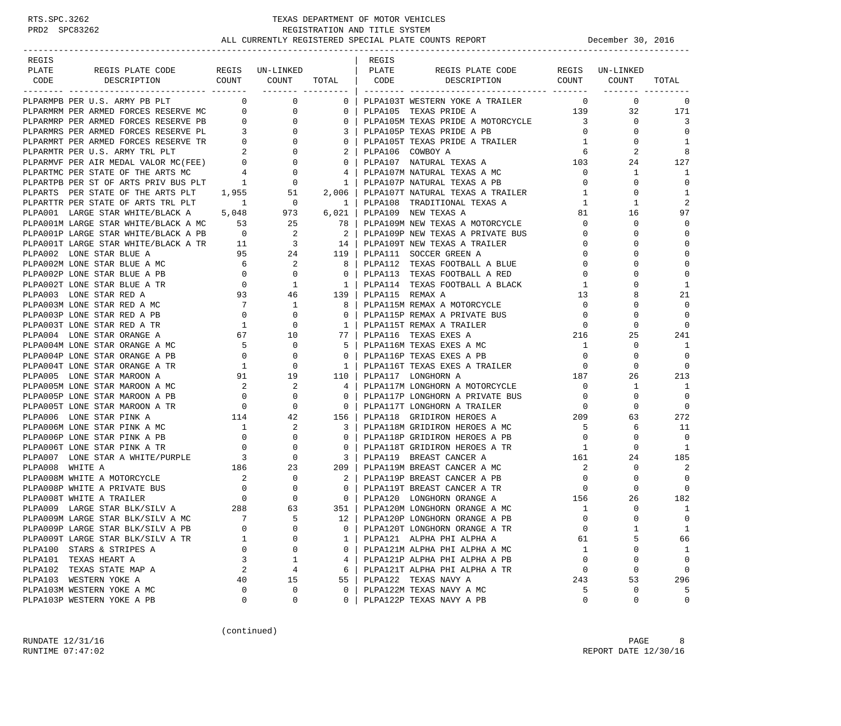| REGIS                                                                                                                                                                                                                                            |                |                                                                                                 |                               | REGIS                 |                                                                                                                |                |                 |              |
|--------------------------------------------------------------------------------------------------------------------------------------------------------------------------------------------------------------------------------------------------|----------------|-------------------------------------------------------------------------------------------------|-------------------------------|-----------------------|----------------------------------------------------------------------------------------------------------------|----------------|-----------------|--------------|
| PLATE<br>REGIS PLATE CODE                                                                                                                                                                                                                        |                | REGIS UN-LINKED   PLATE                                                                         |                               |                       | REGIS PLATE CODE                                                                                               |                | REGIS UN-LINKED |              |
| DESCRIPTION<br>CODE                                                                                                                                                                                                                              |                |                                                                                                 |                               |                       | COUNT COUNT TOTAL   CODE DESCRIPTION COUNT COUNT                                                               |                |                 | TOTAL        |
|                                                                                                                                                                                                                                                  |                |                                                                                                 |                               |                       |                                                                                                                |                |                 |              |
| PLPARMPB PER U.S. ARMY PB PLT                                                                                                                                                                                                                    | $\overline{0}$ | $\overline{0}$                                                                                  |                               |                       | 0   PLPA103T WESTERN YOKE A TRAILER                                                                            | $\overline{0}$ | $\mathbf{0}$    | $\mathbf 0$  |
|                                                                                                                                                                                                                                                  |                |                                                                                                 |                               |                       |                                                                                                                |                | 32              | 171          |
| PLARE PER ARMED FORCES RESERVE PER AN THE CONSIDERATION IN THE ALL CONSIDER A MOTORCYCLE CONSIDERATION PER ARMED FORCES RESERVE PER AN ALL CONSIDERATION IN THE CONSIDERATION OF THE ANNEXAS PRIDE A PER ARMED FORCES RESERVE                    |                |                                                                                                 |                               |                       |                                                                                                                |                | $\mathbf{0}$    | 3            |
|                                                                                                                                                                                                                                                  |                |                                                                                                 |                               |                       |                                                                                                                |                | 0               | $\Omega$     |
|                                                                                                                                                                                                                                                  |                |                                                                                                 |                               |                       | PLPA105T TEXAS PRIDE A TRAILER 1                                                                               |                | $\mathbf{0}$    | 1            |
|                                                                                                                                                                                                                                                  |                |                                                                                                 |                               |                       |                                                                                                                |                | 2               | 8            |
|                                                                                                                                                                                                                                                  |                |                                                                                                 |                               |                       |                                                                                                                |                | 24              | 127          |
|                                                                                                                                                                                                                                                  |                |                                                                                                 |                               |                       |                                                                                                                |                | $\mathbf{1}$    | 1            |
|                                                                                                                                                                                                                                                  |                |                                                                                                 |                               |                       |                                                                                                                |                | 0               | $\Omega$     |
|                                                                                                                                                                                                                                                  |                |                                                                                                 |                               |                       |                                                                                                                | $\mathbf{1}$   | 0               | 1            |
| PLPARTS PER STATE OF THE ARTS PLT $1,955$ 51<br>PLPARTTR PER STATE OF ARTS TRL PLT $1$ 0                                                                                                                                                         |                |                                                                                                 |                               |                       | 2,006   PLPA107T NATURAL TEXAS A TRAILER<br>1   PLPA108 TRADITIONAL TEXAS A<br>1   PLPA108 TRADITIONAL TEXAS A | $\mathbf{1}$   | 1               | 2            |
| PLPA001 LARGE STAR WHITE/BLACK A 5,048                                                                                                                                                                                                           |                | 973 6,021                                                                                       |                               |                       | PLPA109 NEW TEXAS A                                                                                            |                | 16              | 97           |
|                                                                                                                                                                                                                                                  |                |                                                                                                 |                               |                       |                                                                                                                |                | 0               | $\Omega$     |
| PIPAOOIN LARGE STAR WHITE/BLACK A MC<br>PLPAOOIN LARGE STAR WHITE/BLACK A PB<br>PLPAOOIP LARGE STAR WHITE/BLACK A PB<br>PLPAOOIT LARGE STAR WHITE/BLACK A PB<br>PLPAOOIT LARGE STAR WHITE/BLACK A TR<br>PLPAOOIT LARGE STAR WHITE/BLACK          |                |                                                                                                 |                               |                       | PLPA109M NEW TEXAS A MOTORCYCLE 0<br>PLPA109P NEW TEXAS A PRIVATE BUS 0                                        |                | $\mathbf 0$     | $\Omega$     |
|                                                                                                                                                                                                                                                  |                |                                                                                                 |                               |                       |                                                                                                                | $\overline{0}$ |                 | $\Omega$     |
|                                                                                                                                                                                                                                                  |                |                                                                                                 |                               |                       |                                                                                                                |                | 0               |              |
|                                                                                                                                                                                                                                                  |                |                                                                                                 |                               |                       |                                                                                                                | $\mathbf{0}$   | $\Omega$        | $\mathbf{0}$ |
|                                                                                                                                                                                                                                                  |                |                                                                                                 |                               |                       | PLPA112 TEXAS FOOTBALL A BLUE                                                                                  | $\overline{0}$ | $\mathbf 0$     | $\mathbf{0}$ |
|                                                                                                                                                                                                                                                  |                |                                                                                                 |                               |                       | 0   PLPA113  TEXAS FOOTBALL A RED                                                                              | $\mathbf{0}$   | $\Omega$        | $\Omega$     |
|                                                                                                                                                                                                                                                  |                |                                                                                                 |                               |                       | PLPA114 TEXAS FOOTBALL A BLACK                                                                                 | 1              | $\Omega$        | 1            |
| PLPA003 LONE STAR RED A                                                                                                                                                                                                                          |                |                                                                                                 |                               | 139   PLPA115 REMAX A |                                                                                                                | 13             | 8               | 21           |
| PLPA003M LONE STAR RED A MC                                                                                                                                                                                                                      |                |                                                                                                 | 8 <sup>1</sup>                |                       | PLPA115M REMAX A MOTORCYCLE                                                                                    | $\overline{0}$ | $\Omega$        | $\mathbf{0}$ |
| PLPA003P LONE STAR RED A PB                                                                                                                                                                                                                      |                |                                                                                                 | $\overline{0}$ $\overline{1}$ |                       | PLPA115P REMAX A PRIVATE BUS                                                                                   | $\overline{0}$ | 0               | $\Omega$     |
| PLPA003T LONE STAR RED A TR                                                                                                                                                                                                                      |                | $\begin{array}{cccc} 0 & 0 & 1 \\ 93 & 46 \\ 7 & 1 \\ 0 & 0 \\ 1 & 0 \\ 67 & 10 \\ \end{array}$ |                               |                       | 1   PLPA115T REMAX A TRAILER                                                                                   | $\overline{0}$ | 0               | $\Omega$     |
| PLPA004 LONE STAR ORANGE A<br>PLPA004M LONE STAR ORANGE A MC<br>---- ^PAMGE A PR 0                                                                                                                                                               |                |                                                                                                 |                               |                       | 77   PLPA116 TEXAS EXES A                                                                                      | 216            | 25              | 241          |
|                                                                                                                                                                                                                                                  |                | $\overline{0}$                                                                                  |                               |                       | 5   PLPA116M TEXAS EXES A MC                                                                                   | $\overline{1}$ | 0               | -1           |
|                                                                                                                                                                                                                                                  |                | $\mathbf 0$                                                                                     |                               |                       | 0   PLPA116P TEXAS EXES A PB                                                                                   | $\overline{0}$ | $\Omega$        | $\mathbf 0$  |
| PLPA004T LONE STAR ORANGE A TR                                                                                                                                                                                                                   |                |                                                                                                 |                               |                       | PLPA116T TEXAS EXES A TRAILER 0                                                                                |                | $\mathbf 0$     | $\mathbf 0$  |
| PLPA005 LONE STAR MAROON A                                                                                                                                                                                                                       |                | $\begin{array}{ccc} & 1 & & 0 \\ 1 & & 0 \\ 91 & & 19 \end{array}$                              |                               |                       | 110   PLPA117 LONGHORN A                                                                                       | 187            | 26              | 213          |
| PLPA005 LONE STAR MAROON A<br>PLPA005M LONE STAR MAROON A MC<br>PLPA005P LONE STAR MAROON A PB<br>PLPA005T LONE STAR MAROON A TR<br>PLPA006 LONE STAR PINK A MC<br>PLPA006M LONE STAR PINK A MC<br>PLPA006P LONE STAR PINK A PB<br>PLPA006P      |                |                                                                                                 | $4 \vert$                     |                       | PLPA117M LONGHORN A MOTORCYCLE                                                                                 | $\overline{0}$ | 1               | -1           |
|                                                                                                                                                                                                                                                  |                |                                                                                                 | $\overline{0}$                |                       | PLPA117P LONGHORN A PRIVATE BUS<br>DIRA117T LONGHORN A TRAILER                                                 | $\overline{0}$ | 0               | $\Omega$     |
|                                                                                                                                                                                                                                                  |                |                                                                                                 |                               |                       | 0   PLPA117T LONGHORN A TRAILER                                                                                | $\overline{0}$ | 0               | $\mathbf 0$  |
|                                                                                                                                                                                                                                                  |                |                                                                                                 | 156                           |                       | PLPA118 GRIDIRON HEROES A 209                                                                                  |                | 63              | 272          |
|                                                                                                                                                                                                                                                  |                |                                                                                                 |                               |                       | 3   PLPA118M GRIDIRON HEROES A MC                                                                              | $5^{\circ}$    | 6               | 11           |
|                                                                                                                                                                                                                                                  |                |                                                                                                 | $\Omega$                      |                       | PLPA118P GRIDIRON HEROES A PB                                                                                  | $\overline{0}$ | 0               | $\Omega$     |
|                                                                                                                                                                                                                                                  |                |                                                                                                 | $\circ$                       |                       | PLPA118T GRIDIRON HEROES A TR                                                                                  |                | 0               | 1            |
| PIPAOOF LONE STAR PINK A PB<br>PLPAOOF LONE STAR PINK A TR<br>PLPAOOF LONE STAR A WHITE/PURPLE<br>3 0<br>PLPAOO8 WHITE A MOTORCYCLE<br>2 0<br>PLPAOO8P WHITE A PRIVATE BUS<br>PLPAOO8P WHITE A TRAILER<br>PLPAOO8T WHITE A TRAILER<br>PLPAOO9 LA |                |                                                                                                 | $\overline{\phantom{a}3}$     |                       | $\begin{array}{cc} \text{1} & 1 \\ 161 & \end{array}$<br>PLPA119 BREAST CANCER A                               |                | 24              | 185          |
|                                                                                                                                                                                                                                                  |                |                                                                                                 | 209 l                         |                       | PLPA119M BREAST CANCER A MC                                                                                    | $\overline{2}$ | 0               | 2            |
|                                                                                                                                                                                                                                                  |                |                                                                                                 |                               |                       | 2   PLPA119P BREAST CANCER A PB                                                                                | $\overline{0}$ | 0               | $\Omega$     |
|                                                                                                                                                                                                                                                  |                |                                                                                                 | $\overline{0}$                |                       | PLPA119T BREAST CANCER A TR                                                                                    | $\Omega$       | $\Omega$        | $\Omega$     |
|                                                                                                                                                                                                                                                  |                |                                                                                                 |                               |                       | 0   PLPA120 LONGHORN ORANGE A                                                                                  | 156            | 26              | 182          |
|                                                                                                                                                                                                                                                  |                |                                                                                                 |                               |                       | 351   PLPA120M LONGHORN ORANGE A MC                                                                            | 1              | 0               | 1            |
| PLPA009M LARGE STAR BLK/SILV A MC                                                                                                                                                                                                                | $\overline{7}$ | 5                                                                                               |                               |                       | 12   PLPA120P LONGHORN ORANGE A PB                                                                             | $\Omega$       | $\cap$          | $\Omega$     |
| PLPA009P LARGE STAR BLK/SILV A PB                                                                                                                                                                                                                | 0              | 0                                                                                               | 0                             |                       | PLPA120T LONGHORN ORANGE A TR                                                                                  | 0              | $1\,$           | $1\,$        |
| PLPA009T LARGE STAR BLK/SILV A TR                                                                                                                                                                                                                | 1              | 0                                                                                               | $\mathbf{1}$                  |                       | PLPA121 ALPHA PHI ALPHA A                                                                                      | 61             | 5               | 66           |
| PLPA100 STARS & STRIPES A                                                                                                                                                                                                                        | 0              | 0                                                                                               | 0                             |                       | PLPA121M ALPHA PHI ALPHA A MC                                                                                  | 1              | 0               | 1            |
| PLPA101 TEXAS HEART A                                                                                                                                                                                                                            | 3              | 1                                                                                               | 4                             |                       | PLPA121P ALPHA PHI ALPHA A PB                                                                                  | 0              | 0               | $\mathsf 0$  |
|                                                                                                                                                                                                                                                  |                |                                                                                                 |                               |                       | PLPA121T ALPHA PHI ALPHA A TR                                                                                  |                |                 |              |
| PLPA102 TEXAS STATE MAP A                                                                                                                                                                                                                        | 2              | 4                                                                                               | 6                             |                       |                                                                                                                | 0              | 0               | 0            |
| PLPA103 WESTERN YOKE A                                                                                                                                                                                                                           | 40             | 15                                                                                              | 55                            |                       | PLPA122 TEXAS NAVY A                                                                                           | 243            | 53              | 296          |
| PLPA103M WESTERN YOKE A MC                                                                                                                                                                                                                       | 0              | 0                                                                                               | 0                             |                       | PLPA122M TEXAS NAVY A MC                                                                                       | 5              | 0               | 5            |
| PLPA103P WESTERN YOKE A PB                                                                                                                                                                                                                       | 0              | 0                                                                                               | 0                             |                       | PLPA122P TEXAS NAVY A PB                                                                                       | 0              | 0               | 0            |

(continued)

RUNDATE  $12/31/16$  PAGE 8 RUNTIME 07:47:02 REPORT DATE 12/30/16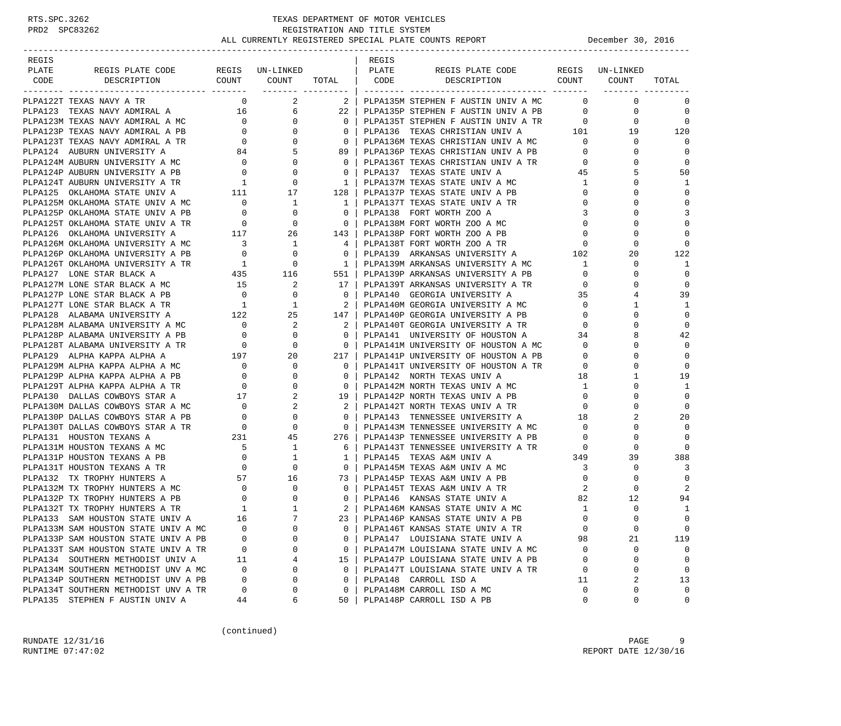| REGIS                                                                                                                                                                                                                                                                                                                                                                                                    |             |                     |                                                     | REGIS |                                                                                                               |                |                               |                   |
|----------------------------------------------------------------------------------------------------------------------------------------------------------------------------------------------------------------------------------------------------------------------------------------------------------------------------------------------------------------------------------------------------------|-------------|---------------------|-----------------------------------------------------|-------|---------------------------------------------------------------------------------------------------------------|----------------|-------------------------------|-------------------|
| REGIS PLATE CODE REGIS UN-LINKED   PLATE<br>PLATE                                                                                                                                                                                                                                                                                                                                                        |             |                     |                                                     |       | REGIS PLATE CODE REGIS UN-LINKED                                                                              |                |                               |                   |
| CODE DESCRIPTION                                                                                                                                                                                                                                                                                                                                                                                         |             |                     |                                                     |       | COUNT COUNT TOTAL CODE DESCRIPTION COUNT COUNT                                                                |                |                               | TOTAL             |
| PLPA122T TEXAS NAVY A TR                                                                                                                                                                                                                                                                                                                                                                                 |             | $\overline{0}$<br>2 |                                                     |       | 2   PLPA135M STEPHEN F AUSTIN UNIV A MC                                                                       |                | $0 \qquad \qquad$<br>$\Omega$ | 0                 |
|                                                                                                                                                                                                                                                                                                                                                                                                          |             |                     |                                                     |       | 22   PLPA135P STEPHEN F AUSTIN UNIV A PB 0                                                                    |                | $\mathbf 0$                   | $\mathbf 0$       |
|                                                                                                                                                                                                                                                                                                                                                                                                          |             |                     |                                                     |       |                                                                                                               |                | $\mathbf 0$                   | $\mathbf 0$       |
|                                                                                                                                                                                                                                                                                                                                                                                                          |             |                     |                                                     |       |                                                                                                               |                | 19                            | 120               |
|                                                                                                                                                                                                                                                                                                                                                                                                          |             |                     |                                                     |       |                                                                                                               |                | 0                             | $\Omega$          |
|                                                                                                                                                                                                                                                                                                                                                                                                          |             |                     |                                                     |       |                                                                                                               |                | $\Omega$                      | $\mathbf 0$       |
|                                                                                                                                                                                                                                                                                                                                                                                                          |             |                     | $\overline{\phantom{0}}$ 0 $\overline{\phantom{0}}$ |       | PLPA136T TEXAS CHRISTIAN UNIV A TR 0                                                                          |                | $\Omega$                      | $\mathbf 0$       |
|                                                                                                                                                                                                                                                                                                                                                                                                          |             |                     | $\begin{array}{c c} 0 &   \\ 1 &   \end{array}$     |       | PLPA137 TEXAS STATE UNIV A                                                                                    | 45             |                               | 50                |
| PLPA124M AUBURN UNIVERSITY A MC $\begin{array}{ccc} 0 & 0 & 0 \\ 0 & 0 & 0 \\ \text{PLPA124P} & \text{AUBURN} & \text{UNIVERSITY} & \text{A PB} & 0 \\ 0 & 0 & 0 \\ \text{PLPA124T} & \text{AUBURN} & \text{UNIVERSITY} & \text{A TR} & 1 \\ 0 & 0 & 0 \\ \end{array}$                                                                                                                                   |             |                     |                                                     |       | PLPA137M TEXAS STATE UNIV A MC 1                                                                              |                |                               | 1                 |
|                                                                                                                                                                                                                                                                                                                                                                                                          |             |                     |                                                     |       |                                                                                                               | $\mathbf{0}$   | 0                             | $\mathbf 0$       |
|                                                                                                                                                                                                                                                                                                                                                                                                          |             |                     |                                                     |       |                                                                                                               | $\overline{0}$ |                               | $\mathbf 0$       |
|                                                                                                                                                                                                                                                                                                                                                                                                          |             |                     |                                                     |       |                                                                                                               | $\overline{3}$ |                               | 3                 |
|                                                                                                                                                                                                                                                                                                                                                                                                          |             |                     |                                                     |       |                                                                                                               | $\overline{0}$ |                               | $\mathbf 0$       |
| PIPA125 OKLAHOMA STATE UNIV A MC<br>PIPA125M OKLAHOMA STATE UNIV A MC<br>PIPA125M OKLAHOMA STATE UNIV A MC<br>PIPA125P OKLAHOMA STATE UNIV A PB<br>PIPA125P OKLAHOMA STATE UNIV A PB<br>PIPA125T OKLAHOMA STATE UNIV A TR<br>PIPA125T OKLA                                                                                                                                                               |             |                     |                                                     |       |                                                                                                               | $\overline{0}$ |                               | $\mathbf 0$       |
| PLPA126M OKLAHOMA UNIVERSITY A MC $3$ 1<br>PLPA126P OKLAHOMA UNIVERSITY A PB $0$ 0                                                                                                                                                                                                                                                                                                                       |             |                     |                                                     |       | 4   PLPA138T FORT WORTH ZOO A TR<br>0   PLPA139 ARKANSAS UNIVERSITY A 102<br>4   PLPA138T FORT WORTH ZOO A TR |                | $\Omega$                      | $\Omega$          |
|                                                                                                                                                                                                                                                                                                                                                                                                          |             |                     |                                                     |       |                                                                                                               |                | 20                            | 122               |
|                                                                                                                                                                                                                                                                                                                                                                                                          |             |                     |                                                     |       |                                                                                                               |                | 0                             | 1                 |
|                                                                                                                                                                                                                                                                                                                                                                                                          |             |                     |                                                     |       |                                                                                                               |                | $\Omega$                      | $\mathbf 0$       |
|                                                                                                                                                                                                                                                                                                                                                                                                          |             |                     |                                                     |       |                                                                                                               |                |                               | $\mathbf 0$       |
|                                                                                                                                                                                                                                                                                                                                                                                                          |             |                     |                                                     |       |                                                                                                               |                | 4                             | 39                |
|                                                                                                                                                                                                                                                                                                                                                                                                          |             |                     |                                                     |       |                                                                                                               |                | 1                             | 1                 |
|                                                                                                                                                                                                                                                                                                                                                                                                          |             |                     |                                                     |       |                                                                                                               |                | 0                             | $\mathbf 0$       |
|                                                                                                                                                                                                                                                                                                                                                                                                          |             |                     |                                                     |       |                                                                                                               |                |                               | $\mathbf 0$       |
| PIRAI260 COLMICON UNIVERSITY A MC $\begin{array}{cccccc} \text{PLR1260 NCDI A UNUURISTY A NCDI B UNUIRISIT RADISAB ISWINRISTY A NCDI A INUIRISTY A NEDI. \end{array} \begin{array}{cccccc} 0 & 1 & 4 & 10241487 \text{ NWRNSR3 B UNUINRISTY A NEDI. \end{array} \begin{array}{cccccc} 0 & 1 & 4 & 10241487 \text{ NWRNSR3 B UNUINRISTY A NEDI. \end{array} \end{array} \begin{array}{cccccc} \text{PLR1$ |             |                     |                                                     |       |                                                                                                               |                |                               | 42                |
|                                                                                                                                                                                                                                                                                                                                                                                                          |             |                     |                                                     |       |                                                                                                               |                | 0                             | $\Omega$          |
|                                                                                                                                                                                                                                                                                                                                                                                                          |             |                     |                                                     |       |                                                                                                               |                | $\Omega$                      | $\mathbf 0$       |
|                                                                                                                                                                                                                                                                                                                                                                                                          |             |                     |                                                     |       |                                                                                                               |                | $\Omega$                      | $\mathbf 0$       |
|                                                                                                                                                                                                                                                                                                                                                                                                          |             |                     |                                                     |       |                                                                                                               |                | $\mathbf{1}$                  | 19                |
|                                                                                                                                                                                                                                                                                                                                                                                                          |             |                     |                                                     |       |                                                                                                               |                | $\Omega$                      | 1                 |
|                                                                                                                                                                                                                                                                                                                                                                                                          |             |                     |                                                     |       |                                                                                                               |                | 0                             | $\mathbf 0$       |
|                                                                                                                                                                                                                                                                                                                                                                                                          |             |                     |                                                     |       |                                                                                                               |                | $\Omega$                      | $\mathbf 0$       |
|                                                                                                                                                                                                                                                                                                                                                                                                          |             |                     |                                                     |       |                                                                                                               |                | 2                             | 20                |
|                                                                                                                                                                                                                                                                                                                                                                                                          |             |                     |                                                     |       |                                                                                                               |                | $\Omega$                      | $\Omega$          |
|                                                                                                                                                                                                                                                                                                                                                                                                          |             |                     |                                                     |       |                                                                                                               |                | $\Omega$                      | $\Omega$          |
|                                                                                                                                                                                                                                                                                                                                                                                                          |             |                     |                                                     |       |                                                                                                               |                | 0                             | $\Omega$          |
|                                                                                                                                                                                                                                                                                                                                                                                                          |             |                     |                                                     |       |                                                                                                               |                | 39                            | 388               |
|                                                                                                                                                                                                                                                                                                                                                                                                          |             |                     |                                                     |       |                                                                                                               |                | 0                             | 3                 |
|                                                                                                                                                                                                                                                                                                                                                                                                          |             |                     |                                                     |       |                                                                                                               |                | $\Omega$                      | $\Omega$          |
|                                                                                                                                                                                                                                                                                                                                                                                                          |             |                     |                                                     |       |                                                                                                               |                | $\Omega$                      | 2                 |
|                                                                                                                                                                                                                                                                                                                                                                                                          |             |                     |                                                     |       |                                                                                                               |                | 12                            | 94                |
|                                                                                                                                                                                                                                                                                                                                                                                                          |             |                     |                                                     |       |                                                                                                               |                | $\Omega$                      | $\mathbf{1}$      |
|                                                                                                                                                                                                                                                                                                                                                                                                          |             |                     |                                                     |       |                                                                                                               |                | $\Omega$                      | $\Omega$          |
| PLPA133M SAM HOUSTON STATE UNIV A MC                                                                                                                                                                                                                                                                                                                                                                     | 0           | 0                   | 0                                                   |       | PLPA146T KANSAS STATE UNIV A TR                                                                               | $\mathbf 0$    | $\mathbf 0$                   | $\mathbf 0$       |
| PLPA133P SAM HOUSTON STATE UNIV A PB                                                                                                                                                                                                                                                                                                                                                                     | 0           | 0                   | 0                                                   |       | PLPA147 LOUISIANA STATE UNIV A                                                                                | 98             | 21                            | 119               |
| PLPA133T SAM HOUSTON STATE UNIV A TR                                                                                                                                                                                                                                                                                                                                                                     | 0           | 0                   | 0                                                   |       | PLPA147M LOUISIANA STATE UNIV A MC                                                                            | 0              | 0                             | $\mathbf 0$       |
| PLPA134 SOUTHERN METHODIST UNIV A                                                                                                                                                                                                                                                                                                                                                                        | 11          | 4                   | 15                                                  |       | PLPA147P LOUISIANA STATE UNIV A PB                                                                            | 0              | $\mathbf 0$                   | $\mathbf 0$       |
| PLPA134M SOUTHERN METHODIST UNV A MC                                                                                                                                                                                                                                                                                                                                                                     | $\mathbf 0$ | 0<br>0              | $\Omega$                                            |       | PLPA147T LOUISIANA STATE UNIV A TR                                                                            | 0              | 0                             | $\mathbf 0$       |
| PLPA134P SOUTHERN METHODIST UNV A PB                                                                                                                                                                                                                                                                                                                                                                     | 0           |                     | 0                                                   |       | PLPA148 CARROLL ISD A                                                                                         | 11             | 2                             | 13<br>$\mathbf 0$ |
| PLPA134T SOUTHERN METHODIST UNV A TR<br>PLPA135 STEPHEN F AUSTIN UNIV A                                                                                                                                                                                                                                                                                                                                  | 0<br>44     | 0<br>6              | 0<br>50                                             |       | PLPA148M CARROLL ISD A MC<br>PLPA148P CARROLL ISD A PB                                                        | 0<br>0         | 0<br>0                        | 0                 |
|                                                                                                                                                                                                                                                                                                                                                                                                          |             |                     |                                                     |       |                                                                                                               |                |                               |                   |

(continued)

RUNDATE  $12/31/16$  PAGE 9 RUNTIME 07:47:02 REPORT DATE 12/30/16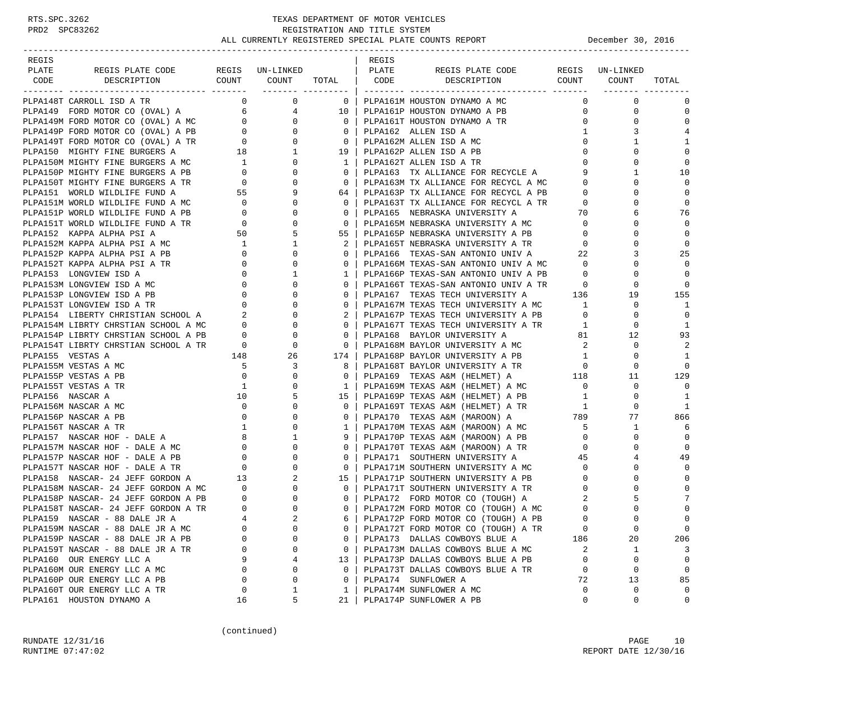-----------------------------------------------------------------------------------------------------------------------------------

| REGIS |                                                                                                                                                                                                                                                                                                                                         |  | REGIS |                                                                                                                                                                                                                                         |                         |                                                                                                  |                |
|-------|-----------------------------------------------------------------------------------------------------------------------------------------------------------------------------------------------------------------------------------------------------------------------------------------------------------------------------------------|--|-------|-----------------------------------------------------------------------------------------------------------------------------------------------------------------------------------------------------------------------------------------|-------------------------|--------------------------------------------------------------------------------------------------|----------------|
| PLATE |                                                                                                                                                                                                                                                                                                                                         |  |       |                                                                                                                                                                                                                                         |                         |                                                                                                  |                |
| CODE  |                                                                                                                                                                                                                                                                                                                                         |  |       |                                                                                                                                                                                                                                         |                         |                                                                                                  | TOTAL          |
|       |                                                                                                                                                                                                                                                                                                                                         |  |       |                                                                                                                                                                                                                                         |                         |                                                                                                  |                |
|       | PLPA148T CARROLL ISD A TR<br>PLPA148T CARROLL ISD A TR<br>PLPA149 FORD MOTOR CO (OVAL) A $\begin{array}{c ccc} & 0 & 0 & 0 & 0 \\ \hline & 0 & 0 & 0 & 0 & 0 \\ \hline \text{PLPA149M FORD MOTOR CO (OVAL) A} & 6 & 4 & 10 & 0 \\ \text{PLPA149M FORD MOTOR CO (OVAL) A} & 0 & 0 & 0 & 0 \\ \text{PLPA149F FORD MOTOR CO (OVAL) A PBB}$ |  |       |                                                                                                                                                                                                                                         |                         | $\begin{matrix} 0 & 0 \\ 0 & 0 \end{matrix}$                                                     | $\Omega$       |
|       |                                                                                                                                                                                                                                                                                                                                         |  |       |                                                                                                                                                                                                                                         | $0 \qquad \qquad$       | $\mathbf{0}$                                                                                     | $\mathbf 0$    |
|       |                                                                                                                                                                                                                                                                                                                                         |  |       |                                                                                                                                                                                                                                         | 0                       | $\Omega$                                                                                         | $\Omega$       |
|       |                                                                                                                                                                                                                                                                                                                                         |  |       |                                                                                                                                                                                                                                         | $1 \quad$               | 3                                                                                                | 4              |
|       |                                                                                                                                                                                                                                                                                                                                         |  |       |                                                                                                                                                                                                                                         | $\overline{0}$          | 1                                                                                                | 1              |
|       |                                                                                                                                                                                                                                                                                                                                         |  |       |                                                                                                                                                                                                                                         |                         | $\begin{bmatrix} 0 \\ 0 \\ 0 \end{bmatrix}$<br>$\Omega$                                          | $\Omega$       |
|       |                                                                                                                                                                                                                                                                                                                                         |  |       |                                                                                                                                                                                                                                         |                         | $\Omega$                                                                                         | $\Omega$       |
|       |                                                                                                                                                                                                                                                                                                                                         |  |       | 0   PLPA163 TX ALLIANCE FOR RECYCLE A                                                                                                                                                                                                   |                         | $9^{\circ}$<br>1                                                                                 | 10             |
|       |                                                                                                                                                                                                                                                                                                                                         |  |       | 0   PLPA163M TX ALLIANCE FOR RECYCL A MC                                                                                                                                                                                                |                         | $\overline{0}$<br>$\mathbf 0$                                                                    | $\Omega$       |
|       |                                                                                                                                                                                                                                                                                                                                         |  |       | 64   PLPA163P TX ALLIANCE FOR RECYCL A PB                                                                                                                                                                                               | $\Omega$                | $\Omega$                                                                                         |                |
|       |                                                                                                                                                                                                                                                                                                                                         |  |       |                                                                                                                                                                                                                                         | $\overline{0}$          | $\mathbf{0}$                                                                                     | $\Omega$       |
|       |                                                                                                                                                                                                                                                                                                                                         |  |       | 0   PLPA163T TX ALLIANCE FOR RECYCL A TR<br>0   PLPA165  NEBRASKA UNIVERSITY A                                                                                                                                                          | 70                      | 6                                                                                                | 76             |
|       |                                                                                                                                                                                                                                                                                                                                         |  |       | 0   PLPA165M NEBRASKA UNIVERSITY A MC                                                                                                                                                                                                   |                         | $\mathbf{0}$                                                                                     | $\Omega$       |
|       |                                                                                                                                                                                                                                                                                                                                         |  |       |                                                                                                                                                                                                                                         |                         | $\Omega$                                                                                         | $\Omega$       |
|       |                                                                                                                                                                                                                                                                                                                                         |  |       | 55   PLPA165P NEBRASKA UNIVERSITY A PB<br>2   PLPA165T NEBRASKA UNIVERSITY A TR                                                                                                                                                         |                         | $\begin{array}{c} 0 \\ 0 \\ 0 \end{array}$<br>$\mathbf 0$                                        | $\overline{0}$ |
|       |                                                                                                                                                                                                                                                                                                                                         |  |       | 0   PLPA166 TEXAS-SAN ANTONIO UNIV A                                                                                                                                                                                                    | 22                      | 3                                                                                                | 25             |
|       |                                                                                                                                                                                                                                                                                                                                         |  |       | 0   PLPA166M TEXAS-SAN ANTONIO UNIV A MC                                                                                                                                                                                                | $\overline{0}$          | 0                                                                                                | $\mathbf 0$    |
|       |                                                                                                                                                                                                                                                                                                                                         |  |       | 1   PLPA166P TEXAS-SAN ANTONIO UNIV A PB                                                                                                                                                                                                | $\overline{0}$          | $\Omega$                                                                                         | $\Omega$       |
|       |                                                                                                                                                                                                                                                                                                                                         |  |       |                                                                                                                                                                                                                                         |                         | $\begin{array}{c} 0 \\ 0 \\ 19 \end{array}$                                                      | $\overline{0}$ |
|       |                                                                                                                                                                                                                                                                                                                                         |  |       | 0   PLPA166T TEXAS-SAN ANTONIO UNIV A TR<br>0   PLPA167 TEXAS TECH UNIVERSITY A 136                                                                                                                                                     |                         |                                                                                                  | 155            |
|       |                                                                                                                                                                                                                                                                                                                                         |  |       | 0   PLPA167M TEXAS TECH UNIVERSITY A MC                                                                                                                                                                                                 | 1                       | $\mathbf{0}$                                                                                     | 1              |
|       |                                                                                                                                                                                                                                                                                                                                         |  |       | 2   PLPA167P TEXAS TECH UNIVERSITY A PB                                                                                                                                                                                                 | $\overline{0}$          | $\mathbf{0}$                                                                                     | $\overline{0}$ |
|       |                                                                                                                                                                                                                                                                                                                                         |  |       | 0   PLPA167T TEXAS TECH UNIVERSITY A TR                                                                                                                                                                                                 | 1                       | $\Omega$                                                                                         | - 1            |
|       | PLPA149P FORD MOTOR CO (OVAL) A PB<br>PLPA149P FORD MOTOR CO (OVAL) A PB<br>PLPA150 MIGHTY FINE BURGERS A<br>TELPA150 MIGHTY FINE BURGERS A M 18<br>DEDALISON MIGHTY FINE BURGERS A M 19<br>PLPA150P MIGHTY FINE BURGERS A PB<br>PLPA                                                                                                   |  |       | 0   PLPA168 BAYLOR UNIVERSITY A                                                                                                                                                                                                         |                         | 81 12                                                                                            | 93             |
|       |                                                                                                                                                                                                                                                                                                                                         |  |       | 0   PLPA168M BAYLOR UNIVERSITY A MC                                                                                                                                                                                                     | $\overline{a}$          | $\mathbf{0}$                                                                                     | 2              |
|       |                                                                                                                                                                                                                                                                                                                                         |  |       | 174   PLPA168P BAYLOR UNIVERSITY A PB                                                                                                                                                                                                   | $\mathbf{1}$            | $\mathbf{0}$                                                                                     | 1              |
|       |                                                                                                                                                                                                                                                                                                                                         |  |       |                                                                                                                                                                                                                                         | $\overline{\mathbf{0}}$ | $\begin{array}{c}\n\downarrow \\ 11\n\end{array}$                                                | $\Omega$       |
|       |                                                                                                                                                                                                                                                                                                                                         |  |       |                                                                                                                                                                                                                                         |                         |                                                                                                  | 129            |
|       |                                                                                                                                                                                                                                                                                                                                         |  |       | 1   PLPA169M TEXAS A&M (HELMET) A MC<br>15   PLPA169P TEXAS A&M (HELMET) A PB                                                                                                                                                           | $\bigcirc$              |                                                                                                  | $\Omega$       |
|       |                                                                                                                                                                                                                                                                                                                                         |  |       |                                                                                                                                                                                                                                         | 1                       | 0                                                                                                | $\overline{1}$ |
|       |                                                                                                                                                                                                                                                                                                                                         |  |       |                                                                                                                                                                                                                                         |                         | $\Omega$                                                                                         | -1             |
|       |                                                                                                                                                                                                                                                                                                                                         |  |       |                                                                                                                                                                                                                                         |                         | 77                                                                                               | 866            |
|       |                                                                                                                                                                                                                                                                                                                                         |  |       |                                                                                                                                                                                                                                         |                         | 1                                                                                                | -6             |
|       |                                                                                                                                                                                                                                                                                                                                         |  |       | 9   PLPA170P TEXAS A&M (MAROON) A PB                                                                                                                                                                                                    | $\overline{0}$          | $\mathbf{0}$                                                                                     | $\mathbf 0$    |
|       |                                                                                                                                                                                                                                                                                                                                         |  |       | 0   PLPA170T TEXAS A&M (MAROON) A TR                                                                                                                                                                                                    | $\overline{0}$          | $\Omega$                                                                                         | $\overline{0}$ |
|       |                                                                                                                                                                                                                                                                                                                                         |  |       | 0   PLPA171 SOUTHERN UNIVERSITY A                                                                                                                                                                                                       | 45                      | 4                                                                                                | 49             |
|       |                                                                                                                                                                                                                                                                                                                                         |  |       | 0   PLPA171M SOUTHERN UNIVERSITY A MC                                                                                                                                                                                                   | $\overline{0}$          | $\Omega$                                                                                         | $\Omega$       |
|       |                                                                                                                                                                                                                                                                                                                                         |  |       | 15   PLPA171P SOUTHERN UNIVERSITY A PB                                                                                                                                                                                                  | $\Omega$                | $\Omega$                                                                                         |                |
|       |                                                                                                                                                                                                                                                                                                                                         |  |       | 0   PLPA171T SOUTHERN UNIVERSITY A TR                                                                                                                                                                                                   | $\mathbf 0$             | $\mathbf 0$                                                                                      | $\Omega$       |
|       |                                                                                                                                                                                                                                                                                                                                         |  |       | 0   PLPA172 FORD MOTOR CO (TOUGH) A                                                                                                                                                                                                     | 2                       | 5                                                                                                |                |
|       |                                                                                                                                                                                                                                                                                                                                         |  |       | 0   PLPA172M FORD MOTOR CO (TOUGH) A MC                                                                                                                                                                                                 | $\overline{0}$          | $\Omega$                                                                                         | $\mathbf 0$    |
|       |                                                                                                                                                                                                                                                                                                                                         |  |       |                                                                                                                                                                                                                                         |                         |                                                                                                  |                |
|       |                                                                                                                                                                                                                                                                                                                                         |  |       |                                                                                                                                                                                                                                         |                         |                                                                                                  |                |
|       |                                                                                                                                                                                                                                                                                                                                         |  |       |                                                                                                                                                                                                                                         |                         |                                                                                                  | 0              |
|       |                                                                                                                                                                                                                                                                                                                                         |  |       |                                                                                                                                                                                                                                         |                         |                                                                                                  | 206            |
|       |                                                                                                                                                                                                                                                                                                                                         |  |       | 6   PLPA172P FORD MOTOR CO (TOUGH) A PB<br>0   PLPA172T FORD MOTOR CO (TOUGH) A PB<br>0   PLPA173T FORD MOTOR CO (TOUGH) A TR<br>0   PLPA173T DALLAS COWBOYS BLUE A MC<br>0   PLPA173M DALLAS COWBOYS BLUE A MC<br>13   PLPA173P DALLAS |                         |                                                                                                  | $\overline{3}$ |
|       |                                                                                                                                                                                                                                                                                                                                         |  |       |                                                                                                                                                                                                                                         |                         |                                                                                                  | $\bigcirc$     |
|       |                                                                                                                                                                                                                                                                                                                                         |  |       | 0   PLPA173T DALLAS COWBOYS BLUE A TR                                                                                                                                                                                                   |                         | $\begin{array}{ccc} 2 & & & 1 \\ 0 & & & 0 \\ 0 & & & 0 \\ 72 & & & 13 \\ 0 & & & & \end{array}$ | $\overline{0}$ |
|       |                                                                                                                                                                                                                                                                                                                                         |  |       | 0   PLPA174 SUNFLOWER A<br>1   PLPA174M SUNFLOWER A MC                                                                                                                                                                                  |                         |                                                                                                  | 85             |
|       |                                                                                                                                                                                                                                                                                                                                         |  |       |                                                                                                                                                                                                                                         |                         |                                                                                                  | $\overline{0}$ |
|       |                                                                                                                                                                                                                                                                                                                                         |  |       | 21   PLPA174P SUNFLOWER A PB                                                                                                                                                                                                            | $\Omega$                | $\Omega$                                                                                         | $\Omega$       |

(continued)

RUNDATE  $12/31/16$  PAGE 10 RUNTIME 07:47:02 REPORT DATE 12/30/16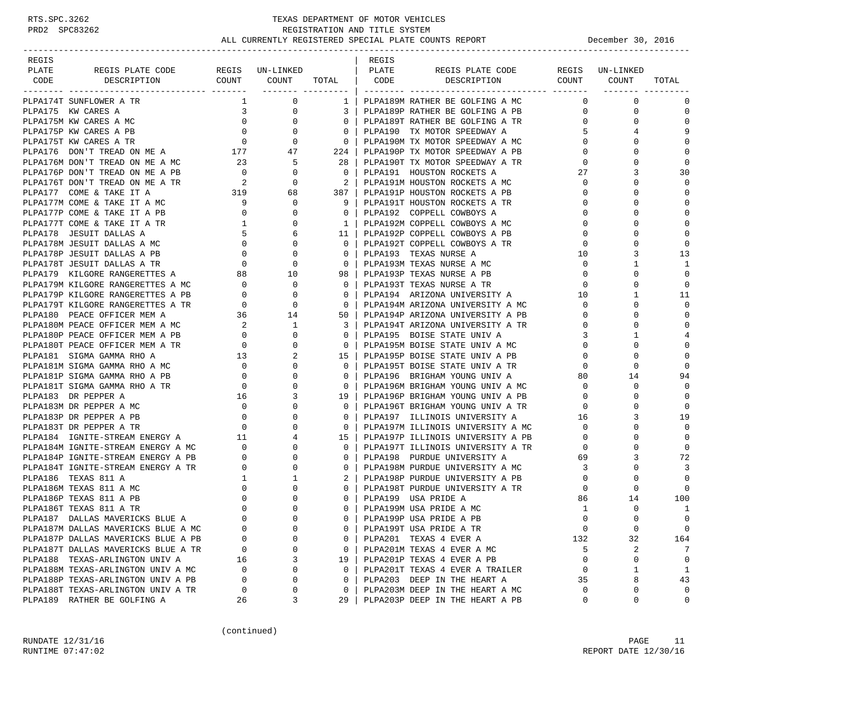| REGIS                                                                                                                                                                                                                                                                                                                      |                                          |                                     |                                                     | REGIS |                                                                                                               |                |                               |                |
|----------------------------------------------------------------------------------------------------------------------------------------------------------------------------------------------------------------------------------------------------------------------------------------------------------------------------|------------------------------------------|-------------------------------------|-----------------------------------------------------|-------|---------------------------------------------------------------------------------------------------------------|----------------|-------------------------------|----------------|
| PLATE                                                                                                                                                                                                                                                                                                                      | REGIS PLATE CODE REGIS UN-LINKED   PLATE |                                     |                                                     |       | REGIS PLATE CODE                                                                                              |                | REGIS UN-LINKED               |                |
| DESCRIPTION<br>CODE                                                                                                                                                                                                                                                                                                        |                                          |                                     |                                                     |       | COUNT COUNT TOTAL   CODE DESCRIPTION COUNT COUNT TOTAL                                                        |                |                               |                |
| PLPA174T SUNFLOWER A TR                                                                                                                                                                                                                                                                                                    |                                          | $1 \qquad \qquad$<br>$\overline{0}$ |                                                     |       | 1   PLPA189M RATHER BE GOLFING A MC                                                                           |                | $\Omega$<br>$\mathbf{0}$      | $\mathbf 0$    |
| PLPA175 KW CARES A<br>PLPA175 KW CARES A MC<br>PLPA175 KW CARES A MC<br>PLPA175 KW CARES A PB<br>PLPA175 KW CARES A PB<br>PLPA175 KW CARES A PB<br>PLPA175 KW CARES A PB<br>PLPA175 KW CARES A PB<br>PLPA175 KW CARES A PB<br>PLPA175 KW CARES A                                                                           |                                          |                                     |                                                     |       | PLPA189P RATHER BE GOLFING A PB 0                                                                             |                | 0                             | $\mathbf 0$    |
|                                                                                                                                                                                                                                                                                                                            |                                          |                                     |                                                     |       |                                                                                                               |                | $\mathbf 0$                   | $\Omega$       |
|                                                                                                                                                                                                                                                                                                                            |                                          |                                     |                                                     |       | 0   PLPA189T RATHER BE GOLFING A TR<br>0   PLPA190 TX MOTOR SPEEDWAY A<br>5                                   |                | 4                             | 9              |
|                                                                                                                                                                                                                                                                                                                            |                                          |                                     |                                                     |       | 0   PLPA190M TX MOTOR SPEEDWAY A MC $\begin{array}{c} 0 \\ 224 \end{array}$   PLPA190D TX MOTOR SPEEDWAY A PP |                | 0                             | $\mathbf 0$    |
|                                                                                                                                                                                                                                                                                                                            |                                          |                                     |                                                     |       |                                                                                                               | $\overline{0}$ | $\Omega$                      | $\mathbf 0$    |
|                                                                                                                                                                                                                                                                                                                            |                                          |                                     | 28                                                  |       | PLPA190T TX MOTOR SPEEDWAY A TR                                                                               | $\overline{0}$ | 0                             | $\mathbf 0$    |
|                                                                                                                                                                                                                                                                                                                            |                                          |                                     |                                                     |       | 0   PLPA191 HOUSTON ROCKETS A                                                                                 | 27             | 3                             | 30             |
|                                                                                                                                                                                                                                                                                                                            |                                          |                                     | $\overline{2}$                                      |       | PLPA191M HOUSTON ROCKETS A MC                                                                                 | $\overline{0}$ | $\Omega$                      | $\Omega$       |
|                                                                                                                                                                                                                                                                                                                            |                                          |                                     |                                                     |       | 387   PLPA191P HOUSTON ROCKETS A PB<br>9   PLPA191T HOUSTON ROCKETS A PB                                      | $\overline{0}$ | $\mathbf 0$                   | $\mathbf 0$    |
|                                                                                                                                                                                                                                                                                                                            |                                          |                                     |                                                     |       |                                                                                                               | $\overline{0}$ | $\Omega$                      | $\mathbf{0}$   |
|                                                                                                                                                                                                                                                                                                                            |                                          |                                     | $\overline{0}$                                      |       | PLPA192 COPPELL COWBOYS A                                                                                     | $\overline{0}$ | $\Omega$                      | $\mathbf 0$    |
|                                                                                                                                                                                                                                                                                                                            |                                          |                                     |                                                     |       | 1   PLPA192M COPPELL COWBOYS A MC                                                                             | $\overline{0}$ | $\Omega$                      | $\Omega$       |
|                                                                                                                                                                                                                                                                                                                            |                                          |                                     |                                                     |       | 11   PLPA192P COPPELL COWBOYS A PB                                                                            | $\mathbf 0$    | $\Omega$                      | $\Omega$       |
|                                                                                                                                                                                                                                                                                                                            |                                          |                                     |                                                     |       | 0   PLPA192T COPPELL COWBOYS A TR                                                                             | $\mathbf{0}$   | $\mathbf 0$                   | $\mathbf 0$    |
|                                                                                                                                                                                                                                                                                                                            |                                          |                                     | $\overline{\phantom{0}}$ 0 $\overline{\phantom{0}}$ |       | PLPA193 TEXAS NURSE A                                                                                         | 10             | 3                             | 13             |
| PLPA170 COMPTREAD ON ME ATR 2 0<br>PLPA177 COME & TAKE IT A 319 68<br>PLPA177 COME & TAKE IT A MC 9 0<br>PLPA177 COME & TAKE IT A PB 0 0<br>PLPA177 COME & TAKE IT A PB 0 0<br>PLPA177 COME & TAKE IT A TR 1 0<br>PLPA178 JESUIT DALLAS A                                                                                  |                                          |                                     | $\begin{bmatrix} 0 \\ 0 \end{bmatrix}$              |       | PLPA193M TEXAS NURSE A MC                                                                                     | $\overline{0}$ | 1                             | 1              |
|                                                                                                                                                                                                                                                                                                                            |                                          |                                     |                                                     |       | 98   PLPA193P TEXAS NURSE A PB                                                                                | $\overline{0}$ | $\mathbf 0$                   | $\Omega$       |
| PLPA179M KILGORE RANGERETTES A MC $\begin{array}{ccc} 0 & 0 & 0 \\ 0 & 0 & 0 \\ 0 & 0 & 0 \\ 0 & 0 & 0 \\ 0 & 0 & 0 \\ 0 & 0 & 0 \\ 0 & 0 & 0 \\ 0 & 0 & 0 \\ 0 & 0 & 0 \\ 0 & 0 & 0 \\ 0 & 0 & 0 \\ 0 & 0 & 0 \\ 0 & 0 & 0 \\ 0 & 0 & 0 \\ 0 & 0 & 0 \\ 0 & 0 & 0 \\ 0 & 0 & 0 \\ 0 & 0 & 0 \\ 0 & 0 & 0 \\ 0 & 0 & 0 \\$ |                                          |                                     | $\overline{\phantom{0}}$ 0 $\overline{\phantom{0}}$ |       | PLPA193T TEXAS NURSE A TR                                                                                     | $\overline{0}$ | $\Omega$                      | $\Omega$       |
|                                                                                                                                                                                                                                                                                                                            |                                          |                                     | $\overline{0}$                                      |       |                                                                                                               |                | 1                             | 11             |
|                                                                                                                                                                                                                                                                                                                            |                                          |                                     | $\overline{\phantom{0}}$ 0 $\overline{\phantom{0}}$ |       | PLPA194 ARIZONA UNIVERSITY A 10<br>PLPA194M ARIZONA UNIVERSITY A MC 0                                         |                | $\Omega$                      | $\mathbf{0}$   |
| PLPA180 PEACE OFFICER MEM A                                                                                                                                                                                                                                                                                                | 36 14                                    |                                     | 50                                                  |       | PLPA194P ARIZONA UNIVERSITY A PB                                                                              | $\overline{0}$ | $\mathbf 0$                   | $\mathbf{0}$   |
|                                                                                                                                                                                                                                                                                                                            |                                          |                                     | $3-1$                                               |       | PLPA194T ARIZONA UNIVERSITY A TR                                                                              | $\overline{0}$ | 0                             | $\Omega$       |
|                                                                                                                                                                                                                                                                                                                            |                                          |                                     | $\overline{0}$                                      |       | PLPA195 BOISE STATE UNIV A                                                                                    | 3              | 1                             | $\overline{4}$ |
|                                                                                                                                                                                                                                                                                                                            |                                          |                                     | $\overline{\mathbf{0}}$                             |       | PLPA195M BOISE STATE UNIV A MC                                                                                | $\overline{0}$ | 0                             | $\mathbf 0$    |
|                                                                                                                                                                                                                                                                                                                            |                                          |                                     |                                                     |       | 15   PLPA195P BOISE STATE UNIV A PB                                                                           | $\overline{0}$ | $\Omega$                      | $\mathbf 0$    |
| PLPA181M SIGMA GAMMA RHO A MC                                                                                                                                                                                                                                                                                              |                                          |                                     | $\overline{0}$                                      |       | PLPA195T BOISE STATE UNIV A TR                                                                                |                | $\mathbf 0$<br>$\overline{0}$ | $\mathbf 0$    |
| PLPA181P SIGMA GAMMA RHO A PB                                                                                                                                                                                                                                                                                              |                                          |                                     | $0-1$                                               |       | PLPA196 BRIGHAM YOUNG UNIV A                                                                                  | 80 —           | 14                            | 94             |
| PLPA181T SIGMA GAMMA RHO A TR                                                                                                                                                                                                                                                                                              |                                          |                                     | $\overline{0}$                                      |       | PLPA196M BRIGHAM YOUNG UNIV A MC 0                                                                            |                | $\mathbf 0$                   | $\Omega$       |
| PLPA183 DR PEPPER A                                                                                                                                                                                                                                                                                                        |                                          |                                     | 19                                                  |       |                                                                                                               | $\overline{0}$ | 0                             | $\mathbf 0$    |
| PLPA183M DR PEPPER A MC                                                                                                                                                                                                                                                                                                    |                                          |                                     | $\overline{\phantom{0}}$ 0 $\overline{\phantom{0}}$ |       | PLPA196P BRIGHAM YOUNG UNIV A PB<br>PLPA196T BRIGHAM YOUNG UNIV A TR                                          | $\overline{0}$ | $\Omega$                      | $\mathbf 0$    |
| PLPA183P DR PEPPER A PB                                                                                                                                                                                                                                                                                                    |                                          |                                     | $\mathbf{0}$                                        |       | PLPA197 ILLINOIS UNIVERSITY A                                                                                 | 16             | 3                             | 19             |
| PLPA183T DR PEPPER A TR                                                                                                                                                                                                                                                                                                    |                                          |                                     |                                                     |       | PLPA197M ILLINOIS UNIVERSITY A MC                                                                             | $\overline{0}$ | $\Omega$                      | $\Omega$       |
| PLPA184 IGNITE-STREAM ENERGY A                                                                                                                                                                                                                                                                                             |                                          |                                     |                                                     |       | PLPA197P ILLINOIS UNIVERSITY A PB                                                                             | $\overline{0}$ | $\Omega$                      | $\mathbf 0$    |
| PLPA184M IGNITE-STREAM ENERGY A MC                                                                                                                                                                                                                                                                                         |                                          |                                     |                                                     |       |                                                                                                               | $\overline{0}$ | $\mathbf 0$                   | $\mathbf 0$    |
| PLPA184P IGNITE-STREAM ENERGY A PB                                                                                                                                                                                                                                                                                         |                                          |                                     |                                                     |       | PLPA197T ILLINOIS UNIVERSITY A TR<br>PLPA198 PURDUE UNIVERSITY A                                              | 69             | 3                             | 72             |
| PLPA184T IGNITE-STREAM ENERGY A TR                                                                                                                                                                                                                                                                                         |                                          |                                     |                                                     |       | PLPA198M PURDUE UNIVERSITY A MC 3                                                                             |                | 0                             | 3              |
| PLPA186 TEXAS 811 A                                                                                                                                                                                                                                                                                                        |                                          |                                     |                                                     |       | 2   PLPA198P PURDUE UNIVERSITY A PB                                                                           | $\overline{0}$ | $\Omega$                      | $\Omega$       |
| PLPA186M TEXAS 811 A MC                                                                                                                                                                                                                                                                                                    |                                          |                                     |                                                     |       | PLPA198T PURDUE UNIVERSITY A TR                                                                               | $\mathbf{0}$   | $\Omega$                      | $\Omega$       |
| PLPA186P TEXAS 811 A PB                                                                                                                                                                                                                                                                                                    |                                          |                                     |                                                     |       | PLPA199 USA PRIDE A                                                                                           | 86             | 14                            | 100            |
| PLPA186T TEXAS 811 A TR                                                                                                                                                                                                                                                                                                    |                                          |                                     |                                                     |       | PLPA199M USA PRIDE A MC                                                                                       | 1              | $\mathbf 0$                   | 1              |
| PLPA187 DALLAS MAVERICKS BLUE A                                                                                                                                                                                                                                                                                            |                                          |                                     |                                                     |       | PLPA199P USA PRIDE A PB                                                                                       | $\Omega$       | $\Omega$                      | $\Omega$       |
| PLPA187M DALLAS MAVERICKS BLUE A MC                                                                                                                                                                                                                                                                                        | 0                                        | 0                                   | 0                                                   |       | PLPA199T USA PRIDE A TR                                                                                       | 0              | $\mathbf 0$                   | $\mathbf 0$    |
| PLPA187P DALLAS MAVERICKS BLUE A PB                                                                                                                                                                                                                                                                                        | 0                                        | 0                                   | $\mathbf{0}$                                        |       | PLPA201 TEXAS 4 EVER A                                                                                        | 132            | 32                            | 164            |
| PLPA187T DALLAS MAVERICKS BLUE A TR                                                                                                                                                                                                                                                                                        | 0                                        | 0                                   | $\mathbf{0}$                                        |       | PLPA201M TEXAS 4 EVER A MC                                                                                    | 5              | 2                             | 7              |
| PLPA188 TEXAS-ARLINGTON UNIV A                                                                                                                                                                                                                                                                                             | 16                                       | 3                                   | 19                                                  |       | PLPA201P TEXAS 4 EVER A PB                                                                                    | $\mathbf 0$    | $\mathbf{0}$                  | $\mathsf 0$    |
| PLPA188M TEXAS-ARLINGTON UNIV A MC                                                                                                                                                                                                                                                                                         | 0                                        | 0                                   | $\Omega$                                            |       | PLPA201T TEXAS 4 EVER A TRAILER                                                                               | 0              | 1                             | 1              |
| PLPA188P TEXAS-ARLINGTON UNIV A PB                                                                                                                                                                                                                                                                                         | 0                                        | 0                                   | $\mathbf{0}$                                        |       | PLPA203 DEEP IN THE HEART A                                                                                   | 35             | 8                             | 43             |
| PLPA188T TEXAS-ARLINGTON UNIV A TR                                                                                                                                                                                                                                                                                         | 0                                        | 0                                   | $\mathbf{0}$                                        |       | PLPA203M DEEP IN THE HEART A MC                                                                               | 0              | 0                             | $\mathbf 0$    |
| PLPA189 RATHER BE GOLFING A                                                                                                                                                                                                                                                                                                | 26                                       | 3                                   | 29                                                  |       | PLPA203P DEEP IN THE HEART A PB                                                                               | 0              | $\mathbf 0$                   | 0              |
|                                                                                                                                                                                                                                                                                                                            |                                          |                                     |                                                     |       |                                                                                                               |                |                               |                |

(continued)

RUNDATE  $12/31/16$  PAGE 11 RUNTIME 07:47:02 REPORT DATE 12/30/16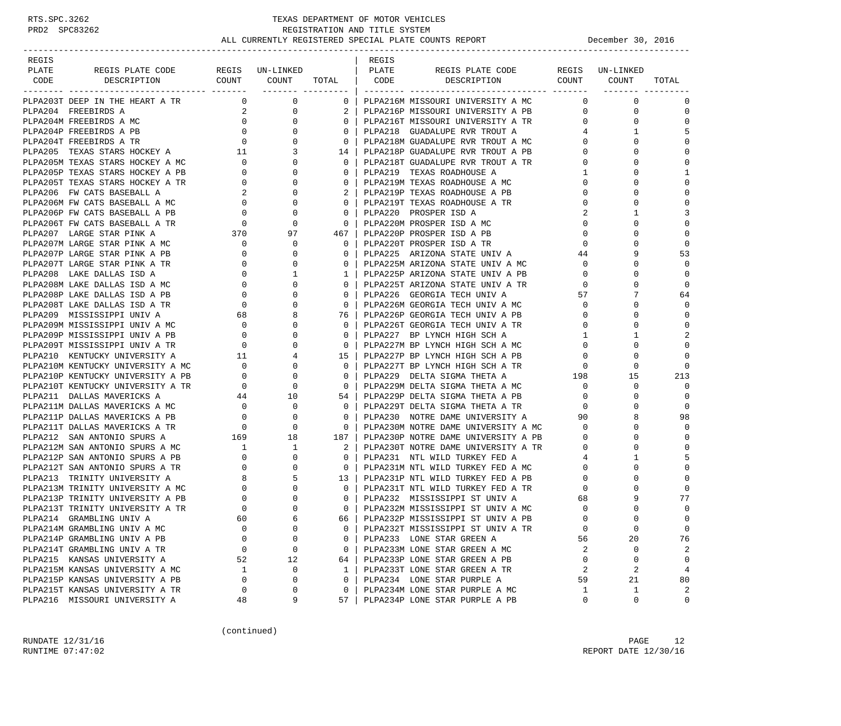| REGIS |                                                                                                                                                                     |                                                                   |                                |                 | REGIS |                                                                        |                   |                 |                |
|-------|---------------------------------------------------------------------------------------------------------------------------------------------------------------------|-------------------------------------------------------------------|--------------------------------|-----------------|-------|------------------------------------------------------------------------|-------------------|-----------------|----------------|
| PLATE | REGIS PLATE CODE<br>DESCRIPTION COUNT COUNT TOTAL   CODE                                                                                                            |                                                                   | REGIS UN-LINKED                |                 | PLATE | REGIS PLATE CODE<br>DESCRIPTION COUNT COUNT                            |                   | REGIS UN-LINKED |                |
| CODE  |                                                                                                                                                                     |                                                                   | ________ __________            |                 |       |                                                                        |                   |                 | TOTAL          |
|       | PLPA203T DEEP IN THE HEART A TR                                                                                                                                     |                                                                   | $\overline{0}$<br>$\mathsf{O}$ | $\mathbf{0}$    |       | PLPA216M MISSOURI UNIVERSITY A MC                                      | $\Omega$          | $\Omega$        | $\mathbf 0$    |
|       | PIPA204 FREEBIRDS A<br>PLPA204 FREEBIRDS A MC<br>PLPA204P FREEBIRDS A MC<br>PLPA204P FREEBIRDS A PB<br>PLPA204T FREEBIRDS A TR 0<br>PLPA205 TEXAS STARS HOCKEY A 11 |                                                                   | 0                              |                 |       | PLPA216P MISSOURI UNIVERSITY A PB                                      | $\mathbf{0}$      | $\mathbf 0$     | $\mathbf 0$    |
|       |                                                                                                                                                                     |                                                                   | 0                              | $\overline{0}$  |       | PLPA216T MISSOURI UNIVERSITY A TR                                      | $0 \qquad \qquad$ | $\mathbf 0$     | $\Omega$       |
|       |                                                                                                                                                                     |                                                                   | $\Omega$                       | $\Omega$        |       | PLPA218 GUADALUPE RVR TROUT A                                          | 4                 | 1               | 5              |
|       |                                                                                                                                                                     |                                                                   | $\mathbf{0}$                   | $\overline{0}$  |       | PLPA218M GUADALUPE RVR TROUT A MC                                      | $\mathbf{0}$      | $\Omega$        | $\Omega$       |
|       |                                                                                                                                                                     |                                                                   | 3                              | 14              |       | PLPA218P GUADALUPE RVR TROUT A PB                                      | $\Omega$          | $\Omega$        | $\mathbf{0}$   |
|       | PLPA205M TEXAS STARS HOCKEY A MC                                                                                                                                    |                                                                   | $\mathbf{0}$                   | $\overline{0}$  |       | PLPA218T GUADALUPE RVR TROUT A TR                                      | 0                 | O               | $\Omega$       |
|       | PLPA205P TEXAS STARS HOCKEY A PB                                                                                                                                    | $\begin{array}{c} 0 \\ 0 \\ 0 \end{array}$                        | 0                              | $\mathbf{0}$    |       | PLPA219 TEXAS ROADHOUSE A                                              | 1                 | O               | $\mathbf{1}$   |
|       | PLPA205T TEXAS STARS HOCKEY A TR                                                                                                                                    |                                                                   | $\Omega$                       | $\Omega$        |       | PLPA219M TEXAS ROADHOUSE A MC                                          | 0                 | O               | $\Omega$       |
|       | PLPA206 FW CATS BASEBALL A                                                                                                                                          | $\overline{2}$                                                    | 0                              |                 |       | PLPA219P TEXAS ROADHOUSE A PB                                          | 0                 | $\Omega$        | $\mathbf{0}$   |
|       | PLPA206M FW CATS BASEBALL A MC                                                                                                                                      | $\overline{0}$                                                    | $\Omega$                       | $\Omega$        |       | PLPA219T TEXAS ROADHOUSE A TR                                          | 0                 | $\Omega$        | $\mathbf{0}$   |
|       | PLPA206P FW CATS BASEBALL A PB                                                                                                                                      | $\begin{array}{c}\n0 \\ 0 \\ 370\n\end{array}$                    | $\mathbf{0}$                   | $\overline{0}$  |       | PLPA220 PROSPER ISD A                                                  | $\overline{2}$    | $\mathbf{1}$    | 3              |
|       | PLPA206T FW CATS BASEBALL A TR                                                                                                                                      |                                                                   | 0                              | $\mathbf{0}$    |       | PLPA220M PROSPER ISD A MC                                              | $\mathbf 0$       | $\Omega$        | $\mathbf{0}$   |
|       | PLPA207 LARGE STAR PINK A                                                                                                                                           |                                                                   | 97                             | 467             |       | PLPA220P PROSPER ISD A PB                                              | $\mathbf 0$       | U               | $\Omega$       |
|       | PLPA207M LARGE STAR PINK A MC                                                                                                                                       | $\begin{array}{c} 0 \\ 0 \end{array}$                             | 0                              | $\overline{0}$  |       | PLPA220T PROSPER ISD A TR                                              | $\mathbf 0$       | $\Omega$        | $\mathbf 0$    |
|       | PLPA207P LARGE STAR PINK A PB                                                                                                                                       |                                                                   | $\Omega$                       | $\mathbf{0}$    |       | PLPA225 ARIZONA STATE UNIV A                                           | 44                | 9               | 53             |
|       | PLPA207T LARGE STAR PINK A TR                                                                                                                                       |                                                                   | $\overline{0}$<br>0            | $\mathbf{0}$    |       | PLPA225M ARIZONA STATE UNIV A MC                                       | $\mathbf{0}$      | $\Omega$        | $\Omega$       |
|       | PLPA208 LAKE DALLAS ISD A                                                                                                                                           |                                                                   | 1                              | $1 \mid$        |       | PLPA225P ARIZONA STATE UNIV A PB                                       | $\mathbf 0$       | $\Omega$        | $\Omega$       |
|       | PLPA208M LAKE DALLAS ISD A MC                                                                                                                                       |                                                                   | $\Omega$                       | $\Omega$        |       | PLPA225T ARIZONA STATE UNIV A TR                                       | $\Omega$          |                 | $\Omega$       |
|       | PLPA208P LAKE DALLAS ISD A PB                                                                                                                                       | $\begin{array}{c} 0 \\ 0 \\ 0 \\ 0 \\ 68 \\ \hline 6 \end{array}$ | $\mathbf{0}$                   | $\mathbf{0}$    |       | PLPA226 GEORGIA TECH UNIV A                                            | 57                | 7               | 64             |
|       | PLPA208T LAKE DALLAS ISD A TR                                                                                                                                       |                                                                   | $\Omega$                       | $\circ$         |       | PLPA226M GEORGIA TECH UNIV A MC                                        | $\Omega$          | $\Omega$        | $\Omega$       |
|       | PLPA209 MISSISSIPPI UNIV A                                                                                                                                          |                                                                   | 8                              | 76 I            |       | PLPA226P GEORGIA TECH UNIV A PB                                        | $\mathbf{0}$      | $\Omega$        | $\Omega$       |
|       | PLPA209M MISSISSIPPI UNIV A MC                                                                                                                                      |                                                                   | $\Omega$                       | $\mathbf{0}$    |       | PLPA226T GEORGIA TECH UNIV A TR                                        | $\mathbf 0$       | 0               | $\Omega$       |
|       | PLPA209P MISSISSIPPI UNIV A PB                                                                                                                                      | $\begin{array}{c} 0 \\ 0 \end{array}$                             | $\Omega$                       | $\Omega$        |       | PLPA227 BP LYNCH HIGH SCH A                                            | $\mathbf{1}$      | 1               | $\overline{c}$ |
|       | PLPA209T MISSISSIPPI UNIV A TR                                                                                                                                      | $\begin{array}{c} 0 \\ 11 \end{array}$                            | 0                              | $\circ$         |       | PLPA227M BP LYNCH HIGH SCH A MC                                        | $\mathbf{0}$      | 0               | $\mathbf{0}$   |
|       | PLPA210 KENTUCKY UNIVERSITY A                                                                                                                                       |                                                                   | 4                              | 15 <sub>1</sub> |       | PLPA227P BP LYNCH HIGH SCH A PB                                        | $\mathbf{0}$      | $\Omega$        | $\mathbf 0$    |
|       | PLPA210M KENTUCKY UNIVERSITY A MC                                                                                                                                   | $\overline{a}$                                                    | $\mathbf{0}$                   | $\overline{0}$  |       | PLPA227T BP LYNCH HIGH SCH A TR                                        | $\mathbf{0}$      | $\mathbf 0$     | $\mathbf 0$    |
|       | PLPA210P KENTUCKY UNIVERSITY A PB                                                                                                                                   | $\sim$ 0                                                          | 0                              | $\overline{0}$  |       | PLPA229 DELTA SIGMA THETA A                                            | 198               | 15              | 213            |
|       | PLPA210T KENTUCKY UNIVERSITY A TR                                                                                                                                   | $\overline{0}$                                                    | 0                              | $\overline{0}$  |       | PLPA229M DELTA SIGMA THETA A MC                                        | $\mathbf 0$       | 0               | $\Omega$       |
|       | PLPA211 DALLAS MAVERICKS A                                                                                                                                          |                                                                   | 44<br>10                       | 54 I            |       | -<br>PLPA229P DELTA SIGMA THETA A PB<br>פרימפות Nicha Sigma Theta A TR | $\mathbf{0}$      | 0               | $\mathbf 0$    |
|       | PLPA211M DALLAS MAVERICKS A MC                                                                                                                                      | $\overline{0}$                                                    | $\mathbf{0}$                   | $\overline{0}$  |       |                                                                        | $\mathbf{0}$      | $\Omega$        | $\mathbf 0$    |
|       | PLPA211P DALLAS MAVERICKS A PB                                                                                                                                      |                                                                   | $\mathbf 0$                    | $\overline{0}$  |       | PLPA230 NOTRE DAME UNIVERSITY A                                        | 90                | 8               | 98             |
|       | PLPA211T DALLAS MAVERICKS A TR                                                                                                                                      | $\begin{array}{c}0\\0\\169\end{array}$                            | $\mathbf 0$                    | $\overline{0}$  |       | PLPA230M NOTRE DAME UNIVERSITY A MC                                    | $\mathbf{0}$      | $\Omega$        | $\Omega$       |
|       | PLPA212 SAN ANTONIO SPURS A                                                                                                                                         |                                                                   | 18                             | 187             |       | PLPA230P NOTRE DAME UNIVERSITY A PB                                    | $\Omega$          | $\Omega$        | $\Omega$       |
|       | PLPA212M SAN ANTONIO SPURS A MC<br>PLPA212M SAN ANTONIO SPURS A PB                                                                                                  |                                                                   | 1                              | 2               |       | PLPA230T NOTRE DAME UNIVERSITY A TR                                    | $\mathbf{0}$      | $\Omega$        | $\mathbf 0$    |
|       |                                                                                                                                                                     |                                                                   | 0                              | $\circ$         |       | PLPA231 NTL WILD TURKEY FED A                                          | 4                 | $\mathbf{1}$    | 5              |
|       | PLPA212T SAN ANTONIO SPURS A TR                                                                                                                                     |                                                                   | 0                              | $\overline{0}$  |       | PLPA231M NTL WILD TURKEY FED A MC                                      | $\mathbf{0}$      | $\Omega$        | $\Omega$       |
|       | PLPA213 TRINITY UNIVERSITY A                                                                                                                                        | $\begin{bmatrix} 0 \\ 8 \\ 0 \end{bmatrix}$                       | 5                              |                 |       | 13   PLPA231P NTL WILD TURKEY FED A PB                                 | $\mathbf{0}$      | $\Omega$        | $\Omega$       |
|       | PLPA213M TRINITY UNIVERSITY A MC                                                                                                                                    |                                                                   | $\Omega$                       | $\overline{0}$  |       | PLPA231T NTL WILD TURKEY FED A TR                                      | $\Omega$          |                 | $\Omega$       |
|       | PLPA213P TRINITY UNIVERSITY A PB                                                                                                                                    | $\mathbf 0$                                                       | $\mathbf{0}$                   | $\overline{0}$  |       | PLPA232 MISSISSIPPI ST UNIV A                                          | 68                | 9               | 77             |
|       | PLPA213T TRINITY UNIVERSITY A TR                                                                                                                                    | $\overline{0}$                                                    | $\Omega$                       | $\Omega$        |       | PLPA232M MISSISSIPPI ST UNIV A MC                                      | $\Omega$          |                 | $\mathbf 0$    |
|       | PLPA214 GRAMBLING UNIV A                                                                                                                                            | 60                                                                |                                | 66              |       | PLPA232P MISSISSIPPI ST UNIV A PB                                      | $\cap$            | $\cap$          | $\Omega$       |
|       | PLPA214M GRAMBLING UNIV A MC                                                                                                                                        | 0                                                                 | 0                              | 0               |       | PLPA232T MISSISSIPPI ST UNIV A TR                                      | $\mathbf 0$       | $\mathbf 0$     | $\mathbf 0$    |
|       | PLPA214P GRAMBLING UNIV A PB                                                                                                                                        | 0                                                                 | 0                              | 0               |       | PLPA233 LONE STAR GREEN A                                              | 56                | 20              | 76             |
|       | PLPA214T GRAMBLING UNIV A TR                                                                                                                                        | 0                                                                 | 0                              | $\mathbf{0}$    |       | PLPA233M LONE STAR GREEN A MC                                          | 2                 | 0               | 2              |
|       | PLPA215 KANSAS UNIVERSITY A                                                                                                                                         | 52                                                                | 12                             | 64              |       | PLPA233P LONE STAR GREEN A PB                                          | $\mathbf 0$       | $\mathbf 0$     | $\mathbf 0$    |
|       | PLPA215M KANSAS UNIVERSITY A MC                                                                                                                                     | 1                                                                 | 0                              | $\mathbf{1}$    |       | PLPA233T LONE STAR GREEN A TR                                          | 2                 | 2               | 4              |
|       | PLPA215P KANSAS UNIVERSITY A PB                                                                                                                                     | 0                                                                 | 0                              | $\mathbf{0}$    |       | PLPA234 LONE STAR PURPLE A                                             | 59                | 21              | 80             |
|       | PLPA215T KANSAS UNIVERSITY A TR                                                                                                                                     | 0                                                                 | 0                              | 0               |       | PLPA234M LONE STAR PURPLE A MC                                         | 1                 | 1               | 2              |
|       | PLPA216 MISSOURI UNIVERSITY A                                                                                                                                       | 48                                                                | 9                              | 57              |       | PLPA234P LONE STAR PURPLE A PB                                         | 0                 | 0               | 0              |

(continued)

RUNDATE  $12/31/16$  PAGE 12 RUNTIME 07:47:02 REPORT DATE 12/30/16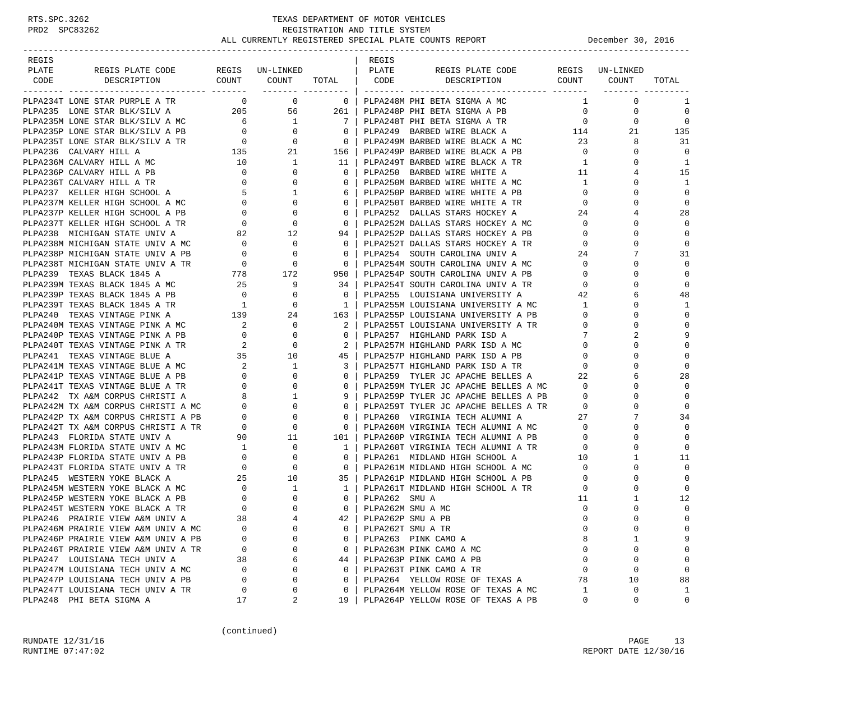-----------------------------------------------------------------------------------------------------------------------------------

| REGIS         |  |  | REGIS |                                                                                                                                                                                                                                     |                     |                         |
|---------------|--|--|-------|-------------------------------------------------------------------------------------------------------------------------------------------------------------------------------------------------------------------------------------|---------------------|-------------------------|
| PLATE<br>CODE |  |  |       | <b>EXAMPLE COMPARE COMPARE AND COMPARE COMPARE COMPARE AND ASSOCIATE AND ASSOCIATE AND COMPARE COMPARE COMPARE COMPARE COMPARE COMPARE COMPARE COMPARE COMPARE COMPARE COMPARE COMPARE COMPARE COMPARE COMPARE COMPARE COMPARE </b> |                     |                         |
|               |  |  |       |                                                                                                                                                                                                                                     | $1 \qquad \qquad 0$ | 1                       |
|               |  |  |       |                                                                                                                                                                                                                                     |                     | $\mathbf 0$             |
|               |  |  |       |                                                                                                                                                                                                                                     |                     | $\Omega$                |
|               |  |  |       |                                                                                                                                                                                                                                     |                     | 135                     |
|               |  |  |       |                                                                                                                                                                                                                                     |                     | 31                      |
|               |  |  |       |                                                                                                                                                                                                                                     |                     | $\Omega$                |
|               |  |  |       |                                                                                                                                                                                                                                     |                     | 1                       |
|               |  |  |       |                                                                                                                                                                                                                                     |                     | 15                      |
|               |  |  |       |                                                                                                                                                                                                                                     |                     | <sup>1</sup>            |
|               |  |  |       |                                                                                                                                                                                                                                     |                     | $\Omega$                |
|               |  |  |       |                                                                                                                                                                                                                                     |                     | $\Omega$                |
|               |  |  |       |                                                                                                                                                                                                                                     |                     | 28                      |
|               |  |  |       |                                                                                                                                                                                                                                     |                     | $\Omega$                |
|               |  |  |       |                                                                                                                                                                                                                                     |                     | $\Omega$                |
|               |  |  |       |                                                                                                                                                                                                                                     |                     | $\mathbf 0$             |
|               |  |  |       |                                                                                                                                                                                                                                     |                     | 31                      |
|               |  |  |       |                                                                                                                                                                                                                                     |                     | $\mathbf 0$             |
|               |  |  |       |                                                                                                                                                                                                                                     |                     | $\mathbf 0$             |
|               |  |  |       |                                                                                                                                                                                                                                     |                     | $\mathbf 0$             |
|               |  |  |       |                                                                                                                                                                                                                                     |                     | 48                      |
|               |  |  |       |                                                                                                                                                                                                                                     |                     | 1                       |
|               |  |  |       |                                                                                                                                                                                                                                     |                     | $\Omega$                |
|               |  |  |       |                                                                                                                                                                                                                                     |                     | $\Omega$                |
|               |  |  |       |                                                                                                                                                                                                                                     |                     | 9                       |
|               |  |  |       |                                                                                                                                                                                                                                     |                     | $\Omega$                |
|               |  |  |       |                                                                                                                                                                                                                                     |                     | $\mathbf 0$             |
|               |  |  |       |                                                                                                                                                                                                                                     |                     |                         |
|               |  |  |       |                                                                                                                                                                                                                                     |                     | 28                      |
|               |  |  |       |                                                                                                                                                                                                                                     |                     |                         |
|               |  |  |       |                                                                                                                                                                                                                                     |                     | $\mathbf 0$             |
|               |  |  |       |                                                                                                                                                                                                                                     |                     | $\Omega$                |
|               |  |  |       |                                                                                                                                                                                                                                     |                     | 34                      |
|               |  |  |       |                                                                                                                                                                                                                                     |                     | $\Omega$                |
|               |  |  |       |                                                                                                                                                                                                                                     |                     | $\mathbf 0$<br>$\Omega$ |
|               |  |  |       |                                                                                                                                                                                                                                     |                     |                         |
|               |  |  |       |                                                                                                                                                                                                                                     |                     | 11<br>$\Omega$          |
|               |  |  |       |                                                                                                                                                                                                                                     |                     | $\Omega$                |
|               |  |  |       |                                                                                                                                                                                                                                     |                     | $\mathbf 0$             |
|               |  |  |       |                                                                                                                                                                                                                                     |                     | 12                      |
|               |  |  |       |                                                                                                                                                                                                                                     |                     | $\Omega$                |
|               |  |  |       |                                                                                                                                                                                                                                     |                     | $\Omega$                |
|               |  |  |       |                                                                                                                                                                                                                                     |                     | $\mathbf 0$             |
|               |  |  |       |                                                                                                                                                                                                                                     |                     |                         |
|               |  |  |       |                                                                                                                                                                                                                                     |                     | $\Omega$                |
|               |  |  |       |                                                                                                                                                                                                                                     |                     | $\Omega$                |
|               |  |  |       |                                                                                                                                                                                                                                     |                     | $\Omega$                |
|               |  |  |       |                                                                                                                                                                                                                                     |                     | 88                      |
|               |  |  |       |                                                                                                                                                                                                                                     |                     | $\overline{1}$          |
|               |  |  |       |                                                                                                                                                                                                                                     |                     | $\Omega$                |

(continued)

RUNDATE  $12/31/16$  PAGE 13 RUNTIME 07:47:02 REPORT DATE 12/30/16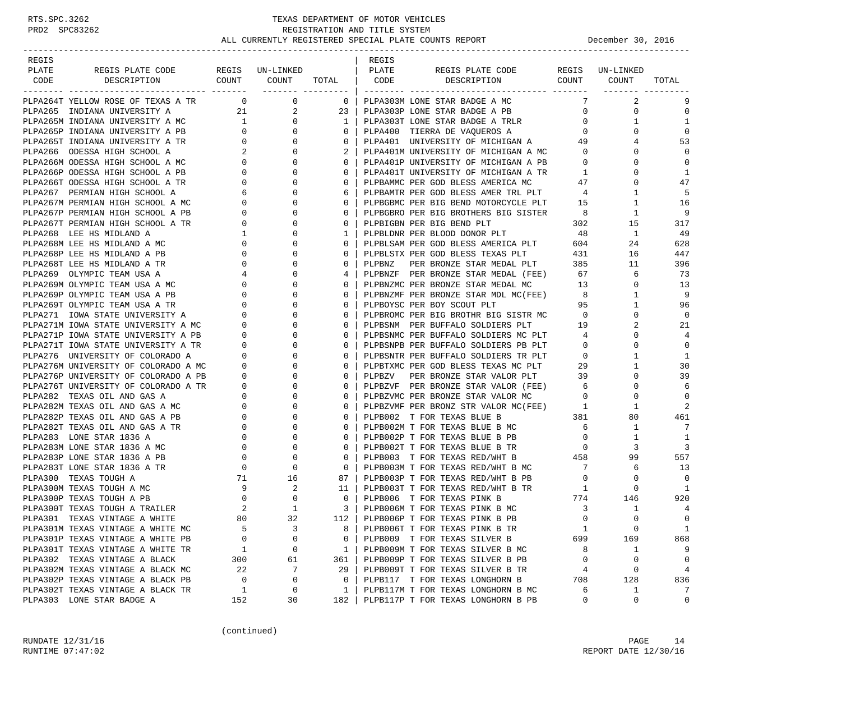| REGIS |                                                                                                                                                                                                                                                    |                                                                                         |                         |                                                     | REGIS  |                                                                                                                        |                 |                     |                |
|-------|----------------------------------------------------------------------------------------------------------------------------------------------------------------------------------------------------------------------------------------------------|-----------------------------------------------------------------------------------------|-------------------------|-----------------------------------------------------|--------|------------------------------------------------------------------------------------------------------------------------|-----------------|---------------------|----------------|
| PLATE | REGIS PLATE CODE                                                                                                                                                                                                                                   |                                                                                         | REGIS UN-LINKED   PLATE |                                                     |        | REGIS PLATE CODE                                                                                                       |                 | REGIS UN-LINKED     |                |
|       | CODE DESCRIPTION COUNT COUNT TOTAL CODE DESCRIPTION                                                                                                                                                                                                |                                                                                         |                         |                                                     |        |                                                                                                                        |                 | COUNT COUNT         | TOTAL          |
|       | PLPA264T YELLOW ROSE OF TEXAS A TR 0 0 0                                                                                                                                                                                                           |                                                                                         |                         | $\overline{\phantom{0}}$ 0 $\overline{\phantom{0}}$ |        | PLPA303M LONE STAR BADGE A MC                                                                                          |                 | $\overline{a}$<br>7 | 9              |
|       | PLPA265 INDIANA UNIVERSITY A                                                                                                                                                                                                                       |                                                                                         | 21 0<br>$\overline{2}$  | $23 \mid$                                           |        |                                                                                                                        | $\overline{0}$  | 0                   | $\mathbf 0$    |
|       |                                                                                                                                                                                                                                                    |                                                                                         | $\mathbf{0}$            | 1 <sup>1</sup>                                      |        | PLPA303P LONE STAR BADGE A PB<br>PLPA303T LONE STAR BADGE A TRLR                                                       | $\overline{0}$  | $\mathbf{1}$        | 1              |
|       |                                                                                                                                                                                                                                                    |                                                                                         | $\mathbf{0}$            | 0                                                   |        | PLPA400 TIERRA DE VAQUEROS A                                                                                           | $\overline{0}$  | $\Omega$            | $\mathbf 0$    |
|       |                                                                                                                                                                                                                                                    |                                                                                         | $\mathbf{0}$            | $\mathbf{0}$                                        |        |                                                                                                                        |                 | 4                   | 53             |
|       |                                                                                                                                                                                                                                                    |                                                                                         | $\Omega$                | $2-1$                                               |        | PLPA401 UNIVERSITY OF MICHIGAN A 49<br>PLPA401M UNIVERSITY OF MICHIGAN A MC 0                                          |                 | $\Omega$            | $\mathbf 0$    |
|       |                                                                                                                                                                                                                                                    |                                                                                         | $\mathbf{0}$            | $\mathbf{0}$                                        |        | PLPA401P UNIVERSITY OF MICHIGAN A PB 0                                                                                 |                 | 0                   | $\mathbf 0$    |
|       |                                                                                                                                                                                                                                                    |                                                                                         | 0                       | $\mathbf{0}$                                        |        |                                                                                                                        | $\overline{1}$  | $\Omega$            | 1              |
|       | PLPA265 INDIANA UNIVERSITY A<br>PLPA265M INDIANA UNIVERSITY A MC<br>PLPA265P INDIANA UNIVERSITY A PB<br>0<br>PLPA265T INDIANA UNIVERSITY A TR<br>0<br>PLPA266T INDIANA UNIVERSITY A TR<br>0<br>PLPA266M ODESSA HIGH SCHOOL A MC<br>0<br>PLPA266T O |                                                                                         | $\Omega$                | $\Omega$                                            |        | PLPA401T UNIVERSITY OF MICHIGAN A TR<br>PLPBAMMC PER GOD BLESS AMERICA MC 47                                           |                 | $\Omega$            | 47             |
|       |                                                                                                                                                                                                                                                    |                                                                                         | $\mathbf{0}$            | 6                                                   |        |                                                                                                                        |                 | $\mathbf{1}$        | 5              |
|       |                                                                                                                                                                                                                                                    |                                                                                         | $\Omega$                | $\mathbf{0}$                                        |        | PLPBAMTR PER GOD BLESS AMER TRL PLT 4<br>PLPBGBMC PER BIG BEND MOTORCYCLE PLT 15                                       |                 | $\mathbf{1}$        | 16             |
|       |                                                                                                                                                                                                                                                    |                                                                                         | $\mathbf{0}$            | $\mathbf{0}$                                        |        | PLPBGBRO PER BIG BROTHERS BIG SISTER                                                                                   |                 | $\mathbf{1}$        | 9              |
|       | PLPA267T PERMIAN HIGH SCHOOL A TR                                                                                                                                                                                                                  | $\overline{0}$                                                                          | 0                       | 0                                                   |        | PLPBIGBN PER BIG BEND PLT                                                                                              | 302             | 15                  | 317            |
|       | PLPA268 LEE HS MIDLAND A                                                                                                                                                                                                                           | $\mathbf{1}$                                                                            | $\Omega$                | $\mathbf{1}$                                        |        | PLPBLDNR PER BLOOD DONOR PLT 48                                                                                        |                 | 1                   | -49            |
|       | PLPA268M LEE HS MIDLAND A MC                                                                                                                                                                                                                       | $\overline{0}$                                                                          | 0                       | $\mathbf{0}$                                        |        |                                                                                                                        |                 | 24                  | 628            |
|       | PLPA268P LEE HS MIDLAND A PB                                                                                                                                                                                                                       | $\overline{0}$                                                                          | $\Omega$                | 0                                                   |        | PLPBLSAM PER GOD BLESS AMERICA PLT 604<br>PLPBLSTX PER GOD BLESS TEXAS PLT 431                                         |                 | 16                  | 447            |
|       | PLPA268T LEE HS MIDLAND A TR                                                                                                                                                                                                                       |                                                                                         | 0                       | $\mathbf{0}$                                        | PLPBNZ | PER BRONZE STAR MEDAL PLT 385                                                                                          |                 | 11                  | 396            |
|       | PLPA269 OLYMPIC TEAM USA A                                                                                                                                                                                                                         | $\begin{array}{ccc}\n & & & & & 0 \\  & & & & & 4 \\ \text{C} & & & & & 0\n\end{array}$ | $\Omega$                | 4                                                   |        | PLPBNZF PER BRONZE STAR MEDAL (FEE) 67                                                                                 |                 | 6                   | 73             |
|       | PLPA269M OLYMPIC TEAM USA A MC                                                                                                                                                                                                                     |                                                                                         | $\Omega$                | $\Omega$                                            |        | PLPBNZMC PER BRONZE STAR MEDAL MC 13                                                                                   |                 | $\mathbf{0}$        | 13             |
|       | PLPA269P OLYMPIC TEAM USA A PB                                                                                                                                                                                                                     | $\overline{0}$                                                                          | $\mathbf{0}$            | $\mathbf{0}$                                        |        |                                                                                                                        |                 | $\mathbf{1}$        | 9              |
|       | PLPA269T OLYMPIC TEAM USA A TR                                                                                                                                                                                                                     | $\circ$                                                                                 | $\Omega$                | $\mathbf{0}$                                        |        | PLPBNZMF PER BRONZE STAR MDL MC(FEE) 8<br>PLPBOYSC PER BOY SCOUT PLT 95                                                |                 | $\mathbf{1}$        | 96             |
|       | PLPA271 IOWA STATE UNIVERSITY A                                                                                                                                                                                                                    | $\circ$                                                                                 | $\mathbf{0}$            | $\mathbf{0}$                                        |        | PLPBROMC PER BIG BROTHR BIG SISTR MC 0                                                                                 |                 | 0                   | $\overline{0}$ |
|       |                                                                                                                                                                                                                                                    | $\mathbf{0}$                                                                            | 0                       | 0                                                   |        | PLPBSNM PER BUFFALO SOLDIERS PLT 19                                                                                    |                 | 2                   | 21             |
|       | PLPA271M IOWA STATE UNIVERSITY A MC<br>PLPA271P IOWA STATE UNIVERSITY A PB                                                                                                                                                                         | $\overline{0}$                                                                          | $\Omega$                | $\Omega$                                            |        | PLPBSNMC PER BUFFALO SOLDIERS MC PLT 4                                                                                 |                 | $\Omega$            | 4              |
|       |                                                                                                                                                                                                                                                    |                                                                                         | $\mathbf{0}$            | $\mathbf{0}$                                        |        |                                                                                                                        |                 | $\mathbf 0$         | $\mathbf 0$    |
|       | PLPA271T IOWA STATE UNIVERSITY A TR<br>PLPA276 UNIVERSITY OF COLORADO A 0                                                                                                                                                                          |                                                                                         | $\Omega$                | 0                                                   |        | PLPBSNPB PER BUFFALO SOLDIERS PB PLT 0<br>PLPBSNTR PER BUFFALO SOLDIERS TR PLT 0                                       |                 | $\mathbf{1}$        | 1              |
|       |                                                                                                                                                                                                                                                    |                                                                                         | $\mathbf{0}$            | $\mathbf{0}$                                        |        |                                                                                                                        |                 | $\mathbf{1}$        | 30             |
|       | PLPA276M UNIVERSITY OF COLORADO A MC<br>PLPA276P UNIVERSITY OF COLORADO A PB<br>PLPA276T UNIVERSITY OF COLORADO A TR<br>0                                                                                                                          |                                                                                         | 0                       | 0                                                   |        | PLPBTXMC PER GOD BLESS TEXAS MC PLT 29<br>PLPBZV PER BRONZE STAR VALOR PLT 39<br>PLPBZVF PER BRONZE STAR VALOR (FEE) 6 |                 | $\Omega$            | 39             |
|       |                                                                                                                                                                                                                                                    |                                                                                         | $\Omega$                | $\Omega$                                            |        |                                                                                                                        |                 | 0                   | 6              |
|       | PLPA282 TEXAS OIL AND GAS A                                                                                                                                                                                                                        | $0 \qquad \qquad$                                                                       | $\mathbf{0}$            | $\mathbf{0}$                                        |        | PLPBZVMC PER BRONZE STAR VALOR MC                                                                                      | $\overline{0}$  | 0                   | $\mathbf 0$    |
|       | PLPA282M TEXAS OIL AND GAS A MC                                                                                                                                                                                                                    |                                                                                         | $\Omega$                | 0                                                   |        | PLPBZVMF PER BRONZ STR VALOR MC(FEE)                                                                                   | $\overline{1}$  | 1                   | 2              |
|       | PLPA282P TEXAS OIL AND GAS A PB                                                                                                                                                                                                                    |                                                                                         | $\mathbf{0}$            | $\mathbf{0}$                                        |        | 381<br>PLPB002 T FOR TEXAS BLUE B                                                                                      |                 | 80                  | 461            |
|       |                                                                                                                                                                                                                                                    |                                                                                         | 0                       | 0                                                   |        |                                                                                                                        | $6\overline{6}$ | $\mathbf{1}$        | 7              |
|       | PLPA282T TEXAS OIL AND GAS A TR<br>PLPA283 LONE STAR 1836 A 0<br>PLPA283M LONE STAR 1836 A MC 0<br>PLPA283P LONE STAR 1836 A PB 0                                                                                                                  | $\begin{array}{c}\n0 \\ 0 \\ 0 \\ \end{array}$                                          | $\Omega$                | $\Omega$                                            |        | PLPB002M T FOR TEXAS BLUE B MC<br>PLPB002P T FOR TEXAS BLUE B PB                                                       | $\overline{0}$  | 1                   | 1              |
|       |                                                                                                                                                                                                                                                    |                                                                                         | $\mathbf{0}$            | $\mathbf{0}$                                        |        |                                                                                                                        | $\overline{0}$  | 3                   | 3              |
|       |                                                                                                                                                                                                                                                    |                                                                                         | $\mathbf 0$             | $\mathbf{0}$                                        |        | PLPB002T T FOR TEXAS BLUE B TR<br>PLPB003 T FOR TEXAS RED/WHT B 458                                                    |                 | 99                  | 557            |
|       | PLPA283T LONE STAR 1836 A TR                                                                                                                                                                                                                       | $\overline{0}$                                                                          |                         | $0-1$                                               |        | PLPB003M T FOR TEXAS RED/WHT B MC 7<br>PLPB003P T FOR TEXAS RED/WHT B PB 0                                             |                 | 6                   | 13             |
|       | PLPA300 TEXAS TOUGH A                                                                                                                                                                                                                              |                                                                                         |                         | 87                                                  |        |                                                                                                                        |                 | $\mathbf 0$         | $\Omega$       |
|       | PLPA300M TEXAS TOUGH A MC                                                                                                                                                                                                                          |                                                                                         |                         | 11 <sup>1</sup>                                     |        | PLPB003T T FOR TEXAS RED/WHT B TR 1                                                                                    |                 | $\Omega$            | -1             |
|       | PLPA300P TEXAS TOUGH A PB                                                                                                                                                                                                                          |                                                                                         |                         | $\overline{0}$                                      |        | PLPB006 T FOR TEXAS PINK B $\begin{array}{ccc} 774 & 146 \\ \text{PLPBO06M T FOR TEXAS PINK B MC} & 3 & 1 \end{array}$ |                 |                     | 920            |
|       | PLPA300T TEXAS TOUGH A TRAILER                                                                                                                                                                                                                     |                                                                                         |                         | $\overline{\phantom{a}3}$                           |        |                                                                                                                        |                 | $\mathbf{1}$        | 4              |
|       | PLPA301 TEXAS VINTAGE A WHITE                                                                                                                                                                                                                      | 80                                                                                      | 32                      | $112$                                               |        | PLPB006P T FOR TEXAS PINK B PB                                                                                         | $\Omega$        | $\Omega$            | $\Omega$       |
|       | PLPA301M TEXAS VINTAGE A WHITE MC                                                                                                                                                                                                                  | 5                                                                                       | 3                       | 8                                                   |        | PLPB006T T FOR TEXAS PINK B TR                                                                                         | 1               | 0                   | $\mathbf{1}$   |
|       | PLPA301P TEXAS VINTAGE A WHITE PB                                                                                                                                                                                                                  | 0                                                                                       | 0                       | 0                                                   |        | PLPB009 T FOR TEXAS SILVER B                                                                                           | 699             | 169                 | 868            |
|       | PLPA301T TEXAS VINTAGE A WHITE TR                                                                                                                                                                                                                  | 1                                                                                       | 0                       | 1                                                   |        | PLPB009M T FOR TEXAS SILVER B MC                                                                                       | 8               | 1                   | 9              |
|       | PLPA302 TEXAS VINTAGE A BLACK                                                                                                                                                                                                                      | 300                                                                                     | 61                      | 361                                                 |        | PLPB009P T FOR TEXAS SILVER B PB                                                                                       | $\mathbf 0$     | 0                   | $\mathbf 0$    |
|       | PLPA302M TEXAS VINTAGE A BLACK MC                                                                                                                                                                                                                  | 22                                                                                      | 7                       | 29                                                  |        | PLPB009T T FOR TEXAS SILVER B TR                                                                                       | 4               | 0                   | 4              |
|       | PLPA302P TEXAS VINTAGE A BLACK PB                                                                                                                                                                                                                  | $\mathbf 0$                                                                             | 0                       | 0                                                   |        | PLPB117 T FOR TEXAS LONGHORN B                                                                                         | 708             | 128                 | 836            |
|       | PLPA302T TEXAS VINTAGE A BLACK TR                                                                                                                                                                                                                  | 1                                                                                       | 0                       | 1                                                   |        | PLPB117M T FOR TEXAS LONGHORN B MC                                                                                     | 6               | 1                   | 7              |
|       | PLPA303 LONE STAR BADGE A                                                                                                                                                                                                                          | 152                                                                                     | 30                      | 182                                                 |        | PLPB117P T FOR TEXAS LONGHORN B PB                                                                                     | 0               | 0                   | 0              |

(continued)

RUNDATE  $12/31/16$  PAGE 14 RUNTIME 07:47:02 REPORT DATE 12/30/16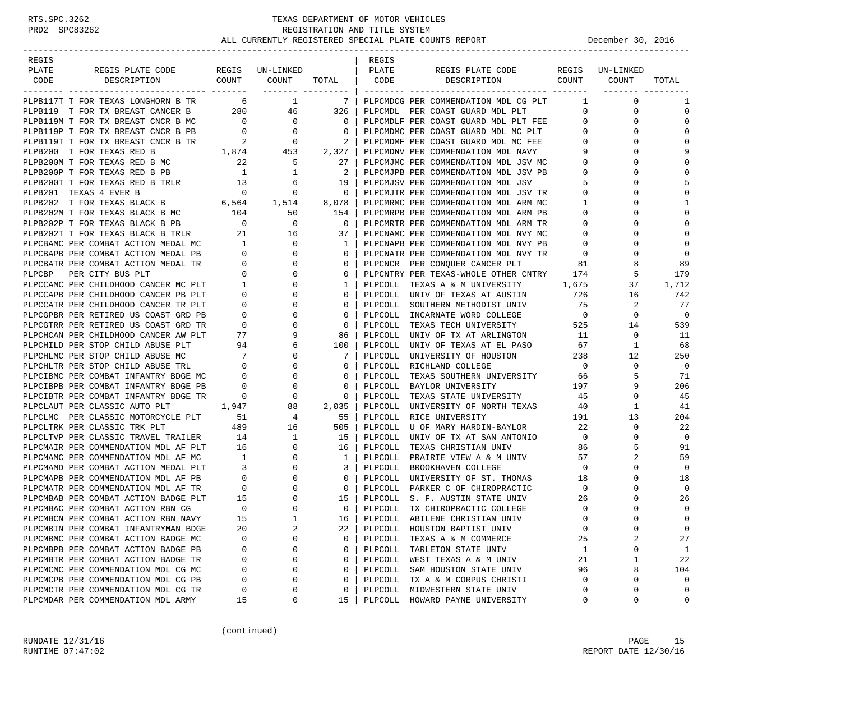| REGIS                  |                                                                                                                     |                                                                                          |                              |                     | REGIS   |                                      |                          |                 |                |
|------------------------|---------------------------------------------------------------------------------------------------------------------|------------------------------------------------------------------------------------------|------------------------------|---------------------|---------|--------------------------------------|--------------------------|-----------------|----------------|
| PLATE                  | REGIS PLATE CODE                                                                                                    |                                                                                          | REGIS UN-LINKED              |                     | PLATE   | REGIS PLATE CODE                     |                          | REGIS UN-LINKED |                |
| CODE                   | COUNT<br>DESCRIPTION                                                                                                |                                                                                          | COUNT                        | TOTAL   CODE        |         | COUNT<br>DESCRIPTION                 |                          | COUNT           | TOTAL          |
|                        |                                                                                                                     |                                                                                          |                              | ________ __________ |         |                                      |                          |                 |                |
|                        | PLPB117T T FOR TEXAS LONGHORN B TR                                                                                  | 6                                                                                        |                              | 7 <sup>1</sup>      |         | PLPCMDCG PER COMMENDATION MDL CG PLT | $\mathbf{1}$             | $\mathbf 0$     | 1              |
|                        | PLPB119 T FOR TX BREAST CANCER B                                                                                    | 280                                                                                      | 46                           | 326                 |         | PLPCMDL PER COAST GUARD MDL PLT      | $\mathbf{0}$             | 0               | 0              |
|                        | PLPB119M T FOR TX BREAST CNCR B MC                                                                                  | $\overline{0}$                                                                           | $\overline{0}$               | $\mathbf{0}$        |         | PLPCMDLF PER COAST GUARD MDL PLT FEE | $\mathbf{0}$             | 0               | $\mathbf 0$    |
|                        | PLPB119P T FOR TX BREAST CNCR B PB<br>PLPB119T T FOR TX BREAST CNCR B TR 2 0<br>PLPB200 T FOR TEXAS RED B 1,874 453 |                                                                                          |                              | $\mathbf{0}$        |         | PLPCMDMC PER COAST GUARD MDL MC PLT  | 0                        | <sup>0</sup>    | 0              |
|                        |                                                                                                                     |                                                                                          |                              | 2                   |         | PLPCMDMF PER COAST GUARD MDL MC FEE  | 0                        | 0               | 0              |
|                        |                                                                                                                     |                                                                                          |                              | $2,327$             |         | PLPCMDNV PER COMMENDATION MDL NAVY   | 9                        |                 | 9              |
|                        | PLPB200M T FOR TEXAS RED B MC                                                                                       | 22                                                                                       | -5                           | 27                  |         | PLPCMJMC PER COMMENDATION MDL JSV MC | $\circ$                  | 0               | 0              |
|                        | PLPB200P T FOR TEXAS RED B PB                                                                                       | $\overline{1}$                                                                           | $\mathbf{1}$                 | $2 \mid$            |         | PLPCMJPB PER COMMENDATION MDL JSV PB | $\mathbf 0$              |                 | $\mathbf 0$    |
|                        | PLPB200T T FOR TEXAS RED B TRLR 13                                                                                  |                                                                                          | 6                            | 19                  |         | PLPCMJSV PER COMMENDATION MDL JSV    | 5                        |                 | 5              |
| PLPB201 TEXAS 4 EVER B |                                                                                                                     | $\overline{0}$                                                                           | 0                            | $\circ$             |         | PLPCMJTR PER COMMENDATION MDL JSV TR | 0                        | 0               | 0              |
|                        | PLPB202 T FOR TEXAS BLACK B 6,564 1,514                                                                             |                                                                                          |                              | 8,078               |         | PLPCMRMC PER COMMENDATION MDL ARM MC | 1                        | 0               | $\mathbf{1}$   |
|                        | PLPB202M T FOR TEXAS BLACK B MC                                                                                     | 104                                                                                      | 50                           | 154                 |         | PLPCMRPB PER COMMENDATION MDL ARM PB | 0                        | U               | 0              |
|                        |                                                                                                                     |                                                                                          | $\overline{0}$               | $\mathbf{0}$        |         | PLPCMRTR PER COMMENDATION MDL ARM TR | 0                        |                 | $\Omega$       |
|                        | PLPB202P T FOR TEXAS BLACK B PB 0<br>PLPB202T T FOR TEXAS BLACK B TRLR 21                                           |                                                                                          | 16                           | 37                  |         | PLPCNAMC PER COMMENDATION MDL NVY MC | 0                        |                 | $\Omega$       |
|                        | PLPCBAMC PER COMBAT ACTION MEDAL MC                                                                                 | $\begin{array}{ c c c }\hline \textbf{1} & \textbf{1} & \textbf{1} \\\hline \end{array}$ | $\overline{0}$               | 1                   |         | PLPCNAPB PER COMMENDATION MDL NVY PB | 0                        | 0               | $\Omega$       |
|                        | PLPCBAPB PER COMBAT ACTION MEDAL PB                                                                                 |                                                                                          | $\frac{1}{1}$<br>$\mathbf 0$ | $\mathbf{0}$        |         | PLPCNATR PER COMMENDATION MDL NVY TR | $\overline{0}$           | $\Omega$        | $\mathbf 0$    |
|                        | PLPCBATR PER COMBAT ACTION MEDAL TR                                                                                 | $\overline{\phantom{0}}$                                                                 | $\overline{0}$               | $\mathbf{0}$        |         | PLPCNCR PER CONQUER CANCER PLT       | 81                       | 8               | 89             |
| PLPCBP                 | PER CITY BUS PLT                                                                                                    | $\mathbf 0$                                                                              | $\mathbf 0$                  | $\mathbf{0}$        |         | PLPCNTRY PER TEXAS-WHOLE OTHER CNTRY | 174                      | 5               | 179            |
|                        | PLPCCAMC PER CHILDHOOD CANCER MC PLT                                                                                | $\sim$ 1                                                                                 | 0                            | $\mathbf{1}$        |         | PLPCOLL TEXAS A & M UNIVERSITY       | 1,675                    | 37              | 1,712          |
|                        | PLPCCAPB PER CHILDHOOD CANCER PB PLT                                                                                | $\mathbf{0}$                                                                             | $\mathbf 0$                  | $\mathbf{0}$        |         | PLPCOLL UNIV OF TEXAS AT AUSTIN      | 726                      | 16              | 742            |
|                        | PLPCCATR PER CHILDHOOD CANCER TR PLT                                                                                | $\mathbf{0}$                                                                             | $\mathbf 0$                  | $\mathbf{0}$        |         | PLPCOLL SOUTHERN METHODIST UNIV      | 75                       | 2               | 77             |
|                        | PLPCGPBR PER RETIRED US COAST GRD PB                                                                                | $\mathbf{0}$                                                                             | $\mathbf 0$                  | $\mathbf{0}$        |         | PLPCOLL INCARNATE WORD COLLEGE       | $\overline{\phantom{0}}$ | $\mathbf 0$     | $\overline{0}$ |
|                        | PLPCGTRR PER RETIRED US COAST GRD TR                                                                                | $\overline{0}$                                                                           | 0                            | $\mathbf{0}$        |         | PLPCOLL TEXAS TECH UNIVERSITY        | 525                      | 14              | 539            |
|                        | PLPCHCAN PER CHILDHOOD CANCER AW PLT                                                                                | 77                                                                                       | 9                            | 86                  | PLPCOLL | UNIV OF TX AT ARLINGTON              | 11                       | 0               | 11             |
|                        | PLPCHILD PER STOP CHILD ABUSE PLT                                                                                   | 94                                                                                       | 6                            | 100                 | PLPCOLL | UNIV OF TEXAS AT EL PASO             | 67                       | 1               | 68             |
|                        | PLPCHLMC PER STOP CHILD ABUSE MC                                                                                    | $\overline{7}$                                                                           | $\mathbf 0$                  | 7 I                 |         | PLPCOLL UNIVERSITY OF HOUSTON        | 238                      | 12              | 250            |
|                        | PLPCHLTR PER STOP CHILD ABUSE TRL                                                                                   | $\overline{0}$                                                                           | 0                            | $\mathbf{0}$        | PLPCOLL | RICHLAND COLLEGE                     | $\overline{0}$           | 0               | $\overline{0}$ |
|                        | PLPCIBMC PER COMBAT INFANTRY BDGE MC                                                                                | $\overline{0}$                                                                           | $\mathbf 0$                  | $\mathbf{0}$        | PLPCOLL | TEXAS SOUTHERN UNIVERSITY            | 66                       | 5               | 71             |
|                        | PLPCIBPB PER COMBAT INFANTRY BDGE PB                                                                                | $\mathbf{0}$                                                                             | 0                            | $\mathbf{0}$        |         | PLPCOLL BAYLOR UNIVERSITY            | 197                      | 9               | 206            |
|                        | PLPCIBTR PER COMBAT INFANTRY BDGE TR                                                                                | $\mathbf{0}$                                                                             | 0                            | 0                   | PLPCOLL | TEXAS STATE UNIVERSITY               | 45                       | 0               | 45             |
|                        |                                                                                                                     | 1,947                                                                                    | 88                           |                     |         |                                      | 40                       | $\mathbf{1}$    | 41             |
|                        | PLPCLAUT PER CLASSIC AUTO PLT                                                                                       |                                                                                          |                              | $2,035$             |         | PLPCOLL UNIVERSITY OF NORTH TEXAS    |                          | 13              |                |
|                        | PLPCLMC PER CLASSIC MOTORCYCLE PLT<br>PLPCLTRK PER CLASSIC TRK PLT                                                  | 51<br>489                                                                                | $\overline{4}$<br>16         | 55<br>505           | PLPCOLL | RICE UNIVERSITY                      | 191<br>22                | 0               | 204<br>22      |
|                        |                                                                                                                     |                                                                                          |                              |                     |         | PLPCOLL U OF MARY HARDIN-BAYLOR      |                          | $\Omega$        |                |
|                        | PLPCLTVP PER CLASSIC TRAVEL TRAILER                                                                                 | 14                                                                                       | $\mathbf{1}$                 | 15                  | PLPCOLL | UNIV OF TX AT SAN ANTONIO            | $\overline{0}$           |                 | $\mathbf 0$    |
|                        | PLPCMAIR PER COMMENDATION MDL AF PLT                                                                                | 16                                                                                       | $\overline{0}$               | 16                  | PLPCOLL | TEXAS CHRISTIAN UNIV                 | 86                       | 5               | 91             |
|                        | PLPCMAMC PER COMMENDATION MDL AF MC                                                                                 | $\overline{1}$                                                                           | $\mathbf 0$                  | $1 \mid$            |         | PLPCOLL PRAIRIE VIEW A & M UNIV      | 57                       | 2               | 59             |
|                        | PLPCMAMD PER COMBAT ACTION MEDAL PLT                                                                                | $\overline{\mathbf{3}}$                                                                  | $\mathbf 0$                  | 3                   | PLPCOLL | BROOKHAVEN COLLEGE                   | $\overline{0}$           | 0               | $\mathbf 0$    |
|                        | PLPCMAPB PER COMMENDATION MDL AF PB                                                                                 | $\overline{0}$                                                                           | $\mathbf 0$                  | 0 <sup>1</sup>      |         | PLPCOLL UNIVERSITY OF ST. THOMAS     | 18                       | 0               | 18             |
|                        | PLPCMATR PER COMMENDATION MDL AF TR                                                                                 | $\overline{0}$                                                                           | 0                            | $\overline{0}$      |         | PLPCOLL PARKER C OF CHIROPRACTIC     | $\overline{0}$           | ∩               | $\mathbf 0$    |
|                        | PLPCMBAB PER COMBAT ACTION BADGE PLT                                                                                | 15                                                                                       | 0                            | 15                  | PLPCOLL | S. F. AUSTIN STATE UNIV              | 26                       | 0               | 26             |
|                        | PLPCMBAC PER COMBAT ACTION RBN CG                                                                                   | $\overline{0}$                                                                           | $\mathbf 0$                  | 0 <sup>1</sup>      | PLPCOLL | TX CHIROPRACTIC COLLEGE              | $\overline{0}$           | $\Omega$        | $\mathbf 0$    |
|                        | PLPCMBCN PER COMBAT ACTION RBN NAVY                                                                                 | 15                                                                                       | $\mathbf{1}$                 |                     |         | 16   PLPCOLL ABILENE CHRISTIAN UNIV  | $\Omega$                 | $\Omega$        | $\Omega$       |
|                        | PLPCMBIN PER COMBAT INFANTRYMAN BDGE                                                                                | 20                                                                                       | $\overline{a}$               | 22                  |         | PLPCOLL HOUSTON BAPTIST UNIV         | 0                        | $\mathbf 0$     | 0              |
|                        | PLPCMBMC PER COMBAT ACTION BADGE MC                                                                                 | $\Omega$                                                                                 | $\Omega$                     | 0                   | PLPCOLL | TEXAS A & M COMMERCE                 | 25                       | 2               | 27             |
|                        | PLPCMBPB PER COMBAT ACTION BADGE PB                                                                                 | 0                                                                                        | 0                            | 0                   | PLPCOLL | TARLETON STATE UNIV                  | 1                        | 0               | 1              |
|                        | PLPCMBTR PER COMBAT ACTION BADGE TR                                                                                 | 0                                                                                        | $\mathbf 0$                  | 0                   |         | PLPCOLL WEST TEXAS A & M UNIV        | 21                       | 1               | 22             |
|                        | PLPCMCMC PER COMMENDATION MDL CG MC                                                                                 | 0                                                                                        | 0                            | 0                   | PLPCOLL | SAM HOUSTON STATE UNIV               | 96                       | 8               | 104            |
|                        | PLPCMCPB PER COMMENDATION MDL CG PB                                                                                 | 0                                                                                        | 0                            | 0                   | PLPCOLL | TX A & M CORPUS CHRISTI              | 0                        | 0               | 0              |
|                        | PLPCMCTR PER COMMENDATION MDL CG TR                                                                                 | 0                                                                                        | 0                            | 0                   |         | PLPCOLL MIDWESTERN STATE UNIV        | 0                        | 0               | 0              |
|                        | PLPCMDAR PER COMMENDATION MDL ARMY                                                                                  | 15                                                                                       | 0                            | 15                  | PLPCOLL | HOWARD PAYNE UNIVERSITY              | 0                        | 0               | 0              |

(continued)

RUNDATE  $12/31/16$  PAGE 15 RUNTIME 07:47:02 REPORT DATE 12/30/16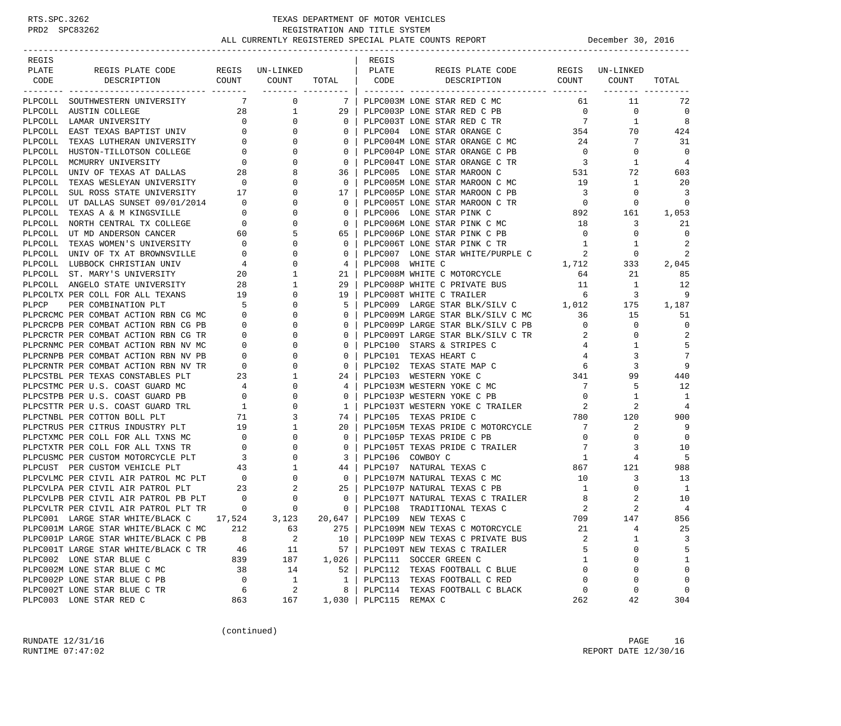| REGIS   |                                      |                                      |                        |              | REGIS           |                                     |                         |           |                |
|---------|--------------------------------------|--------------------------------------|------------------------|--------------|-----------------|-------------------------------------|-------------------------|-----------|----------------|
| PLATE   | REGIS PLATE CODE                     |                                      | REGIS UN-LINKED        |              | PLATE           | REGIS PLATE CODE                    | REGIS                   | UN-LINKED |                |
| CODE    | COUNT<br>DESCRIPTION                 |                                      | COUNT                  | TOTAL        | CODE            | DESCRIPTION                         | COUNT                   | COUNT     | TOTAL          |
|         | PLPCOLL SOUTHWESTERN UNIVERSITY      | 7                                    | ------- ---------<br>0 | 7            |                 | PLPC003M LONE STAR RED C MC         | 61                      | 11        | 72             |
|         | PLPCOLL AUSTIN COLLEGE               | 28                                   | 1                      | 29           |                 | PLPC003P LONE STAR RED C PB         | $\overline{0}$          | 0         | $\mathbf 0$    |
|         | PLPCOLL LAMAR UNIVERSITY             | $\circ$                              | 0                      | 0            |                 | PLPC003T LONE STAR RED C TR         | $\overline{7}$          | 1         | 8              |
|         | PLPCOLL EAST TEXAS BAPTIST UNIV      | $\mathbf{0}$                         | $\Omega$               | 0            |                 | PLPC004 LONE STAR ORANGE C          | 354                     | 70        | 424            |
|         | PLPCOLL TEXAS LUTHERAN UNIVERSITY    |                                      | $\overline{0}$<br>0    | 0            |                 | PLPC004M LONE STAR ORANGE C MC      | 24                      | 7         | 31             |
|         | PLPCOLL HUSTON-TILLOTSON COLLEGE     | $\overline{0}$                       | $\Omega$               | $\mathbf 0$  |                 | PLPC004P LONE STAR ORANGE C PB      | $\overline{0}$          | 0         | $\overline{0}$ |
|         | PLPCOLL MCMURRY UNIVERSITY           | $\mathbf{0}$                         | 0                      | $\mathbf 0$  |                 | PLPC004T LONE STAR ORANGE C TR      | $\overline{\mathbf{3}}$ | 1         | $\overline{4}$ |
|         | PLPCOLL UNIV OF TEXAS AT DALLAS      | 28                                   |                        | 36           |                 | PLPC005 LONE STAR MAROON C          | 531                     | 72        | 603            |
|         | PLPCOLL TEXAS WESLEYAN UNIVERSITY 0  |                                      | 0                      | 0            |                 | PLPC005M LONE STAR MAROON C MC      | 19                      | 1         | 20             |
| PLPCOLL | SUL ROSS STATE UNIVERSITY 17         |                                      | 0                      | 17           |                 | PLPC005P LONE STAR MAROON C PB      | $\overline{\mathbf{3}}$ | 0         | 3              |
|         | PLPCOLL UT DALLAS SUNSET 09/01/2014  | $\mathbf 0$                          | 0                      | $\mathbf 0$  |                 | PLPC005T LONE STAR MAROON C TR      | $\overline{0}$          | 0         | 0              |
|         | PLPCOLL TEXAS A & M KINGSVILLE       | $\mathbf 0$                          | 0                      | 0            |                 | PLPC006 LONE STAR PINK C            | 892                     | 161       | 1,053          |
|         | PLPCOLL NORTH CENTRAL TX COLLEGE     | $\overline{0}$                       | 0                      | 0            |                 | PLPC006M LONE STAR PINK C MC        | 18                      | 3         | 21             |
|         | PLPCOLL UT MD ANDERSON CANCER        | 60                                   | 5                      | 65           |                 | PLPC006P LONE STAR PINK C PB        | $\overline{0}$          | 0         | $\Omega$       |
|         | PLPCOLL TEXAS WOMEN'S UNIVERSITY     | $\mathbf 0$                          | 0                      | 0            |                 | PLPC006T LONE STAR PINK C TR        | $\mathbf{1}$            | 1         | 2              |
|         | PLPCOLL UNIV OF TX AT BROWNSVILLE    | $\mathbf 0$                          | $\Omega$               | $\mathbf 0$  |                 | PLPC007 LONE STAR WHITE/PURPLE C    | 2                       | 0         | 2              |
|         | PLPCOLL LUBBOCK CHRISTIAN UNIV       | 4                                    | 0                      | 4            | PLPC008 WHITE C |                                     | 1,712                   | 333       | 2,045          |
|         | PLPCOLL ST. MARY'S UNIVERSITY        | 20                                   | 1                      | 21           |                 | PLPC008M WHITE C MOTORCYCLE         | 64                      | 21        | 85             |
|         | PLPCOLL ANGELO STATE UNIVERSITY      | 28                                   | 1                      | 29           |                 | PLPC008P WHITE C PRIVATE BUS        | 11                      | 1         | 12             |
|         | PLPCOLTX PER COLL FOR ALL TEXANS     | 19                                   | 0                      | 19           |                 | PLPC008T WHITE C TRAILER            | - 6                     | 3         | 9              |
| PLPCP   | PER COMBINATION PLT                  | $5^{\circ}$                          | $\Omega$               | 5            |                 | PLPC009 LARGE STAR BLK/SILV C 1,012 |                         | 175       | 1,187          |
|         | PLPCRCMC PER COMBAT ACTION RBN CG MC | $\mathbf 0$                          | 0                      | 0            |                 | PLPC009M LARGE STAR BLK/SILV C MC   | 36                      | 15        | 51             |
|         | PLPCRCPB PER COMBAT ACTION RBN CG PB | $\overline{0}$                       | 0                      | 0            |                 | PLPC009P LARGE STAR BLK/SILV C PB   | $\overline{0}$          | 0         | $\mathbf 0$    |
|         | PLPCRCTR PER COMBAT ACTION RBN CG TR | $\mathbf 0$                          | 0                      | 0            |                 | PLPC009T LARGE STAR BLK/SILV C TR   | 2                       | 0         | 2              |
|         | PLPCRNMC PER COMBAT ACTION RBN NV MC | 0                                    | 0                      | 0            |                 | PLPC100 STARS & STRIPES C           | 4                       | 1         | 5              |
|         | PLPCRNPB PER COMBAT ACTION RBN NV PB | $\mathbf 0$                          | $\Omega$               | $\mathbf 0$  |                 | PLPC101 TEXAS HEART C               | 4                       | 3         | 7              |
|         | PLPCRNTR PER COMBAT ACTION RBN NV TR | $\mathbf 0$                          | 0                      | $\mathbf 0$  |                 | PLPC102 TEXAS STATE MAP C           | 6                       | 3         | 9              |
|         | PLPCSTBL PER TEXAS CONSTABLES PLT    | 23                                   | 1                      | 24           |                 | PLPC103 WESTERN YOKE C              | 341                     | 99        | 440            |
|         | PLPCSTMC PER U.S. COAST GUARD MC     | 4                                    | $\Omega$               | 4            |                 | PLPC103M WESTERN YOKE C MC          | 7                       | 5         | 12             |
|         | PLPCSTPB PER U.S. COAST GUARD PB     | $\mathbf{0}$                         | 0                      | 0            |                 | PLPC103P WESTERN YOKE C PB          | $\overline{0}$          | 1         | -1             |
|         | PLPCSTTR PER U.S. COAST GUARD TRL    | $\mathbf{1}$                         | 0                      | 1            |                 | PLPC103T WESTERN YOKE C TRAILER     | 2                       | 2         | 4              |
|         | PLPCTNBL PER COTTON BOLL PLT         | 71                                   | 3                      | 74           |                 | PLPC105 TEXAS PRIDE C               | 780                     | 120       | 900            |
|         | PLPCTRUS PER CITRUS INDUSTRY PLT     | 19                                   | 1                      | 20           |                 | PLPC105M TEXAS PRIDE C MOTORCYCLE   | $\overline{7}$          | 2         | 9              |
|         | PLPCTXMC PER COLL FOR ALL TXNS MC    | $\overline{\phantom{0}}$             | $\Omega$               | 0            |                 | PLPC105P TEXAS PRIDE C PB           | $\overline{0}$          | 0         | $\Omega$       |
|         | PLPCTXTR PER COLL FOR ALL TXNS TR    | $\mathbf{0}$                         | 0                      | 0            |                 | PLPC105T TEXAS PRIDE C TRAILER      | 7                       | 3         | 10             |
|         | PLPCUSMC PER CUSTOM MOTORCYCLE PLT   | $\overline{\mathbf{3}}$              | 0                      | 3            |                 | PLPC106 COWBOY C                    | 1                       | 4         | 5              |
|         | PLPCUST PER CUSTOM VEHICLE PLT       | 43                                   | 1                      | 44           |                 | PLPC107 NATURAL TEXAS C             | 867                     | 121       | 988            |
|         | PLPCVLMC PER CIVIL AIR PATROL MC PLT |                                      | 0                      | $\mathbf 0$  |                 | PLPC107M NATURAL TEXAS C MC         | 10                      | 3         | 13             |
|         | PLPCVLPA PER CIVIL AIR PATROL PLT    | $\begin{array}{c}0\\23\end{array}$   | 2                      | 25           |                 | PLPC107P NATURAL TEXAS C PB         | 1                       | 0         | -1             |
|         | PLPCVLPB PER CIVIL AIR PATROL PB PLT |                                      | 0                      | $\mathbf 0$  |                 | PLPC107T NATURAL TEXAS C TRAILER    | 8                       | 2         | 10             |
|         | PLPCVLTR PER CIVIL AIR PATROL PLT TR | $\begin{matrix} 0 \\ 0 \end{matrix}$ | $\mathbf 0$            | $\mathbf{0}$ |                 | PLPC108 TRADITIONAL TEXAS C         | 2                       | 2         | 4              |
|         | PLPC001 LARGE STAR WHITE/BLACK C     | 17,524                               | 3,123                  | $20,647$     |                 | PLPC109 NEW TEXAS C                 | 709                     | 147       | 856            |
|         | PLPC001M LARGE STAR WHITE/BLACK C MC | 212                                  | 63                     | 275          |                 | PLPC109M NEW TEXAS C MOTORCYCLE     | 21                      | 4         | 25             |
|         | PLPC001P LARGE STAR WHITE/BLACK C PB | 8                                    | 2                      | 10           |                 | PLPC109P NEW TEXAS C PRIVATE BUS    | 2                       | 1         | 3              |
|         | PLPC001T LARGE STAR WHITE/BLACK C TR | 46                                   | 11                     | 57           |                 | PLPC109T NEW TEXAS C TRAILER        | 5                       | 0         | 5              |
|         | PLPC002 LONE STAR BLUE C             | 839                                  | 187                    | 1,026        |                 | PLPC111 SOCCER GREEN C              | 1                       | $\Omega$  | $\mathbf{1}$   |
|         | PLPC002M LONE STAR BLUE C MC         | 38                                   | 14                     | 52           |                 | PLPC112 TEXAS FOOTBALL C BLUE       | $\mathbf 0$             | 0         | $\mathbf 0$    |
|         | PLPC002P LONE STAR BLUE C PB         | $\mathbf 0$                          | $\mathbf{1}$           | $\mathbf{1}$ |                 | PLPC113 TEXAS FOOTBALL C RED        | $\Omega$                | $\Omega$  | $\mathbf 0$    |
|         | PLPC002T LONE STAR BLUE C TR         | 6                                    | $\sqrt{2}$             | 8            |                 | PLPC114 TEXAS FOOTBALL C BLACK      | 0                       | 0         | $\mathbf 0$    |
|         | PLPC003 LONE STAR RED C              | 863                                  | 167                    | 1,030        | PLPC115 REMAX C |                                     | 262                     | 42        | 304            |
|         |                                      |                                      |                        |              |                 |                                     |                         |           |                |

(continued)

RUNDATE  $12/31/16$  PAGE 16 RUNTIME 07:47:02 REPORT DATE 12/30/16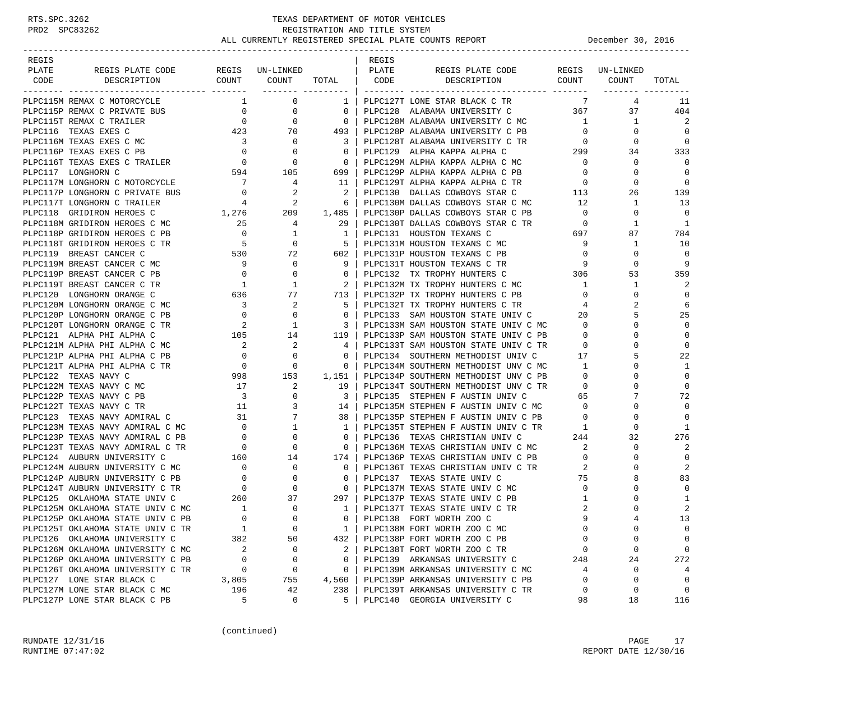| REGIS                                                          |                                                                               |                                                                               |                                                     | REGIS |                                                                                  |                                         |                 |                |
|----------------------------------------------------------------|-------------------------------------------------------------------------------|-------------------------------------------------------------------------------|-----------------------------------------------------|-------|----------------------------------------------------------------------------------|-----------------------------------------|-----------------|----------------|
| REGIS PLATE CODE REGIS UN-LINKED   PLATE<br>PLATE              |                                                                               |                                                                               |                                                     |       | REGIS PLATE CODE REGIS UN-LINKED                                                 |                                         |                 |                |
| DESCRIPTION<br>CODE                                            |                                                                               |                                                                               |                                                     |       | COUNT COUNT TOTAL CODE DESCRIPTION COUNT COUNT                                   |                                         |                 | TOTAL          |
|                                                                |                                                                               |                                                                               | _______ __________                                  |       |                                                                                  |                                         |                 |                |
| PLPC115M REMAX C MOTORCYCLE                                    |                                                                               | $\overline{0}$<br>$\mathbf{1}$                                                | 1 <sup>1</sup>                                      |       | PLPC127T LONE STAR BLACK C TR                                                    | 7                                       | $4\overline{ }$ | -11            |
| PLPC115P REMAX C PRIVATE BUS                                   |                                                                               | $\overline{0}$                                                                | $\overline{\phantom{0}}$ 0 $\overline{\phantom{0}}$ |       | PLPC128 ALABAMA UNIVERSITY C 367                                                 |                                         |                 | 37 — 1<br>404  |
| PLPC115T REMAX C TRAILER                                       | $\begin{array}{c} 0 \\ 0 \end{array}$                                         | $\overline{0}$                                                                | $\begin{array}{ccc} & & 0 \end{array}$              |       | PLPC128M ALABAMA UNIVERSITY C MC                                                 | $\sim$ 1                                | 1               | 2              |
| PLPC116 TEXAS EXES C                                           | $423$ $70$ $493$                                                              |                                                                               |                                                     |       | PLPC128P ALABAMA UNIVERSITY C PB                                                 | $\overline{0}$                          | $\mathbf{0}$    | $\Omega$       |
| PLPC116M TEXAS EXES C MC                                       |                                                                               | $\overline{0}$                                                                | $\overline{\phantom{a}3}$                           |       |                                                                                  | $\overline{0}$                          | $\mathbf{0}$    | 0              |
| PLPC116P TEXAS EXES C PB                                       |                                                                               | $\begin{array}{ccc} 3 & & 0 \\ 0 & & 0 \end{array}$                           | $\overline{0}$                                      |       |                                                                                  |                                         | 34              | 333            |
| PLPC116T TEXAS EXES C TRAILER                                  | $\begin{array}{ccc} & 0 & & 0 \\ 594 & & 105 \end{array}$                     |                                                                               | $\overline{0}$                                      |       | PLPC129M ALPHA KAPPA ALPHA C MC                                                  | $\overline{0}$                          | 0               | 0              |
| PLPC117 LONGHORN C                                             |                                                                               |                                                                               | 699                                                 |       | PLPC129P ALPHA KAPPA ALPHA C PB                                                  | $\overline{0}$                          | $\Omega$        | $\Omega$       |
| PLPC117M LONGHORN C MOTORCYCLE                                 | $\overline{7}$                                                                | $\overline{4}$                                                                | 11                                                  |       | PLPC129T ALPHA KAPPA ALPHA C TR 0                                                |                                         | $\Omega$        | $\Omega$       |
| PLPC117P LONGHORN C PRIVATE BUS                                |                                                                               |                                                                               | $\overline{2}$                                      |       |                                                                                  |                                         | 26              | 139            |
| PLPC117T LONGHORN C TRAILER                                    | $\begin{array}{ccc} 0 & \hspace{1.5cm} 2 \\ 4 & \hspace{1.5cm} 2 \end{array}$ |                                                                               |                                                     |       | PLPC130 DALLAS COWBOYS STAR C 113<br>PLPC130M DALLAS COWBOYS STAR C MC 12        |                                         | $\mathbf{1}$    | 13             |
| PLPC118 GRIDIRON HEROES C                                      | 1,276 209                                                                     |                                                                               |                                                     |       | PLPC130P DALLAS COWBOYS STAR C PB 0                                              |                                         | 0               | $\mathbf 0$    |
| PLPC118M GRIDIRON HEROES C MC                                  |                                                                               |                                                                               |                                                     |       | PLPC130T DALLAS COWBOYS STAR C TR                                                | $\overline{0}$                          | $\mathbf{1}$    | 1              |
| PLPC118P GRIDIRON HEROES C PB                                  |                                                                               |                                                                               |                                                     |       | PLPC131 HOUSTON TEXANS C                                                         | $\begin{array}{c}0\\697\end{array}$     | 87              | 784            |
| PLPC118T GRIDIRON HEROES C TR                                  |                                                                               |                                                                               |                                                     |       | PLPC131M HOUSTON TEXANS C MC                                                     | - 9                                     | 1               | 10             |
| PLPC119 BREAST CANCER C                                        |                                                                               |                                                                               |                                                     |       | PLPC131P HOUSTON TEXANS C PB                                                     | $\overline{0}$                          | $\Omega$        | $\overline{0}$ |
| PLPC119M BREAST CANCER C MC                                    |                                                                               |                                                                               |                                                     |       | PLPC131T HOUSTON TEXANS C TR                                                     | 9                                       | 0               | 9              |
| PLPC119P BREAST CANCER C PB                                    |                                                                               |                                                                               |                                                     |       | PLPC132 TX TROPHY HUNTERS C                                                      | $\begin{array}{c} 9 \\ 306 \end{array}$ | 53              | 359            |
| PLPC119T BREAST CANCER C TR                                    |                                                                               |                                                                               |                                                     |       | PLPC132M TX TROPHY HUNTERS C MC                                                  | $\overline{1}$                          | $\mathbf{1}$    | 2              |
| PLPC120 LONGHORN ORANGE C                                      |                                                                               |                                                                               |                                                     |       | PLPC132P TX TROPHY HUNTERS C PB                                                  | $\overline{0}$                          | 0               | $\mathbf 0$    |
| PLPC120M LONGHORN ORANGE C MC                                  |                                                                               |                                                                               |                                                     |       | PLPC132T TX TROPHY HUNTERS C TR                                                  | $\overline{4}$                          | 2               | 6              |
| PLPC120P LONGHORN ORANGE C PB                                  |                                                                               |                                                                               |                                                     |       | PLPC133 SAM HOUSTON STATE UNIV C 20                                              |                                         | 5               | 25             |
| PLPC120T LONGHORN ORANGE C TR                                  |                                                                               |                                                                               |                                                     |       | PLPC133M SAM HOUSTON STATE UNIV C MC                                             | $\overline{0}$                          | $\Omega$        | $\Omega$       |
| PLPC121 ALPHA PHI ALPHA C                                      |                                                                               |                                                                               |                                                     |       | PLPC133P SAM HOUSTON STATE UNIV C PB                                             | $\overline{0}$                          | $\Omega$        | $\mathbf 0$    |
| PLPC121M ALPHA PHI ALPHA C MC                                  | $\overline{\mathbf{c}}$                                                       |                                                                               | $4 \vert$                                           |       |                                                                                  | $\overline{0}$                          | $\Omega$        | $\mathbf 0$    |
| PLPC121P ALPHA PHI ALPHA C PB                                  |                                                                               | $\begin{array}{ccc} 2 & \hspace{1.5cm} 2 \\ 0 & \hspace{1.5cm} 0 \end{array}$ | $\overline{\phantom{0}}$ 0 $\overline{\phantom{0}}$ |       | PLPC133T SAM HOUSTON STATE UNIV C TR<br>PLPC134 SOUTHERN METHODIST UNIV C 17     |                                         | 5               | 22             |
| PLPC121T ALPHA PHI ALPHA C TR                                  |                                                                               |                                                                               |                                                     |       | PLPC134M SOUTHERN METHODIST UNV C MC 1                                           |                                         | $\Omega$        | 1              |
|                                                                |                                                                               |                                                                               | $1,151$                                             |       | PLPC134P SOUTHERN METHODIST UNV C PB                                             | $\overline{0}$                          | $\Omega$        | $\Omega$       |
|                                                                |                                                                               |                                                                               | 19 I                                                |       | PLPC134T SOUTHERN METHODIST UNV C TR 0                                           |                                         | $\Omega$        | $\Omega$       |
|                                                                |                                                                               |                                                                               | $\frac{3}{2}$                                       |       |                                                                                  |                                         | 7               | 72             |
|                                                                |                                                                               |                                                                               | 14                                                  |       | PLPC135 STEPHEN F AUSTIN UNIV C (65)<br>PLPC135M STEPHEN F AUSTIN UNIV C MC (60) |                                         | $\Omega$        | $\mathbf 0$    |
| PLPC123 TEXAS NAVY ADMIRAL C                                   |                                                                               |                                                                               |                                                     |       |                                                                                  | $\overline{0}$                          | $\Omega$        | $\Omega$       |
| PLPC123M TEXAS NAVY ADMIRAL C MC                               |                                                                               |                                                                               |                                                     |       | PLPC135P STEPHEN F AUSTIN UNIV C PB                                              |                                         | $\Omega$        | 1              |
| PLPC123P TEXAS NAVY ADMIRAL C PB                               |                                                                               |                                                                               |                                                     |       | PLPC135T STEPHEN F AUSTIN UNIV C TR<br>PLPC136 TEXAS CHRISTIAN UNIV C 244        |                                         | 32              | 276            |
| PLPC123T TEXAS NAVY ADMIRAL C TR                               |                                                                               |                                                                               |                                                     |       | PLPC136M TEXAS CHRISTIAN UNIV C MC                                               | 2                                       | 0               | 2              |
|                                                                |                                                                               |                                                                               |                                                     |       | PLPC136P TEXAS CHRISTIAN UNIV C PB                                               | $\overline{0}$                          | $\Omega$        | $\overline{0}$ |
| PLPC124 AUBURN UNIVERSITY C<br>PLPC124M AUBURN UNIVERSITY C MC |                                                                               |                                                                               |                                                     |       | PLPC136T TEXAS CHRISTIAN UNIV C TR                                               |                                         | $\Omega$        | 2              |
| PLPC124P AUBURN UNIVERSITY C PB                                | $\begin{matrix}0&&&0\\0&&&&0\\0&&&&0\\0&&&&0\end{matrix}$                     |                                                                               | $\overline{0}$<br>$\overline{0}$                    |       | PLPC137 TEXAS STATE UNIV C                                                       | 2<br>75                                 |                 | 83             |
|                                                                |                                                                               |                                                                               | $\overline{\mathsf{0}}$ $\overline{\mathsf{1}}$     |       |                                                                                  |                                         | $\Omega$        | $\mathbf 0$    |
| PLPC124T AUBURN UNIVERSITY C TR                                |                                                                               |                                                                               |                                                     |       | PLPC137M TEXAS STATE UNIV C MC                                                   | $\overline{0}$                          |                 | 1              |
| PLPC125 OKLAHOMA STATE UNIV C                                  | $\begin{array}{ccc} 260 && 37 \\ 1 && 0 \end{array}$                          |                                                                               | 297                                                 |       | PLPC137P TEXAS STATE UNIV C PB                                                   | 1                                       | 0               |                |
| PLPC125M OKLAHOMA STATE UNIV C MC                              | $\Omega$                                                                      | $\Omega$                                                                      | $1\quad$                                            |       | PLPC137T TEXAS STATE UNIV C TR                                                   | 2<br>$\mathsf{Q}$                       |                 | 2              |
| PLPC125P OKLAHOMA STATE UNIV C PB                              |                                                                               |                                                                               | $0-1$                                               |       | PLPC138 FORT WORTH ZOO C                                                         |                                         |                 | 13             |
| PLPC125T OKLAHOMA STATE UNIV C TR                              | $\mathbf{1}$                                                                  | $\mathbf 0$                                                                   | 1                                                   |       | PLPC138M FORT WORTH ZOO C MC                                                     | $\mathbf 0$                             | 0               | 0              |
| PLPC126 OKLAHOMA UNIVERSITY C                                  | 382                                                                           | 50                                                                            | 432                                                 |       | PLPC138P FORT WORTH ZOO C PB                                                     | $\mathbf 0$                             | $\Omega$        | 0              |
| PLPC126M OKLAHOMA UNIVERSITY C MC                              | 2                                                                             | 0                                                                             | $\mathbf{2}$                                        |       | PLPC138T FORT WORTH ZOO C TR                                                     | $\mathbf{0}$                            | 0               | 0              |
| PLPC126P OKLAHOMA UNIVERSITY C PB                              | $\overline{0}$                                                                | $\mathbf 0$                                                                   | $\mathbf{0}$                                        |       | PLPC139 ARKANSAS UNIVERSITY C                                                    | 248                                     | 24              | 272            |
| PLPC126T OKLAHOMA UNIVERSITY C TR                              | $\overline{0}$                                                                | 0                                                                             | 0                                                   |       | PLPC139M ARKANSAS UNIVERSITY C MC                                                | 4                                       | $\mathbf 0$     | 4              |
| PLPC127 LONE STAR BLACK C                                      | 3,805                                                                         | 755                                                                           | 4,560                                               |       | PLPC139P ARKANSAS UNIVERSITY C PB                                                | $\mathbf 0$                             | 0               | $\mathbf 0$    |
| PLPC127M LONE STAR BLACK C MC                                  | 196                                                                           | 42                                                                            | 238                                                 |       | PLPC139T ARKANSAS UNIVERSITY C TR                                                | 0                                       | 0               | $\mathbf 0$    |
| PLPC127P LONE STAR BLACK C PB                                  | 5                                                                             | 0                                                                             | 5                                                   |       | PLPC140 GEORGIA UNIVERSITY C                                                     | 98                                      | 18              | 116            |

(continued)

RUNDATE  $12/31/16$  PAGE 17 RUNTIME 07:47:02 REPORT DATE 12/30/16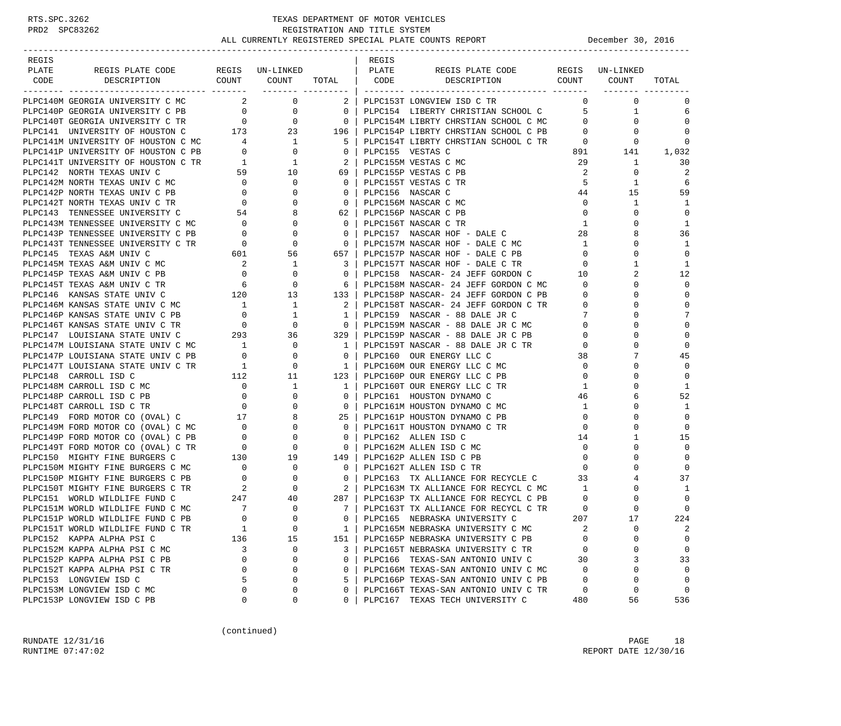| REGIS |                                                                                                                                                                                                                  |                                            |                                                                                                                                                                                                                                                                                                                                                                                      |                                                     | REGIS |                                                                    |                          |                          |                         |
|-------|------------------------------------------------------------------------------------------------------------------------------------------------------------------------------------------------------------------|--------------------------------------------|--------------------------------------------------------------------------------------------------------------------------------------------------------------------------------------------------------------------------------------------------------------------------------------------------------------------------------------------------------------------------------------|-----------------------------------------------------|-------|--------------------------------------------------------------------|--------------------------|--------------------------|-------------------------|
| PLATE | REGIS PLATE CODE REGIS UN-LINKED                                                                                                                                                                                 |                                            |                                                                                                                                                                                                                                                                                                                                                                                      |                                                     | PLATE | REGIS PLATE CODE                                                   |                          | REGIS UN-LINKED          |                         |
| CODE  |                                                                                                                                                                                                                  |                                            |                                                                                                                                                                                                                                                                                                                                                                                      | ------- ---------                                   |       | DESCRIPTION COUNT COUNT TOTAL CODE DESCRIPTION COUNT COUNT         |                          |                          | TOTAL                   |
|       | PLPC140M GEORGIA UNIVERSITY C MC                                                                                                                                                                                 |                                            | $\overline{a}$ $\overline{a}$ $\overline{a}$ $\overline{a}$ $\overline{a}$ $\overline{a}$ $\overline{a}$ $\overline{a}$ $\overline{a}$ $\overline{a}$ $\overline{a}$ $\overline{a}$ $\overline{a}$ $\overline{a}$ $\overline{a}$ $\overline{a}$ $\overline{a}$ $\overline{a}$ $\overline{a}$ $\overline{a}$ $\overline{a}$ $\overline{a}$ $\overline{a}$ $\overline{a}$ $\overline{$ |                                                     |       | 2 PLPC153T LONGVIEW ISD C TR                                       |                          | $\Omega$<br>$\mathbf{0}$ | $\Omega$                |
|       | PLPC140P GEORGIA UNIVERSITY C PB                                                                                                                                                                                 |                                            | $\begin{array}{cccc} 0 & 0 & 0 \ 0 & 0 & 0 \ 173 & 23 & 196 \end{array}$                                                                                                                                                                                                                                                                                                             |                                                     |       | PLPC154 LIBERTY CHRISTIAN SCHOOL C 5                               |                          | $\mathbf{1}$             | 6                       |
|       | PLPC140T GEORGIA UNIVERSITY C TR                                                                                                                                                                                 |                                            |                                                                                                                                                                                                                                                                                                                                                                                      |                                                     |       | PLPC154M LIBRTY CHRSTIAN SCHOOL C MC                               | $\overline{0}$           | 0                        | $\Omega$                |
|       | PLPC141 UNIVERSITY OF HOUSTON C                                                                                                                                                                                  |                                            |                                                                                                                                                                                                                                                                                                                                                                                      |                                                     |       | PLPC154P LIBRTY CHRSTIAN SCHOOL C PB 0                             |                          | 0                        | $\mathbf 0$             |
|       |                                                                                                                                                                                                                  |                                            |                                                                                                                                                                                                                                                                                                                                                                                      | 5                                                   |       |                                                                    |                          | $\mathbf{0}$             | $\mathbf 0$             |
|       | PLPC141M UNIVERSITY OF HOUSTON C MC $4$ 1<br>PLPC141P UNIVERSITY OF HOUSTON C PB 0 0 0                                                                                                                           |                                            |                                                                                                                                                                                                                                                                                                                                                                                      | $\overline{\phantom{0}}$ 0 $\overline{\phantom{0}}$ |       | PLPC154T LIBRTY CHRSTIAN SCHOOL C TR 0<br>PLPC155 VESTAS C 891     |                          | 141                      | 1,032                   |
|       |                                                                                                                                                                                                                  |                                            |                                                                                                                                                                                                                                                                                                                                                                                      |                                                     |       | PLPC155M VESTAS C MC                                               | 29                       | $\mathbf{1}$             | 30                      |
|       |                                                                                                                                                                                                                  |                                            |                                                                                                                                                                                                                                                                                                                                                                                      |                                                     |       | PLPC155P VESTAS C PB                                               | - 2                      | $\mathbf{0}$             | $\overline{2}$          |
|       | PLPC141T UNIVERSITY OF HOUSTON C TR<br>PLPC142 NORTH TEXAS UNIV C C 59 10 69  <br>PLPC142M NORTH TEXAS UNIV C MC 0 0 0 0  <br>PLPC142P NORTH TEXAS UNIV C PB 0 0 0 0  <br>PLPC142T NORTH TEXAS UNIV C TR 0 0 0 0 |                                            |                                                                                                                                                                                                                                                                                                                                                                                      |                                                     |       | PLPC155T VESTAS C TR                                               | - 5                      | 1                        | 6                       |
|       |                                                                                                                                                                                                                  |                                            |                                                                                                                                                                                                                                                                                                                                                                                      |                                                     |       | PLPC156 NASCAR C                                                   | 44                       | 15                       | 59                      |
|       |                                                                                                                                                                                                                  |                                            |                                                                                                                                                                                                                                                                                                                                                                                      |                                                     |       | PLPC156M NASCAR C MC                                               | $\overline{0}$           | 1                        | 1                       |
|       | PLPC143 TENNESSEE UNIVERSITY C                                                                                                                                                                                   |                                            | $54$ 8                                                                                                                                                                                                                                                                                                                                                                               | 62                                                  |       | PLPC156P NASCAR C PB                                               | $\overline{0}$           | 0                        | $\mathbf 0$             |
|       |                                                                                                                                                                                                                  |                                            |                                                                                                                                                                                                                                                                                                                                                                                      | $0-1$                                               |       | PLPC156T NASCAR C TR                                               | $\mathbf{1}$             | $\Omega$                 | $\mathbf{1}$            |
|       |                                                                                                                                                                                                                  |                                            |                                                                                                                                                                                                                                                                                                                                                                                      | $\overline{\phantom{0}}$                            |       | PLPC157 NASCAR HOF - DALE C                                        | 28                       | 8                        | 36                      |
|       |                                                                                                                                                                                                                  |                                            |                                                                                                                                                                                                                                                                                                                                                                                      | $\overline{0}$                                      |       | PLPC157M NASCAR HOF - DALE C MC<br>PLPC157M NASCAR HOF - DALE C MC | $\mathbf{1}$             | 0                        | 1                       |
|       | PLPC143M TENNESSEE UNIVERSITY C MC $0$<br>PLPC143P TENNESSEE UNIVERSITY C PB $0$<br>PLPC143T TENNESSEE UNIVERSITY C TR $0$<br>PLPC145 TEXAS A&M UNIV C 601 56                                                    |                                            |                                                                                                                                                                                                                                                                                                                                                                                      | 657                                                 |       | PLPC157P NASCAR HOF - DALE C PB                                    | $\overline{0}$           | $\Omega$                 | $\mathbf 0$             |
|       | PLPC145M TEXAS A&M UNIV C MC                                                                                                                                                                                     | $\begin{array}{c} 2 \\ 0 \end{array}$      | $\begin{array}{c} 1 \\ 0 \\ 0 \end{array}$                                                                                                                                                                                                                                                                                                                                           | $\overline{\mathbf{3}}$                             |       | PLPC157T NASCAR HOF - DALE C TR                                    | $\overline{0}$           | $\mathbf{1}$             | 1                       |
|       | PLPC145P TEXAS A&M UNIV C PB                                                                                                                                                                                     |                                            |                                                                                                                                                                                                                                                                                                                                                                                      | $\mathbf{0}$                                        |       | PLPC158 NASCAR- 24 JEFF GORDON C                                   | 10                       | 2                        | 12                      |
|       | PLPC145T TEXAS A&M UNIV C TR                                                                                                                                                                                     | $\overline{6}$                             |                                                                                                                                                                                                                                                                                                                                                                                      | 6                                                   |       | PLPC158M NASCAR- 24 JEFF GORDON C MC                               | $\overline{\phantom{0}}$ | $\Omega$                 | $\Omega$                |
|       | PLPC146 KANSAS STATE UNIV C                                                                                                                                                                                      |                                            | $120$ $13$                                                                                                                                                                                                                                                                                                                                                                           | 133                                                 |       | PLPC158P NASCAR- 24 JEFF GORDON C PB                               | $\overline{\mathbf{0}}$  | 0                        | $\mathbf 0$             |
|       | PLPC146M KANSAS STATE UNIV C MC                                                                                                                                                                                  |                                            | $\begin{array}{cccc} & & 1 & & & 1 \\ & & 0 & & & 1 \\ & & 0 & & & 0 \\ & & & 293 & & 36 \\ & & & & & & \end{array}$                                                                                                                                                                                                                                                                 | $\begin{array}{ccc} & 2 \end{array}$                |       | PLPC158T NASCAR- 24 JEFF GORDON C TR                               | $\overline{0}$           | $\Omega$                 | $\mathbf{0}$            |
|       | PLPC146P KANSAS STATE UNIV C PB                                                                                                                                                                                  |                                            |                                                                                                                                                                                                                                                                                                                                                                                      | $\mathbf{1}$                                        |       | PLPC159 NASCAR - 88 DALE JR C                                      | $\overline{7}$           | $\Omega$                 | 7                       |
|       | PLPC146T KANSAS STATE UNIV C TR                                                                                                                                                                                  |                                            |                                                                                                                                                                                                                                                                                                                                                                                      | $\begin{array}{c c} 0 & \end{array}$                |       | PLPC159M NASCAR - 88 DALE JR C MC                                  | $\overline{0}$           | $\Omega$                 | $\Omega$                |
|       | PLPC147 LOUISIANA STATE UNIV C                                                                                                                                                                                   |                                            |                                                                                                                                                                                                                                                                                                                                                                                      | 329                                                 |       | PLPC159P NASCAR - 88 DALE JR C PB                                  | $\mathbf 0$              | $\Omega$                 | $\Omega$                |
|       | PLPC147M LOUISIANA STATE UNIV C MC                                                                                                                                                                               |                                            | $\begin{matrix} 1 \qquad \qquad & 0 \\ 0 \qquad \qquad & 0 \end{matrix}$                                                                                                                                                                                                                                                                                                             | $1 \quad$                                           |       | PLPC159T NASCAR - 88 DALE JR C TR                                  | $\mathbf{0}$             | 0                        | $\Omega$                |
|       | PLPC147P LOUISIANA STATE UNIV C PB                                                                                                                                                                               |                                            |                                                                                                                                                                                                                                                                                                                                                                                      | $\overline{\phantom{0}}$ 0 $\overline{\phantom{0}}$ |       | PLPC160 OUR ENERGY LLC C                                           | 38                       | 7                        | 45                      |
|       | PLPC147T LOUISIANA STATE UNIV C TR<br>PLPC148 CARROLL ISD C                                                                                                                                                      |                                            |                                                                                                                                                                                                                                                                                                                                                                                      | $\begin{array}{ccc} & 1 \end{array}$<br>123         |       | PLPC160M OUR ENERGY LLC C MC 0<br>PLPC160P OUR ENERGY LLC C PB     | $\mathbf{0}$             | $\Omega$<br>$\Omega$     | $\mathbf 0$<br>$\Omega$ |
|       | PLPC148M CARROLL ISD C MC                                                                                                                                                                                        |                                            |                                                                                                                                                                                                                                                                                                                                                                                      | 1 <sup>1</sup>                                      |       | PLPC160T OUR ENERGY LLC C TR                                       | 1                        | $\Omega$                 | 1                       |
|       | PLPC148P CARROLL ISD C PB                                                                                                                                                                                        |                                            |                                                                                                                                                                                                                                                                                                                                                                                      | $\circ$                                             |       | PLPC161 HOUSTON DYNAMO C                                           | 46                       | 6                        | 52                      |
|       | PLPC148T CARROLL ISD C TR                                                                                                                                                                                        |                                            |                                                                                                                                                                                                                                                                                                                                                                                      | $\overline{\phantom{0}}$ 0 $\overline{\phantom{0}}$ |       | PLPC161M HOUSTON DYNAMO C MC                                       | 1                        | $\Omega$                 | 1                       |
|       | PLPC149 FORD MOTOR CO (OVAL) C                                                                                                                                                                                   |                                            | $\begin{array}{cccc} & \circ & & 0 & \ 1 & & & 0 & \ 112 & & & 11 & \ 0 & & & 1 & \ 0 & & & 0 & \ 0 & & & 0 & \ 0 & & & & 0 \end{array}$<br>17 8                                                                                                                                                                                                                                     | 25                                                  |       | PLPC161P HOUSTON DYNAMO C PB                                       | $\overline{0}$           | 0                        | $\mathbf 0$             |
|       | PLPC149M FORD MOTOR CO (OVAL) C MC                                                                                                                                                                               |                                            |                                                                                                                                                                                                                                                                                                                                                                                      | $0-1$                                               |       | PLPC161T HOUSTON DYNAMO C TR                                       | $\mathbf{0}$             | 0                        | $\Omega$                |
|       | PLPC149P FORD MOTOR CO (OVAL) C PB                                                                                                                                                                               |                                            |                                                                                                                                                                                                                                                                                                                                                                                      | $\mathbf{0}$                                        |       | PLPC162 ALLEN ISD C                                                | 14                       | 1                        | 15                      |
|       | PLPC149T FORD MOTOR CO (OVAL) C TR                                                                                                                                                                               |                                            |                                                                                                                                                                                                                                                                                                                                                                                      | $\overline{0}$                                      |       | PLPC162M ALLEN ISD C MC                                            | $\overline{0}$           | 0                        | $\Omega$                |
|       | PLPC150 MIGHTY FINE BURGERS C                                                                                                                                                                                    |                                            | $\begin{array}{cccc} \tt MC & 0 & 0 \\ \tt PB & 0 & 0 \\ \tt TR & 0 & 0 \\ 130 & 19 \end{array}$                                                                                                                                                                                                                                                                                     | 149                                                 |       | PLPC162P ALLEN ISD C PB                                            | $\overline{0}$           | $\Omega$                 | $\mathbf 0$             |
|       | PLPC150M MIGHTY FINE BURGERS C MC                                                                                                                                                                                |                                            |                                                                                                                                                                                                                                                                                                                                                                                      | $\overline{\phantom{0}}$ 0 $\overline{\phantom{0}}$ |       | PLPC162T ALLEN ISD C TR                                            | $\mathbf{0}$             | $\Omega$                 | $\mathbf 0$             |
|       | PLPC150P MIGHTY FINE BURGERS C PB                                                                                                                                                                                |                                            |                                                                                                                                                                                                                                                                                                                                                                                      | 0 <sup>1</sup>                                      |       | PLPC163 TX ALLIANCE FOR RECYCLE C                                  | 33                       | 4                        | 37                      |
|       | PLPC150T MIGHTY FINE BURGERS C TR                                                                                                                                                                                | $\begin{array}{c} 0 \\ 0 \\ 2 \end{array}$ | $\begin{array}{c} 0 \\ 0 \\ 0 \end{array}$                                                                                                                                                                                                                                                                                                                                           | $\begin{array}{ccc} & 2 & \end{array}$              |       | PLPC163M TX ALLIANCE FOR RECYCL C MC 1                             |                          | $\Omega$                 | 1                       |
|       | PLPC151 WORLD WILDLIFE FUND C                                                                                                                                                                                    |                                            | 40                                                                                                                                                                                                                                                                                                                                                                                   | 287                                                 |       | PLPC163P TX ALLIANCE FOR RECYCL C PB                               | $\overline{0}$           | 0                        | $\Omega$                |
|       | PLPC151M WORLD WILDLIFE FUND C MC                                                                                                                                                                                | $\frac{247}{7}$                            | $\mathbf 0$                                                                                                                                                                                                                                                                                                                                                                          | 7 <sup>1</sup>                                      |       | PLPC163T TX ALLIANCE FOR RECYCL C TR                               | $\overline{\phantom{0}}$ | $\Omega$                 | $\mathbf 0$             |
|       | PLPC151P WORLD WILDLIFE FUND C PB                                                                                                                                                                                | $\Omega$                                   | $\Omega$                                                                                                                                                                                                                                                                                                                                                                             | $\Omega$                                            |       | PLPC165 NEBRASKA UNIVERSITY C                                      | 207                      | 17                       | 224                     |
|       | PLPC151T WORLD WILDLIFE FUND C TR                                                                                                                                                                                | $\mathbf{1}$                               | $\mathbf 0$                                                                                                                                                                                                                                                                                                                                                                          | $\mathbf{1}$                                        |       | PLPC165M NEBRASKA UNIVERSITY C MC                                  |                          | $\mathbf 0$              | 2                       |
|       | PLPC152 KAPPA ALPHA PSI C                                                                                                                                                                                        | 136                                        | 15                                                                                                                                                                                                                                                                                                                                                                                   | 151                                                 |       | PLPC165P NEBRASKA UNIVERSITY C PB                                  | 0                        | 0                        | 0                       |
|       | PLPC152M KAPPA ALPHA PSI C MC                                                                                                                                                                                    | 3                                          | 0                                                                                                                                                                                                                                                                                                                                                                                    | 3                                                   |       | PLPC165T NEBRASKA UNIVERSITY C TR                                  | 0                        | 0                        | 0                       |
|       | PLPC152P KAPPA ALPHA PSI C PB                                                                                                                                                                                    | 0                                          | 0                                                                                                                                                                                                                                                                                                                                                                                    | $\mathbf{0}$                                        |       | PLPC166 TEXAS-SAN ANTONIO UNIV C                                   | 30                       | 3                        | 33                      |
|       | PLPC152T KAPPA ALPHA PSI C TR                                                                                                                                                                                    | 0                                          | 0                                                                                                                                                                                                                                                                                                                                                                                    | $\mathbf{0}$                                        |       | PLPC166M TEXAS-SAN ANTONIO UNIV C MC                               | $\mathbf 0$              | 0                        | 0                       |
|       | PLPC153 LONGVIEW ISD C                                                                                                                                                                                           | 5                                          | 0                                                                                                                                                                                                                                                                                                                                                                                    | 5                                                   |       | PLPC166P TEXAS-SAN ANTONIO UNIV C PB                               | $\mathbf 0$              | $\mathbf 0$              | $\mathbf{0}$            |
|       | PLPC153M LONGVIEW ISD C MC                                                                                                                                                                                       | 0                                          | 0                                                                                                                                                                                                                                                                                                                                                                                    | 0                                                   |       | PLPC166T TEXAS-SAN ANTONIO UNIV C TR                               | 0                        | 0                        | $\mathbf 0$             |
|       | PLPC153P LONGVIEW ISD C PB                                                                                                                                                                                       | 0                                          | 0                                                                                                                                                                                                                                                                                                                                                                                    | $\Omega$                                            |       | PLPC167 TEXAS TECH UNIVERSITY C                                    | 480                      | 56                       | 536                     |

(continued)

RUNDATE  $12/31/16$  PAGE 18 RUNTIME 07:47:02 REPORT DATE 12/30/16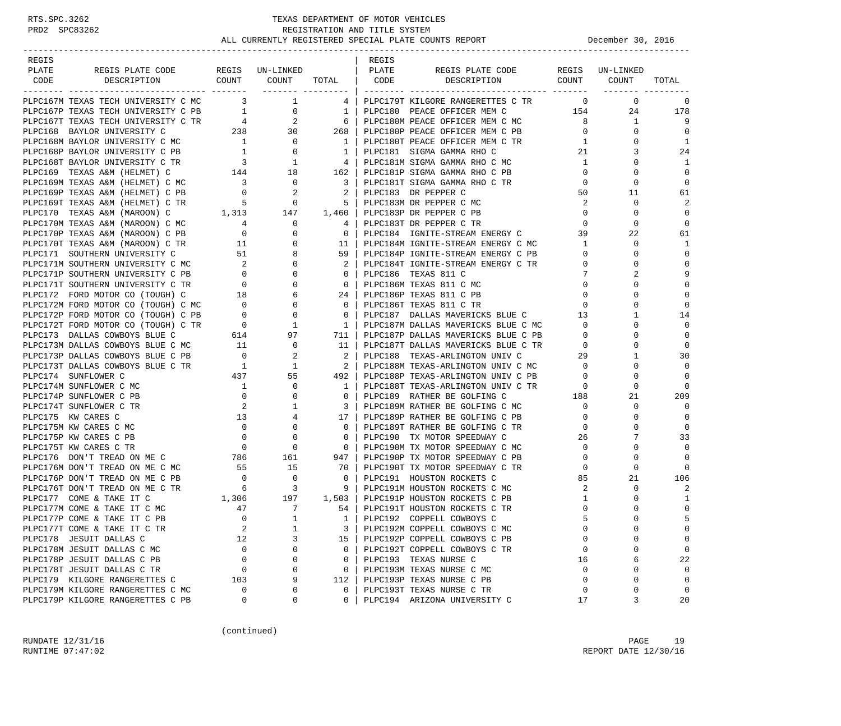### RTS.SPC.3262 TEXAS DEPARTMENT OF MOTOR VEHICLES<br>PRD2 SPC83262 REGISTRATION AND TITLE SYSTEM REGISTRATION AND TITLE SYSTEM ALL CURRENTLY REGISTERED SPECIAL PLATE COUNTS REPORT **DECEMBER 1999** December 30, 2016

-----------------------------------------------------------------------------------------------------------------------------------

| REGIS |                                                                                                                                                                                                                                              |  | REGIS |                                  |                 |                                                                                                                     |                |
|-------|----------------------------------------------------------------------------------------------------------------------------------------------------------------------------------------------------------------------------------------------|--|-------|----------------------------------|-----------------|---------------------------------------------------------------------------------------------------------------------|----------------|
| PLATE |                                                                                                                                                                                                                                              |  |       |                                  |                 |                                                                                                                     |                |
| CODE  |                                                                                                                                                                                                                                              |  |       |                                  |                 |                                                                                                                     | TOTAL          |
|       |                                                                                                                                                                                                                                              |  |       |                                  |                 |                                                                                                                     |                |
|       |                                                                                                                                                                                                                                              |  |       |                                  |                 | $\begin{array}{cccc} & 0 & & 0 & & 0 \\ 154 & & 24 & & 178 \end{array}$                                             |                |
|       |                                                                                                                                                                                                                                              |  |       |                                  |                 |                                                                                                                     |                |
|       |                                                                                                                                                                                                                                              |  |       |                                  |                 |                                                                                                                     | i i g          |
|       |                                                                                                                                                                                                                                              |  |       |                                  |                 |                                                                                                                     | $\overline{0}$ |
|       |                                                                                                                                                                                                                                              |  |       |                                  |                 | $\begin{array}{ccc} 1 & 0 & 0 \\ 8 & 1 \\ 0 & 0 \\ 1 & 0 \\ 21 & 3 \\ 3 & 0 \\ 1 & 0 \\ 3 & 0 \\ 3 & 3 \end{array}$ | $\overline{1}$ |
|       |                                                                                                                                                                                                                                              |  |       |                                  |                 |                                                                                                                     | 24             |
|       |                                                                                                                                                                                                                                              |  |       |                                  | $\mathbf{1}$    | $\Omega$                                                                                                            | $\overline{1}$ |
|       |                                                                                                                                                                                                                                              |  |       |                                  |                 |                                                                                                                     | $\Omega$       |
|       |                                                                                                                                                                                                                                              |  |       |                                  |                 |                                                                                                                     | $\overline{0}$ |
|       |                                                                                                                                                                                                                                              |  |       |                                  |                 |                                                                                                                     | 61             |
|       |                                                                                                                                                                                                                                              |  |       |                                  |                 |                                                                                                                     | $\overline{a}$ |
|       |                                                                                                                                                                                                                                              |  |       |                                  |                 |                                                                                                                     | $\overline{0}$ |
|       |                                                                                                                                                                                                                                              |  |       |                                  |                 |                                                                                                                     | $\Omega$       |
|       |                                                                                                                                                                                                                                              |  |       |                                  |                 |                                                                                                                     | 61             |
|       |                                                                                                                                                                                                                                              |  |       |                                  | $\mathbf{1}$    | $\mathbf 0$                                                                                                         | 1              |
|       |                                                                                                                                                                                                                                              |  |       |                                  | $\mathbf{0}$    | $\mathbf 0$                                                                                                         | $\Omega$       |
|       |                                                                                                                                                                                                                                              |  |       |                                  | $\overline{0}$  | $\Omega$                                                                                                            | $\mathbf 0$    |
|       |                                                                                                                                                                                                                                              |  |       |                                  | $7\overline{ }$ | 2                                                                                                                   | 9              |
|       |                                                                                                                                                                                                                                              |  |       |                                  |                 | $\Omega$                                                                                                            | $\Omega$       |
|       |                                                                                                                                                                                                                                              |  |       |                                  |                 | $\mathbf 0$                                                                                                         | $\mathbf 0$    |
|       |                                                                                                                                                                                                                                              |  |       |                                  |                 | $\begin{array}{c} 0 \\ 0 \\ 0 \\ 13 \end{array}$<br>$\Omega$                                                        | $\Omega$       |
|       |                                                                                                                                                                                                                                              |  |       |                                  |                 | $\mathbf{1}$                                                                                                        |                |
|       |                                                                                                                                                                                                                                              |  |       |                                  | $\overline{0}$  |                                                                                                                     | 14<br>$\Omega$ |
|       |                                                                                                                                                                                                                                              |  |       |                                  |                 | $\mathbf{0}$                                                                                                        |                |
|       |                                                                                                                                                                                                                                              |  |       |                                  |                 | $\begin{array}{c} 0 \\ 0 \end{array}$<br>$\Omega$                                                                   | $\Omega$       |
|       |                                                                                                                                                                                                                                              |  |       |                                  |                 | $\mathbf{0}$                                                                                                        | $\overline{0}$ |
|       |                                                                                                                                                                                                                                              |  |       |                                  | 29              | $\mathbf{1}$                                                                                                        | 30             |
|       |                                                                                                                                                                                                                                              |  |       |                                  | $\bigcirc$      | $\Omega$                                                                                                            | $\Omega$       |
|       |                                                                                                                                                                                                                                              |  |       |                                  |                 | $\overline{0}$<br>$\circ$                                                                                           | 0              |
|       |                                                                                                                                                                                                                                              |  |       |                                  | $\overline{0}$  | $\Omega$                                                                                                            |                |
|       |                                                                                                                                                                                                                                              |  |       |                                  |                 | 21                                                                                                                  | 209            |
|       |                                                                                                                                                                                                                                              |  |       |                                  |                 | $\begin{bmatrix} 188 \\ 0 \\ 0 \end{bmatrix}$<br>$\mathbf 0$                                                        | $\Omega$       |
|       |                                                                                                                                                                                                                                              |  |       |                                  |                 | $\mathbf 0$                                                                                                         | $\overline{0}$ |
|       |                                                                                                                                                                                                                                              |  |       |                                  |                 | $\mathbf 0$                                                                                                         | 0              |
|       |                                                                                                                                                                                                                                              |  |       |                                  | 26              | 7                                                                                                                   | 33             |
|       |                                                                                                                                                                                                                                              |  |       |                                  | $\overline{0}$  | $\Omega$                                                                                                            | $\Omega$       |
|       | PIPERSY TEXAS AND (EXECUTE THE SOLUTION OF THE SUPER CREATED TRIAL AND THE CHANNEL CREATED TRIAL AND INTERFERENCE IN THE SUPER CREATED TRIAL AND INTERFERENCE IN THE SUPER CREATED TRIAL AND INTERFERENCE IN THE SUPER CREATE                |  |       |                                  |                 | $\mathbf 0$<br>$\begin{array}{ccc}\n & \circ & \circ \\  & 85 & & 2 \\  & 2 & & \n\end{array}$                      | $\mathbf 0$    |
|       |                                                                                                                                                                                                                                              |  |       |                                  | $\overline{0}$  | $\mathbf 0$                                                                                                         | $\bigcirc$     |
|       |                                                                                                                                                                                                                                              |  |       |                                  |                 | 21                                                                                                                  | 106            |
|       |                                                                                                                                                                                                                                              |  |       |                                  |                 | $\mathbf 0$                                                                                                         | 2              |
|       |                                                                                                                                                                                                                                              |  |       |                                  | $\mathbf{1}$    | $\mathbf 0$                                                                                                         | 1              |
|       |                                                                                                                                                                                                                                              |  |       |                                  | $\mathbf 0$     | $\mathbf 0$                                                                                                         | $\mathbf 0$    |
|       |                                                                                                                                                                                                                                              |  |       |                                  | 5               | $\mathbf 0$                                                                                                         | 5              |
|       |                                                                                                                                                                                                                                              |  |       |                                  | $\circ$         | $\Omega$                                                                                                            | $\Omega$       |
|       |                                                                                                                                                                                                                                              |  |       |                                  | $\overline{0}$  | $\Omega$                                                                                                            | $\Omega$       |
|       |                                                                                                                                                                                                                                              |  |       |                                  | $\overline{0}$  | 0                                                                                                                   | $\overline{0}$ |
|       | PLPC177 COME & TAKE IT C<br>PLPC177 COME & TAKE IT C<br>PLPC177 COME & TAKE IT C MC<br>PLPC177 COME & TAKE IT C PB<br>PLPC177 COME & TAKE IT C TR<br>PLPC177 COME & TAKE IT C TR<br>PLPC177 COME & TAKE IT C TR<br>2 1 3 PLPC1921 COPPELL CO |  |       |                                  | 16              | 6                                                                                                                   | 22             |
|       |                                                                                                                                                                                                                                              |  |       |                                  | $\overline{0}$  | $\mathbf{0}$                                                                                                        | $\Omega$       |
|       |                                                                                                                                                                                                                                              |  |       |                                  | $\overline{0}$  | $\mathbf{0}$                                                                                                        | $\overline{0}$ |
|       |                                                                                                                                                                                                                                              |  |       |                                  | $\mathbf 0$     | $\Omega$                                                                                                            | $\overline{0}$ |
|       |                                                                                                                                                                                                                                              |  |       | 0   PLPC194 ARIZONA UNIVERSITY C | 17              |                                                                                                                     | 20             |

(continued)

RUNDATE  $12/31/16$  PAGE 19 RUNTIME 07:47:02 REPORT DATE 12/30/16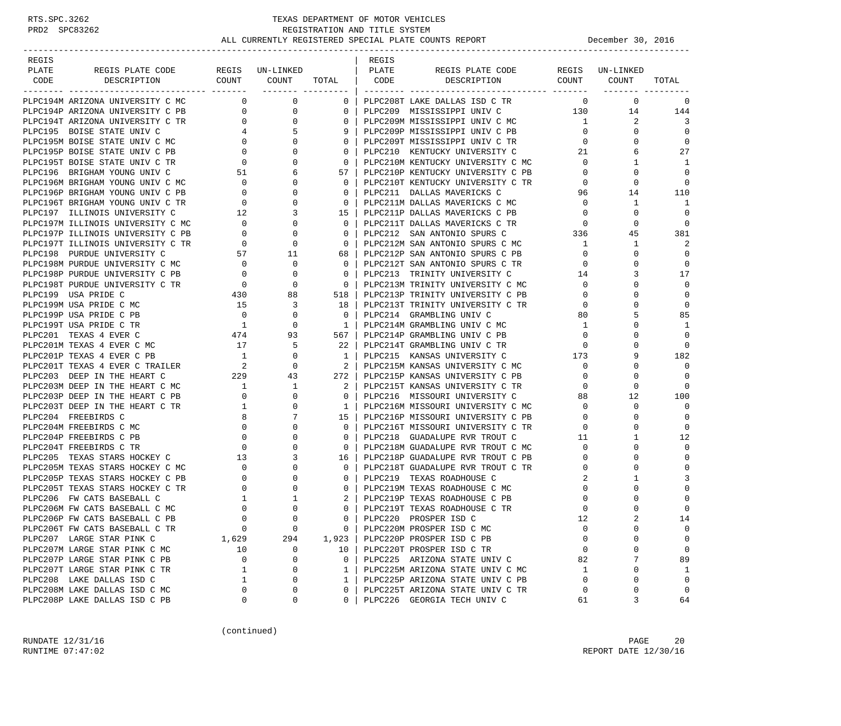| REGIS<br>PLATE |                                                |                                              |                     |                    | REGIS<br>PLATE |                                                                        |                            | REGIS UN-LINKED |                      |
|----------------|------------------------------------------------|----------------------------------------------|---------------------|--------------------|----------------|------------------------------------------------------------------------|----------------------------|-----------------|----------------------|
| CODE           | REGIS PLATE CODE<br>DESCRIPTION                | COUNT COUNT                                  | REGIS UN-LINKED     |                    | CODE           | REGIS PLATE CODE<br>DESCRIPTION                                        |                            | COUNT COUNT     | TOTAL                |
|                |                                                |                                              | ------- --------- - | TOTAL              |                |                                                                        |                            |                 |                      |
|                | PLPC194M ARIZONA UNIVERSITY C MC               | $\overline{0}$                               | $\mathbf 0$         | $\mathbf{0}$       |                | PLPC208T LAKE DALLAS ISD C TR                                          | $\mathbf 0$                | $\mathbf 0$     | 0                    |
|                | PLPC194P ARIZONA UNIVERSITY C PB               | $\overline{0}$                               | 0                   | $\mathbf{0}$       |                | PLPC209 MISSISSIPPI UNIV C 130                                         |                            | 14              | 144                  |
|                | PLPC194T ARIZONA UNIVERSITY C TR               | $\overline{0}$                               | 0                   | $\mathbf 0$        |                | PLPC209M MISSISSIPPI UNIV C MC                                         | $\mathbf{1}$               | 2               | 3                    |
|                | PLPC195 BOISE STATE UNIV C                     | $4\degree$                                   | .5                  | 9                  |                | PLPC209P MISSISSIPPI UNIV C PB                                         | $\overline{0}$             | $\Omega$        | $\Omega$             |
|                | PLPC195M BOISE STATE UNIV C MC                 | $\overline{0}$                               |                     | $\mathbf{0}$       |                | PLPC209T MISSISSIPPI UNIV C TR                                         | $\mathbf{0}$               | 0               | $\mathbf 0$          |
|                | PLPC195P BOISE STATE UNIV C PB                 | $\mathbf{0}$                                 |                     | $\mathbf 0$        |                | PLPC210 KENTUCKY UNIVERSITY C                                          | 21                         | 6               | 27                   |
|                | PLPC195T BOISE STATE UNIV C TR                 | $\overline{0}$                               |                     | $\mathbf{0}$       |                | PLPC210M KENTUCKY UNIVERSITY C MC                                      | $\overline{0}$             | 1               | 1                    |
|                | PLPC196 BRIGHAM YOUNG UNIV C                   | 51                                           | 6                   | 57                 |                | PLPC210P KENTUCKY UNIVERSITY C PB                                      | $\mathbf 0$                | $\Omega$        | $\Omega$             |
|                | PLPC196M BRIGHAM YOUNG UNIV C MC               | $\overline{0}$                               | $\Omega$            | $\Omega$           |                | PLPC210T KENTUCKY UNIVERSITY C TR                                      | $\mathbf 0$                | $\Omega$        | $\Omega$             |
|                | PLPC196P BRIGHAM YOUNG UNIV C PB               | $\begin{array}{c}\n0 \\ \hline\n\end{array}$ | 0                   | $\mathbf{0}$       |                | PLPC211 DALLAS MAVERICKS C                                             | 96                         | 14              | 110                  |
|                | PLPC196T BRIGHAM YOUNG UNIV C TR               |                                              |                     | $\mathbf 0$        |                | PLPC211M DALLAS MAVERICKS C MC                                         | $\mathbf 0$                | 1               | -1                   |
|                | PLPC197 ILLINOIS UNIVERSITY C                  | 12                                           | 3                   | 15                 |                | PLPC211P DALLAS MAVERICKS C PB                                         | $\overline{0}$             | $\mathbf 0$     | $\Omega$             |
|                | PLPC197M ILLINOIS UNIVERSITY C MC              | $\overline{\phantom{0}}$                     | $\Omega$            | $\mathbf{0}$       |                | PLPC211T DALLAS MAVERICKS C TR                                         | $\overline{0}$             | $\Omega$        | $\Omega$             |
|                | PLPC197P ILLINOIS UNIVERSITY C PB              | $\overline{0}$                               | $\Omega$            | $\Omega$           |                | PLPC212 SAN ANTONIO SPURS C                                            | 336                        | 45              | 381                  |
|                | PLPC197T ILLINOIS UNIVERSITY C TR              | $\circ$                                      | 0                   | $\mathbf 0$        |                | PLPC212M SAN ANTONIO SPURS C MC                                        | $\mathbf{1}$               | 1               | 2                    |
|                | PLPC198 PURDUE UNIVERSITY C                    | 57                                           | 11                  | 68                 |                | PLPC212P SAN ANTONIO SPURS C PB                                        | $\overline{0}$             | $\Omega$        | $\Omega$             |
|                | PLPC198M PURDUE UNIVERSITY C MC                | $\overline{\phantom{0}}$                     | $\mathbf 0$         | $\mathbf{0}$       |                | PLPC212T SAN ANTONIO SPURS C TR                                        | $\mathbf{0}$               | $\Omega$        | 0                    |
|                | PLPC198P PURDUE UNIVERSITY C PB                | $\overline{0}$                               | 0                   | $\mathbf{0}$       |                | PLPC213 TRINITY UNIVERSITY C                                           | 14                         | 3               | 17                   |
|                | PLPC198T PURDUE UNIVERSITY C TR                | $\overline{0}$                               | $\Omega$            | $\overline{0}$     |                | PLPC213M TRINITY UNIVERSITY C MC                                       | $\circ$                    | 0               | $\Omega$             |
|                | PLPC199 USA PRIDE C                            | 430                                          | 88                  | 518                |                | PLPC213P TRINITY UNIVERSITY C PB                                       | $\mathbf{0}$               | 0               | 0                    |
|                | PLPC199M USA PRIDE C MC                        | 15                                           | 3                   | 18                 |                | PLPC213T TRINITY UNIVERSITY C TR                                       | $\overline{0}$             | $\Omega$        | $\mathbf 0$          |
|                | PLPC199P USA PRIDE C PB                        | $\overline{0}$                               | 0                   | $\overline{0}$     |                | PLPC214 GRAMBLING UNIV C                                               | 80                         | 5               | 85                   |
|                | PLPC199T USA PRIDE C TR                        | $\overline{1}$                               | 0                   | $\mathbf{1}$       |                | PLPC214M GRAMBLING UNIV C MC                                           | $\mathbf{1}$               | 0               | 1                    |
|                | PLPC201 TEXAS 4 EVER C                         | 474                                          | 93                  | 567                |                | PLPC214P GRAMBLING UNIV C PB                                           | $\mathbf 0$                | 0               | $\Omega$             |
|                | PLPC201M TEXAS 4 EVER C MC                     | 17                                           | 5                   | 22                 |                | PLPC214T GRAMBLING UNIV C TR                                           | $\mathbf{0}$               |                 | $\Omega$             |
|                | PLPC201P TEXAS 4 EVER C PB                     | 1                                            | $\Omega$            | $\mathbf{1}$       |                | PLPC215 KANSAS UNIVERSITY C                                            | 173                        | 9               | 182                  |
|                | PLPC201T TEXAS 4 EVER C TRAILER                | $\overline{\phantom{a}}$ 2                   | $\mathbf 0$         | -2                 |                | PLPC215M KANSAS UNIVERSITY C MC                                        | $\mathbf 0$                | 0               | 0                    |
|                | PLPC203 DEEP IN THE HEART C                    | 229                                          | 43                  | 272                |                | PLPC215P KANSAS UNIVERSITY C PB                                        | $\mathbf 0$                | O               | $\Omega$             |
|                | PLPC203M DEEP IN THE HEART C MC                | $\overline{\mathbf{1}}$                      | 1                   | 2                  |                | PLPC215T KANSAS UNIVERSITY C TR                                        | $\mathbf{0}$               | 0               | $\Omega$             |
|                | PLPC203P DEEP IN THE HEART C PB                | $\mathbf{0}$                                 | 0                   | $\Omega$           |                | PLPC216 MISSOURI UNIVERSITY C                                          | 88                         | 12              | 100                  |
|                | PLPC203T DEEP IN THE HEART C TR                | $\overline{1}$                               | $\Omega$            | 1                  |                | PLPC216M MISSOURI UNIVERSITY C MC                                      | 0                          | $\Omega$        | $\Omega$             |
|                | PLPC204 FREEBIRDS C<br>PLPC204M FREEBIRDS C MC | 8<br>$\mathbf 0$                             | 7<br>$\Omega$       | 15<br>$\mathbf{0}$ |                | PLPC216P MISSOURI UNIVERSITY C PB<br>PLPC216T MISSOURI UNIVERSITY C TR | $\mathbf 0$<br>$\mathbf 0$ | $\Omega$<br>0   | $\Omega$<br>$\Omega$ |
|                | PLPC204P FREEBIRDS C PB                        | $\circ$                                      | $\Omega$            | $\Omega$           |                | PLPC218 GUADALUPE RVR TROUT C                                          | 11                         | 1               | 12                   |
|                | PLPC204T FREEBIRDS C TR                        | $\circ$                                      | $\Omega$            | $\mathbf{0}$       |                | PLPC218M GUADALUPE RVR TROUT C MC                                      | $\mathbf{0}$               | 0               | $\Omega$             |
|                | PLPC205 TEXAS STARS HOCKEY C                   | 13                                           | 3                   | 16                 |                | PLPC218P GUADALUPE RVR TROUT C PB                                      | $\mathbf{0}$               | $\Omega$        | $\Omega$             |
|                | PLPC205M TEXAS STARS HOCKEY C MC               | $\overline{0}$                               | $\Omega$            | $\mathbf{0}$       |                | PLPC218T GUADALUPE RVR TROUT C TR                                      | 0                          | $\Omega$        | $\Omega$             |
|                | PLPC205P TEXAS STARS HOCKEY C PB               | $\mathbf 0$                                  |                     | $\mathbf{0}$       |                | PLPC219 TEXAS ROADHOUSE C                                              | 2                          | 1               | 3                    |
|                | PLPC205T TEXAS STARS HOCKEY C TR               | $\circ$                                      |                     | $\mathbf{0}$       |                | PLPC219M TEXAS ROADHOUSE C MC                                          | 0                          | 0               | $\Omega$             |
|                | PLPC206 FW CATS BASEBALL C                     | $\mathbf{1}$                                 | 1                   | 2                  |                | PLPC219P TEXAS ROADHOUSE C PB                                          | 0                          | 0               | $\Omega$             |
|                | PLPC206M FW CATS BASEBALL C MC                 | $\mathbf 0$                                  | $\Omega$            | $\Omega$           |                | PLPC219T TEXAS ROADHOUSE C TR                                          | $\mathbf 0$                |                 | $\Omega$             |
|                | PLPC206P FW CATS BASEBALL C PB                 | $\Omega$                                     | $\cap$              | $\Omega$           |                | PLPC220 PROSPER ISD C                                                  | 12                         |                 | 14                   |
|                | PLPC206T FW CATS BASEBALL C TR                 | $\overline{0}$                               | 0                   | $\overline{0}$     |                | PLPC220M PROSPER ISD C MC                                              | $\mathbf 0$                | $\Omega$        | 0                    |
|                | PLPC207 LARGE STAR PINK C                      | 1,629                                        | 294                 | 1,923              |                | PLPC220P PROSPER ISD C PB                                              | $\mathbf 0$                | U               | $\mathbf 0$          |
|                | PLPC207M LARGE STAR PINK C MC                  | 10                                           | 0                   | 10                 |                | PLPC220T PROSPER ISD C TR                                              | $\mathbf 0$                | 0               | $\mathbf 0$          |
|                | PLPC207P LARGE STAR PINK C PB                  | $\mathbf 0$                                  | 0                   | $\overline{0}$     |                | PLPC225 ARIZONA STATE UNIV C                                           | 82                         | 7               | 89                   |
|                | PLPC207T LARGE STAR PINK C TR                  | 1                                            | 0                   | $\mathbf{1}$       |                | PLPC225M ARIZONA STATE UNIV C MC                                       | 1                          | U               | 1                    |
|                | PLPC208 LAKE DALLAS ISD C                      | 1                                            | 0                   | $\mathbf{1}$       |                | PLPC225P ARIZONA STATE UNIV C PB                                       | $\mathbf 0$                | $\Omega$        | $\mathbf 0$          |
|                | PLPC208M LAKE DALLAS ISD C MC                  | 0                                            | $\Omega$            | 0                  |                | PLPC225T ARIZONA STATE UNIV C TR                                       | 0                          | 0               | 0                    |
|                | PLPC208P LAKE DALLAS ISD C PB                  | 0                                            | 0                   | $\Omega$           |                | PLPC226 GEORGIA TECH UNIV C                                            | 61                         | 3               | 64                   |

(continued)

RUNDATE  $12/31/16$  PAGE 20 RUNTIME 07:47:02 REPORT DATE 12/30/16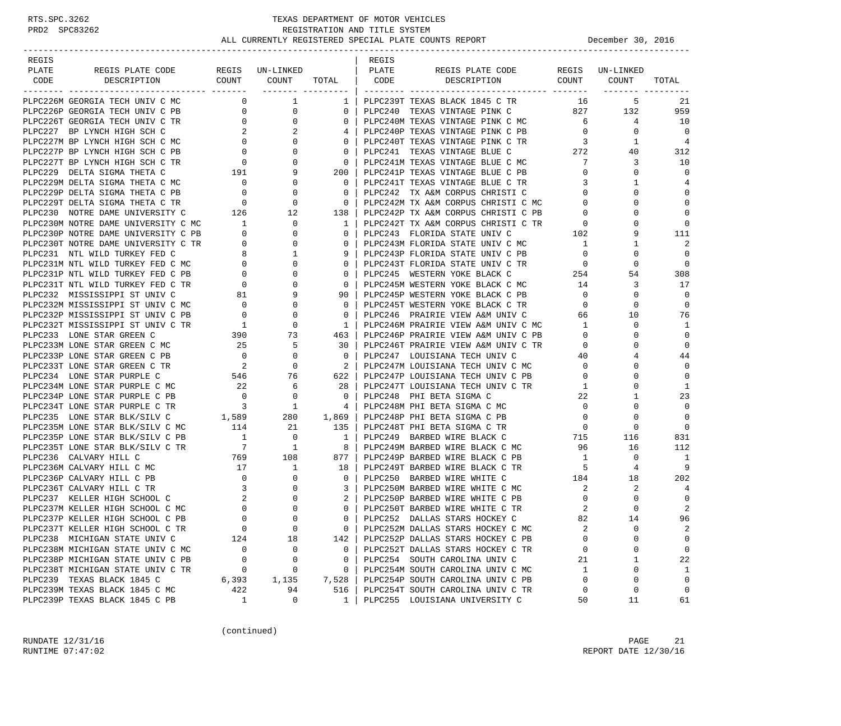| REGIS<br>PLATE | REGIS PLATE CODE                                                               |                                        | REGIS UN-LINKED                                                                                                                                                                                                                                                                                                                                                                                                                        |                                                     | REGIS<br>  PLATE | REGIS PLATE CODE                                                                                                 |                         | REGIS UN-LINKED |                |
|----------------|--------------------------------------------------------------------------------|----------------------------------------|----------------------------------------------------------------------------------------------------------------------------------------------------------------------------------------------------------------------------------------------------------------------------------------------------------------------------------------------------------------------------------------------------------------------------------------|-----------------------------------------------------|------------------|------------------------------------------------------------------------------------------------------------------|-------------------------|-----------------|----------------|
| CODE           | DESCRIPTION                                                                    |                                        | $\texttt{COUNT}$ $\texttt{COUNT}$ $\texttt{TOTAL}$ $\mid$ $\texttt{CODE}$                                                                                                                                                                                                                                                                                                                                                              |                                                     |                  | DESCRIPTION COUNT COUNT                                                                                          |                         |                 | TOTAL          |
|                |                                                                                |                                        |                                                                                                                                                                                                                                                                                                                                                                                                                                        |                                                     |                  |                                                                                                                  |                         |                 |                |
|                | PLPC226M GEORGIA TECH UNIV C MC                                                |                                        | $\begin{array}{ccc} & & 0 & \quad & 1 \end{array}$                                                                                                                                                                                                                                                                                                                                                                                     | 1 <sup>1</sup>                                      |                  | PLPC239T TEXAS BLACK 1845 C TR                                                                                   | 16                      | 5               | 21             |
|                | PLPC226P GEORGIA TECH UNIV C PB                                                | $\overline{0}$                         | $\overline{0}$                                                                                                                                                                                                                                                                                                                                                                                                                         | 0 <sup>1</sup>                                      |                  | PLPC240 TEXAS VINTAGE PINK C 827 132                                                                             |                         |                 | 959            |
|                | PLPC226T GEORGIA TECH UNIV C TR                                                | $\begin{array}{c} 0 \\ 2 \end{array}$  | $\overline{0}$                                                                                                                                                                                                                                                                                                                                                                                                                         | $\mathbf{0}$                                        |                  | ELPC240P TEXAS VINTAGE PINK C MC<br>PLPC240P TEXAS VINTAGE PINK C PB 0<br>PLPC240T TEXAS VINTAGE --              |                         | $\overline{4}$  | 10             |
|                | PLPC227 BP LYNCH HIGH SCH C                                                    |                                        | 2                                                                                                                                                                                                                                                                                                                                                                                                                                      |                                                     |                  |                                                                                                                  | $\overline{0}$          | $\mathbf{0}$    | $\Omega$       |
|                |                                                                                |                                        |                                                                                                                                                                                                                                                                                                                                                                                                                                        | 0 <sup>1</sup>                                      |                  |                                                                                                                  | $\overline{\mathbf{3}}$ | 1               | $\overline{4}$ |
|                |                                                                                |                                        |                                                                                                                                                                                                                                                                                                                                                                                                                                        | 0 <sup>1</sup>                                      |                  | PLPC240T TEXAS VINTAGE PINK C TR<br>pLPC240T TEXAS VINTAGE BLUE C 272                                            |                         | 40              | 312            |
|                |                                                                                |                                        |                                                                                                                                                                                                                                                                                                                                                                                                                                        | $\overline{\phantom{0}}$ 0 $\overline{\phantom{0}}$ |                  | PLPC241M TEXAS VINTAGE BLUE C MC                                                                                 | $\overline{7}$          | 3               | 10             |
|                |                                                                                |                                        |                                                                                                                                                                                                                                                                                                                                                                                                                                        | $200$                                               |                  | PLPC241P TEXAS VINTAGE BLUE C PB                                                                                 | $\overline{0}$          | $\Omega$        | $\Omega$       |
|                |                                                                                |                                        |                                                                                                                                                                                                                                                                                                                                                                                                                                        | $\Omega$                                            |                  | PLPC241T TEXAS VINTAGE BLUE C TR                                                                                 | 3                       | 1               | 4              |
|                |                                                                                |                                        |                                                                                                                                                                                                                                                                                                                                                                                                                                        | $\mathbf{0}$                                        |                  | LIL CATA - IA A&M CORPUS CHRISTI C<br>PLPC242M TX A&M CORPUS CHRISTI C MC<br>PLPC242P mil - 1                    | $\mathbf{0}$            | 0               | $\mathbf 0$    |
|                |                                                                                |                                        |                                                                                                                                                                                                                                                                                                                                                                                                                                        | $\overline{0}$                                      |                  |                                                                                                                  | $\overline{0}$          | $\Omega$        | $\mathbf 0$    |
|                |                                                                                |                                        |                                                                                                                                                                                                                                                                                                                                                                                                                                        | 138                                                 |                  |                                                                                                                  |                         | $\Omega$        | $\mathbf 0$    |
|                | PLPC230M NOTRE DAME UNIVERSITY C MC 1<br>PLPC230P NOTRE DAME UNIVERSITY C PB 0 |                                        |                                                                                                                                                                                                                                                                                                                                                                                                                                        | 1                                                   |                  | PLPC242P TX A&M CORPUS CHRISTI C PB<br>PLPC242T TX A&M CORPUS CHRISTI C TR 0<br>PLPC243 FLORIDA STATE UNIV C 102 | $\overline{0}$          |                 | $\Omega$       |
|                |                                                                                |                                        | $\mathbf{0}$                                                                                                                                                                                                                                                                                                                                                                                                                           | $\Omega$                                            |                  |                                                                                                                  |                         | 9               | 111            |
|                |                                                                                |                                        |                                                                                                                                                                                                                                                                                                                                                                                                                                        | $\mathbf{0}$                                        |                  | PLPC243M FLORIDA STATE UNIV C MC                                                                                 | $\overline{1}$          | 1               | 2              |
|                |                                                                                |                                        |                                                                                                                                                                                                                                                                                                                                                                                                                                        | 9 <sup>1</sup>                                      |                  | PLPC243P FLORIDA STATE UNIV C PB                                                                                 | $\overline{0}$          | $\Omega$        | $\overline{0}$ |
|                |                                                                                |                                        |                                                                                                                                                                                                                                                                                                                                                                                                                                        | $0-1$                                               |                  |                                                                                                                  |                         | $\mathbf 0$     | $\overline{0}$ |
|                |                                                                                |                                        |                                                                                                                                                                                                                                                                                                                                                                                                                                        | $\mathbf{0}$                                        |                  |                                                                                                                  |                         | 54              | 308            |
|                |                                                                                |                                        |                                                                                                                                                                                                                                                                                                                                                                                                                                        | 0 <sup>1</sup>                                      |                  |                                                                                                                  |                         | 3               | 17             |
|                | PLPC232 MISSISSIPPI ST UNIV C                                                  | $\begin{matrix} 81 \\ 0 \end{matrix}$  | 9                                                                                                                                                                                                                                                                                                                                                                                                                                      | 90 I                                                |                  | PLPC245P WESTERN YOKE BLACK C PB                                                                                 | $\overline{0}$          | 0               | $\Omega$       |
|                | PLPC232M MISSISSIPPI ST UNIV C MC                                              |                                        | $\mathbf{0}$                                                                                                                                                                                                                                                                                                                                                                                                                           | 0 <sup>1</sup>                                      |                  | PLPC245T WESTERN YOKE BLACK C TR                                                                                 | $\overline{0}$          | $\Omega$        | $\mathbf 0$    |
|                | PLPC232P MISSISSIPPI ST UNIV C PB                                              | $\overline{0}$                         | $\mathbf{0}$                                                                                                                                                                                                                                                                                                                                                                                                                           | $\overline{0}$                                      |                  | PLPC246 PRAIRIE VIEW A&M UNIV C                                                                                  | 66                      | 10              | 76             |
|                | PLPC232T MISSISSIPPI ST UNIV C TR                                              |                                        | $\begin{array}{ccc} & 1 & & 0 \\ 390 & & 73 \end{array}$                                                                                                                                                                                                                                                                                                                                                                               | $1 \vert$                                           |                  | PLPC246M PRAIRIE VIEW A&M UNIV C MC<br>PLPC246P PRAIRIE VIEW A&M UNIV C PB                                       | $\mathbf{1}$            | 0               | 1              |
|                | PLPC233 LONE STAR GREEN C                                                      |                                        |                                                                                                                                                                                                                                                                                                                                                                                                                                        | 463                                                 |                  |                                                                                                                  | $\overline{0}$          | $\Omega$        | $\mathbf 0$    |
|                | PLPC233M LONE STAR GREEN C MC                                                  | $\begin{array}{c} 25 \\ 0 \end{array}$ | 5                                                                                                                                                                                                                                                                                                                                                                                                                                      | 30 1                                                |                  | PLPC246T PRAIRIE VIEW A&M UNIV C TR<br>process - Louisiana TECH UNIV C                                           | $\overline{0}$          | 0               | $\mathbf 0$    |
|                | PLPC233P LONE STAR GREEN C PB                                                  |                                        |                                                                                                                                                                                                                                                                                                                                                                                                                                        | $\overline{\phantom{0}}$ 0 $\overline{\phantom{0}}$ |                  | PLPC247 LOUISIANA TECH UNIV C                                                                                    | 40                      | 4               | 44             |
|                | PLPC233T LONE STAR GREEN C TR                                                  |                                        |                                                                                                                                                                                                                                                                                                                                                                                                                                        | $\overline{2}$                                      |                  | PLPC247M LOUISIANA TECH UNIV C MC 0                                                                              |                         | 0               | $\mathbf 0$    |
|                | PLPC234 LONE STAR PURPLE C                                                     |                                        | $\begin{array}{ccc} & 0 & & & 0 \\ & 2 & & 0 \\ 546 & & 76 & & 0 \\ & \gamma_2 & & 6 & & 0 \\ & & \gamma_1 & & 6 & & 0 \\ & & & \gamma_2 & & 6 & & 0 \\ & & & & \gamma_3 & & 6 & & 0 \\ & & & & & \gamma_4 & & 6 & & 0 \\ & & & & & & \gamma_5 & & 6 & & 0 \\ & & & & & & & \gamma_6 & & 0 \\ & & & & & & & & \gamma_7 & & 6 \\ & & & & & & & & & \gamma_8 & & 0 \\ & & & & & & & & & & \gamma_9 & & 0 \\ & & & & & & & & & & \gamma_$ |                                                     |                  | 622   PLPC247P LOUISIANA TECH UNIV C PB                                                                          | $\overline{0}$          | $\Omega$        | $\Omega$       |
|                | PLPC234M LONE STAR PURPLE C MC                                                 |                                        |                                                                                                                                                                                                                                                                                                                                                                                                                                        | 28                                                  |                  | PLPC247T LOUISIANA TECH UNIV C TR                                                                                | 1                       | $\Omega$        | 1              |
|                | PLPC234P LONE STAR PURPLE C PB                                                 |                                        | $\begin{matrix}0&&&0\\&3&&&1\end{matrix}$                                                                                                                                                                                                                                                                                                                                                                                              | $\overline{\phantom{0}}$ 0 $\overline{\phantom{0}}$ |                  | PLPC248 PHI BETA SIGMA C                                                                                         | 22                      | 1               | 23             |
|                | PLPC234T LONE STAR PURPLE C TR                                                 |                                        |                                                                                                                                                                                                                                                                                                                                                                                                                                        | $4 \vert$                                           |                  | PLPC248M PHI BETA SIGMA C MC                                                                                     | $\mathbf 0$             | $\Omega$        | $\mathbf 0$    |
|                | PLPC235 LONE STAR BLK/SILV C                                                   |                                        | 1,589 280                                                                                                                                                                                                                                                                                                                                                                                                                              | 1,869                                               |                  | PLPC248P PHI BETA SIGMA C PB                                                                                     | $\overline{0}$          | 0               | $\Omega$       |
|                | PLPC235M LONE STAR BLK/SILV C MC                                               | 114                                    | 21                                                                                                                                                                                                                                                                                                                                                                                                                                     | 135                                                 |                  | PLPC248T PHI BETA SIGMA C TR                                                                                     | $\overline{0}$          | 0               | $\Omega$       |
|                | PLPC235P LONE STAR BLK/SILV C PB                                               | $\overline{1}$                         | $\overline{\phantom{0}}$                                                                                                                                                                                                                                                                                                                                                                                                               | $\overline{1}$                                      |                  | PLPC249 BARBED WIRE BLACK C 715                                                                                  |                         | 116             | 831            |
|                |                                                                                |                                        |                                                                                                                                                                                                                                                                                                                                                                                                                                        | 81                                                  |                  | PLPC249M BARBED WIRE BLACK C MC                                                                                  | 96                      | 16              | 112            |
|                |                                                                                |                                        |                                                                                                                                                                                                                                                                                                                                                                                                                                        | 877                                                 |                  | PLPC249P BARBED WIRE BLACK C PB                                                                                  | $\overline{1}$          | $\mathbf 0$     | - 1            |
|                | $\begin{array}{c} 17 \\ 0 \\ 3 \end{array}$<br>PLPC236M CALVARY HILL C MC      |                                        | 1                                                                                                                                                                                                                                                                                                                                                                                                                                      | 18                                                  |                  | PLPC249T BARBED WIRE BLACK C TR                                                                                  | - 5                     | 4               | 9              |
|                | PLPC236P CALVARY HILL C PB                                                     |                                        | $\mathbf{0}$                                                                                                                                                                                                                                                                                                                                                                                                                           | $0-1$                                               |                  | PLPC250 BARBED WIRE WHITE C                                                                                      | 184                     | 18              | 202            |
|                | PLPC236T CALVARY HILL C TR                                                     |                                        | $\overline{0}$                                                                                                                                                                                                                                                                                                                                                                                                                         | $\overline{\phantom{a}3}$                           |                  | PLPC250M BARBED WIRE WHITE C MC                                                                                  | $\overline{a}$          | 2               | 4              |
|                | PLPC237 KELLER HIGH SCHOOL C                                                   | $\begin{array}{c} 2 \\ 0 \end{array}$  | $\overline{0}$<br>$\Omega$                                                                                                                                                                                                                                                                                                                                                                                                             | 2 I<br>$\Omega$                                     |                  | PLPC250P BARBED WIRE WHITE C PB                                                                                  | $\overline{0}$          | 0<br>$\Omega$   | $\overline{0}$ |
|                | PLPC237M KELLER HIGH SCHOOL C MC                                               | $\Omega$                               | $\Omega$                                                                                                                                                                                                                                                                                                                                                                                                                               | $0-1$                                               |                  | PLPC250T BARBED WIRE WHITE C TR                                                                                  | 2<br>82                 | 14              | 2<br>96        |
|                | PLPC237P KELLER HIGH SCHOOL C PB                                               | $\mathbf 0$                            | $\mathbf 0$                                                                                                                                                                                                                                                                                                                                                                                                                            |                                                     |                  | PLPC252 DALLAS STARS HOCKEY C<br>PLPC252M DALLAS STARS HOCKEY C MC                                               | 2                       | $\Omega$        | 2              |
|                | PLPC237T KELLER HIGH SCHOOL C TR                                               |                                        |                                                                                                                                                                                                                                                                                                                                                                                                                                        | 0                                                   |                  |                                                                                                                  | $\Omega$                | $\Omega$        | 0              |
|                | PLPC238 MICHIGAN STATE UNIV C                                                  | 124<br>$\mathbf 0$                     | 18                                                                                                                                                                                                                                                                                                                                                                                                                                     | 142                                                 |                  | PLPC252P DALLAS STARS HOCKEY C PB                                                                                |                         | $\Omega$        | 0              |
|                | PLPC238M MICHIGAN STATE UNIV C MC<br>PLPC238P MICHIGAN STATE UNIV C PB         | $\mathbf 0$                            | 0<br>$\mathbf 0$                                                                                                                                                                                                                                                                                                                                                                                                                       | $\mathbf{0}$<br>0                                   |                  | PLPC252T DALLAS STARS HOCKEY C TR<br>PLPC254 SOUTH CAROLINA UNIV C                                               | 0<br>21                 | 1               | 22             |
|                | PLPC238T MICHIGAN STATE UNIV C TR                                              | 0                                      | 0                                                                                                                                                                                                                                                                                                                                                                                                                                      | 0                                                   |                  | PLPC254M SOUTH CAROLINA UNIV C MC                                                                                | 1                       | $\Omega$        | 1              |
|                | PLPC239 TEXAS BLACK 1845 C                                                     | 6,393                                  | 1,135                                                                                                                                                                                                                                                                                                                                                                                                                                  | 7,528                                               |                  | PLPC254P SOUTH CAROLINA UNIV C PB                                                                                | $\mathbf 0$             | $\Omega$        | $\mathbf 0$    |
|                | PLPC239M TEXAS BLACK 1845 C MC                                                 | 422                                    | 94                                                                                                                                                                                                                                                                                                                                                                                                                                     | 516                                                 |                  | PLPC254T SOUTH CAROLINA UNIV C TR                                                                                | 0                       | 0               | 0              |
|                | PLPC239P TEXAS BLACK 1845 C PB                                                 | $\mathbf{1}$                           | 0                                                                                                                                                                                                                                                                                                                                                                                                                                      | $\mathbf{1}$                                        |                  | PLPC255 LOUISIANA UNIVERSITY C                                                                                   | 50                      | 11              | 61             |
|                |                                                                                |                                        |                                                                                                                                                                                                                                                                                                                                                                                                                                        |                                                     |                  |                                                                                                                  |                         |                 |                |

(continued)

RUNDATE  $12/31/16$  PAGE 21 RUNTIME 07:47:02 REPORT DATE 12/30/16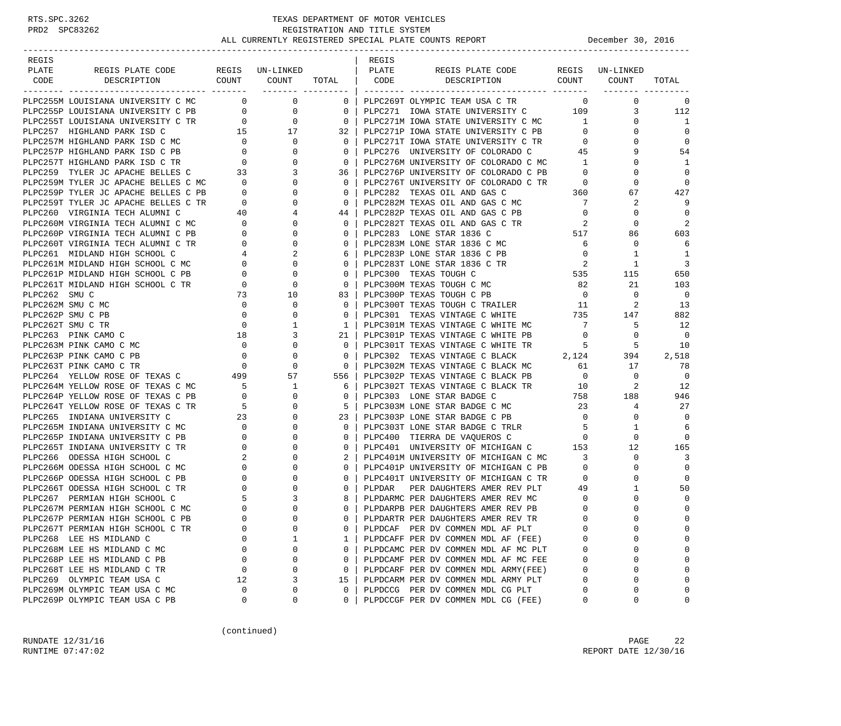| REGIS        |                                                                                                                                                                                                                                                                                                                                                                                                                                       |                                                                           |              |                    | REGIS  |                                                                                                                                   |                                  |                               |                          |
|--------------|---------------------------------------------------------------------------------------------------------------------------------------------------------------------------------------------------------------------------------------------------------------------------------------------------------------------------------------------------------------------------------------------------------------------------------------|---------------------------------------------------------------------------|--------------|--------------------|--------|-----------------------------------------------------------------------------------------------------------------------------------|----------------------------------|-------------------------------|--------------------------|
| PLATE        | REGIS PLATE CODE REGIS UN-LINKED   PLATE                                                                                                                                                                                                                                                                                                                                                                                              |                                                                           |              |                    |        | REGIS PLATE CODE REGIS UN-LINKED<br>DESCRIPTION COUNT COUNT TOTAL CODE DESCRIPTION COUNT COUNT                                    |                                  |                               |                          |
| CODE         |                                                                                                                                                                                                                                                                                                                                                                                                                                       |                                                                           |              |                    |        |                                                                                                                                   |                                  |                               | TOTAL                    |
|              | PLPC255M LOUISIANA UNIVERSITY C MC 0 0 0                                                                                                                                                                                                                                                                                                                                                                                              |                                                                           |              |                    |        | 0   PLPC269T OLYMPIC TEAM USA C TR                                                                                                |                                  | $\overline{0}$<br>$\mathbf 0$ | $\mathbf 0$              |
|              | $\begin{tabular}{l c c c} \multicolumn{4}{c}{\textbf{PLPC255M}} & \multicolumn{4}{c}{\textbf{LUC255P}} & \multicolumn{4}{c}{\textbf{ULPC255P}} & \multicolumn{4}{c}{\textbf{ULPC255P}} & \multicolumn{4}{c}{\textbf{ULPC255P}} & \multicolumn{4}{c}{\textbf{ULPC257P}} & \multicolumn{4}{c}{\textbf{ULPC25P}} & \multicolumn{4}{c}{\textbf{ULPC25P}} & \multicolumn{4}{c}{\textbf{ULPC25P}} & \multicolumn{4}{c}{\textbf{ULPC25P}} &$ |                                                                           |              |                    |        | PLPC271 IOWA STATE UNIVERSITY C 109                                                                                               |                                  | 3                             | 112                      |
|              |                                                                                                                                                                                                                                                                                                                                                                                                                                       |                                                                           |              |                    |        | PLPC271M IOWA STATE UNIVERSITY C MC 1                                                                                             |                                  | $\mathbf{0}$                  | 1                        |
|              |                                                                                                                                                                                                                                                                                                                                                                                                                                       |                                                                           |              |                    |        | PLPC271P IOWA STATE UNIVERSITY C PB                                                                                               | $\overline{0}$                   | $\mathbf{0}$                  | $\Omega$                 |
|              |                                                                                                                                                                                                                                                                                                                                                                                                                                       |                                                                           |              |                    |        | PLPC271F 10WA STATE UNIVERSITY C TR<br>PLPC271T IOWA STATE UNIVERSITY C TR<br>--- ------------------ OF COLORADO C 45             | $\overline{0}$                   | $\mathbf{0}$                  | $\mathbf 0$              |
|              |                                                                                                                                                                                                                                                                                                                                                                                                                                       |                                                                           |              |                    |        |                                                                                                                                   |                                  | 9                             | 54                       |
|              |                                                                                                                                                                                                                                                                                                                                                                                                                                       |                                                                           |              |                    |        | PLPC276M UNIVERSITY OF COLORADO C MC 1                                                                                            |                                  | $\Omega$                      | 1                        |
|              |                                                                                                                                                                                                                                                                                                                                                                                                                                       |                                                                           |              |                    |        | PLPC276P UNIVERSITY OF COLORADO C PB                                                                                              | $\overline{0}$                   | 0                             | $\Omega$                 |
|              |                                                                                                                                                                                                                                                                                                                                                                                                                                       |                                                                           |              |                    |        | PLPC276T UNIVERSITY OF COLORADO C TR 0                                                                                            |                                  | $\Omega$                      | $\Omega$                 |
|              |                                                                                                                                                                                                                                                                                                                                                                                                                                       |                                                                           |              |                    |        | PLPC282 TEXAS OIL AND GAS C                                                                                                       | 360                              | 67                            | 427                      |
|              |                                                                                                                                                                                                                                                                                                                                                                                                                                       |                                                                           |              |                    |        | PLPC282M TEXAS OIL AND GAS C MC                                                                                                   | $\overline{7}$                   | 2                             | 9                        |
|              |                                                                                                                                                                                                                                                                                                                                                                                                                                       |                                                                           |              |                    |        | PLPC282P TEXAS OIL AND GAS C PB 0                                                                                                 |                                  | 0                             | $\mathbf 0$              |
|              |                                                                                                                                                                                                                                                                                                                                                                                                                                       |                                                                           |              |                    |        |                                                                                                                                   |                                  | 0                             | $\overline{2}$           |
|              |                                                                                                                                                                                                                                                                                                                                                                                                                                       |                                                                           |              |                    |        |                                                                                                                                   |                                  | 86                            | 603                      |
|              |                                                                                                                                                                                                                                                                                                                                                                                                                                       |                                                                           |              |                    |        | PLPC282T TEXAS OIL AND GAS C TR<br>PLPC283 LONE STAR 1836 C 517<br>PLPC283M LONE STAR 1836 C MC 6<br>PLPC283M LONE STAR 1836 C MC |                                  | $\mathbf 0$                   | 6                        |
|              |                                                                                                                                                                                                                                                                                                                                                                                                                                       |                                                                           |              |                    |        | PLPC283P LONE STAR 1836 C PB                                                                                                      | $\overline{0}$                   | $\mathbf{1}$                  | $\overline{1}$           |
|              |                                                                                                                                                                                                                                                                                                                                                                                                                                       |                                                                           |              |                    |        | PLPC283T LONE STAR 1836 C TR                                                                                                      | $\overline{\phantom{a}}$         | $\mathbf{1}$                  | 3                        |
|              |                                                                                                                                                                                                                                                                                                                                                                                                                                       |                                                                           |              |                    |        | PLPC300 TEXAS TOUGH C                                                                                                             | 535                              | 115                           | 650                      |
|              |                                                                                                                                                                                                                                                                                                                                                                                                                                       |                                                                           |              |                    |        | PLPC300M TEXAS TOUGH C MC 82                                                                                                      |                                  | 21                            | 103                      |
| PLPC262 SMUC |                                                                                                                                                                                                                                                                                                                                                                                                                                       | 73                                                                        | 10           | 83                 |        | PLPC300P TEXAS TOUGH C PB                                                                                                         | $\overline{0}$                   | 0                             | $\overline{\phantom{0}}$ |
|              | PLPC262M SMU C MC                                                                                                                                                                                                                                                                                                                                                                                                                     | $\overline{0}$                                                            | $\mathbf{0}$ | $\mathbf{0}$       |        | PLPC300T TEXAS TOUGH C TRAILER 11                                                                                                 |                                  | 2                             | 13                       |
|              | PLPC262P SMU C PB                                                                                                                                                                                                                                                                                                                                                                                                                     | $\overline{0}$                                                            | $\mathbf 0$  | $\mathbf{0}$       |        | PLPC301 TEXAS VINTAGE C WHITE $735$ 147                                                                                           |                                  |                               | 882                      |
|              | PLPC262T SMU C TR                                                                                                                                                                                                                                                                                                                                                                                                                     | $\overline{0}$                                                            | 1            | $\mathbf{1}$       |        | PLPC301M TEXAS VINTAGE C WHITE MC                                                                                                 | $7\overline{ }$                  | -5                            | 12                       |
|              | 18<br>PLPC263 PINK CAMO C                                                                                                                                                                                                                                                                                                                                                                                                             |                                                                           | 3            | 21                 |        | PLPC301P TEXAS VINTAGE C WHITE PB 0                                                                                               |                                  | $\mathbf{0}$                  | $\Omega$                 |
|              |                                                                                                                                                                                                                                                                                                                                                                                                                                       |                                                                           |              | $\mathbf{0}$       |        | PLPC301T TEXAS VINTAGE C WHITE TR $5$ 5<br>PLPC302 TEXAS VINTAGE C BLACK 2,124 394                                                |                                  |                               | 10                       |
|              |                                                                                                                                                                                                                                                                                                                                                                                                                                       |                                                                           |              | $\mathbf{0}$       |        |                                                                                                                                   |                                  |                               | 2,518                    |
|              |                                                                                                                                                                                                                                                                                                                                                                                                                                       |                                                                           |              | $\overline{0}$     |        |                                                                                                                                   |                                  |                               | 78                       |
|              | PLPC263M PINK CAMO C MC<br>PLPC263P PINK CAMO C PB<br>PLPC263T PINK CAMO C TR<br>PLPC264 YELLOW ROSE OF TEXAS C<br>PLPC264M YELLOW ROSE OF TEXAS C MC<br>PLPC264P YELLOW ROSE OF TEXAS C PB<br>PLPC264T YELLOW ROSE OF TEXAS C PB<br>PLPC264                                                                                                                                                                                          |                                                                           |              | 556 l              |        |                                                                                                                                   |                                  |                               | $\Omega$                 |
|              |                                                                                                                                                                                                                                                                                                                                                                                                                                       |                                                                           |              | 6                  |        |                                                                                                                                   |                                  |                               | 12                       |
|              |                                                                                                                                                                                                                                                                                                                                                                                                                                       |                                                                           |              | 0                  |        | PLPC303 LONE STAR BADGE C                                                                                                         | $758$<br>23                      | 188                           | 946                      |
|              |                                                                                                                                                                                                                                                                                                                                                                                                                                       |                                                                           | $\mathbf{0}$ | 5                  |        | PLPC303M LONE STAR BADGE C MC<br>PLPC303P LONE STAR BADGE C PB                                                                    |                                  | 4                             | 27<br>$\Omega$           |
|              | PLPC265 INDIANA UNIVERSITY C<br>PLPC265M INDIANA UNIVERSITY C MC                                                                                                                                                                                                                                                                                                                                                                      | $\begin{array}{ccc}\n & 23 \\ \text{IC} & 0 \\ \text{B} & 0\n\end{array}$ | $\mathbf 0$  | 23<br>$\mathbf{0}$ |        | PLPC303T LONE STAR BADGE C TRLR                                                                                                   | $\overline{0}$<br>5 <sub>5</sub> | $\mathbf{0}$<br>1             | 6                        |
|              | PLPC265P INDIANA UNIVERSITY C PB                                                                                                                                                                                                                                                                                                                                                                                                      |                                                                           | 0            | $\mathbf{0}$       |        | PLPC400 TIERRA DE VAQUEROS C 0                                                                                                    |                                  | $\mathbf 0$                   | $\Omega$                 |
|              | PLPC265T INDIANA UNIVERSITY C TR                                                                                                                                                                                                                                                                                                                                                                                                      |                                                                           | 0            | $\mathbf{0}$       |        | PLPC401 UNIVERSITY OF MICHIGAN C 153                                                                                              |                                  | 12                            | 165                      |
|              | PLPC266 ODESSA HIGH SCHOOL C                                                                                                                                                                                                                                                                                                                                                                                                          |                                                                           | $\mathbf 0$  | $\mathbf{2}$       |        | PLPC401M UNIVERSITY OF MICHIGAN C MC                                                                                              | $\overline{\phantom{a}}$         | $\mathbf 0$                   | 3                        |
|              | PLPC266M ODESSA HIGH SCHOOL C MC                                                                                                                                                                                                                                                                                                                                                                                                      |                                                                           | $\mathbf{0}$ | $\mathbf{0}$       |        | PLPC401P UNIVERSITY OF MICHIGAN C PB 0                                                                                            |                                  | $\mathbf 0$                   | $\mathbf 0$              |
|              | PLPC266P ODESSA HIGH SCHOOL C PB                                                                                                                                                                                                                                                                                                                                                                                                      |                                                                           | $\mathbf 0$  | $\mathbf{0}$       |        | PLPC401T UNIVERSITY OF MICHIGAN C TR                                                                                              | $\overline{0}$                   | $\mathbf 0$                   | $\Omega$                 |
|              | PLPC266T ODESSA HIGH SCHOOL C TR                                                                                                                                                                                                                                                                                                                                                                                                      |                                                                           | $\mathbf{0}$ | $\mathbf{0}$       | PLPDAR | PER DAUGHTERS AMER REV PLT 49                                                                                                     |                                  | $\mathbf{1}$                  | 50                       |
|              | PLPC267 PERMIAN HIGH SCHOOL C                                                                                                                                                                                                                                                                                                                                                                                                         |                                                                           | $\mathbf{3}$ | 8                  |        | PLPDARMC PER DAUGHTERS AMER REV MC                                                                                                | $\overline{0}$                   | $\mathbf{0}$                  | $\Omega$                 |
|              | PLPC267M PERMIAN HIGH SCHOOL C MC                                                                                                                                                                                                                                                                                                                                                                                                     |                                                                           | $\Omega$     | $\Omega$           |        | PLPDARPB PER DAUGHTERS AMER REV PB                                                                                                | $\overline{0}$                   | $\Omega$                      | $\mathbf{0}$             |
|              | PLPC267P PERMIAN HIGH SCHOOL C PB                                                                                                                                                                                                                                                                                                                                                                                                     | $\Omega$                                                                  | $\Omega$     | $\Omega$           |        | PLPDARTR PER DAUGHTERS AMER REV TR                                                                                                | $\Omega$                         | $\cap$                        | $\Omega$                 |
|              | PLPC267T PERMIAN HIGH SCHOOL C TR                                                                                                                                                                                                                                                                                                                                                                                                     |                                                                           | 0            | 0                  |        | PLPDCAF PER DV COMMEN MDL AF PLT                                                                                                  | $\Omega$                         | 0                             | $\Omega$                 |
|              | PLPC268 LEE HS MIDLAND C                                                                                                                                                                                                                                                                                                                                                                                                              | 0                                                                         | 1            | 1                  |        | PLPDCAFF PER DV COMMEN MDL AF (FEE)                                                                                               | $\Omega$                         | $\Omega$                      | $\Omega$                 |
|              | PLPC268M LEE HS MIDLAND C MC                                                                                                                                                                                                                                                                                                                                                                                                          | 0                                                                         | 0            | $\mathbf{0}$       |        | PLPDCAMC PER DV COMMEN MDL AF MC PLT                                                                                              | 0                                | 0                             | $\Omega$                 |
|              | PLPC268P LEE HS MIDLAND C PB                                                                                                                                                                                                                                                                                                                                                                                                          | 0                                                                         | 0            | 0                  |        | PLPDCAMF PER DV COMMEN MDL AF MC FEE                                                                                              | 0                                | 0                             | $\Omega$                 |
|              | PLPC268T LEE HS MIDLAND C TR                                                                                                                                                                                                                                                                                                                                                                                                          | 0                                                                         | 0            | $\mathbf{0}$       |        | PLPDCARF PER DV COMMEN MDL ARMY(FEE)                                                                                              | 0                                | 0                             | $\Omega$                 |
|              | PLPC269 OLYMPIC TEAM USA C                                                                                                                                                                                                                                                                                                                                                                                                            | 12                                                                        | 3            | 15                 |        | PLPDCARM PER DV COMMEN MDL ARMY PLT                                                                                               | $\Omega$                         | 0                             | $\Omega$                 |
|              | PLPC269M OLYMPIC TEAM USA C MC                                                                                                                                                                                                                                                                                                                                                                                                        | $\Omega$                                                                  | 0            | 0                  |        | PLPDCCG PER DV COMMEN MDL CG PLT                                                                                                  | 0                                | 0                             | $\Omega$                 |
|              | PLPC269P OLYMPIC TEAM USA C PB                                                                                                                                                                                                                                                                                                                                                                                                        | 0                                                                         | 0            | 0                  |        | PLPDCCGF PER DV COMMEN MDL CG (FEE)                                                                                               | 0                                | 0                             | 0                        |

(continued)

RUNDATE  $12/31/16$  PAGE 22 RUNTIME 07:47:02 REPORT DATE 12/30/16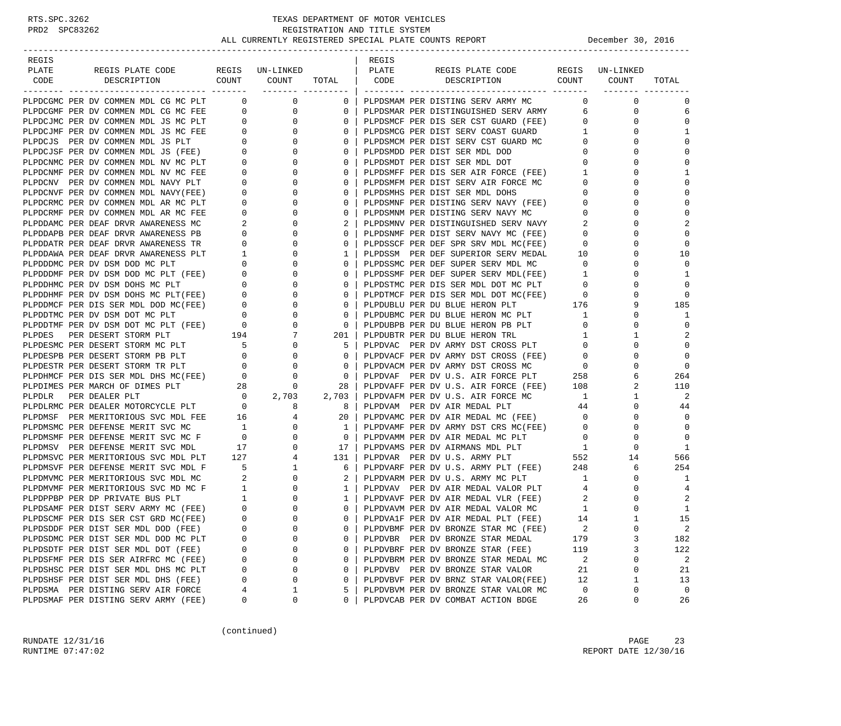| REGIS                                                                                                                                                                                                    |                                                           |                                  |              | REGIS |                                                                              |                          |                 |                |
|----------------------------------------------------------------------------------------------------------------------------------------------------------------------------------------------------------|-----------------------------------------------------------|----------------------------------|--------------|-------|------------------------------------------------------------------------------|--------------------------|-----------------|----------------|
| PLATE<br>REGIS PLATE CODE                                                                                                                                                                                |                                                           | REGIS UN-LINKED                  |              | PLATE | REGIS PLATE CODE                                                             |                          | REGIS UN-LINKED |                |
| CODE<br>DESCRIPTION                                                                                                                                                                                      | COUNT                                                     | COUNT                            | TOTAL        | CODE  | DESCRIPTION COUNT                                                            |                          | COUNT           | TOTAL          |
| PLPDCGMC PER DV COMMEN MDL CG MC PLT                                                                                                                                                                     |                                                           | $\overline{0}$<br>$\overline{0}$ | $\mathbf{0}$ |       | PLPDSMAM PER DISTING SERV ARMY MC                                            | $\Omega$                 | $\mathbf 0$     | $\Omega$       |
| PLPDCGMF PER DV COMMEN MDL CG MC FEE                                                                                                                                                                     | $\overline{0}$                                            | 0                                | $\mathbf{0}$ |       | PLPDSMAR PER DISTINGUISHED SERV ARMY                                         | 6                        | 0               | 6              |
| PLPDCJMC PER DV COMMEN MDL JS MC PLT                                                                                                                                                                     | $\overline{0}$                                            | $\mathbf 0$                      | 0            |       |                                                                              | $\circ$                  | 0               | $\Omega$       |
| PLPDCJMF PER DV COMMEN MDL JS MC FEE                                                                                                                                                                     |                                                           | $\overline{0}$<br>$\mathbf{0}$   | 0            |       | PLPDSMCF PER DIS SER CST GUARD (FEE)<br>PLPDSMCG PER DIST SERV COAST GUARD   | $\mathbf{1}$             | 0               | 1              |
| PLPDCJS PER DV COMMEN MDL JS PLT                                                                                                                                                                         |                                                           | $\overline{0}$<br>0              | 0            |       | PLPDSMCM PER DIST SERV CST GUARD MC                                          | $\mathbf 0$              | 0               | $\Omega$       |
| PLPDCJSF PER DV COMMEN MDL JS (FEE)                                                                                                                                                                      | $\overline{\phantom{0}}$                                  | $\circ$                          | $\mathbf 0$  |       | PLPDSMDD PER DIST SER MDL DOD                                                | $\mathbf 0$              | $\Omega$        | $\Omega$       |
| PLPDCNMC PER DV COMMEN MDL NV MC PLT                                                                                                                                                                     | $\overline{0}$                                            | 0                                | 0            |       | PLPDSMDT PER DIST SER MDL DOT                                                | $\overline{0}$           | $\Omega$        | $\Omega$       |
| PLPDCNMF PER DV COMMEN MDL NV MC FEE                                                                                                                                                                     | $\mathbf{0}$                                              | 0                                | 0            |       | PLPDSMFF PER DIS SER AIR FORCE (FEE)                                         | 1                        | $\Omega$        | 1              |
| PLPDCNV PER DV COMMEN MDL NAVY PLT                                                                                                                                                                       | $\overline{0}$                                            | $\circ$                          | $\Omega$     |       | PLPDSMFM PER DIST SERV AIR FORCE MC                                          | $\mathbf 0$              | $\Omega$        | $\Omega$       |
| PLPDCNVF PER DV COMMEN MDL NAVY(FEE)                                                                                                                                                                     | $\mathbf{0}$                                              | 0                                | 0            |       | PLPDSMHS PER DIST SER MDL DOHS                                               | 0                        | 0               | $\Omega$       |
| PLPDCRMC PER DV COMMEN MDL AR MC PLT                                                                                                                                                                     | $\mathbf{0}$                                              | $\mathbf 0$                      | $\mathbf 0$  |       | PLPDSMNF PER DISTING SERV NAVY (FEE)                                         | $\overline{0}$           | $\Omega$        | $\mathbf 0$    |
| PLPDCRMF PER DV COMMEN MDL AR MC FEE                                                                                                                                                                     | $\mathbf 0$                                               | 0                                | $\mathbf{0}$ |       | PLPDSMNM PER DISTING SERV NAVY MC                                            | $\overline{0}$           | $\Omega$        | $\Omega$       |
| PLPDDAMC PER DEAF DRVR AWARENESS MC                                                                                                                                                                      | 2                                                         | 0                                | 2            |       | PLPDSMNV PER DISTINGUISHED SERV NAVY                                         | 2                        | $\Omega$        | $\overline{2}$ |
| PLPDDAPB PER DEAF DRVR AWARENESS PB                                                                                                                                                                      | $\overline{0}$                                            | 0                                | 0            |       | PLPDSNMF PER DIST SERV NAVY MC (FEE)                                         | $\mathbf 0$              | $\Omega$        | $\Omega$       |
| PLPDDATR PER DEAF DRVR AWARENESS TR                                                                                                                                                                      | $\mathbf{0}$                                              | 0                                | 0            |       | PLPDSSCF PER DEF SPR SRV MDL MC(FEE)                                         | 0                        | 0               | $\Omega$       |
|                                                                                                                                                                                                          |                                                           | 0                                | 1            |       | PLPDSSM PER DEF SUPERIOR SERV MEDAL                                          | 10                       | $\Omega$        | 10             |
|                                                                                                                                                                                                          |                                                           | 0                                | 0            |       | PLPDSSMC PER DEF SUPER SERV MDL MC                                           | $\overline{0}$           | $\Omega$        | $\Omega$       |
|                                                                                                                                                                                                          |                                                           | $\mathbf 0$                      | 0            |       | PLPDSSMF PER DEF SUPER SERV MDL(FEE)                                         | $\overline{1}$           | $\Omega$        | 1              |
|                                                                                                                                                                                                          |                                                           | 0                                | $\Omega$     |       | PLPDSTMC PER DIS SER MDL DOT MC PLT                                          | $\overline{0}$           | $\Omega$        | $\Omega$       |
|                                                                                                                                                                                                          |                                                           | 0                                | 0            |       |                                                                              | $\overline{\phantom{0}}$ | 0               | $\Omega$       |
|                                                                                                                                                                                                          |                                                           | $\circ$                          | $\mathbf 0$  |       | PLPDTMCF PER DIS SER MDL DOT MC(FEE) 0<br>PLPDUBLU PER DU BLUE HERON PLT 176 |                          | 9               | 185            |
|                                                                                                                                                                                                          |                                                           | 0                                | $\mathbf{0}$ |       | PLPDUBMC PER DU BLUE HERON MC PLT                                            | 1                        | $\Omega$        | 1              |
|                                                                                                                                                                                                          |                                                           | $\mathbf 0$                      | $\mathbf{0}$ |       | PLPDUBPB PER DU BLUE HERON PB PLT                                            | $\mathbf 0$              | 0               | $\Omega$       |
| PLPDDHMF PER DV DSM DOHS MC PLT(FEE) 0<br>PLPDDMCF PER DIS SER MDL DOD MC(FEE) 0<br>PLPDDTMC PER DIS SER MDL DOD MC(FEE) 0<br>PLPDDTMF PER DV DSM DOT MC PLT (FEE) 0<br>PLPDDES PER DESERT STORM PLT 194 |                                                           | 7                                | 201          |       | PLPDUBTR PER DU BLUE HERON TRL                                               | 1                        | 1               |                |
|                                                                                                                                                                                                          |                                                           | 0                                | 5            |       | PLPDVAC PER DV ARMY DST CROSS PLT                                            | $\mathbf{0}$             | 0               | $\Omega$       |
| PLPDESMC PER DESERT STORM MC PLT 5<br>PLPDESPR PER DESERT STORM PR PLT<br>PLPDESPB PER DESERT STORM PB PLT                                                                                               | $\overline{\phantom{0}}$                                  | 0                                | $\mathbf 0$  |       | PLPDVACF PER DV ARMY DST CROSS (FEE)                                         | $\overline{0}$           | $\Omega$        | $\mathbf 0$    |
| PLPDESTR PER DESERT STORM TR PLT                                                                                                                                                                         | $\overline{a}$                                            | 0                                | $\mathbf{0}$ |       | PLPDVACM PER DV ARMY DST CROSS MC                                            | $\overline{0}$           | $\Omega$        | $\mathbf 0$    |
| PLPDHMCF PER DIS SER MDL DHS MC(FEE)                                                                                                                                                                     | $\overline{0}$                                            | 0                                | 0            |       | PLPDVAF PER DV U.S. AIR FORCE PLT                                            | 258                      | 6               | 264            |
| PLPDIMES PER MARCH OF DIMES PLT 28<br>PLPDLR PER DEALER PLT 0<br>PLPDLRMC PER DEALER MOTORCYCLE PLT 0                                                                                                    |                                                           | 0                                | 28           |       | PLPDVAFF PER DV U.S. AIR FORCE (FEE) 108                                     |                          | 2               | 110            |
|                                                                                                                                                                                                          |                                                           | 2,703                            | 2,703        |       | PLPDVAFM PER DV U.S. AIR FORCE MC                                            | $\mathbf{1}$             | 1               | 2              |
|                                                                                                                                                                                                          |                                                           | 8                                | 8            |       | PLPDVAM PER DV AIR MEDAL PLT                                                 | 44                       | 0               | 44             |
| PLPDMSF PER MERITORIOUS SVC MDL FEE 16                                                                                                                                                                   |                                                           | 4                                | 20           |       | PLPDVAMC PER DV AIR MEDAL MC (FEE)                                           | $\overline{0}$           | 0               | $\Omega$       |
| PLPDMSMC PER DEFENSE MERIT SVC MC                                                                                                                                                                        | $\overline{1}$                                            | $\mathbf 0$                      | 1            |       | PLPDVAMF PER DV ARMY DST CRS MC(FEE)                                         | $\circ$                  | 0               | $\Omega$       |
| PLPDMSMF PER DEFENSE MERIT SVC MC F 0                                                                                                                                                                    |                                                           | 0                                | 0            |       | PLPDVAMM PER DV AIR MEDAL MC PLT                                             | $\overline{0}$           | 0               | $\Omega$       |
| PLPDMSV PER DEFENSE MERIT SVC MDL                                                                                                                                                                        |                                                           | $\circ$                          | 17           |       | PLPDVAMS PER DV AIRMANS MDL PLT                                              | $\mathbf{1}$             | 0               | -1             |
| PLPDMSVC PER MERITORIOUS SVC MDL PLT                                                                                                                                                                     | $\begin{array}{cc}\n & 17 \\ \text{T} & 127\n\end{array}$ | $\overline{4}$                   | 131          |       | PLPDVAR PER DV U.S. ARMY PLT                                                 | 552                      | 14              | 566            |
| PLPDMSVF PER DEFENSE MERIT SVC MDL F                                                                                                                                                                     | $\overline{5}$                                            | $\mathbf{1}$                     | 6            |       | PLPDVARF PER DV U.S. ARMY PLT (FEE) $248$                                    |                          | 6               | 254            |
| PLPDMVMC PER MERITORIOUS SVC MDL MC                                                                                                                                                                      |                                                           | $\mathbf 0$                      | 2            |       | PLPDVARM PER DV U.S. ARMY MC PLT                                             | $\overline{1}$           | 0               | 1              |
| PLPDMVMF PER MERITORIOUS SVC MD MC F                                                                                                                                                                     | $\begin{array}{c} 2 \\ 1 \end{array}$                     | $\circ$                          | 1            |       | PLPDVAV PER DV AIR MEDAL VALOR PLT                                           | 4                        | 0               | 4              |
| PLPDPPBP PER DP PRIVATE BUS PLT                                                                                                                                                                          |                                                           | 0                                | 1            |       | PLPDVAVF PER DV AIR MEDAL VLR (FEE)                                          | 2                        | 0               | 2              |
| PLPDSAMF PER DIST SERV ARMY MC (FEE)                                                                                                                                                                     | $\begin{array}{c} 1 \\ 0 \end{array}$                     | $\Omega$                         | $\mathbf{0}$ |       | PLPDVAVM PER DV AIR MEDAL VALOR MC                                           | 1                        | $\Omega$        | 1              |
| PLPDSCMF PER DIS SER CST GRD MC(FEE)                                                                                                                                                                     | $\Omega$                                                  | $\Omega$                         | $\Omega$     |       | PLPDVA1F PER DV AIR MEDAL PLT (FEE)                                          | 14                       |                 | 15             |
| PLPDSDDF PER DIST SER MDL DOD (FEE)                                                                                                                                                                      | 0                                                         | 0                                | 0            |       | PLPDVBMF PER DV BRONZE STAR MC (FEE)                                         | 2                        | 0               | 2              |
| PLPDSDMC PER DIST SER MDL DOD MC PLT                                                                                                                                                                     | O                                                         | 0                                | 0            |       | PLPDVBR PER DV BRONZE STAR MEDAL                                             | 179                      | 3               | 182            |
| PLPDSDTF PER DIST SER MDL DOT (FEE)                                                                                                                                                                      | 0                                                         | 0                                | 0            |       | PLPDVBRF PER DV BRONZE STAR (FEE)                                            | 119                      | 3               | 122            |
| PLPDSFMF PER DIS SER AIRFRC MC (FEE)                                                                                                                                                                     | 0                                                         | 0                                | 0            |       | PLPDVBRM PER DV BRONZE STAR MEDAL MC                                         | 2                        | 0               | 2              |
| PLPDSHSC PER DIST SER MDL DHS MC PLT                                                                                                                                                                     | 0                                                         | 0                                | 0            |       | PLPDVBV PER DV BRONZE STAR VALOR                                             | 21                       | 0               | 21             |
| PLPDSHSF PER DIST SER MDL DHS (FEE)                                                                                                                                                                      | 0                                                         | $\Omega$                         | 0            |       | PLPDVBVF PER DV BRNZ STAR VALOR(FEE)                                         | 12                       | 1               | 13             |
| PLPDSMA PER DISTING SERV AIR FORCE                                                                                                                                                                       |                                                           | 1                                | 5            |       | PLPDVBVM PER DV BRONZE STAR VALOR MC                                         | 0                        | 0               | 0              |
| PLPDSMAF PER DISTING SERV ARMY (FEE)                                                                                                                                                                     | 0                                                         | 0                                | 0            |       | PLPDVCAB PER DV COMBAT ACTION BDGE                                           | 26                       | 0               | 26             |

(continued)

RUNDATE  $12/31/16$  PAGE 23 RUNTIME 07:47:02 REPORT DATE 12/30/16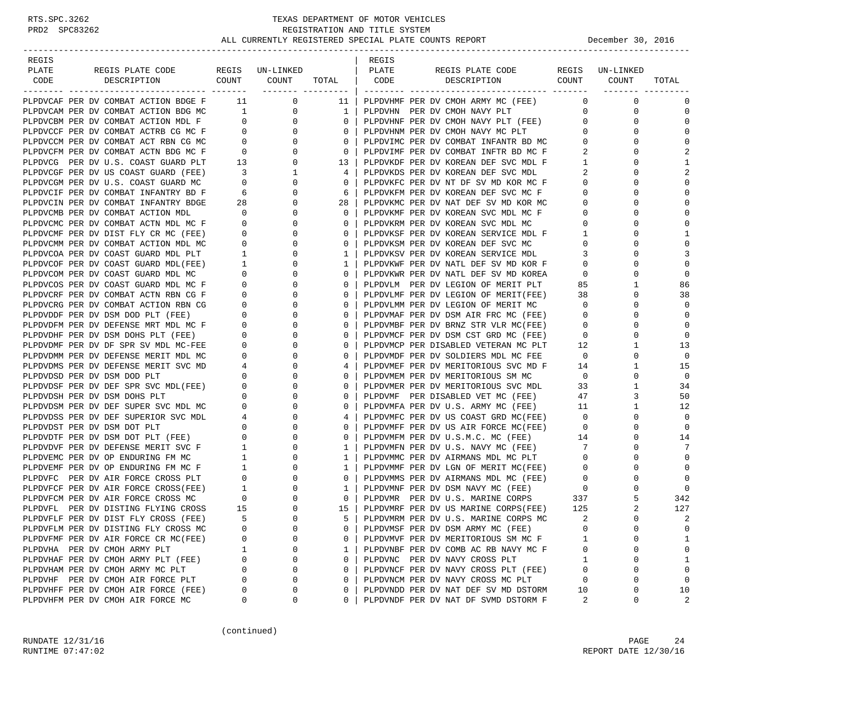### RTS.SPC.3262 TEXAS DEPARTMENT OF MOTOR VEHICLES<br>PRD2 SPC83262 REGISTRATION AND TITLE SYSTEM REGISTRATION AND TITLE SYSTEM ALL CURRENTLY REGISTERED SPECIAL PLATE COUNTS REPORT **DECEMBER 1999** December 30, 2016

| REGIS                                                                        |                                     |                  |                | REGIS |                                                                              |                                  |                 |                |
|------------------------------------------------------------------------------|-------------------------------------|------------------|----------------|-------|------------------------------------------------------------------------------|----------------------------------|-----------------|----------------|
| PLATE<br>REGIS PLATE CODE                                                    |                                     | REGIS UN-LINKED  |                | PLATE | REGIS PLATE CODE                                                             |                                  | REGIS UN-LINKED |                |
| CODE<br>DESCRIPTION                                                          |                                     | COUNT COUNT      |                |       | TOTAL   CODE DESCRIPTION COUNT COUNT                                         |                                  |                 | TOTAL          |
|                                                                              |                                     |                  |                |       |                                                                              |                                  |                 |                |
| PLPDVCAF PER DV COMBAT ACTION BDGE F                                         |                                     | 11 0             | 11             |       | PLPDVHMF PER DV CMOH ARMY MC (FEE)                                           | $\overline{0}$                   | 0               | 0              |
| PLPDVCAM PER DV COMBAT ACTION BDG MC                                         | $\mathbb{R}^n$ . The $\mathbb{R}^n$ | $\overline{0}$   | $\mathbf{1}$   |       | PLPDVHN PER DV CMOH NAVY PLT                                                 | $\overline{0}$                   | 0               | 0              |
| PLPDVCBM PER DV COMBAT ACTION MDL F                                          | $\overline{0}$                      | $\mathbf{0}$     | $\circ$        |       | PLPDVHNF PER DV CMOH NAVY PLT (FEE)                                          | $\overline{0}$                   | 0               | $\mathbf 0$    |
| PLPDVCCF PER DV COMBAT ACTRB CG MC F                                         | $\overline{0}$                      | $\mathbf{0}$     | $\circ$        |       | PLPDVHNM PER DV CMOH NAVY MC PLT                                             | 0                                | 0               | $\mathbf 0$    |
| PLPDVCCM PER DV COMBAT ACT RBN CG MC                                         | $\overline{0}$                      | 0                | $\circ$        |       | PLPDVIMC PER DV COMBAT INFANTR BD MC                                         | $\mathbf{0}$                     | 0               | $\mathbf 0$    |
| PLPDVCFM PER DV COMBAT ACTN BDG MC F                                         | $\overline{0}$                      | 0                | $\overline{0}$ |       | PLPDVIMF PER DV COMBAT INFTR BD MC F                                         | 2                                | $\Omega$        | $\overline{2}$ |
| PLPDVCG PER DV U.S. COAST GUARD PLT                                          | 13                                  | 0                | 13             |       | PLPDVKDF PER DV KOREAN DEF SVC MDL F                                         | $\mathbf{1}$                     | 0               | 1              |
| PLPDVCGF PER DV US COAST GUARD (FEE)                                         | $\overline{\mathbf{3}}$             | $\mathbf 1$      | 4              |       | PLPDVKDS PER DV KOREAN DEF SVC MDL                                           | 2                                | 0               | $\overline{2}$ |
| PLPDVCGM PER DV U.S. COAST GUARD MC                                          | $\overline{0}$                      | 0                | $\circ$        |       | PLPDVKFC PER DV NT DF SV MD KOR MC F                                         | $\overline{0}$                   | 0               | $\Omega$       |
| PLPDVCIF PER DV COMBAT INFANTRY BD F                                         | $6\overline{6}$                     | 0                | 6              |       | PLPDVKFM PER DV KOREAN DEF SVC MC F                                          | $\mathbf{0}$                     | 0               | $\mathbf 0$    |
| PLPDVCIN PER DV COMBAT INFANTRY BDGE                                         | 28                                  | $\mathbf 0$      | 28             |       | PLPDVKMC PER DV NAT DEF SV MD KOR MC                                         | $\mathbf 0$                      | $\Omega$        | $\mathbf 0$    |
| PLPDVCMB PER DV COMBAT ACTION MDL                                            | $\mathbf{0}$                        | $\mathbf 0$      | $\circ$        |       | PLPDVKMF PER DV KOREAN SVC MDL MC F                                          | $\mathbf{0}$                     | 0               | $\Omega$       |
| PLPDVCMC PER DV COMBAT ACTN MDL MC F                                         | $\mathbf{0}$                        | 0                | 0              |       | PLPDVKRM PER DV KOREAN SVC MDL MC                                            | $\mathbf{0}$                     | $\Omega$        | $\Omega$       |
| PLPDVCMF PER DV DIST FLY CR MC (FEE)                                         | $\overline{\mathbf{0}}$             | 0                | 0              |       | PLPDVKSF PER DV KOREAN SERVICE MDL F                                         | $\mathbf{1}$                     | $\Omega$        | 1              |
| PLPDVCMM PER DV COMBAT ACTION MDL MC                                         | $\mathbf{0}$                        | 0                | 0              |       | PLPDVKSM PER DV KOREAN DEF SVC MC                                            | $\mathbf{0}$                     | 0               | $\mathbf 0$    |
| PLPDVCOA PER DV COAST GUARD MDL PLT                                          | $\overline{1}$                      | 0                | 1              |       | PLPDVKSV PER DV KOREAN SERVICE MDL                                           | $\overline{\mathbf{3}}$          | $\Omega$        | 3              |
| PLPDVCOF PER DV COAST GUARD MDL(FEE)                                         | $\sim$ 1                            | $\mathbf 0$      | 1              |       | PLPDVKWF PER DV NATL DEF SV MD KOR F                                         | $\mathbf 0$                      | 0               | $\mathbf 0$    |
| PLPDVCOM PER DV COAST GUARD MDL MC                                           | $\overline{0}$                      | 0                | 0              |       | PLPDVKWR PER DV NATL DEF SV MD KOREA                                         | $\overline{0}$                   | 0               | $\mathbf 0$    |
| PLPDVCOS PER DV COAST GUARD MDL MC F                                         | $\overline{0}$                      | 0                | $\circ$        |       | PLPDVLM PER DV LEGION OF MERIT PLT                                           | 85                               | 1               | 86             |
| PLPDVCRF PER DV COMBAT ACTN RBN CG F                                         | $\mathbf{0}$                        | 0                | $\circ$        |       | PLPDVLMF PER DV LEGION OF MERIT(FEE)                                         | 38                               | 0               | 38             |
| PLPDVCRG PER DV COMBAT ACTION RBN CG                                         | $\overline{0}$                      | 0                | $\circ$        |       | PLPDVLMM PER DV LEGION OF MERIT MC                                           | $\overline{0}$                   | $\Omega$        | $\mathbf 0$    |
| PLPDVDDF PER DV DSM DOD PLT (FEE)                                            | $\overline{0}$                      | 0                | $\circ$        |       | PLPDVMAF PER DV DSM AIR FRC MC (FEE)                                         | $\overline{0}$                   | 0               | $\Omega$       |
| PLPDVDFM PER DV DEFENSE MRT MDL MC F                                         | $\overline{0}$                      | 0                | 0              |       | PLPDVMBF PER DV BRNZ STR VLR MC(FEE)                                         | $\overline{0}$                   | 0               | $\mathbf 0$    |
| PLPDVDHF PER DV DSM DOHS PLT (FEE)                                           | $\mathbf 0$                         | 0                | 0              |       | PLPDVMCF PER DV DSM CST GRD MC (FEE)                                         | $\circ$                          | 0               | $\mathbf 0$    |
| PLPDVDMF PER DV DF SPR SV MDL MC-FEE                                         | $\mathbf{0}$                        | 0                | 0              |       | PLPDVMCP PER DISABLED VETERAN MC PLT                                         | 12                               | 1               | 13             |
|                                                                              | $\overline{0}$                      | 0                | $\circ$        |       |                                                                              | $\overline{0}$                   | $\mathbf 0$     | 0              |
| PLPDVDMM PER DV DEFENSE MERIT MDL MC<br>PLPDVDMS PER DV DEFENSE MERIT SVC MD | $\overline{4}$                      | 0                | 4              |       | PLPDVMDF PER DV SOLDIERS MDL MC FEE<br>PLPDVMEF PER DV MERITORIOUS SVC MD F  | 14                               | $\mathbf{1}$    | 15             |
| PLPDVDSD PER DV DSM DOD PLT                                                  | $\overline{0}$                      | 0                | 0              |       | PLPDVMEM PER DV MERITORIOUS SM MC                                            | $\overline{0}$                   | 0               | $\mathbf 0$    |
| PLPDVDSF PER DV DEF SPR SVC MDL(FEE) 0                                       |                                     | 0                | $\circ$        |       |                                                                              | 33                               | $\mathbf{1}$    | 34             |
| PLPDVDSH PER DV DSM DOHS PLT                                                 | $\overline{0}$                      | 0                | $\circ$        |       | PLPDVMER PER DV MERITORIOUS SVC MDL<br>PLPDVMF PER DISABLED VET MC (FEE)     | 47                               | 3               | 50             |
|                                                                              | $\overline{0}$                      | 0                | $\circ$        |       |                                                                              | 11                               | $\mathbf{1}$    | 12             |
| PLPDVDSM PER DV DEF SUPER SVC MDL MC<br>PLPDVDSS PER DV DEF SUPERIOR SVC MDL |                                     | 0                |                |       | PLPDVMFA PER DV U.S. ARMY MC (FEE)                                           | $\overline{0}$                   | 0               | $\mathbf 0$    |
|                                                                              | $\overline{4}$<br>$\mathbf{0}$      | 0                | 4<br>0         |       | PLPDVMFC PER DV US COAST GRD MC(FEE)                                         | $\overline{0}$                   | 0               | 0              |
| PLPDVDST PER DV DSM DOT PLT<br>PLPDVDTF PER DV DSM DOT PLT (FEE)             |                                     | 0                |                |       | PLPDVMFF PER DV US AIR FORCE MC(FEE)<br>PLPDVMFM PER DV U.S.M.C. MC (FEE) 14 |                                  | 0               | 14             |
|                                                                              | $\mathbf 0$<br>$\mathbf{1}$         | 0                | 0<br>1         |       |                                                                              | $7\overline{ }$                  | 0               | 7              |
| PLPDVDVF PER DV DEFENSE MERIT SVC F<br>PLPDVEMC PER DV OP ENDURING FM MC     | $\mathbf{1}$                        | 0                |                |       | PLPDVMFN PER DV U.S. NAVY MC (FEE)                                           | $\overline{0}$                   | $\Omega$        | $\mathbf 0$    |
| PLPDVEMF PER DV OP ENDURING FM MC F                                          |                                     | 0                | 1              |       | PLPDVMMC PER DV AIRMANS MDL MC PLT                                           |                                  |                 | $\Omega$       |
|                                                                              | 1<br>$\overline{0}$                 | 0                | 1<br>$\circ$   |       | PLPDVMMF PER DV LGN OF MERIT MC(FEE)                                         | $\overline{0}$<br>$\overline{0}$ | 0<br>$\Omega$   | $\Omega$       |
| PLPDVFC PER DV AIR FORCE CROSS PLT                                           | $\overline{1}$                      |                  |                |       | PLPDVMMS PER DV AIRMANS MDL MC (FEE)<br>PLPDVMNF PER DV DSM NAVY MC (FEE)    |                                  | 0               | $\Omega$       |
| PLPDVFCF PER DV AIR FORCE CROSS(FEE)                                         |                                     | 0                | 1              |       |                                                                              | $\overline{\phantom{0}}$         |                 |                |
| PLPDVFCM PER DV AIR FORCE CROSS MC                                           | $\overline{0}$                      | 0<br>$\mathbf 0$ | 0              |       | PLPDVMR PER DV U.S. MARINE CORPS                                             | 337                              | 5               | 342            |
| PLPDVFL PER DV DISTING FLYING CROSS                                          | 15                                  | $\Omega$         | 15             |       | PLPDVMRF PER DV US MARINE CORPS(FEE)                                         | 125                              | 2<br>$\Omega$   | 127            |
| PLPDVFLF PER DV DIST FLY CROSS (FEE)                                         |                                     | $\Omega$         | 5              |       | PLPDVMRM PER DV U.S. MARINE CORPS MC                                         | 2                                | 0               | 2              |
| PLPDVFLM PER DV DISTING FLY CROSS MC                                         | 0                                   |                  | 0              |       | PLPDVMSF PER DV DSM ARMY MC (FEE)                                            | 0                                |                 | $\mathbf 0$    |
| PLPDVFMF PER DV AIR FORCE CR MC(FEE)                                         | 0                                   | O                | 0              |       | PLPDVMVF PER DV MERITORIOUS SM MC F                                          |                                  | U               | 1              |
| PLPDVHA PER DV CMOH ARMY PLT                                                 | 1                                   | 0                | 1              |       | PLPDVNBF PER DV COMB AC RB NAVY MC F                                         | 0                                | 0               | 0              |
| PLPDVHAF PER DV CMOH ARMY PLT (FEE)                                          | 0                                   | $\Omega$         | 0              |       | PLPDVNC PER DV NAVY CROSS PLT                                                | 1                                | U               | 1              |
| PLPDVHAM PER DV CMOH ARMY MC PLT                                             | 0                                   | $\Omega$         | 0              |       | PLPDVNCF PER DV NAVY CROSS PLT (FEE)                                         | 0                                | 0               | $\mathbf 0$    |
| PLPDVHF PER DV CMOH AIR FORCE PLT                                            | 0                                   | $\Omega$         | 0              |       | PLPDVNCM PER DV NAVY CROSS MC PLT                                            | $\Omega$                         | 0               | $\mathbf 0$    |
| PLPDVHFF PER DV CMOH AIR FORCE (FEE)                                         | 0                                   | 0                | 0              |       | PLPDVNDD PER DV NAT DEF SV MD DSTORM                                         | 10                               | 0               | 10             |
| PLPDVHFM PER DV CMOH AIR FORCE MC                                            | 0                                   | 0                | 0              |       | PLPDVNDF PER DV NAT DF SVMD DSTORM F                                         | 2                                | 0               | 2              |

(continued)

RUNDATE  $12/31/16$  PAGE 24 RUNTIME 07:47:02 REPORT DATE 12/30/16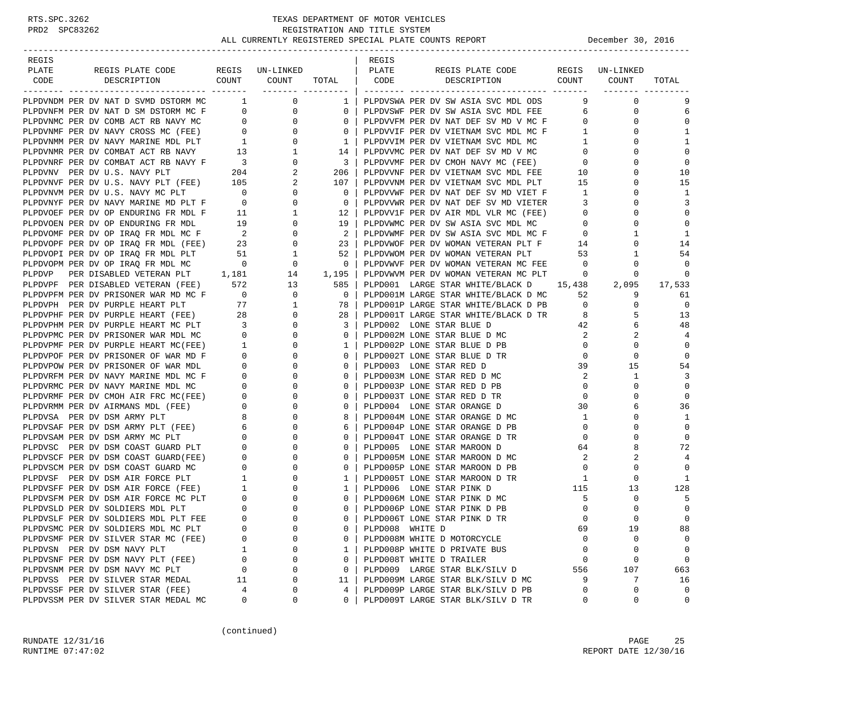| REGIS                                                                                                                                                                                                                                     |                                             |                                                    |                         | REGIS           |                                                                                    |                                  |                 |                |
|-------------------------------------------------------------------------------------------------------------------------------------------------------------------------------------------------------------------------------------------|---------------------------------------------|----------------------------------------------------|-------------------------|-----------------|------------------------------------------------------------------------------------|----------------------------------|-----------------|----------------|
| PLATE<br>REGIS PLATE CODE                                                                                                                                                                                                                 |                                             | REGIS UN-LINKED                                    |                         | PLATE           | REGIS PLATE CODE                                                                   |                                  | REGIS UN-LINKED |                |
| COUNT<br>CODE<br>DESCRIPTION                                                                                                                                                                                                              |                                             | COUNT                                              | TOTAL                   | CODE            | COUNT<br>DESCRIPTION                                                               |                                  | COUNT           | TOTAL          |
| PLPDVNDM PER DV NAT D SVMD DSTORM MC 1                                                                                                                                                                                                    |                                             | 0                                                  | __________________      |                 |                                                                                    | 9                                | $\mathbf 0$     | 9              |
| PLPDVNFM PER DV NAT D SM DSTORM MC F 0                                                                                                                                                                                                    |                                             | $\overline{0}$                                     | $1 \mid$<br>$\mathbf 0$ |                 | PLPDVSWA PER DV SW ASIA SVC MDL ODS<br>PLPDVSWF PER DV SW ASIA SVC MDL FEE         | 6 —                              | 0               | 6              |
|                                                                                                                                                                                                                                           |                                             | 0                                                  | $\mathbf{0}$            |                 |                                                                                    | $\overline{0}$                   | 0               | $\Omega$       |
|                                                                                                                                                                                                                                           |                                             | $\mathbf{0}$                                       |                         |                 | PLPDVVFM PER DV NAT DEF SV MD V MC F                                               |                                  | $\Omega$        |                |
| PLEDVAME PER DV COMB ACT RB NAVY MC<br>PLEDVAME PER DV COMB ACT RB NAVY MC<br>PLEDVAME PER DV NAVY CROSS MC (FEE) 0<br>PLEDVAME PER DV NAVY MARINE MDL PLT<br>1<br>PLEDVAME PER DV COMBAT ACT RB NAVY 13<br>PLEDVANE PER DV COMBAT ACT RB |                                             | $\overline{0}$                                     | $\mathbf{0}$            |                 | PLPDVVIF PER DV VIETNAM SVC MDL MC F                                               | $\overline{1}$<br>$\overline{1}$ | 0               | 1<br>1         |
|                                                                                                                                                                                                                                           |                                             |                                                    | 1                       |                 | PLPDVVIM PER DV VIETNAM SVC MDL MC                                                 | $\overline{0}$                   | $\Omega$        | $\mathbf 0$    |
|                                                                                                                                                                                                                                           |                                             | $\mathbf{1}$                                       | 14                      |                 | PLPDVVMC PER DV NAT DEF SV MD V MC                                                 |                                  |                 |                |
|                                                                                                                                                                                                                                           |                                             | $\overline{0}$                                     | $\overline{\mathbf{3}}$ |                 | PLPDVVMF PER DV CMOH NAVY MC (FEE)                                                 | $\overline{0}$                   | 0               | $\mathbf 0$    |
|                                                                                                                                                                                                                                           |                                             | 2                                                  | 206                     |                 | PLPDVVNF PER DV VIETNAM SVC MDL FEE                                                | 10                               | 0               | 10             |
|                                                                                                                                                                                                                                           |                                             | 2                                                  | 107                     |                 | PLPDVVNM PER DV VIETNAM SVC MDL PLT                                                | 15                               | $\mathbf 0$     | 15             |
| PLPDVNVM PER DV U.S. NAVY MC PLT<br>PLPDVNYF PER DV NAVY MARINE MD PLT F 0                                                                                                                                                                | $\overline{\phantom{0}}$                    | 0                                                  | $\mathbf{0}$            |                 | PLPDVVWF PER DV NAT DEF SV MD VIET F                                               | $\mathbf{1}$                     | 0               | 1              |
|                                                                                                                                                                                                                                           |                                             | $\mathbf 0$                                        | $\overline{0}$          |                 | PLPDVVWR PER DV NAT DEF SV MD VIETER                                               | $\overline{\mathbf{3}}$          | $\Omega$        | 3              |
| PLPDVOEF PER DV OP ENDURING FR MDL F                                                                                                                                                                                                      | $\frac{11}{12}$                             | $\mathbf{1}$                                       | 12                      |                 | PLPDVV1F PER DV AIR MDL VLR MC (FEE)                                               | $\overline{0}$                   | 0               | $\mathbf 0$    |
| PLPDVOEN PER DV OP ENDURING FR MDL 19<br>PLPDVOMF PER DV OP IRAQ FR MDL MC F 2<br>PLPDVOPF PER DV OP IRAQ FR MDL (FEE) 23<br>PLPDVOPI PER DV OP IRAQ FR MDL PLT 51                                                                        |                                             | $\mathbf{0}$                                       | 19                      |                 | PLPDVWMC PER DV SW ASIA SVC MDL MC                                                 | $\overline{0}$                   | 0               | $\Omega$       |
|                                                                                                                                                                                                                                           |                                             | $\mathbf{0}$                                       | 2                       |                 | PLPDVWMF PER DV SW ASIA SVC MDL MC F                                               | $\overline{0}$                   | 1               | 1              |
|                                                                                                                                                                                                                                           |                                             | $\overline{0}$                                     | 23                      |                 | PLPDVWOF PER DV WOMAN VETERAN PLT F $$14$$ PLPDVWOM PER DV WOMAN VETERAN PLT $$53$ |                                  | $\mathbf{0}$    | 14             |
|                                                                                                                                                                                                                                           |                                             | $\mathbf{1}$                                       | 52                      |                 | PLPDVWOM PER DV WOMAN VETERAN PLT                                                  | 53                               | 1               | 54             |
| PLPDVOPM PER DV OP IRAQ FR MDL MC                                                                                                                                                                                                         | $\overline{0}$                              | $\overline{0}$                                     | $\circ$                 |                 | PLPDVWVF PER DV WOMAN VETERAN MC FEE                                               | $\overline{0}$                   | 0               | $\mathbf 0$    |
| PLPDVP PER DISABLED VETERAN PLT 1,181                                                                                                                                                                                                     |                                             | 14                                                 | 1,195                   |                 | PLPDVWVM PER DV WOMAN VETERAN MC PLT                                               | $\circ$                          | 0               | $\mathbf 0$    |
| PLPDVPF PER DISABLED VETERAN (FEE) 572                                                                                                                                                                                                    |                                             | 13                                                 | 585                     |                 | PLPD001 LARGE STAR WHITE/BLACK D 15,438                                            |                                  | 2,095           | 17,533         |
| PLPDVPFM PER DV PRISONER WAR MD MC F 0<br>PLPDVPH PER DV PURPLE HEART PLT 77                                                                                                                                                              |                                             | $\overline{0}$<br>$\begin{matrix}0\\1\end{matrix}$ | $\overline{0}$          |                 | PLPD001M LARGE STAR WHITE/BLACK D MC                                               | 52                               | 9               | 61             |
|                                                                                                                                                                                                                                           |                                             |                                                    | 78                      |                 | PLPD001P LARGE STAR WHITE/BLACK D PB                                               | $\overline{0}$                   | $\mathbf 0$     | $\overline{0}$ |
| PLPDVPHF PER DV PURPLE HEART (FEE) 28                                                                                                                                                                                                     |                                             | $\mathbf{0}$                                       | 28                      |                 | PLPD001T LARGE STAR WHITE/BLACK D TR                                               | 8                                | 5               | 13             |
| PLPDVPHM PER DV PURPLE HEART MC PLT                                                                                                                                                                                                       | $\begin{array}{c} 28 \\ 3 \\ 0 \end{array}$ | $\mathbf{0}$                                       | 3                       |                 | PLPD002 LONE STAR BLUE D                                                           | 42                               | 6               | 48             |
| PLPDVPMC PER DV PRISONER WAR MDL MC                                                                                                                                                                                                       |                                             | $\overline{0}$                                     | 0                       |                 | PLPD002M LONE STAR BLUE D MC                                                       | $\overline{\phantom{a}}^2$       | 2               | 4              |
| PLPDVPMF PER DV PURPLE HEART MC(FEE)                                                                                                                                                                                                      | $\begin{array}{c} 1 \\ 0 \end{array}$       | 0                                                  | 1                       |                 | PLPD002P LONE STAR BLUE D PB                                                       | $\overline{0}$                   | $\mathbf{0}$    | $\mathbf 0$    |
| PLPDVPOF PER DV PRISONER OF WAR MD F                                                                                                                                                                                                      |                                             | $\mathbf 0$                                        | $\mathbf{0}$            |                 | PLPD002T LONE STAR BLUE D TR                                                       | $\mathbf 0$                      | $\mathbf 0$     | 0              |
| PLPDVPOW PER DV PRISONER OF WAR MDL                                                                                                                                                                                                       |                                             | $\mathbf{0}$                                       | $\mathbf{0}$            |                 | PLPD003 LONE STAR RED D                                                            | 39                               | 15              | 54             |
| PLPDVRFM PER DV NAVY MARINE MDL MC F                                                                                                                                                                                                      | $\begin{array}{c} 0 \\ 0 \\ 0 \end{array}$  | $\mathbf 0$                                        | 0                       |                 | PLPD003M LONE STAR RED D MC                                                        | 2                                | $\mathbf{1}$    | 3              |
| PLPDVRMC PER DV NAVY MARINE MDL MC                                                                                                                                                                                                        |                                             | $\mathbf 0$                                        | 0                       |                 | PLPD003P LONE STAR RED D PB                                                        | $\mathbf{0}$                     | $\mathbf 0$     | $\mathbf 0$    |
| PLPDVRMF PER DV CMOH AIR FRC MC(FEE)                                                                                                                                                                                                      |                                             | $0 \qquad \qquad$<br>0                             | 0                       |                 | PLPD003T LONE STAR RED D TR                                                        | $\mathbf{0}$                     | 0               | $\mathbf 0$    |
| PLPDVRMM PER DV AIRMANS MDL (FEE)                                                                                                                                                                                                         | $\overline{0}$                              | $\mathbf 0$                                        | 0                       |                 | PLPD004 LONE STAR ORANGE D                                                         | 30                               | 6               | 36             |
| PLPDVSA PER DV DSM ARMY PLT                                                                                                                                                                                                               | $\overline{\phantom{a}}$ 8                  | $\mathbf 0$                                        | 8                       |                 | PLPD004M LONE STAR ORANGE D MC                                                     | 1                                | 0               | 1              |
| PLPDVSAF PER DV DSM ARMY PLT (FEE) 6<br>PLPDVSAM PER DV DSM ARMY MC PLT 0                                                                                                                                                                 |                                             | 0                                                  | 6                       |                 | PLPD004P LONE STAR ORANGE D PB                                                     | $\overline{0}$                   | 0               | $\mathbf 0$    |
|                                                                                                                                                                                                                                           |                                             | $\Omega$                                           | $\Omega$                |                 | PLPD004T LONE STAR ORANGE D TR                                                     | $\circ$                          | $\Omega$        | $\Omega$       |
| PLPDVSC PER DV DSM COAST GUARD PLT                                                                                                                                                                                                        |                                             | 0<br>$\mathbf 0$                                   | 0                       |                 | PLPD005 LONE STAR MAROON D                                                         | 64                               | 8               | 72             |
| PLPDVSCF PER DV DSM COAST GUARD(FEE)                                                                                                                                                                                                      | $\overline{0}$                              | $\mathbf 0$                                        | 0                       |                 | PLPD005M LONE STAR MAROON D MC                                                     | 2                                | 2               | 4              |
| PLPDVSCM PER DV DSM COAST GUARD MC                                                                                                                                                                                                        | $\mathbf{0}$                                | $\mathbf 0$                                        | $\mathbf{0}$            |                 | PLPD005P LONE STAR MAROON D PB                                                     | $\overline{0}$                   | $\mathbf 0$     | $\mathbf 0$    |
|                                                                                                                                                                                                                                           |                                             | $\mathbf 0$                                        | $\mathbf{1}$            |                 | PLPD005T LONE STAR MAROON D TR                                                     | 1                                | $\mathbf 0$     | 1              |
|                                                                                                                                                                                                                                           |                                             | $\mathbf 0$                                        | 1                       |                 | PLPD006 LONE STAR PINK D                                                           | 115                              | 13              | 128            |
| PLPDVSFM PER DV DSM AIR FORCE MC PLT $\qquad \qquad 0$<br>PLPDVSLD PER DV SOLDIERS MDL PLT $\qquad \qquad 0$                                                                                                                              |                                             | 0                                                  | $\mathbf{0}$            |                 | PLPD006M LONE STAR PINK D MC                                                       | 5                                | 0               | 5              |
| PLPDVSLD PER DV SOLDIERS MDL PLT                                                                                                                                                                                                          |                                             | $\mathbf 0$                                        | 0                       |                 | PLPD006P LONE STAR PINK D PB                                                       | $\overline{0}$                   | $\Omega$        | $\mathbf 0$    |
| PLPDVSLF PER DV SOLDIERS MDL PLT FEE                                                                                                                                                                                                      | $\Omega$                                    | $\Omega$                                           | $\Omega$                |                 | PLPD006T LONE STAR PINK D TR                                                       | $\Omega$                         | $\Omega$        | $\Omega$       |
| PLPDVSMC PER DV SOLDIERS MDL MC PLT                                                                                                                                                                                                       | 0                                           | $\Omega$                                           | 0                       | PLPD008 WHITE D |                                                                                    | 69                               | 19              | 88             |
| PLPDVSMF PER DV SILVER STAR MC (FEE)                                                                                                                                                                                                      | 0                                           | $\Omega$                                           | 0                       |                 | PLPD008M WHITE D MOTORCYCLE                                                        | $\Omega$                         | 0               | 0              |
| PLPDVSN PER DV DSM NAVY PLT                                                                                                                                                                                                               | 1                                           | 0                                                  | 1                       |                 | PLPD008P WHITE D PRIVATE BUS                                                       | 0                                | 0               | $\mathbf 0$    |
| PLPDVSNF PER DV DSM NAVY PLT (FEE)                                                                                                                                                                                                        | 0                                           | $\Omega$                                           | 0                       |                 | PLPD008T WHITE D TRAILER                                                           | 0                                | 0               | $\mathsf 0$    |
| PLPDVSNM PER DV DSM NAVY MC PLT                                                                                                                                                                                                           | 0                                           | $\Omega$                                           | 0                       |                 | PLPD009 LARGE STAR BLK/SILV D                                                      | 556                              | 107             | 663            |
| PLPDVSS PER DV SILVER STAR MEDAL                                                                                                                                                                                                          | 11                                          | $\Omega$                                           | 11                      |                 | PLPD009M LARGE STAR BLK/SILV D MC                                                  | 9                                | 7               | 16             |
| PLPDVSSF PER DV SILVER STAR (FEE)                                                                                                                                                                                                         | 4                                           | 0                                                  | 4                       |                 | PLPD009P LARGE STAR BLK/SILV D PB                                                  | 0                                | 0               | 0              |
| PLPDVSSM PER DV SILVER STAR MEDAL MC                                                                                                                                                                                                      | 0                                           | 0                                                  | 0                       |                 | PLPD009T LARGE STAR BLK/SILV D TR                                                  | 0                                | 0               | 0              |

(continued)

RUNDATE  $12/31/16$  PAGE 25 RUNTIME 07:47:02 REPORT DATE 12/30/16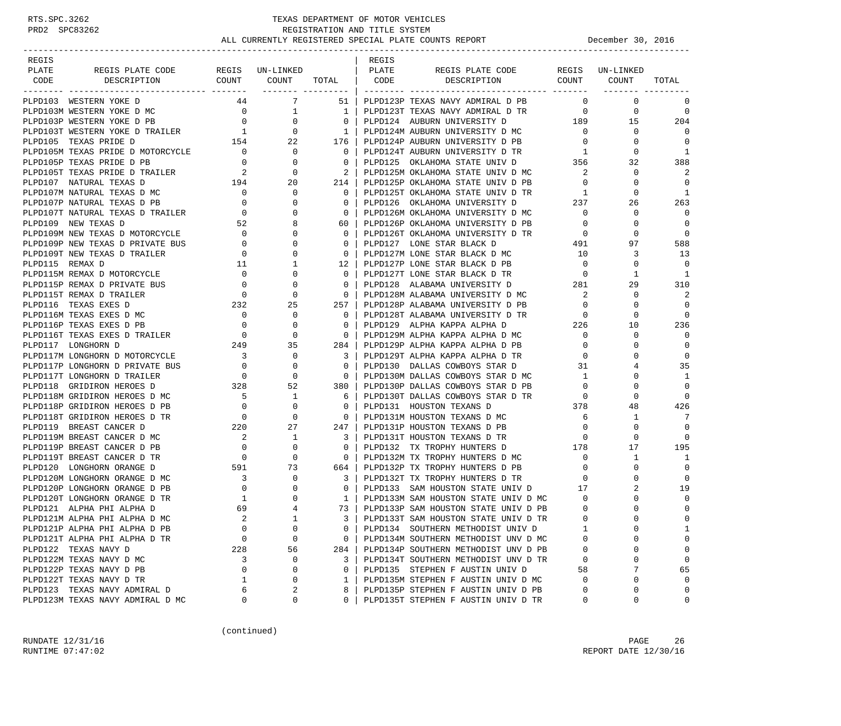# RTS.SPC.3262 TEXAS DEPARTMENT OF MOTOR VEHICLES<br>PRD2 SPC83262 REGISTRATION AND TITLE SYSTEM REGISTRATION AND TITLE SYSTEM ALL CURRENTLY REGISTERED SPECIAL PLATE COUNTS REPORT **DECEMBER 1999** December 30, 2016

| REGIS                                                                                                                                                                                                                                                                                                                                                                                                                                                                                            |                                                                                                                                                                     |                                                                                                                              |                                                     | REGIS |                                                                                                          |                            |                 |               |
|--------------------------------------------------------------------------------------------------------------------------------------------------------------------------------------------------------------------------------------------------------------------------------------------------------------------------------------------------------------------------------------------------------------------------------------------------------------------------------------------------|---------------------------------------------------------------------------------------------------------------------------------------------------------------------|------------------------------------------------------------------------------------------------------------------------------|-----------------------------------------------------|-------|----------------------------------------------------------------------------------------------------------|----------------------------|-----------------|---------------|
| PLATE<br>REGIS PLATE CODE                                                                                                                                                                                                                                                                                                                                                                                                                                                                        |                                                                                                                                                                     | REGIS UN-LINKED                                                                                                              |                                                     | PLATE | REGIS PLATE CODE                                                                                         |                            | REGIS UN-LINKED |               |
| DESCRIPTION<br>CODE                                                                                                                                                                                                                                                                                                                                                                                                                                                                              |                                                                                                                                                                     |                                                                                                                              |                                                     |       | COUNT COUNT TOTAL   CODE DESCRIPTION<br>COUNT COUNT                                                      |                            |                 | TOTAL         |
| ------- ---------------------                                                                                                                                                                                                                                                                                                                                                                                                                                                                    | _______ ______                                                                                                                                                      |                                                                                                                              |                                                     |       |                                                                                                          |                            |                 |               |
| PLPD103 WESTERN YOKE D                                                                                                                                                                                                                                                                                                                                                                                                                                                                           |                                                                                                                                                                     | 44 7                                                                                                                         | $51 \mid$                                           |       | PLPD123P TEXAS NAVY ADMIRAL D PB                                                                         | $\overline{0}$             | $\mathbf 0$     | 0             |
|                                                                                                                                                                                                                                                                                                                                                                                                                                                                                                  |                                                                                                                                                                     |                                                                                                                              |                                                     |       | PLPD123T TEXAS NAVY ADMIRAL D TR 0                                                                       |                            | $\mathbf 0$     | $\Omega$      |
|                                                                                                                                                                                                                                                                                                                                                                                                                                                                                                  |                                                                                                                                                                     |                                                                                                                              |                                                     |       |                                                                                                          |                            | 15              | 204           |
|                                                                                                                                                                                                                                                                                                                                                                                                                                                                                                  |                                                                                                                                                                     |                                                                                                                              |                                                     |       |                                                                                                          |                            | $\mathbf 0$     | $\Omega$      |
|                                                                                                                                                                                                                                                                                                                                                                                                                                                                                                  |                                                                                                                                                                     |                                                                                                                              |                                                     |       |                                                                                                          | $\overline{0}$             | $\mathbf{0}$    | $\Omega$      |
|                                                                                                                                                                                                                                                                                                                                                                                                                                                                                                  |                                                                                                                                                                     |                                                                                                                              |                                                     |       | PLPD124P AUBURN UNIVERSITY D PB 0<br>PLPD124T AUBURN UNIVERSITY D TR 1                                   |                            | $\mathbf 0$     | <sup>1</sup>  |
|                                                                                                                                                                                                                                                                                                                                                                                                                                                                                                  |                                                                                                                                                                     |                                                                                                                              |                                                     |       | PLPD125 OKLAHOMA STATE UNIV D 356                                                                        |                            | 32              | 388           |
|                                                                                                                                                                                                                                                                                                                                                                                                                                                                                                  |                                                                                                                                                                     |                                                                                                                              |                                                     |       |                                                                                                          | $\overline{\phantom{a}}$ 2 | $\Omega$        | $\mathcal{D}$ |
|                                                                                                                                                                                                                                                                                                                                                                                                                                                                                                  |                                                                                                                                                                     |                                                                                                                              |                                                     |       | PLPD125M OKLAHOMA STATE UNIV D MC<br>PLPD125P OKLAHOMA STATE UNIV D PB                                   | $\overline{0}$             | $\mathbf 0$     | $\Omega$      |
|                                                                                                                                                                                                                                                                                                                                                                                                                                                                                                  |                                                                                                                                                                     |                                                                                                                              |                                                     |       | PLPD125F ONDOUGLESS STATE UNIV D TR<br>PLPD125T OKLAHOMA STATE UNIV D TR<br>TIRILO OVIANOMA INIVERSITY D |                            | 0               | -1            |
|                                                                                                                                                                                                                                                                                                                                                                                                                                                                                                  |                                                                                                                                                                     |                                                                                                                              |                                                     |       |                                                                                                          |                            | 26              | 263           |
|                                                                                                                                                                                                                                                                                                                                                                                                                                                                                                  |                                                                                                                                                                     |                                                                                                                              |                                                     |       | PLPD126M OKLAHOMA UNIVERSITY D MC 0                                                                      |                            | $\mathbf 0$     | $\Omega$      |
|                                                                                                                                                                                                                                                                                                                                                                                                                                                                                                  |                                                                                                                                                                     |                                                                                                                              |                                                     |       | PLPD126P OKLAHOMA UNIVERSITY D PB                                                                        | $\overline{0}$             | $\Omega$        | $\Omega$      |
|                                                                                                                                                                                                                                                                                                                                                                                                                                                                                                  |                                                                                                                                                                     |                                                                                                                              |                                                     |       | PLPD126T OKLAHOMA UNIVERSITY D TR 0                                                                      |                            | $\Omega$        | $\Omega$      |
|                                                                                                                                                                                                                                                                                                                                                                                                                                                                                                  |                                                                                                                                                                     |                                                                                                                              |                                                     |       | PLPD127 LONE STAR BLACK D                                                                                | 491                        | 97              | 588           |
|                                                                                                                                                                                                                                                                                                                                                                                                                                                                                                  |                                                                                                                                                                     |                                                                                                                              |                                                     |       | PLPD127M LONE STAR BLACK D MC                                                                            | 10                         | 3               | 13            |
| $\begin{tabular}{l c c c c c c c} \multicolumn{1}{c}{\textbf{PLPDI03} \text{ WESTERN VORE D} & $\color{red}$ & $\color{red$44}$ & $\color{red$7}$ & $\color{red$51}$ & $\color{red$1}$ \\ \multicolumn{1}{c}{\textbf{PLPDI03P} \text{ WESTERN VORE D} \text{ PNE}} & $\color{red$0}$ & $\color{red$1}$ & $\color{red$1}$ & $\color{red$1}$ \\ \multicolumn{1}{c}{\textbf{PLPDI03P} \text{ WESTERN VORE D} \text{ PRALER}} & $\color{red$0}$ & $\color{red$0}$ & $\color{red$$<br>PLPD115 REMAX D |                                                                                                                                                                     |                                                                                                                              | 12                                                  |       | PLPD127P LONE STAR BLACK D PB                                                                            | $\overline{0}$             | $\mathbf 0$     | $\Omega$      |
| PLPD115M REMAX D MOTORCYCLE                                                                                                                                                                                                                                                                                                                                                                                                                                                                      |                                                                                                                                                                     |                                                                                                                              | $\Omega$                                            |       | PLPD127T LONE STAR BLACK D TR                                                                            | $\overline{0}$             | 1               | 1             |
| PLPD115P REMAX D PRIVATE BUS                                                                                                                                                                                                                                                                                                                                                                                                                                                                     |                                                                                                                                                                     |                                                                                                                              | $\Omega$                                            |       | PLPD128 ALABAMA UNIVERSITY D 281                                                                         |                            | 29              | 310           |
| PLPD115T REMAX D TRAILER                                                                                                                                                                                                                                                                                                                                                                                                                                                                         |                                                                                                                                                                     |                                                                                                                              | $\mathbf{0}$                                        |       |                                                                                                          | $\overline{\phantom{a}}^2$ | 0               | 2             |
| PLPD116 TEXAS EXES D                                                                                                                                                                                                                                                                                                                                                                                                                                                                             |                                                                                                                                                                     |                                                                                                                              | 257 I                                               |       | PLPD128M ALABAMA UNIVERSITY D MC<br>PLPD128P ALABAMA UNIVERSITY D PB                                     | $\overline{0}$             | $\Omega$        | $\Omega$      |
| PLPD116M TEXAS EXES D MC                                                                                                                                                                                                                                                                                                                                                                                                                                                                         |                                                                                                                                                                     | $\overline{0}$                                                                                                               | $\Omega$                                            |       |                                                                                                          |                            | 0               | $\Omega$      |
|                                                                                                                                                                                                                                                                                                                                                                                                                                                                                                  | $\begin{matrix}0\\0\end{matrix}$                                                                                                                                    |                                                                                                                              | $\Omega$                                            |       |                                                                                                          |                            | 10              | 236           |
| PLPD116P TEXAS EXES D PB<br>PLPD116P TEXAS EXES D PB<br>PLPD116T TEXAS EXES D TRAILER<br>PLPD117 LONGHORN D<br>PLPD117M LONGHORN D MOTORCYCLE<br>249 35<br>PLPD117M LONGHORN D MOTORCYCLE<br>3 0                                                                                                                                                                                                                                                                                                 |                                                                                                                                                                     |                                                                                                                              | $\bigcirc$                                          |       |                                                                                                          |                            | $\mathbf 0$     | $\Omega$      |
|                                                                                                                                                                                                                                                                                                                                                                                                                                                                                                  |                                                                                                                                                                     |                                                                                                                              | 284 l                                               |       |                                                                                                          | $\overline{0}$             | 0               | $\Omega$      |
|                                                                                                                                                                                                                                                                                                                                                                                                                                                                                                  |                                                                                                                                                                     |                                                                                                                              | $\overline{\phantom{a}3}$                           |       | PLPD129P ALPHA KAPPA ALPHA D PB<br>PLPD129T ALPHA KAPPA ALPHA D TR                                       | $\overline{0}$             | $\Omega$        | $\mathbf 0$   |
| PLPD117P LONGHORN D PRIVATE BUS                                                                                                                                                                                                                                                                                                                                                                                                                                                                  |                                                                                                                                                                     |                                                                                                                              | $\bigcirc$                                          |       | PLPD130 DALLAS COWBOYS STAR D                                                                            | 31                         | 4               | 35            |
| PLPD117T LONGHORN D TRAILER                                                                                                                                                                                                                                                                                                                                                                                                                                                                      | $\begin{matrix} \text{BUS} & \hspace{1.5cm} 0 & \hspace{1.5cm} 0 \\ & \hspace{1.5cm} 0 & \hspace{1.5cm} 0 \\ & \hspace{1.5cm} 328 & \hspace{1.5cm} 52 \end{matrix}$ |                                                                                                                              | $\overline{\phantom{0}}$                            |       | PLPD130M DALLAS COWBOYS STAR D MC                                                                        | $\overline{1}$             | $\Omega$        | 1             |
| PLPD118 GRIDIRON HEROES D                                                                                                                                                                                                                                                                                                                                                                                                                                                                        |                                                                                                                                                                     |                                                                                                                              | 380 I                                               |       | PLPD130P DALLAS COWBOYS STAR D PB                                                                        | $\overline{0}$             | $\Omega$        | $\Omega$      |
| PLPD118M GRIDIRON HEROES D MC                                                                                                                                                                                                                                                                                                                                                                                                                                                                    |                                                                                                                                                                     |                                                                                                                              | 6                                                   |       |                                                                                                          |                            | 0               | $\Omega$      |
| PLPD118P GRIDIRON HEROES D PB                                                                                                                                                                                                                                                                                                                                                                                                                                                                    |                                                                                                                                                                     |                                                                                                                              | $\overline{0}$                                      |       | PLPD130T DALLAS COWBOYS STAR D TR 0<br>PLPD131 HOUSTON TEXANS D 378                                      |                            | 48              | 426           |
| PLPD118T GRIDIRON HEROES D TR                                                                                                                                                                                                                                                                                                                                                                                                                                                                    |                                                                                                                                                                     |                                                                                                                              | $\overline{0}$                                      |       | PLPD131M HOUSTON TEXANS D MC                                                                             | 6                          | 1               | 7             |
| PLPD119 BREAST CANCER D                                                                                                                                                                                                                                                                                                                                                                                                                                                                          |                                                                                                                                                                     |                                                                                                                              | 247 I                                               |       | PLPD131P HOUSTON TEXANS D PB                                                                             | $\overline{0}$             | $\Omega$        | $\Omega$      |
| PLPD119M BREAST CANCER D MC                                                                                                                                                                                                                                                                                                                                                                                                                                                                      |                                                                                                                                                                     |                                                                                                                              | 3 I                                                 |       | PLPD131T HOUSTON TEXANS D TR                                                                             | $\overline{0}$             | $\Omega$        | $\Omega$      |
| PLPD119P BREAST CANCER D PB                                                                                                                                                                                                                                                                                                                                                                                                                                                                      |                                                                                                                                                                     |                                                                                                                              | $^{\circ}$                                          |       |                                                                                                          |                            | 17              | 195           |
| PLPD119T BREAST CANCER D TR                                                                                                                                                                                                                                                                                                                                                                                                                                                                      |                                                                                                                                                                     |                                                                                                                              | $\overline{\phantom{0}}$ 0 $\overline{\phantom{0}}$ |       | $L = -\omega$ in irothy HUNTERS D 178<br>PLPD132M TX TROPHY HUNTERS D MC 0                               |                            | $\mathbf{1}$    | 1             |
| PLPD120 LONGHORN ORANGE D                                                                                                                                                                                                                                                                                                                                                                                                                                                                        |                                                                                                                                                                     |                                                                                                                              | 664                                                 |       |                                                                                                          |                            | 0               | $\Omega$      |
| PLPD120M LONGHORN ORANGE D MC                                                                                                                                                                                                                                                                                                                                                                                                                                                                    |                                                                                                                                                                     | $\begin{array}{ccccccc}\n & & & & & & & 591 & & & 73 \\ \text{AC} & & & & 3 & & 0 \\ \text{PB} & & & & 0 & & 0\n\end{array}$ | 3 I                                                 |       | PLPD132P TX TROPHY HUNTERS D PB 0<br>PLPD132T TX TROPHY HUNTERS D TR                                     | $\sim$ 0                   | $\Omega$        | $\Omega$      |
| PLPD120P LONGHORN ORANGE D PB                                                                                                                                                                                                                                                                                                                                                                                                                                                                    |                                                                                                                                                                     |                                                                                                                              | $\overline{\phantom{0}}$ 0 $\overline{\phantom{0}}$ |       | PLPD133 SAM HOUSTON STATE UNIV D 17                                                                      |                            | 2               | 19            |
| PLPD120T LONGHORN ORANGE D TR                                                                                                                                                                                                                                                                                                                                                                                                                                                                    |                                                                                                                                                                     | $\overline{0}$                                                                                                               | $1 \quad$                                           |       |                                                                                                          |                            | 0               | $\Omega$      |
|                                                                                                                                                                                                                                                                                                                                                                                                                                                                                                  | $\frac{1}{69}$                                                                                                                                                      | 4                                                                                                                            | 73 I                                                |       | PLPD133M SAM HOUSTON STATE UNIV D MC 0<br>PLPD133P SAM HOUSTON STATE UNIV D PB 0                         |                            | $\Omega$        | $\mathbf 0$   |
| PLPD121 ALPHA PHI ALPHA D                                                                                                                                                                                                                                                                                                                                                                                                                                                                        | $\overline{2}$                                                                                                                                                      | $\overline{1}$                                                                                                               | $3-1$                                               |       | PLPD133P SAM HOUSTON STATE UNIV D PB                                                                     | $\Omega$                   | $\Omega$        | $\Omega$      |
| PLPD121M ALPHA PHI ALPHA D MC<br>PLPD121P ALPHA PHI ALPHA D PB                                                                                                                                                                                                                                                                                                                                                                                                                                   | 0                                                                                                                                                                   |                                                                                                                              |                                                     |       | PLPD133T SAM HOUSTON STATE UNIV D TR                                                                     | 1                          | 0               |               |
|                                                                                                                                                                                                                                                                                                                                                                                                                                                                                                  |                                                                                                                                                                     | 0                                                                                                                            | 0                                                   |       | PLPD134 SOUTHERN METHODIST UNIV D                                                                        |                            |                 | 1             |
| PLPD121T ALPHA PHI ALPHA D TR                                                                                                                                                                                                                                                                                                                                                                                                                                                                    | $\mathbf 0$                                                                                                                                                         | $\mathbf 0$                                                                                                                  | $\mathbf{0}$                                        |       | PLPD134M SOUTHERN METHODIST UNV D MC                                                                     | $\Omega$                   | U               | $\mathbf 0$   |
| PLPD122 TEXAS NAVY D                                                                                                                                                                                                                                                                                                                                                                                                                                                                             | 228                                                                                                                                                                 | 56                                                                                                                           | 284                                                 |       | PLPD134P SOUTHERN METHODIST UNV D PB                                                                     | 0                          | 0               | 0             |
| PLPD122M TEXAS NAVY D MC                                                                                                                                                                                                                                                                                                                                                                                                                                                                         | 3                                                                                                                                                                   | 0                                                                                                                            | 3                                                   |       | PLPD134T SOUTHERN METHODIST UNV D TR                                                                     | 0                          | 0               | $\mathbf 0$   |
| PLPD122P TEXAS NAVY D PB                                                                                                                                                                                                                                                                                                                                                                                                                                                                         | 0                                                                                                                                                                   | 0                                                                                                                            | $\Omega$                                            |       | PLPD135 STEPHEN F AUSTIN UNIV D                                                                          | 58                         | 7               | 65            |
| PLPD122T TEXAS NAVY D TR                                                                                                                                                                                                                                                                                                                                                                                                                                                                         | 1                                                                                                                                                                   | 0                                                                                                                            | 1                                                   |       | PLPD135M STEPHEN F AUSTIN UNIV D MC                                                                      | 0                          | 0               | $\mathbf 0$   |
| PLPD123 TEXAS NAVY ADMIRAL D                                                                                                                                                                                                                                                                                                                                                                                                                                                                     | 6                                                                                                                                                                   | 2                                                                                                                            | 8                                                   |       | PLPD135P STEPHEN F AUSTIN UNIV D PB                                                                      | 0                          | 0               | 0             |
| PLPD123M TEXAS NAVY ADMIRAL D MC                                                                                                                                                                                                                                                                                                                                                                                                                                                                 | 0                                                                                                                                                                   | 0                                                                                                                            | $\mathbf{0}$                                        |       | PLPD135T STEPHEN F AUSTIN UNIV D TR                                                                      | 0                          | 0               | 0             |

(continued)

RUNDATE  $12/31/16$  PAGE 26 RUNTIME 07:47:02 REPORT DATE 12/30/16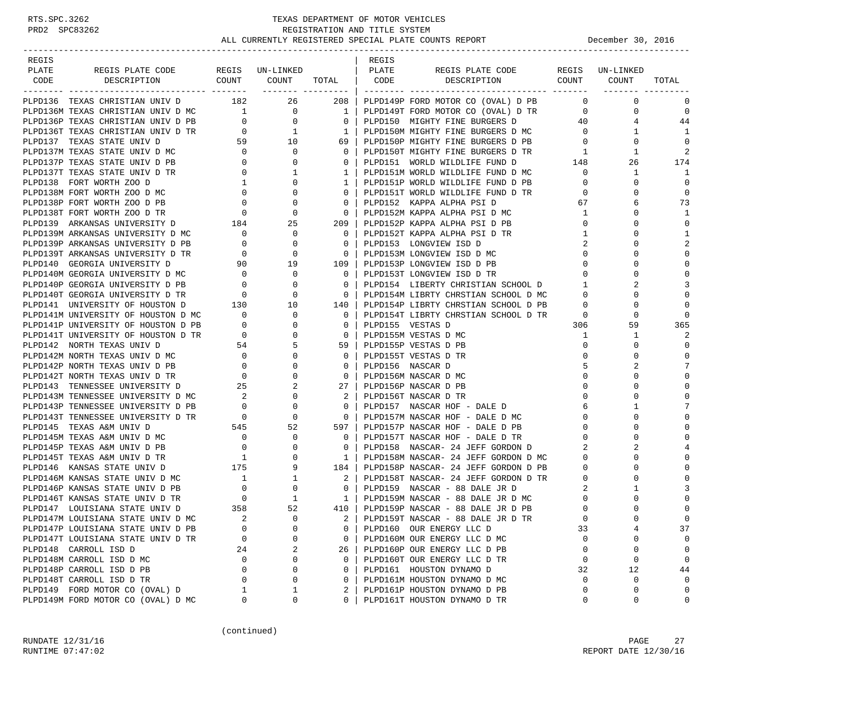| REGIS                                                                                                                                                                                                                                     |          |                                                                                                   |                | REGIS |                                                                                                                                                                                             |                |             |                |
|-------------------------------------------------------------------------------------------------------------------------------------------------------------------------------------------------------------------------------------------|----------|---------------------------------------------------------------------------------------------------|----------------|-------|---------------------------------------------------------------------------------------------------------------------------------------------------------------------------------------------|----------------|-------------|----------------|
| PLATE                                                                                                                                                                                                                                     |          |                                                                                                   |                |       | REGIS PLATE CODE REGIS UN-LINKED                                                                                                                                                            |                |             |                |
| CODE                                                                                                                                                                                                                                      |          |                                                                                                   |                |       |                                                                                                                                                                                             |                |             | TOTAL          |
|                                                                                                                                                                                                                                           |          |                                                                                                   |                |       |                                                                                                                                                                                             |                |             |                |
| PLPD136 TEXAS CHRISTIAN UNIV D 182 26 208   PLPD149P FORD MOTOR CO (OVAL) D PB                                                                                                                                                            |          |                                                                                                   |                |       |                                                                                                                                                                                             | $\overline{0}$ | $\mathbf 0$ | 0              |
|                                                                                                                                                                                                                                           |          |                                                                                                   |                |       |                                                                                                                                                                                             | $\overline{0}$ | $\mathbf 0$ | 0              |
|                                                                                                                                                                                                                                           |          |                                                                                                   |                |       |                                                                                                                                                                                             | 40             | 4           | 44             |
| PLPD136 TEXAS CHRISTIAN UNIV D<br>PLPD136 TEXAS CHRISTIAN UNIV D<br>PLPD136 TEXAS CHRISTIAN UNIV D MC<br>PLPD136 TEXAS CHRISTIAN UNIV D PB<br>PLPD136T TEXAS CHRISTIAN UNIV D PB<br>PLPD136T TEXAS STATE UNIV D TR<br>PLPD137 TEXAS STATE |          |                                                                                                   |                |       | PLPD150M MIGHTY FINE BURGERS D MC 0                                                                                                                                                         |                | 1           | 1              |
|                                                                                                                                                                                                                                           |          |                                                                                                   |                |       | PLPD150P MIGHTY FINE BURGERS D PB<br>PLPD150T MIGHTY FINE BURGERS D TR<br>PLPD151 WORLD WILDLIFE FUND D 0 148<br>PLPD151M WORLD WILDLIFE FUND D MC 0<br>PLPD151P WORLD WILDLIFE FUND D PB 0 | $\overline{0}$ | $\mathbf 0$ | 0              |
|                                                                                                                                                                                                                                           |          |                                                                                                   |                |       |                                                                                                                                                                                             |                | 1           | $\overline{2}$ |
|                                                                                                                                                                                                                                           |          |                                                                                                   |                |       |                                                                                                                                                                                             |                | 26          | 174            |
|                                                                                                                                                                                                                                           |          |                                                                                                   |                |       |                                                                                                                                                                                             |                | 1           | 1              |
|                                                                                                                                                                                                                                           |          |                                                                                                   |                |       |                                                                                                                                                                                             |                | 0           | $\mathbf 0$    |
|                                                                                                                                                                                                                                           |          |                                                                                                   |                |       |                                                                                                                                                                                             |                | 0           | 0              |
|                                                                                                                                                                                                                                           |          |                                                                                                   |                |       |                                                                                                                                                                                             |                | 6           | 73             |
|                                                                                                                                                                                                                                           |          |                                                                                                   |                |       | PLPD152M KAPPA ALPHA PSI D MC 1                                                                                                                                                             |                | 0           | 1              |
|                                                                                                                                                                                                                                           |          |                                                                                                   |                |       |                                                                                                                                                                                             | $\overline{0}$ | 0           | $\mathbf 0$    |
| PLPD139M ARKANSAS UNIVERSITY D MC 0                                                                                                                                                                                                       |          | $\overline{0}$                                                                                    | $0-1$          |       | PLPD152T KAPPA ALPHA PSI D TR                                                                                                                                                               | 1              | $\Omega$    | 1              |
|                                                                                                                                                                                                                                           |          |                                                                                                   | $\overline{0}$ |       | PLPD153 LONGVIEW ISD D                                                                                                                                                                      | 2              | 0           | $\overline{2}$ |
| PLPD139P ARKANSAS UNIVERSITY D PB $\qquad \qquad 0$<br>PLPD139T ARKANSAS UNIVERSITY D TR $\qquad \qquad 0$                                                                                                                                |          |                                                                                                   | $\overline{0}$ |       | PLPD153M LONGVIEW ISD D MC                                                                                                                                                                  | $\overline{0}$ | $\Omega$    | $\mathbf 0$    |
| PLPD140 GEORGIA UNIVERSITY D                                                                                                                                                                                                              |          | 90 19                                                                                             | 109            |       | PLPD153P LONGVIEW ISD D PB                                                                                                                                                                  | $\overline{0}$ | $\mathbf 0$ | $\mathbf 0$    |
| PLPD140M GEORGIA UNIVERSITY D MC                                                                                                                                                                                                          |          |                                                                                                   | $0-1$          |       | PLPD153T LONGVIEW ISD D TR                                                                                                                                                                  | $\mathbf{0}$   | $\mathbf 0$ | $\bigcap$      |
| PLPD140P GEORGIA UNIVERSITY D PB                                                                                                                                                                                                          |          |                                                                                                   | $\mathbf{0}$   |       | PLPD154 LIBERTY CHRISTIAN SCHOOL D 1                                                                                                                                                        |                | 2           | 3              |
| PLPD140T GEORGIA UNIVERSITY D TR                                                                                                                                                                                                          |          | $\begin{array}{ccc} & 0 & & 0 \ & 0 & & 0 \ & 0 & & 0 \ & 0 & & 0 \ 130 & & 10 & & \ \end{array}$ | $\overline{0}$ |       |                                                                                                                                                                                             |                | 0           | $\mathbf 0$    |
|                                                                                                                                                                                                                                           |          |                                                                                                   |                |       | PLPD154M LIBRTY CHRSTIAN SCHOOL D MC 0<br>PLPD154P LIBRTY CHRSTIAN SCHOOL D PB 0                                                                                                            |                | $\Omega$    | $\mathbf 0$    |
| PLPD141 UNIVERSITY OF HOUSTON D                                                                                                                                                                                                           |          |                                                                                                   | 140            |       |                                                                                                                                                                                             |                |             |                |
|                                                                                                                                                                                                                                           |          |                                                                                                   |                |       |                                                                                                                                                                                             | $\overline{0}$ | $\mathbf 0$ | $\bigcap$      |
|                                                                                                                                                                                                                                           |          |                                                                                                   |                |       |                                                                                                                                                                                             | 306            | 59          | 365            |
|                                                                                                                                                                                                                                           |          |                                                                                                   |                |       |                                                                                                                                                                                             | $\mathbf{1}$   | 1           | 2              |
|                                                                                                                                                                                                                                           |          |                                                                                                   |                |       |                                                                                                                                                                                             | $\mathbf{0}$   | 0           | $\mathbf 0$    |
|                                                                                                                                                                                                                                           |          |                                                                                                   |                |       |                                                                                                                                                                                             | $\mathbf{0}$   | $\Omega$    | $\mathbf 0$    |
|                                                                                                                                                                                                                                           |          |                                                                                                   |                |       |                                                                                                                                                                                             | 5              | 2           | 7              |
|                                                                                                                                                                                                                                           |          |                                                                                                   |                |       |                                                                                                                                                                                             | $\mathbf 0$    | 0           | $\mathbf 0$    |
|                                                                                                                                                                                                                                           |          |                                                                                                   |                |       |                                                                                                                                                                                             | $\mathbf{0}$   | $\Omega$    | $\bigcap$      |
|                                                                                                                                                                                                                                           |          |                                                                                                   |                |       |                                                                                                                                                                                             | $\circ$        | $\mathbf 0$ | $\cap$         |
|                                                                                                                                                                                                                                           |          |                                                                                                   |                |       |                                                                                                                                                                                             | 6              | 1           | 7              |
|                                                                                                                                                                                                                                           |          |                                                                                                   |                |       |                                                                                                                                                                                             | $\circ$        | $\mathbf 0$ | $\bigcap$      |
|                                                                                                                                                                                                                                           |          |                                                                                                   |                |       |                                                                                                                                                                                             | $\mathbf{0}$   | 0           | $\bigcap$      |
|                                                                                                                                                                                                                                           |          |                                                                                                   |                |       |                                                                                                                                                                                             | $\mathbf 0$    | $\Omega$    | C              |
|                                                                                                                                                                                                                                           |          |                                                                                                   |                |       |                                                                                                                                                                                             | 2              | 2           |                |
|                                                                                                                                                                                                                                           |          |                                                                                                   |                |       |                                                                                                                                                                                             | $\overline{0}$ | $\Omega$    | $\Omega$       |
|                                                                                                                                                                                                                                           |          |                                                                                                   |                |       |                                                                                                                                                                                             | $\overline{0}$ | 0           | $\bigcap$      |
|                                                                                                                                                                                                                                           |          |                                                                                                   |                |       | 2   PLPD158T NASCAR- 24 JEFF GORDON D TR                                                                                                                                                    | $\overline{0}$ | 0           | $\bigcap$      |
|                                                                                                                                                                                                                                           |          |                                                                                                   |                |       |                                                                                                                                                                                             | 2              | 1           | 3              |
|                                                                                                                                                                                                                                           |          |                                                                                                   |                |       |                                                                                                                                                                                             | $\overline{0}$ | $\mathbf 0$ | $\bigcap$      |
|                                                                                                                                                                                                                                           |          |                                                                                                   |                |       |                                                                                                                                                                                             | $\mathbf 0$    | $\Omega$    | $\mathbf 0$    |
| PLPD147M LOUISIANA STATE UNIV D MC                                                                                                                                                                                                        | $\sim$ 2 | $\Omega$                                                                                          | $2 \mid$       |       | PLPD159T NASCAR - 88 DALE JR D TR                                                                                                                                                           | $\Omega$       | $\cap$      | $\Omega$       |
| PLPD147P LOUISIANA STATE UNIV D PB                                                                                                                                                                                                        | 0        | 0                                                                                                 | 0              |       | PLPD160 OUR ENERGY LLC D                                                                                                                                                                    | 33             | 4           | 37             |
| PLPD147T LOUISIANA STATE UNIV D TR                                                                                                                                                                                                        | 0        | $\Omega$                                                                                          | 0              |       | PLPD160M OUR ENERGY LLC D MC                                                                                                                                                                | $\Omega$       | 0           | 0              |
| PLPD148 CARROLL ISD D                                                                                                                                                                                                                     | 24       | 2                                                                                                 | 26             |       | PLPD160P OUR ENERGY LLC D PB                                                                                                                                                                | 0              | 0           | 0              |
| PLPD148M CARROLL ISD D MC                                                                                                                                                                                                                 | 0        | 0                                                                                                 | 0              |       | PLPD160T OUR ENERGY LLC D TR                                                                                                                                                                | 0              | 0           | 0              |
| PLPD148P CARROLL ISD D PB                                                                                                                                                                                                                 | $\Omega$ | 0                                                                                                 | 0              |       | PLPD161 HOUSTON DYNAMO D                                                                                                                                                                    | 32             | 12          | 44             |
| PLPD148T CARROLL ISD D TR                                                                                                                                                                                                                 | $\Omega$ | $\Omega$                                                                                          | 0              |       | PLPD161M HOUSTON DYNAMO D MC                                                                                                                                                                | 0              | 0           | $\mathbf 0$    |
| PLPD149 FORD MOTOR CO (OVAL) D                                                                                                                                                                                                            | ı        | 1                                                                                                 | 2              |       | PLPD161P HOUSTON DYNAMO D PB                                                                                                                                                                | 0              | 0           | 0              |
| PLPD149M FORD MOTOR CO (OVAL) D MC                                                                                                                                                                                                        | 0        | 0                                                                                                 | 0              |       | PLPD161T HOUSTON DYNAMO D TR                                                                                                                                                                | 0              | 0           | 0              |
|                                                                                                                                                                                                                                           |          |                                                                                                   |                |       |                                                                                                                                                                                             |                |             |                |

(continued)

RUNDATE 12/31/16 PAGE 27 RUNTIME 07:47:02 REPORT DATE 12/30/16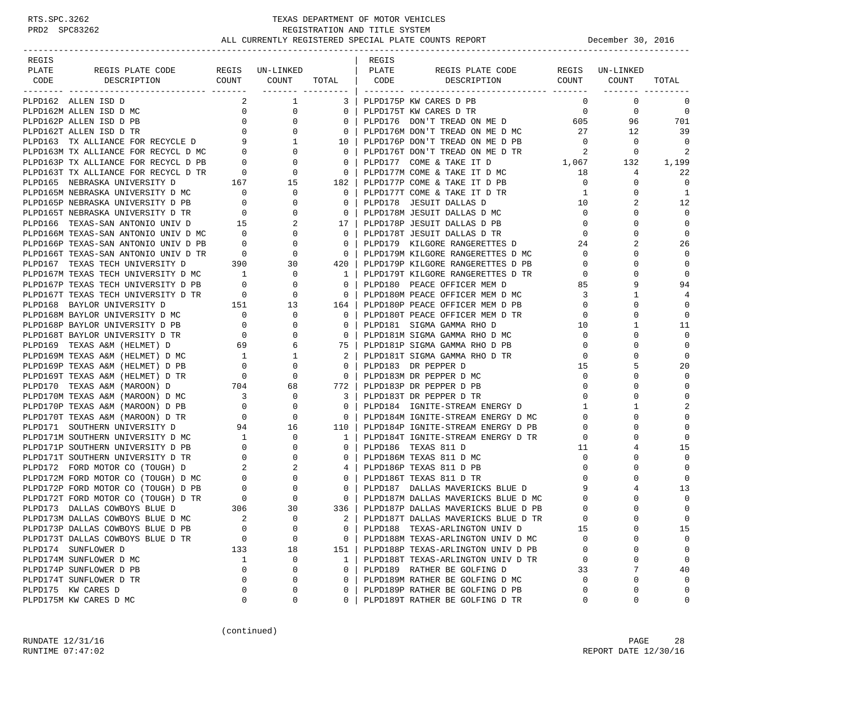| REGIS                                                                                                              |                                                          |                                    |                                                     | REGIS |                                           |                          |                 |                |
|--------------------------------------------------------------------------------------------------------------------|----------------------------------------------------------|------------------------------------|-----------------------------------------------------|-------|-------------------------------------------|--------------------------|-----------------|----------------|
| PLATE<br>REGIS PLATE CODE                                                                                          |                                                          | REGIS UN-LINKED                    |                                                     | PLATE | REGIS PLATE CODE                          |                          | REGIS UN-LINKED |                |
| CODE<br>DESCRIPTION                                                                                                |                                                          | COUNT COUNT                        | TOTAL   CODE                                        |       | DESCRIPTION                               |                          | COUNT COUNT     | TOTAL          |
| PLPD162 ALLEN ISD D                                                                                                | 2                                                        | $\mathbf{1}$                       |                                                     |       | 3   PLPD175P KW CARES D PB                | $\Omega$                 | $\mathbf 0$     | 0              |
| PLPD162M ALLEN ISD D MC                                                                                            | $\overline{0}$                                           | 0                                  | 0 <sup>1</sup>                                      |       | PLPD175T KW CARES D TR                    | $\overline{0}$           | $\mathbf 0$     | 0              |
| PLPD162P ALLEN ISD D PB                                                                                            |                                                          | $0 \qquad \qquad$<br>$\mathbf{0}$  |                                                     |       | 0   PLPD176 DON'T TREAD ON ME D           | 605                      | 96              | 701            |
|                                                                                                                    |                                                          |                                    | $0-1$                                               |       | PLPD176M DON'T TREAD ON ME D MC           | 27                       | 12              | 39             |
|                                                                                                                    |                                                          |                                    |                                                     |       | 10   PLPD176P DON'T TREAD ON ME D PB      | $\overline{0}$           | 0               | 0              |
| PLPD162T ALLEN ISD D TR $0$<br>PLPD163 TX ALLIANCE FOR RECYCLE D 9 1<br>PLPD163M TX ALLIANCE FOR RECYCL D MC 0 0 0 |                                                          |                                    | $\overline{0}$                                      |       | PLPD176T DON'T TREAD ON ME D TR           | $\overline{\phantom{a}}$ | 0               | 2              |
| PLPD163P TX ALLIANCE FOR RECYCL D PB                                                                               |                                                          | $\mathbf 0$                        | $\overline{0}$                                      |       | PLPD177 COME & TAKE IT D                  | 1,067                    | 132             | 1,199          |
| PLPD163T TX ALLIANCE FOR RECYCL D TR                                                                               | $\begin{array}{c} 0 \\ 0 \end{array}$                    | $\mathbf{0}$                       |                                                     |       | 0   PLPD177M COME & TAKE IT D MC          | 18                       | 4               | 22             |
| PLPD165 NEBRASKA UNIVERSITY D                                                                                      | 167                                                      | 15                                 | 182                                                 |       | PLPD177P COME & TAKE IT D PB              | $\overline{0}$           | 0               | 0              |
| PLPD165M NEBRASKA UNIVERSITY D $MC$ 0<br>PLPD165P NEBRASKA UNIVERSITY D $PB$ 0 $\,$                                |                                                          | 0                                  |                                                     |       | 0   PLPD177T COME & TAKE IT D TR          | $\mathbf{1}$             | 0               | 1              |
|                                                                                                                    |                                                          | $\mathbf 0$                        |                                                     |       | 0   PLPD178 JESUIT DALLAS D               | 10                       | 2               | 12             |
| PLPD165T NEBRASKA UNIVERSITY D TR                                                                                  | $\begin{array}{c} 0 \\ 15 \end{array}$                   | $\mathbf 0$                        | $\overline{\phantom{0}}$ 0 $\overline{\phantom{0}}$ |       | PLPD178M JESUIT DALLAS D MC               | $\overline{0}$           | 0               | $\Omega$       |
| PLPD166 TEXAS-SAN ANTONIO UNIV D                                                                                   | 15                                                       | 2                                  |                                                     |       | 17   PLPD178P JESUIT DALLAS D PB          | $\overline{0}$           | 0               | $\mathbf 0$    |
| PLPD166M TEXAS-SAN ANTONIO UNIV D MC 0                                                                             |                                                          | $\overline{0}$                     | $\overline{0}$                                      |       | PLPD178T JESUIT DALLAS D TR               | $\circ$                  | $\Omega$        | $\mathbf 0$    |
| PLPD166P TEXAS-SAN ANTONIO UNIV D PB                                                                               | $\begin{array}{c} 0 \\ 0 \end{array}$                    | 0                                  | $0-1$                                               |       | PLPD179 KILGORE RANGERETTES D             | 24                       | 2               | 26             |
| PLPD166T TEXAS-SAN ANTONIO UNIV D TR                                                                               |                                                          | $\overline{0}$                     |                                                     |       | 0   PLPD179M KILGORE RANGERETTES D MC     | $\overline{0}$           | $\Omega$        | 0              |
| PLPD167 TEXAS TECH UNIVERSITY D                                                                                    | 390                                                      | 30                                 |                                                     |       | 420   PLPD179P KILGORE RANGERETTES D PB   | $\mathbf 0$              | 0               | $\mathbf 0$    |
| PLPD167M TEXAS TECH UNIVERSITY D MC 1<br>PLPD167P TEXAS TECH UNIVERSITY D PB 0                                     |                                                          | $\mathbf 0$                        |                                                     |       | 1   PLPD179T KILGORE RANGERETTES D TR     | $\mathbf{0}$             | $\Omega$        | $\Omega$       |
|                                                                                                                    |                                                          | 0                                  | $\mathbf{0}$                                        |       | PLPD180 PEACE OFFICER MEM D               | 85                       | 9               | 94             |
| PLPD167T TEXAS TECH UNIVERSITY D TR 0<br>PLPD168 BAYLOR UNIVERSITY D 151                                           |                                                          |                                    |                                                     |       | 0   PLPD180M PEACE OFFICER MEM D MC       | $\overline{\mathbf{3}}$  | 1               | 4              |
|                                                                                                                    |                                                          | $\begin{array}{c}0\\13\end{array}$ |                                                     |       | 164   PLPD180P PEACE OFFICER MEM D PB     | $\overline{0}$           | $\Omega$        | $\mathbf 0$    |
| PLPD168M BAYLOR UNIVERSITY D MC                                                                                    | $\begin{array}{c} 0 \\ 0 \end{array}$                    | $\overline{0}$                     |                                                     |       | 0   PLPD180T PEACE OFFICER MEM D TR       | $\overline{0}$           | 0               | 0              |
| PLPD168P BAYLOR UNIVERSITY D PB                                                                                    |                                                          | 0                                  |                                                     |       | 0   PLPD181 SIGMA GAMMA RHO D             | 10                       | 1               | 11             |
| PLPD168T BAYLOR UNIVERSITY D TR                                                                                    | $\overline{a}$                                           | 0                                  | $0-1$                                               |       | PLPD181M SIGMA GAMMA RHO D MC             | $\overline{0}$           | 0               | $\mathbf 0$    |
| PLPD169 TEXAS A&M (HELMET) D                                                                                       | 69                                                       | 6                                  |                                                     |       | 75   PLPD181P SIGMA GAMMA RHO D PB        | $\mathbf 0$              | 0               | 0              |
| PLPD169M TEXAS A&M (HELMET) D MC                                                                                   | $\overline{1}$                                           | 1                                  |                                                     |       | 2   PLPD181T SIGMA GAMMA RHO D TR         | $\overline{0}$           | $\Omega$        | $\mathbf 0$    |
| PLPD169P TEXAS A&M (HELMET) D PB                                                                                   |                                                          | 0                                  | $\mathbf{0}$                                        |       | PLPD183 DR PEPPER D                       | 15                       | 5               | 20             |
| PLPD169T TEXAS A&M (HELMET) D TR                                                                                   | $\begin{array}{c}\n 1 \\  0 \\  0 \\  704\n \end{array}$ | 0                                  |                                                     |       | 0 PLPD183M DR PEPPER D MC                 | $\overline{0}$           | $\Omega$        | $\mathbf 0$    |
| PLPD170 TEXAS A&M (MAROON) D                                                                                       |                                                          | 68                                 |                                                     |       | 772   PLPD183P DR PEPPER D PB             | $\mathbf{0}$             | $\Omega$        | $\mathbf 0$    |
| PLPD170M TEXAS A&M (MAROON) D MC                                                                                   | $\begin{array}{c} 3 \\ 0 \end{array}$                    | 0                                  |                                                     |       | 3   PLPD183T DR PEPPER D TR               | $\overline{0}$           | $\mathbf 0$     | $\Omega$       |
| PLPD170P TEXAS A&M (MAROON) D PB                                                                                   |                                                          | $\mathbf 0$                        |                                                     |       | 0   PLPD184 IGNITE-STREAM ENERGY D        | $\mathbf{1}$             | $\mathbf{1}$    | $\overline{2}$ |
| PLPD170T TEXAS A&M (MAROON) D TR                                                                                   | $\sim$ 0                                                 | $\mathbf 0$                        | $\overline{\phantom{0}}$ 0 $\overline{\phantom{0}}$ |       | PLPD184M IGNITE-STREAM ENERGY D MC        | $\overline{0}$           | 0               | $\Omega$       |
| PLPD171 SOUTHERN UNIVERSITY D                                                                                      | 94                                                       | 16                                 |                                                     |       | 110   PLPD184P IGNITE-STREAM ENERGY D PB  | $\mathbf 0$              | 0               | $\bigcap$      |
| PLPD171M SOUTHERN UNIVERSITY D MC                                                                                  | $\frac{1}{2}$                                            | 0                                  | 1 <sup>1</sup>                                      |       | PLPD184T IGNITE-STREAM ENERGY D TR        | $\mathbf 0$              | 0               | $\bigcap$      |
| PLPD171P SOUTHERN UNIVERSITY D PB                                                                                  | $\begin{array}{c} 0 \\ 0 \end{array}$                    | 0                                  | $0-1$                                               |       | PLPD186 TEXAS 811 D                       | 11                       | 4               | 15             |
| PLPD171T SOUTHERN UNIVERSITY D TR                                                                                  |                                                          | $\overline{0}$                     |                                                     |       | 0   PLPD186M TEXAS 811 D MC               | $\mathbf 0$              | 0               | $\mathbf 0$    |
| PLPD172 FORD MOTOR CO (TOUGH) D                                                                                    |                                                          | 2                                  |                                                     |       | 4   PLPD186P TEXAS 811 D PB               | 0                        | $\Omega$        | $\bigcap$      |
| PLPD172M FORD MOTOR CO (TOUGH) D MC                                                                                |                                                          | $\mathbf 0$                        |                                                     |       | 0   PLPD186T TEXAS 811 D TR               | $\mathbf 0$              | $\Omega$        | $\bigcap$      |
| PLPD172P FORD MOTOR CO (TOUGH) D PB                                                                                |                                                          | 0                                  | $0-1$                                               |       | PLPD187 DALLAS MAVERICKS BLUE D           | 9                        | 4               | 13             |
| PLPD172T FORD MOTOR CO (TOUGH) D TR                                                                                | TR $\begin{array}{cc} 0 \\ 306 \end{array}$              | $\overline{0}$                     | 0 <sup>1</sup>                                      |       | PLPD187M DALLAS MAVERICKS BLUE D MC       | 0                        | 0               | $\mathbf 0$    |
| PLPD173 DALLAS COWBOYS BLUE D                                                                                      |                                                          | 30                                 |                                                     |       | 336   PLPD187P DALLAS MAVERICKS BLUE D PB | $\Omega$                 | $\Omega$        | $\mathbf 0$    |
| PLPD173M DALLAS COWBOYS BLUE D MC                                                                                  | $\overline{\phantom{0}}^2$                               | $\Omega$                           |                                                     |       | 2   PLPD187T DALLAS MAVERICKS BLUE D TR   | $\Omega$                 | $\cap$          | $\Omega$       |
| PLPD173P DALLAS COWBOYS BLUE D PB                                                                                  | 0                                                        | 0                                  | 0                                                   |       | PLPD188 TEXAS-ARLINGTON UNIV D            | 15                       | $\Omega$        | 15             |
| PLPD173T DALLAS COWBOYS BLUE D TR                                                                                  | 0                                                        | 0                                  | $\mathbf{0}$                                        |       | PLPD188M TEXAS-ARLINGTON UNIV D MC        | $\Omega$                 | 0               | 0              |
| PLPD174 SUNFLOWER D                                                                                                | 133                                                      | 18                                 | 151                                                 |       | PLPD188P TEXAS-ARLINGTON UNIV D PB        | 0                        | 0               | $\mathbf 0$    |
| PLPD174M SUNFLOWER D MC                                                                                            | 1                                                        | 0                                  | $\mathbf{1}$                                        |       | PLPD188T TEXAS-ARLINGTON UNIV D TR        | 0                        | 0               | 0              |
| PLPD174P SUNFLOWER D PB                                                                                            | 0                                                        | 0                                  | 0                                                   |       | PLPD189 RATHER BE GOLFING D               | 33                       | 7               | 40             |
| PLPD174T SUNFLOWER D TR                                                                                            | 0                                                        | 0                                  | 0                                                   |       | PLPD189M RATHER BE GOLFING D MC           | $\Omega$                 | 0               | $\mathbf 0$    |
| PLPD175 KW CARES D                                                                                                 | 0                                                        | 0                                  | 0                                                   |       | PLPD189P RATHER BE GOLFING D PB           | 0                        | 0               | $\mathbf 0$    |
| PLPD175M KW CARES D MC                                                                                             | 0                                                        | 0                                  | 0                                                   |       | PLPD189T RATHER BE GOLFING D TR           | 0                        | 0               | 0              |

(continued)

RUNDATE  $12/31/16$  PAGE 28 RUNTIME 07:47:02 REPORT DATE 12/30/16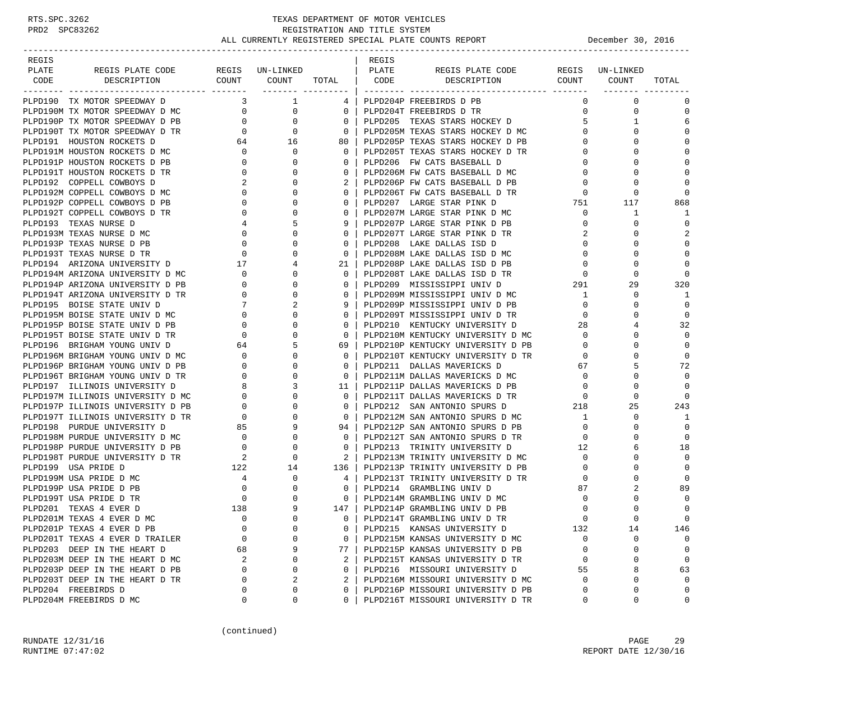| REGIS |                                   |                                       |                                             |                | REGIS |                                   |                                     |                 |             |
|-------|-----------------------------------|---------------------------------------|---------------------------------------------|----------------|-------|-----------------------------------|-------------------------------------|-----------------|-------------|
| PLATE | REGIS PLATE CODE                  |                                       | REGIS UN-LINKED                             |                | PLATE | REGIS PLATE CODE                  |                                     | REGIS UN-LINKED |             |
| CODE  | DESCRIPTION                       | COUNT                                 | COUNT TOTAL  <br>------- --------- <b>-</b> |                | CODE  | DESCRIPTION                       | COUNT COUNT                         |                 | TOTAL       |
|       | PLPD190 TX MOTOR SPEEDWAY D       | 3                                     | $\overline{1}$                              | 4              |       | PLPD204P FREEBIRDS D PB           | $\Omega$                            | $\Omega$        | 0           |
|       | PLPD190M TX MOTOR SPEEDWAY D MC   |                                       | $\overline{0}$<br>$\overline{0}$            | $\mathbf{0}$   |       | PLPD204T FREEBIRDS D TR           | $\mathbf{0}$                        | 0               | $\mathbf 0$ |
|       | PLPD190P TX MOTOR SPEEDWAY D PB   | $\overline{0}$                        | 0                                           | $\mathbf{0}$   |       | PLPD205 TEXAS STARS HOCKEY D      | 5                                   | 1               | 6           |
|       | PLPD190T TX MOTOR SPEEDWAY D TR   | $\overline{0}$                        | $\mathbf{0}$                                | $\mathbf 0$    |       | PLPD205M TEXAS STARS HOCKEY D MC  | $\mathbf{0}$                        | $\Omega$        | $\Omega$    |
|       | PLPD191 HOUSTON ROCKETS D         | 64                                    | 16                                          | 80             |       | PLPD205P TEXAS STARS HOCKEY D PB  | $\mathbf{0}$                        |                 | $\Omega$    |
|       | PLPD191M HOUSTON ROCKETS D MC     | $\overline{0}$                        | $\mathbf 0$                                 | $\mathbf{0}$   |       | PLPD205T TEXAS STARS HOCKEY D TR  | $\mathbf{0}$                        |                 | $\mathbf 0$ |
|       | PLPD191P HOUSTON ROCKETS D PB     | $\mathbf{0}$                          | $\mathbf 0$                                 | $\mathbf{0}$   |       | PLPD206 FW CATS BASEBALL D        | $\mathbf{0}$                        |                 | $\Omega$    |
|       | PLPD191T HOUSTON ROCKETS D TR     | $\overline{0}$                        | $\Omega$                                    | $\Omega$       |       | PLPD206M FW CATS BASEBALL D MC    | $\mathbf{0}$                        |                 | $\Omega$    |
|       | PLPD192 COPPELL COWBOYS D         | $\overline{\phantom{a}}^2$            | $\Omega$                                    |                |       | PLPD206P FW CATS BASEBALL D PB    | $\mathbf 0$                         |                 | $\Omega$    |
|       | PLPD192M COPPELL COWBOYS D MC     | $\overline{0}$                        | 0                                           | 0              |       | PLPD206T FW CATS BASEBALL D TR    |                                     | 0               | $\Omega$    |
|       | PLPD192P COPPELL COWBOYS D PB     | $\mathbf{0}$                          | $\Omega$                                    | $\Omega$       |       | PLPD207 LARGE STAR PINK D         | $\begin{array}{c}0\\751\end{array}$ | 117             | 868         |
|       | PLPD192T COPPELL COWBOYS D TR     | $\overline{0}$                        | $\mathbf 0$                                 | 0              |       | PLPD207M LARGE STAR PINK D MC     | $\mathbf{0}$                        | 1               | 1           |
|       | PLPD193 TEXAS NURSE D             | 4                                     | 5                                           | 9              |       | PLPD207P LARGE STAR PINK D PB     | $\mathbf{0}$                        | 0               | $\Omega$    |
|       | PLPD193M TEXAS NURSE D MC         | $\overline{0}$                        | $\mathbf 0$                                 | $\Omega$       |       | PLPD207T LARGE STAR PINK D TR     | 2                                   |                 | 2           |
|       | PLPD193P TEXAS NURSE D PB         | $\overline{0}$                        | $\mathbf 0$                                 | 0              |       | PLPD208 LAKE DALLAS ISD D         | $\mathbf{0}$                        | 0               | $\mathbf 0$ |
|       | PLPD193T TEXAS NURSE D TR         | $\overline{\phantom{0}}$              | $\Omega$                                    | $\mathbf{0}$   |       | PLPD208M LAKE DALLAS ISD D MC     | $\mathbf 0$                         | O               | $\mathbf 0$ |
|       | PLPD194 ARIZONA UNIVERSITY D 17   |                                       | 4                                           | 21             |       | PLPD208P LAKE DALLAS ISD D PB     | $\overline{0}$                      | $\Omega$        | $\Omega$    |
|       | PLPD194M ARIZONA UNIVERSITY D MC  | $\begin{array}{c} 0 \\ 0 \end{array}$ | $\mathbf 0$                                 | $\mathbf{0}$   |       | PLPD208T LAKE DALLAS ISD D TR     | $\overline{0}$                      | $\Omega$        | $\Omega$    |
|       | PLPD194P ARIZONA UNIVERSITY D PB  |                                       | $\Omega$                                    | $\Omega$       |       | PLPD209 MISSISSIPPI UNIV D        | 291                                 | 29              | 320         |
|       | PLPD194T ARIZONA UNIVERSITY D TR  | $\overline{0}$                        | 0                                           | $\mathbf{0}$   |       | PLPD209M MISSISSIPPI UNIV D MC    | 1                                   | 0               | -1          |
|       | PLPD195 BOISE STATE UNIV D        | 7                                     |                                             | 9              |       | PLPD209P MISSISSIPPI UNIV D PB    | $\overline{0}$                      | $\Omega$        | $\mathbf 0$ |
|       | PLPD195M BOISE STATE UNIV D MC    |                                       | $\overline{0}$<br>0                         | $\mathbf{0}$   |       | PLPD209T MISSISSIPPI UNIV D TR    | $\mathbf 0$                         |                 | $\mathbf 0$ |
|       | PLPD195P BOISE STATE UNIV D PB    | $\mathbf{0}$                          | $\mathbf 0$                                 | $\Omega$       |       | PLPD210 KENTUCKY UNIVERSITY D     | 28                                  |                 | 32          |
|       | PLPD195T BOISE STATE UNIV D TR    | $\overline{0}$                        | $\Omega$                                    | $\Omega$       |       | PLPD210M KENTUCKY UNIVERSITY D MC | $\mathbf 0$                         |                 | $\Omega$    |
|       | PLPD196 BRIGHAM YOUNG UNIV D      | 64                                    | 5                                           | 69             |       | PLPD210P KENTUCKY UNIVERSITY D PB | $\mathbf 0$                         | 0               | $\mathbf 0$ |
|       | PLPD196M BRIGHAM YOUNG UNIV D MC  | $\overline{\phantom{0}}$              | $\Omega$                                    | $\Omega$       |       | PLPD210T KENTUCKY UNIVERSITY D TR | $\mathbf 0$                         | $\Omega$        | $\mathbf 0$ |
|       | PLPD196P BRIGHAM YOUNG UNIV D PB  | $\overline{0}$                        | 0                                           | $\Omega$       |       | PLPD211 DALLAS MAVERICKS D        | 67                                  | 5               | 72          |
|       | PLPD196T BRIGHAM YOUNG UNIV D TR  | $\overline{0}$                        | $\Omega$                                    | $\mathbf{0}$   |       | PLPD211M DALLAS MAVERICKS D MC    | $\overline{0}$                      | $\Omega$        | $\Omega$    |
|       | PLPD197 ILLINOIS UNIVERSITY D     | 8                                     | 3                                           | 11             |       | PLPD211P DALLAS MAVERICKS D PB    | $\mathbf 0$                         | $\Omega$        | $\Omega$    |
|       | PLPD197M ILLINOIS UNIVERSITY D MC | $\mathbf{0}$                          | 0                                           | $\mathbf{0}$   |       | PLPD211T DALLAS MAVERICKS D TR    | $\mathbf 0$                         | 0               | $\Omega$    |
|       | PLPD197P ILLINOIS UNIVERSITY D PB | $\overline{0}$                        | $\Omega$                                    | $\mathbf 0$    |       | PLPD212 SAN ANTONIO SPURS D       | $\frac{0}{218}$                     | 25              | 243         |
|       | PLPD197T ILLINOIS UNIVERSITY D TR | $\overline{0}$                        | $\mathbf 0$                                 | $\overline{0}$ |       | PLPD212M SAN ANTONIO SPURS D MC   | 1                                   | 0               | 1           |
|       | PLPD198 PURDUE UNIVERSITY D       | 85                                    | 9                                           | 94 I           |       | PLPD212P SAN ANTONIO SPURS D PB   | $\mathbf 0$                         | $\Omega$        | $\Omega$    |
|       | PLPD198M PURDUE UNIVERSITY D MC 0 |                                       | $\mathbf 0$                                 | $\Omega$       |       | PLPD212T SAN ANTONIO SPURS D TR   | $\Omega$                            |                 | $\Omega$    |
|       | PLPD198P PURDUE UNIVERSITY D PB   | $\begin{array}{c} 0 \\ 2 \end{array}$ | $\mathbf 0$                                 | $\mathbf{0}$   |       | PLPD213 TRINITY UNIVERSITY D      | 12                                  |                 | 18          |
|       | PLPD198T PURDUE UNIVERSITY D TR   |                                       | $\mathbf 0$                                 | 2              |       | PLPD213M TRINITY UNIVERSITY D MC  | $\mathbf{0}$                        | O               | $\mathbf 0$ |
|       | PLPD199 USA PRIDE D               | 122                                   | 14                                          | 136            |       | PLPD213P TRINITY UNIVERSITY D PB  | $\mathbf 0$                         | O               | $\mathbf 0$ |
|       | PLPD199M USA PRIDE D MC           | $\overline{4}$                        | $\mathbf 0$                                 | 4              |       | PLPD213T TRINITY UNIVERSITY D TR  | $\mathbf 0$                         |                 | $\Omega$    |
|       | PLPD199P USA PRIDE D PB           | $\overline{0}$                        | $\mathbf 0$                                 | $\mathbf{0}$   |       | PLPD214 GRAMBLING UNIV D          | 87                                  |                 | 89          |
|       | PLPD199T USA PRIDE D TR           | $\overline{0}$                        | $\mathbf 0$                                 | $\overline{0}$ |       | PLPD214M GRAMBLING UNIV D MC      | 0                                   | 0               | $\mathbf 0$ |
|       | PLPD201 TEXAS 4 EVER D            | 138                                   | 9                                           | 147 I          |       | PLPD214P GRAMBLING UNIV D PB      | $\mathbf 0$                         | O               | $\mathbf 0$ |
|       | PLPD201M TEXAS 4 EVER D MC        | $\Omega$                              | $\Omega$                                    | $\Omega$       |       | PLPD214T GRAMBLING UNIV D TR      | $\Omega$                            |                 | $\Omega$    |
|       | PLPD201P TEXAS 4 EVER D PB        | $\mathbf 0$                           | 0                                           | 0              |       | PLPD215 KANSAS UNIVERSITY D       | 132                                 | 14              | 146         |
|       | PLPD201T TEXAS 4 EVER D TRAILER   | $\Omega$                              | 0                                           | 0              |       | PLPD215M KANSAS UNIVERSITY D MC   | $\Omega$                            | $\mathbf 0$     | $\mathbf 0$ |
|       | PLPD203 DEEP IN THE HEART D       | 68                                    | 9                                           | 77             |       | PLPD215P KANSAS UNIVERSITY D PB   | 0                                   | $\mathbf 0$     | $\mathbf 0$ |
|       | PLPD203M DEEP IN THE HEART D MC   | 2                                     | 0                                           | 2              |       | PLPD215T KANSAS UNIVERSITY D TR   | $\mathbf 0$                         | $\Omega$        | $\mathsf 0$ |
|       | PLPD203P DEEP IN THE HEART D PB   | $\Omega$                              | 0                                           | $\Omega$       |       | PLPD216 MISSOURI UNIVERSITY D     | 55                                  | 8               | 63          |
|       | PLPD203T DEEP IN THE HEART D TR   | 0                                     | 2                                           | 2              |       | PLPD216M MISSOURI UNIVERSITY D MC | $\mathbf 0$                         | $\mathbf 0$     | $\mathbf 0$ |
|       | PLPD204 FREEBIRDS D               | 0                                     | 0                                           | 0              |       | PLPD216P MISSOURI UNIVERSITY D PB | $\Omega$                            | $\mathbf 0$     | 0           |
|       | PLPD204M FREEBIRDS D MC           | 0                                     | 0                                           | $\Omega$       |       | PLPD216T MISSOURI UNIVERSITY D TR | 0                                   | $\mathbf 0$     | 0           |

(continued)

RUNDATE 12/31/16 PAGE 29 RUNTIME 07:47:02 REPORT DATE 12/30/16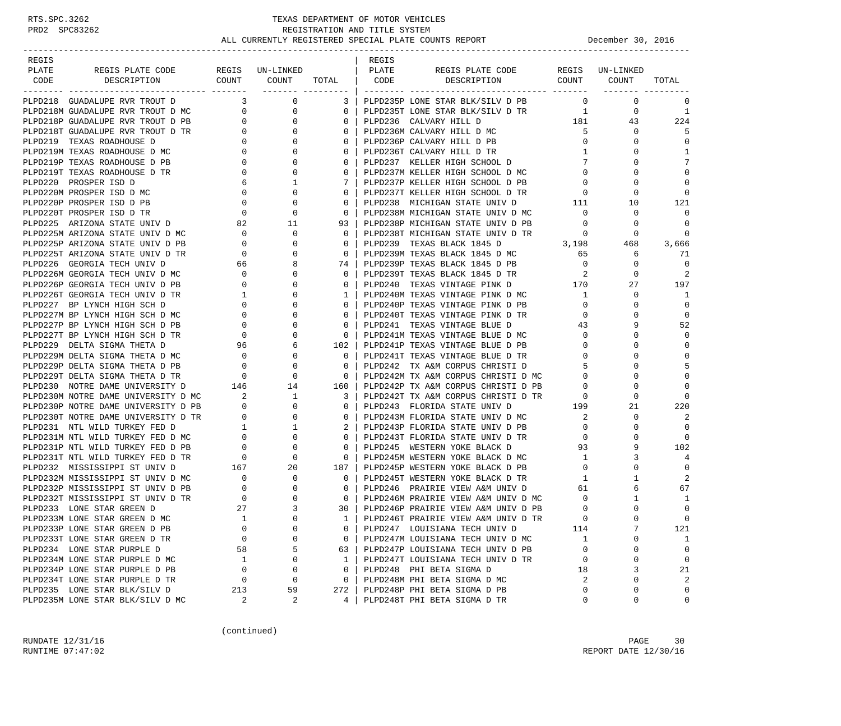### RTS.SPC.3262 TEXAS DEPARTMENT OF MOTOR VEHICLES<br>PRD2 SPC83262 REGISTRATION AND TITLE SYSTEM REGISTRATION AND TITLE SYSTEM ALL CURRENTLY REGISTERED SPECIAL PLATE COUNTS REPORT **DECEMBER 1999** December 30, 2016

-----------------------------------------------------------------------------------------------------------------------------------

| REGIS |  |  | REGIS |                                                                                                                                                                                                                               |  |                       |
|-------|--|--|-------|-------------------------------------------------------------------------------------------------------------------------------------------------------------------------------------------------------------------------------|--|-----------------------|
| PLATE |  |  |       |                                                                                                                                                                                                                               |  |                       |
|       |  |  |       |                                                                                                                                                                                                                               |  |                       |
|       |  |  |       | Note 1933 the content of the state of the state of the state of the state of the state of the state of the state of the state of the state of the state of the state of the state of the state of the state of the state of t |  | $\Omega$              |
|       |  |  |       |                                                                                                                                                                                                                               |  |                       |
|       |  |  |       |                                                                                                                                                                                                                               |  | $\overline{1}$<br>224 |
|       |  |  |       |                                                                                                                                                                                                                               |  |                       |
|       |  |  |       |                                                                                                                                                                                                                               |  | 5<br>$\Omega$         |
|       |  |  |       |                                                                                                                                                                                                                               |  | <sup>1</sup>          |
|       |  |  |       |                                                                                                                                                                                                                               |  | 7                     |
|       |  |  |       |                                                                                                                                                                                                                               |  | $\Omega$              |
|       |  |  |       |                                                                                                                                                                                                                               |  | $\Omega$              |
|       |  |  |       |                                                                                                                                                                                                                               |  | 0                     |
|       |  |  |       |                                                                                                                                                                                                                               |  | 121                   |
|       |  |  |       |                                                                                                                                                                                                                               |  | $\Omega$              |
|       |  |  |       |                                                                                                                                                                                                                               |  | $\overline{0}$        |
|       |  |  |       |                                                                                                                                                                                                                               |  | $\overline{0}$        |
|       |  |  |       |                                                                                                                                                                                                                               |  | 3,666                 |
|       |  |  |       |                                                                                                                                                                                                                               |  | 71                    |
|       |  |  |       |                                                                                                                                                                                                                               |  | $\Omega$              |
|       |  |  |       |                                                                                                                                                                                                                               |  | 2                     |
|       |  |  |       |                                                                                                                                                                                                                               |  | 197                   |
|       |  |  |       |                                                                                                                                                                                                                               |  | $\overline{1}$        |
|       |  |  |       |                                                                                                                                                                                                                               |  | $\Omega$              |
|       |  |  |       |                                                                                                                                                                                                                               |  | $\Omega$              |
|       |  |  |       |                                                                                                                                                                                                                               |  | 52                    |
|       |  |  |       |                                                                                                                                                                                                                               |  | $\Omega$              |
|       |  |  |       |                                                                                                                                                                                                                               |  | $\Omega$              |
|       |  |  |       |                                                                                                                                                                                                                               |  |                       |
|       |  |  |       |                                                                                                                                                                                                                               |  | 5                     |
|       |  |  |       |                                                                                                                                                                                                                               |  |                       |
|       |  |  |       |                                                                                                                                                                                                                               |  | $\Omega$              |
|       |  |  |       |                                                                                                                                                                                                                               |  |                       |
|       |  |  |       |                                                                                                                                                                                                                               |  | 220                   |
|       |  |  |       |                                                                                                                                                                                                                               |  | 2                     |
|       |  |  |       |                                                                                                                                                                                                                               |  |                       |
|       |  |  |       |                                                                                                                                                                                                                               |  | $\Omega$              |
|       |  |  |       |                                                                                                                                                                                                                               |  | 102                   |
|       |  |  |       |                                                                                                                                                                                                                               |  | $\overline{4}$        |
|       |  |  |       |                                                                                                                                                                                                                               |  | $\Omega$              |
|       |  |  |       |                                                                                                                                                                                                                               |  | 2                     |
|       |  |  |       |                                                                                                                                                                                                                               |  | 67                    |
|       |  |  |       |                                                                                                                                                                                                                               |  | <sup>1</sup>          |
|       |  |  |       |                                                                                                                                                                                                                               |  | $\overline{0}$        |
|       |  |  |       |                                                                                                                                                                                                                               |  | $\overline{0}$        |
|       |  |  |       |                                                                                                                                                                                                                               |  | 121                   |
|       |  |  |       |                                                                                                                                                                                                                               |  | -1                    |
|       |  |  |       |                                                                                                                                                                                                                               |  | $\overline{0}$        |
|       |  |  |       |                                                                                                                                                                                                                               |  | $\Omega$              |
|       |  |  |       |                                                                                                                                                                                                                               |  | 21                    |
|       |  |  |       |                                                                                                                                                                                                                               |  | 2                     |
|       |  |  |       |                                                                                                                                                                                                                               |  | $\mathbf 0$           |
|       |  |  |       | 4   PLPD248T PHI BETA SIGMA D TR                                                                                                                                                                                              |  | $\Omega$              |

(continued)

RUNDATE  $12/31/16$  PAGE 30 RUNTIME 07:47:02 REPORT DATE 12/30/16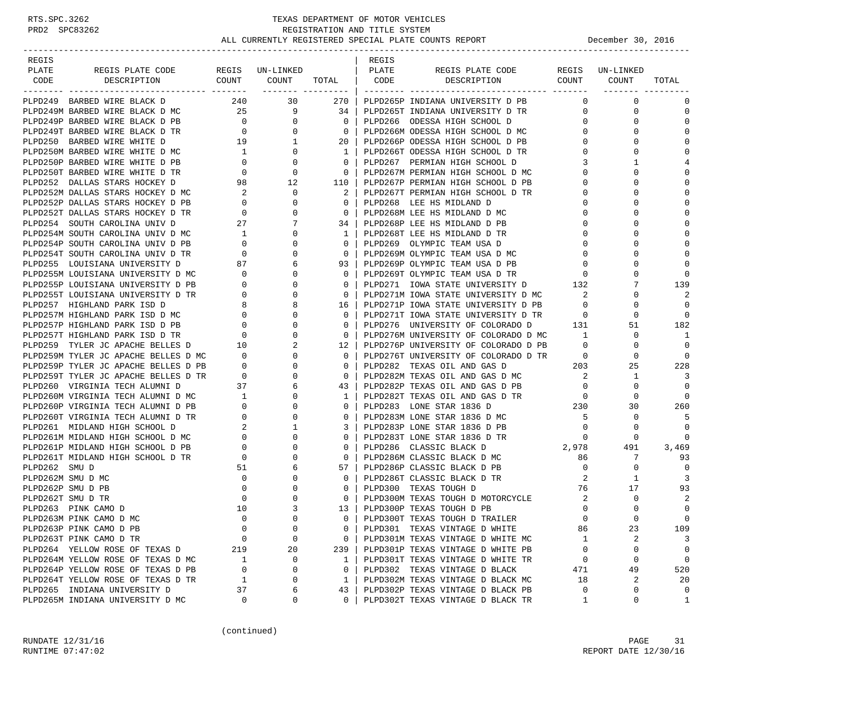| REGIS             |                                                                                                                                                                                                                                            |                                                |                |                                  | REGIS |                                                                                      |                            |          |                |
|-------------------|--------------------------------------------------------------------------------------------------------------------------------------------------------------------------------------------------------------------------------------------|------------------------------------------------|----------------|----------------------------------|-------|--------------------------------------------------------------------------------------|----------------------------|----------|----------------|
| PLATE             | REGIS PLATE CODE REGIS UN-LINKED   PLATE                                                                                                                                                                                                   |                                                |                |                                  |       | REGIS PLATE CODE REGIS UN-LINKED                                                     |                            |          |                |
| CODE              | DESCRIPTION                                                                                                                                                                                                                                |                                                |                |                                  |       | COUNT COUNT TOTAL CODE DESCRIPTION COUNT COUNT                                       |                            |          | TOTAL          |
|                   |                                                                                                                                                                                                                                            |                                                |                |                                  |       |                                                                                      |                            |          |                |
|                   | PLPD249 BARBED WIRE BLACK D                                                                                                                                                                                                                |                                                | 240 30         | 270 l                            |       | PLPD265P INDIANA UNIVERSITY D PB                                                     | $\Omega$                   | 0        | 0              |
|                   | PLPD249M BARBED WIRE BLACK D MC 25 9 34                                                                                                                                                                                                    |                                                |                |                                  |       | PLPD265T INDIANA UNIVERSITY D TR                                                     | $0 \qquad \qquad$          | 0        | $\mathbf 0$    |
|                   |                                                                                                                                                                                                                                            |                                                | $\overline{0}$ | $\overline{0}$                   |       | PLPD266 ODESSA HIGH SCHOOL D                                                         | $\overline{0}$             | $\Omega$ | $\mathbf 0$    |
|                   | PLPD249P BARBED WIRE BLACK D PB 0<br>PLPD249T BARBED WIRE BLACK D TR 0                                                                                                                                                                     |                                                | $\overline{0}$ | $\overline{0}$                   |       | PLPD266M ODESSA HIGH SCHOOL D MC                                                     | $\mathbf{0}$               | $\Omega$ | $\mathbf 0$    |
|                   | PLPD250 BARBED WIRE WHITE D                                                                                                                                                                                                                |                                                |                | 20 I                             |       | PLPD266P ODESSA HIGH SCHOOL D PB                                                     | $\mathbf{0}$               | 0        | 0              |
|                   | PLPD250M BARBED WIRE WHITE D MC                                                                                                                                                                                                            |                                                |                | $\frac{1}{1}$                    |       | PLPD266T ODESSA HIGH SCHOOL D TR                                                     | $\mathbf{0}$               | $\Omega$ | $\mathbf 0$    |
|                   | PLPD250P BARBED WIRE WHITE D PB                                                                                                                                                                                                            |                                                |                | $\overline{\mathbf{0}}$          |       | PLPD267 PERMIAN HIGH SCHOOL D                                                        | 3                          | 1        | 4              |
|                   | PLPD250T BARBED WIRE WHITE D TR                                                                                                                                                                                                            |                                                |                | $\overline{0}$                   |       | PLPD267M PERMIAN HIGH SCHOOL D MC                                                    | $\mathbf{0}$               | $\Omega$ | $\mathbf 0$    |
|                   | PLPD252 DALLAS STARS HOCKEY D                                                                                                                                                                                                              |                                                |                | 110 l                            |       |                                                                                      | $\mathbf{0}$               | $\Omega$ | $\mathbf 0$    |
|                   | PIPD252M DALLAS STARS HOCKEY D MC<br>PIPD252M DALLAS STARS HOCKEY D PB<br>PIPD252T DALLAS STARS HOCKEY D PB<br>PIPD252T DALLAS STARS HOCKEY D TR<br>PIPD254 SOUTH CAROLINA UNIV D MC<br>PIPD254P SOUTH CAROLINA UNIV D PB<br>PIPD254T SOUT |                                                | 0              | 2 <sup>1</sup>                   |       | PLPD267T PERMIAN HIGH SCHOOL D TR                                                    | $\mathbf{0}$               | 0        | 0              |
|                   |                                                                                                                                                                                                                                            |                                                | 0              | $\overline{0}$                   |       | PLPD268 LEE HS MIDLAND D                                                             | $\mathbf{0}$               |          | $\mathbf 0$    |
|                   |                                                                                                                                                                                                                                            |                                                | 0              | $\overline{0}$                   |       | PLPD268M LEE HS MIDLAND D MC                                                         | $\mathbf 0$                | $\Omega$ | $\Omega$       |
|                   |                                                                                                                                                                                                                                            |                                                | 7              | 34 l                             |       | PLPD268P LEE HS MIDLAND D PB                                                         | $\mathbf 0$                |          | $\mathbf 0$    |
|                   |                                                                                                                                                                                                                                            |                                                | 0              | 1                                |       | PLPD268T LEE HS MIDLAND D TR                                                         | $\mathbf{0}$               | $\Omega$ | 0              |
|                   |                                                                                                                                                                                                                                            |                                                | 0              | $\mathbf{0}$                     |       | PLPD269 OLYMPIC TEAM USA D                                                           | $\overline{0}$             | $\Omega$ | $\mathbf 0$    |
|                   |                                                                                                                                                                                                                                            |                                                | 0              | $\overline{0}$                   |       | PLPD269M OLYMPIC TEAM USA D MC                                                       | $\mathbf{0}$               |          | $\mathbf 0$    |
|                   | PLPD255 LOUISIANA UNIVERSITY D                                                                                                                                                                                                             | 87                                             | 6              | 93                               |       | PLPD269P OLYMPIC TEAM USA D PB                                                       | $\mathbf{0}$               | $\Omega$ | $\mathbf 0$    |
|                   | PLPD255M LOUISIANA UNIVERSITY D MC                                                                                                                                                                                                         |                                                | 0              | $\overline{0}$                   |       | PLPD269T OLYMPIC TEAM USA D TR                                                       | $\mathbf{0}$               |          | $\mathbf 0$    |
|                   | PLPD255P LOUISIANA UNIVERSITY D PB                                                                                                                                                                                                         | $\begin{array}{c} 0 \\ 0 \end{array}$          | 0              | $\Omega$                         |       | PLPD271 IOWA STATE UNIVERSITY D 132                                                  |                            |          | 139            |
|                   | PLPD255T LOUISIANA UNIVERSITY D TR                                                                                                                                                                                                         |                                                | 0              | $\overline{0}$                   |       |                                                                                      | 2                          | 0        | 2              |
|                   | PLPD257 HIGHLAND PARK ISD D                                                                                                                                                                                                                |                                                | 8              | 16                               |       | PLPD271M IOWA STATE UNIVERSITY D MC<br>PLPD271P IOWA STATE UNIVERSITY D PB           | $\overline{0}$             | $\Omega$ | $\overline{0}$ |
|                   | PLPD257M HIGHLAND PARK ISD D MC                                                                                                                                                                                                            |                                                | 0              | $\mathbf{0}$                     |       |                                                                                      |                            | 0        | $\Omega$       |
|                   | PLPD257P HIGHLAND PARK ISD D PB                                                                                                                                                                                                            |                                                | 0              | $\mathbf{0}$                     |       | PLPD271T IOWA STATE UNIVERSITY D TR 0<br>PLPD276 UNIVERSITY OF COLORADO D 131        |                            | 51       | 182            |
|                   | PLPD257T HIGHLAND PARK ISD D TR                                                                                                                                                                                                            | TR 0<br>$8$<br>$0$<br>$0$<br>$0$<br>$0$<br>$0$ | $\Omega$       | $\overline{0}$                   |       | PLPD276M UNIVERSITY OF COLORADO D MC 1                                               |                            | 0        | 1              |
|                   |                                                                                                                                                                                                                                            |                                                | 2              | 12 l                             |       | PLPD276P UNIVERSITY OF COLORADO D PB                                                 | $\overline{0}$             | 0        | $\mathbf 0$    |
|                   | PLPD259 TYLER JC APACHE BELLES D 10<br>PLPD259M TYLER JC APACHE BELLES D MC 0                                                                                                                                                              |                                                | $\mathbf{0}$   | $\overline{0}$                   |       |                                                                                      | $\overline{0}$             | 0        | $\overline{0}$ |
|                   |                                                                                                                                                                                                                                            |                                                |                |                                  |       | PLPD276T UNIVERSITY OF COLORADO D TR                                                 |                            |          |                |
|                   |                                                                                                                                                                                                                                            |                                                | 0<br>0         | $\overline{0}$<br>$\overline{0}$ |       | PLPD282 TEXAS OIL AND GAS D                                                          | 203                        | 25       | 228<br>3       |
|                   | PLPD259P TYLER JC APACHE BELLES D PB 0<br>PLPD259T TYLER JC APACHE BELLES D TR 0<br>PLPD260 VIRGINIA TECH ALUMNI D 37                                                                                                                      |                                                |                |                                  |       | PLPD282M TEXAS OIL AND GAS D MC<br>PLPD282P TEXAS OIL AND GAS D PB                   | $\overline{\mathbf{2}}$    | 1        |                |
|                   |                                                                                                                                                                                                                                            |                                                | 6              | 43                               |       | PLPD282r IBAAD VID --<br>PLPD282T TEXAS OIL AND GAS D TR<br>----- 2010 1936 D TR 230 | $\overline{0}$             | 0        | $\mathbf 0$    |
|                   |                                                                                                                                                                                                                                            |                                                | 0              | 1                                |       |                                                                                      |                            | 0        | 0              |
|                   |                                                                                                                                                                                                                                            |                                                | $\mathbf{0}$   | $\mathbf{0}$                     |       |                                                                                      |                            | 30       | 260            |
|                   |                                                                                                                                                                                                                                            |                                                | $\mathbf{0}$   | $\mathbf{0}$                     |       | PLPD283M LONE STAR 1836 D MC                                                         | $-5$                       | 0        | 5              |
|                   |                                                                                                                                                                                                                                            |                                                | 1              | 3 <sup>1</sup>                   |       | PLPD283P LONE STAR 1836 D PB                                                         | $\overline{0}$             | 0        | $\mathbf 0$    |
|                   |                                                                                                                                                                                                                                            |                                                | 0              | $\Omega$                         |       | PLPD283T LONE STAR 1836 D TR                                                         | $\overline{\phantom{0}}$   | 0        | $\Omega$       |
|                   | PLPD260M VIRGINIA TECH ALUMNI D MC<br>PLPD260M VIRGINIA TECH ALUMNI D MC<br>PLPD260P VIRGINIA TECH ALUMNI D PB<br>PLPD260T VIRGINIA TECH ALUMNI D TR<br>PLPD261 MIDLAND HIGH SCHOOL D MC<br>PLPD261P MIDLAND HIGH SCHOOL D PB<br>PLPD261P  |                                                | 0              | $\mathbf{0}$                     |       | PLPD286 CLASSIC BLACK D                                                              | 2,978                      | 491      | 3,469          |
|                   |                                                                                                                                                                                                                                            |                                                | 0              | $\circ$                          |       | PLPD286M CLASSIC BLACK D MC                                                          | 86                         | 7        | 93             |
| PLPD262 SMU D     |                                                                                                                                                                                                                                            | 51                                             | 6              | 57                               |       | PLPD286P CLASSIC BLACK D PB                                                          | $\overline{0}$             | 0        | $\mathbf 0$    |
| PLPD262M SMU D MC |                                                                                                                                                                                                                                            | $\overline{0}$                                 | 0              | $\mathbf{0}$                     |       | PLPD286T CLASSIC BLACK D TR                                                          | 2                          | 1        | 3              |
|                   | PLPD262P SMU D PB                                                                                                                                                                                                                          | $\overline{\phantom{0}}$                       | 0              | $\mathbf{0}$                     |       | PLPD300 TEXAS TOUGH D                                                                | 76                         | 17       | 93             |
| PLPD262T SMU D TR |                                                                                                                                                                                                                                            | $\overline{0}$                                 | 0              | $\overline{0}$                   |       | PLPD300M TEXAS TOUGH D MOTORCYCLE                                                    | $\overline{\phantom{a}}^2$ | 0        | 2              |
|                   | PLPD263 PINK CAMO D                                                                                                                                                                                                                        | 10                                             | 3              | 13                               |       | PLPD300P TEXAS TOUGH D PB                                                            | $\mathbf{0}$               | $\Omega$ | $\mathbf 0$    |
|                   | PLPD263M PINK CAMO D MC                                                                                                                                                                                                                    | $\Omega$                                       | $\Omega$       | $\Omega$                         |       | PLPD300T TEXAS TOUGH D TRAILER                                                       | $\cap$                     | $\Omega$ | $\Omega$       |
|                   | PLPD263P PINK CAMO D PB                                                                                                                                                                                                                    | $\mathbf 0$                                    | $\mathbf 0$    | 0                                |       | PLPD301 TEXAS VINTAGE D WHITE                                                        | 86                         | 23       | 109            |
|                   | PLPD263T PINK CAMO D TR                                                                                                                                                                                                                    | 0                                              | $\mathbf 0$    | 0                                |       | PLPD301M TEXAS VINTAGE D WHITE MC                                                    | 1                          | 2        | 3              |
|                   | PLPD264 YELLOW ROSE OF TEXAS D                                                                                                                                                                                                             | 219                                            | 20             | 239                              |       | PLPD301P TEXAS VINTAGE D WHITE PB                                                    | 0                          | 0        | $\mathbf 0$    |
|                   | PLPD264M YELLOW ROSE OF TEXAS D MC                                                                                                                                                                                                         | 1                                              | 0              | 1                                |       | PLPD301T TEXAS VINTAGE D WHITE TR                                                    | 0                          | 0        | 0              |
|                   | PLPD264P YELLOW ROSE OF TEXAS D PB                                                                                                                                                                                                         | 0                                              | 0              | 0                                |       | PLPD302 TEXAS VINTAGE D BLACK                                                        | 471                        | 49       | 520            |
|                   | PLPD264T YELLOW ROSE OF TEXAS D TR                                                                                                                                                                                                         | 1                                              | 0              | $\mathbf 1$                      |       | PLPD302M TEXAS VINTAGE D BLACK MC                                                    | 18                         | 2        | 20             |
|                   | PLPD265 INDIANA UNIVERSITY D                                                                                                                                                                                                               | 37                                             | 6              | 43                               |       | PLPD302P TEXAS VINTAGE D BLACK PB                                                    | 0                          | 0        | 0              |
|                   | PLPD265M INDIANA UNIVERSITY D MC                                                                                                                                                                                                           | 0                                              | 0              | $\Omega$                         |       | PLPD302T TEXAS VINTAGE D BLACK TR                                                    | 1                          | 0        | $\mathbf{1}$   |

(continued)

RUNDATE  $12/31/16$  PAGE 31 RUNTIME 07:47:02 REPORT DATE 12/30/16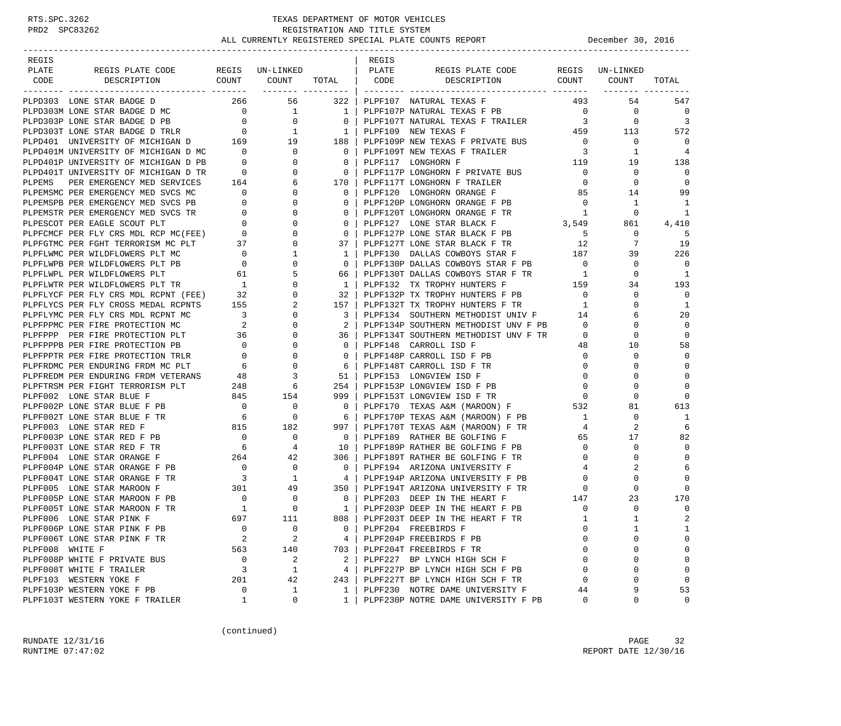### RTS.SPC.3262 TEXAS DEPARTMENT OF MOTOR VEHICLES<br>PRD2 SPC83262 REGISTRATION AND TITLE SYSTEM<br>ALL CURRENTLY PROTOTION AND TITLE SYSTEM REGISTRATION AND TITLE SYSTEM ALL CURRENTLY REGISTERED SPECIAL PLATE COUNTS REPORT **DECEMBER 1999** December 30, 2016

| REGIS                                                                                                                                                                                                                                                            |                |                                      |                | REGIS |                                                                                                                |                |              |                |
|------------------------------------------------------------------------------------------------------------------------------------------------------------------------------------------------------------------------------------------------------------------|----------------|--------------------------------------|----------------|-------|----------------------------------------------------------------------------------------------------------------|----------------|--------------|----------------|
| PLATE                                                                                                                                                                                                                                                            |                |                                      |                |       | REGIS PLATE CODE REGIS UN-LINKED                                                                               |                |              |                |
|                                                                                                                                                                                                                                                                  |                |                                      |                |       |                                                                                                                |                |              | TOTAL          |
|                                                                                                                                                                                                                                                                  |                |                                      |                |       |                                                                                                                |                |              |                |
| PLPD303 LONE STAR BADGE D<br>PLPD303 LONE STRR BADGE D $10^{10}$ PLPP107 NATURAL TEXAS F $PLP20303$ LONE STRR BADGE D $10^{10}$ PLPP107 NATURAL TEXAS F PRINCIPS (1990) IN FRAUDAL TEXAS F PRINCIPS IN THE PLPP107 NATURAL TEXAS F PRINCIPS IN THE PLPP107 NATUR |                |                                      |                |       | 266 56 322   PLPF107 NATURAL TEXAS F                                                                           | 493            | 54           | 547            |
|                                                                                                                                                                                                                                                                  |                |                                      |                |       |                                                                                                                |                |              | 0              |
|                                                                                                                                                                                                                                                                  |                |                                      |                |       |                                                                                                                |                |              | $\overline{3}$ |
|                                                                                                                                                                                                                                                                  |                |                                      |                |       |                                                                                                                |                |              | 572            |
|                                                                                                                                                                                                                                                                  |                |                                      |                |       |                                                                                                                |                |              | 0              |
|                                                                                                                                                                                                                                                                  |                |                                      |                |       |                                                                                                                |                |              | 4              |
|                                                                                                                                                                                                                                                                  |                |                                      |                |       |                                                                                                                |                |              | 138            |
|                                                                                                                                                                                                                                                                  |                |                                      |                |       |                                                                                                                |                |              | 0              |
|                                                                                                                                                                                                                                                                  |                |                                      |                |       |                                                                                                                |                |              | 0              |
|                                                                                                                                                                                                                                                                  |                |                                      |                |       |                                                                                                                |                |              | 99             |
|                                                                                                                                                                                                                                                                  |                |                                      |                |       |                                                                                                                |                |              | 1              |
|                                                                                                                                                                                                                                                                  |                |                                      |                |       |                                                                                                                |                |              | 1              |
|                                                                                                                                                                                                                                                                  |                |                                      |                |       |                                                                                                                |                |              | 4,410          |
|                                                                                                                                                                                                                                                                  |                |                                      |                |       |                                                                                                                |                |              | 5              |
|                                                                                                                                                                                                                                                                  |                |                                      |                |       |                                                                                                                |                |              | 19             |
|                                                                                                                                                                                                                                                                  |                |                                      |                |       |                                                                                                                |                |              | 226            |
|                                                                                                                                                                                                                                                                  |                |                                      |                |       |                                                                                                                |                |              |                |
|                                                                                                                                                                                                                                                                  |                |                                      |                |       |                                                                                                                |                |              | 0              |
|                                                                                                                                                                                                                                                                  |                |                                      |                |       |                                                                                                                |                |              | 1              |
|                                                                                                                                                                                                                                                                  |                |                                      |                |       |                                                                                                                |                |              | 193            |
|                                                                                                                                                                                                                                                                  |                |                                      |                |       |                                                                                                                |                |              | 0              |
|                                                                                                                                                                                                                                                                  |                |                                      |                |       |                                                                                                                |                |              | 1              |
|                                                                                                                                                                                                                                                                  |                |                                      | 3 I            |       | PLPF134 SOUTHERN METHODIST UNIV F 14                                                                           |                | 6            | 20             |
| PLPFLYMC PER FLY CRS MDL RCPNT MC<br>PLPFPPMC PER FIRE PROTECTION MC 2 0<br>PLPFPPPP PER FIRE PROTECTION PLT 36 0<br>PLPFPPP PER FIRE PROTECTION PLT 36 0<br>PLPFPPP PER FIRE PROTECTION PLT 36 0<br>PLPFPPPTR PER FIRE PROTECTION TRLR<br>                      |                |                                      |                |       | 2   PLPF134P SOUTHERN METHODIST UNV F PB                                                                       | $\overline{0}$ | $\mathbf 0$  | $\mathbf 0$    |
|                                                                                                                                                                                                                                                                  |                |                                      |                |       | 36   PLPF134T SOUTHERN METHODIST UNV F TR                                                                      | $\overline{0}$ | $\mathbf 0$  | $\mathbf 0$    |
|                                                                                                                                                                                                                                                                  |                |                                      |                |       | 0   PLPF148 CARROLL ISD F                                                                                      | 48             | 10           | 58             |
|                                                                                                                                                                                                                                                                  |                |                                      |                |       | 0   PLPF148P CARROLL ISD F PB                                                                                  | $\overline{0}$ | 0            | $\mathbf 0$    |
|                                                                                                                                                                                                                                                                  |                |                                      |                |       | 6   PLPF148T CARROLL ISD F TR                                                                                  | $\overline{0}$ | $\mathbf 0$  | $\Omega$       |
|                                                                                                                                                                                                                                                                  |                |                                      |                |       | 51   PLPF153 LONGVIEW ISD F                                                                                    | $\overline{0}$ | 0            | $\mathbf 0$    |
|                                                                                                                                                                                                                                                                  |                |                                      |                |       | 254   PLPF153P LONGVIEW ISD F PB<br>999   PLPF153T LONGVIEW ISD F TR 0<br>0   PLPF170 TEXAS A&M (MAROON) F 532 |                | $\mathbf 0$  | $\mathbf 0$    |
|                                                                                                                                                                                                                                                                  |                |                                      |                |       |                                                                                                                |                | $\mathbf 0$  | $\Omega$       |
|                                                                                                                                                                                                                                                                  |                |                                      |                |       |                                                                                                                |                | 81           | 613            |
|                                                                                                                                                                                                                                                                  |                |                                      |                |       | 6   PLPF170P TEXAS A&M (MAROON) F PB 1                                                                         |                | $\mathbf 0$  | 1              |
|                                                                                                                                                                                                                                                                  |                |                                      |                |       | 997   PLPF170T TEXAS A&M (MAROON) F TR                                                                         | 4              | 2            | 6              |
|                                                                                                                                                                                                                                                                  |                |                                      | $\overline{0}$ |       | PLPF189 RATHER BE GOLFING F                                                                                    | 65             | 17           | 82             |
|                                                                                                                                                                                                                                                                  |                |                                      |                |       | $10$   PLPF189P RATHER BE GOLFING F PB<br>306   PLPF189T RATHER BE GOLFING F TR                                |                | 0            | 0              |
| PLPFTRSM PER FIGHT TERRORISM PLT 248 6<br>PLPF002 LONE STAR BLUE F 845 154<br>PLPF002 LONE STAR BLUE F PB 0 0 0<br>PLPF002T LONE STAR BLUE F TR 6 0<br>PLPF003 LONE STAR RED F PB 0 0 0<br>PLPF003T LONE STAR RED F PB 0 0 0<br>PLPF003T L                       |                |                                      |                |       | 306   PLPF189T RATHER BE GOLFING F TR                                                                          | $\overline{0}$ | $\mathbf 0$  | $\mathbf 0$    |
|                                                                                                                                                                                                                                                                  |                |                                      |                |       | 0   PLPF194 ARIZONA UNIVERSITY F                                                                               | 4              | 2            | 6              |
|                                                                                                                                                                                                                                                                  |                |                                      |                |       | 4   PLPF194P ARIZONA UNIVERSITY F PB                                                                           | $\overline{0}$ | $\mathbf 0$  | $\bigcap$      |
|                                                                                                                                                                                                                                                                  |                |                                      |                |       | 350   PLPF194T ARIZONA UNIVERSITY F TR $_{\rm 0}$                                                              |                | $\mathbf 0$  | $\cap$         |
| PLPF005P LONE STAR MAROON F PB 0<br>PLPF005T LONE STAR MAROON F TR 1<br>PLPF006 LONE STAR PINK F 697                                                                                                                                                             |                | $\begin{matrix} 0 \\ 0 \end{matrix}$ |                |       | 0   PLPF203 DEEP IN THE HEART F<br>147                                                                         |                | 23           | 170            |
|                                                                                                                                                                                                                                                                  |                |                                      |                |       | 1   PLPF203P DEEP IN THE HEART F PB                                                                            | $\mathbf 0$    | $\mathbf 0$  | $\mathbf 0$    |
| PLPF006 LONE STAR PINK F                                                                                                                                                                                                                                         |                | 111                                  |                |       | 808   PLPF203T DEEP IN THE HEART F TR                                                                          |                | $\mathbf{1}$ | $\overline{2}$ |
| PLPF006P LONE STAR PINK F PB                                                                                                                                                                                                                                     | $\mathbf 0$    | 0                                    | 0              |       | PLPF204 FREEBIRDS F                                                                                            | $\Omega$       | 1            | 1              |
| PLPF006T LONE STAR PINK F TR                                                                                                                                                                                                                                     | 2              | 2                                    | 4              |       | PLPF204P FREEBIRDS F PB                                                                                        |                | $\Omega$     | 0              |
| PLPF008 WHITE F                                                                                                                                                                                                                                                  | 563            | 140                                  |                |       | 703   PLPF204T FREEBIRDS F TR                                                                                  | $\Omega$       | 0            | 0              |
| PLPF008P WHITE F PRIVATE BUS                                                                                                                                                                                                                                     | $\overline{0}$ | 2                                    |                |       | 2 PLPF227 BP LYNCH HIGH SCH F                                                                                  |                | 0            | $\mathbf 0$    |
| PLPF008T WHITE F TRAILER                                                                                                                                                                                                                                         | 3              | $\mathbf{1}$                         | 4              |       | PLPF227P BP LYNCH HIGH SCH F PB                                                                                | $\Omega$       | 0            | $\mathbf 0$    |
| PLPF103 WESTERN YOKE F                                                                                                                                                                                                                                           | 201            | 42                                   |                |       | 243   PLPF227T BP LYNCH HIGH SCH F TR                                                                          | $\Omega$       | 0            | $\mathbf 0$    |
| PLPF103P WESTERN YOKE F PB                                                                                                                                                                                                                                       | $\mathbf 0$    | 1                                    | $\mathbf{1}$   |       | PLPF230 NOTRE DAME UNIVERSITY F                                                                                | 44             | 9            | 53             |
| PLPF103T WESTERN YOKE F TRAILER                                                                                                                                                                                                                                  | 1              | 0                                    | 1              |       | PLPF230P NOTRE DAME UNIVERSITY F PB                                                                            | 0              | 0            | 0              |

(continued)

RUNDATE  $12/31/16$  PAGE 32 RUNTIME 07:47:02 REPORT DATE 12/30/16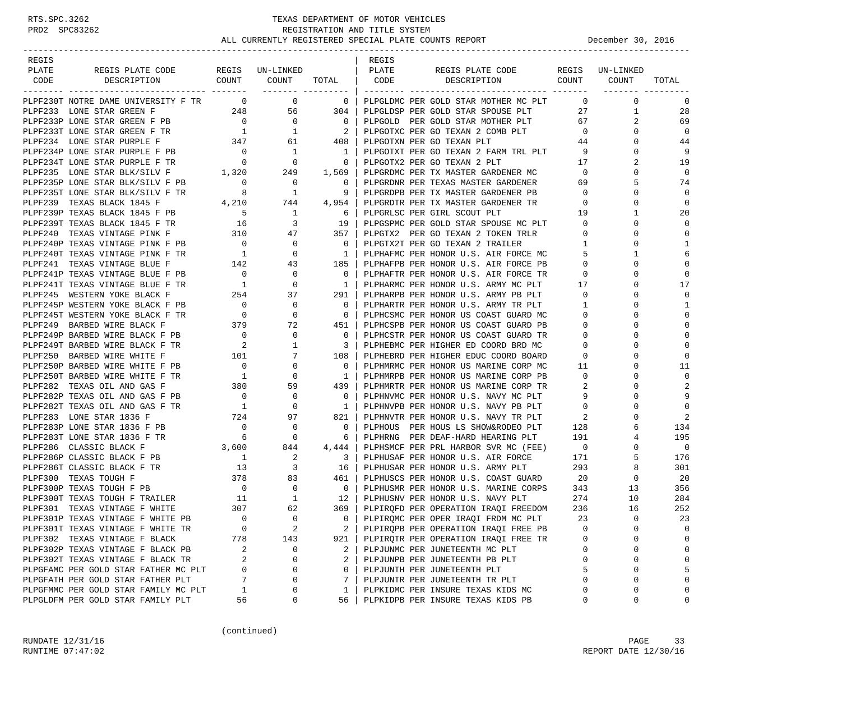| REGIS |                                                                                                                                                                                                                                             |                                       |                                  |                                                     | REGIS |                                                                                               |                          |                                |                |
|-------|---------------------------------------------------------------------------------------------------------------------------------------------------------------------------------------------------------------------------------------------|---------------------------------------|----------------------------------|-----------------------------------------------------|-------|-----------------------------------------------------------------------------------------------|--------------------------|--------------------------------|----------------|
| PLATE | REGIS PLATE CODE REGIS UN-LINKED<br>CODE DESCRIPTION COUNT COUNT                                                                                                                                                                            |                                       |                                  | PLATE                                               |       | REGIS PLATE CODE REGIS UN-LINKED<br>TOTAL CODE DESCRIPTION COUNT COUNT                        |                          |                                | TOTAL          |
|       |                                                                                                                                                                                                                                             |                                       |                                  |                                                     |       |                                                                                               |                          | ________ ________              |                |
|       | PLPF230T NOTRE DAME UNIVERSITY F TR 0 0 0                                                                                                                                                                                                   |                                       |                                  |                                                     |       | 0   PLPGLDMC PER GOLD STAR MOTHER MC PLT                                                      |                          | $\overline{0}$<br>$\mathbf{0}$ | 0              |
|       | PLPF233 LONE STAR GREEN F<br>PLPF233 LONE STAR GREEN F PB<br>PLPF233 LONE STAR GREEN F PB<br>PLPF233 LONE STAR GREEN F TR<br>PLPF233 LONE STAR GREEN F TR<br>PLPF234 LONE STAR PURPLE F PB<br>PLPF234 LONE STAR PURPLE F PB<br>PLPF234 LONE |                                       |                                  |                                                     |       | PLPGLDSP PER GOLD STAR SPOUSE PLT                                                             |                          | 27<br>$\mathbf{1}$             | 28             |
|       |                                                                                                                                                                                                                                             |                                       |                                  |                                                     |       | PLPGOLD PER GOLD STAR MOTHER PLT                                                              | 67                       | 2                              | 69             |
|       |                                                                                                                                                                                                                                             |                                       |                                  |                                                     |       | PLPGOTXC PER GO TEXAN 2 COMB PLT 0                                                            |                          | $\mathbf{0}$                   | $\overline{0}$ |
|       |                                                                                                                                                                                                                                             |                                       |                                  |                                                     |       |                                                                                               | 44                       | $\mathbf{0}$                   | 44             |
|       |                                                                                                                                                                                                                                             |                                       |                                  |                                                     |       | PLPGOTXT PER GO TEXAN 2 FARM TRL PLT                                                          | 9                        | $\mathbf 0$                    | 9              |
|       |                                                                                                                                                                                                                                             |                                       |                                  |                                                     |       | PLPGOTX2 PER GO TEXAN 2 PLT                                                                   | 17                       | 2                              | 19             |
|       |                                                                                                                                                                                                                                             |                                       |                                  |                                                     |       | PLPGRDMC PER TX MASTER GARDENER MC                                                            | $\overline{0}$           | $\Omega$                       | $\mathbf 0$    |
|       | PLPF235P LONE STAR BLK/SILV F PB 0                                                                                                                                                                                                          |                                       | $\overline{\phantom{0}}$         | $\overline{\phantom{0}}$                            |       | PLPGRDNR PER TEXAS MASTER GARDENER                                                            | 69                       | 5                              | 74             |
|       | PLPF235T LONE STAR BLK/SILV F TR $8$ 1<br>PLPF239 TEXAS BLACK 1845 F 4,210 744                                                                                                                                                              |                                       |                                  | 9                                                   |       | PLPGRDPB PER TX MASTER GARDENER PB                                                            | $\overline{0}$           | 0                              | $\mathbf 0$    |
|       |                                                                                                                                                                                                                                             |                                       |                                  | $4,954$                                             |       | PLPGRDTR PER TX MASTER GARDENER TR                                                            | $\overline{0}$           | 0                              | $\mathbf 0$    |
|       | PLFF239 TEXAS BLACK 1845 F PB<br>PLPF239T TEXAS BLACK 1845 F TR 16<br>PLPF240 TEXAS VINTAGE PINK F 310 47                                                                                                                                   |                                       |                                  | $\begin{array}{ccc} 1 & 6 \\ 3 & 19 \end{array}$    |       | PLPGRLSC PER GIRL SCOUT PLT                                                                   | 19                       | $\mathbf{1}$                   | 20             |
|       |                                                                                                                                                                                                                                             |                                       |                                  |                                                     |       | 19   PLPGSPMC PER GOLD STAR SPOUSE MC PLT 0                                                   |                          | $\Omega$                       | $\mathbf 0$    |
|       |                                                                                                                                                                                                                                             |                                       |                                  | 357                                                 |       | PLPGTX2 PER GO TEXAN 2 TOKEN TRLR                                                             | $\overline{0}$           | $\Omega$                       | $\mathbf 0$    |
|       |                                                                                                                                                                                                                                             |                                       |                                  | $\overline{\phantom{0}}$ 0 $\overline{\phantom{0}}$ |       | PLPGTX2T PER GO TEXAN 2 TRAILER                                                               | $\mathbf{1}$             | 0                              | 1              |
|       | PLPF240P TEXAS VINTAGE PINK F PB 0 0 0 0<br>PLPF240T TEXAS VINTAGE PINK F TR 1 0 0                                                                                                                                                          |                                       |                                  | $1 \mid$                                            |       | PLPHAFMC PER HONOR U.S. AIR FORCE MC                                                          | 5                        | 1                              | 6              |
|       | PLPF241 TEXAS VINTAGE BLUE F                                                                                                                                                                                                                |                                       | $142 \qquad \qquad 43$           | 185                                                 |       | PLPHAFPB PER HONOR U.S. AIR FORCE PB                                                          | $\mathbf{0}$             | 0                              | $\mathbf 0$    |
|       |                                                                                                                                                                                                                                             |                                       |                                  | $\overline{0}$                                      |       | PLPHAFTR PER HONOR U.S. AIR FORCE TR                                                          | $\overline{0}$           | $\Omega$                       | $\mathbf 0$    |
|       |                                                                                                                                                                                                                                             |                                       |                                  | $\frac{1}{2}$                                       |       | PLPHARMC PER HONOR U.S. ARMY MC PLT 17                                                        |                          | $\Omega$                       | 17             |
|       |                                                                                                                                                                                                                                             |                                       |                                  |                                                     |       | 291   PLPHARPB PER HONOR U.S. ARMY PB PLT                                                     | $\overline{0}$           | 0                              | $\mathbf 0$    |
|       |                                                                                                                                                                                                                                             |                                       |                                  | $\overline{0}$                                      |       | PLPHARTR PER HONOR U.S. ARMY TR PLT                                                           | $\mathbf{1}$             | $\Omega$                       | 1              |
|       |                                                                                                                                                                                                                                             |                                       |                                  | $\begin{array}{c c} 0 \end{array}$                  |       | PLPHCSMC PER HONOR US COAST GUARD MC                                                          | $\mathbf{0}$             | $\Omega$                       | $\mathbf 0$    |
|       |                                                                                                                                                                                                                                             |                                       |                                  |                                                     |       | 451   PLPHCSPB PER HONOR US COAST GUARD PB                                                    | $\overline{0}$           | $\Omega$                       | $\mathbf 0$    |
|       | PLPF241T TEXAS VINTAGE BLUE F TR<br>PLPF245 WESTERN YOKE BLACK F 254 37<br>PLPF245P WESTERN YOKE BLACK F PB 0 0 0<br>PLPF249P BARBED WIRE BLACK F TR 0 0 0<br>PLPF249P BARBED WIRE BLACK F PB 0 0 0<br>PLPF249P BARBED WIRE BLACK F PB 0    |                                       |                                  | $\overline{0}$ 1                                    |       | PLPHCSTR PER HONOR US COAST GUARD TR                                                          | $\mathbf{0}$             | $\Omega$                       | $\mathbf 0$    |
|       |                                                                                                                                                                                                                                             |                                       |                                  | $\overline{\textbf{3}}$                             |       | PLPHEBMC PER HIGHER ED COORD BRD MC                                                           | $\mathbf{0}$             | 0                              | $\mathbf 0$    |
|       |                                                                                                                                                                                                                                             |                                       |                                  |                                                     |       | 108   PLPHEBRD PER HIGHER EDUC COORD BOARD                                                    | $\overline{0}$           | $\Omega$                       | 0              |
|       |                                                                                                                                                                                                                                             |                                       |                                  | $\overline{\phantom{0}}$                            |       | PLPHMRMC PER HONOR US MARINE CORP MC                                                          | 11                       | 0                              | 11             |
|       |                                                                                                                                                                                                                                             |                                       |                                  |                                                     |       | 1   PLPHMRPB PER HONOR US MARINE CORP PB                                                      | $\circ$                  | $\Omega$                       | $\mathbf 0$    |
|       | PLPF282 TEXAS OIL AND GAS F                                                                                                                                                                                                                 | $\frac{1}{380}$                       | 59                               | 439                                                 |       | PLPHMRTR PER HONOR US MARINE CORP TR                                                          | 2                        | $\Omega$                       | 2              |
|       | PLPF282P TEXAS OIL AND GAS F PB                                                                                                                                                                                                             | $\begin{array}{c} 0 \\ 1 \end{array}$ | $\begin{matrix}0\\0\end{matrix}$ | $\overline{\phantom{0}}$ 0 $\overline{\phantom{0}}$ |       | PLPHNVMC PER HONOR U.S. NAVY MC PLT                                                           | 9                        | 0                              | 9              |
|       | PLPF282T TEXAS OIL AND GAS F TR                                                                                                                                                                                                             |                                       |                                  | $1 \vert$                                           |       | PLPHNVPB PER HONOR U.S. NAVY PB PLT                                                           | $\overline{0}$           | $\Omega$                       | $\mathbf 0$    |
|       | PB 724 97<br>PB 0 0<br>TR 6 0<br>PLPF283 LONE STAR 1836 F                                                                                                                                                                                   |                                       |                                  | 821                                                 |       | PLPHNVTR PER HONOR U.S. NAVY TR PLT                                                           | $\overline{\phantom{a}}$ | $\Omega$                       | 2              |
|       | PLPF283P LONE STAR 1836 F PB                                                                                                                                                                                                                |                                       |                                  | 0 <sup>1</sup>                                      |       | PLPHOUS PER HOUS LS SHOW&RODEO PLT                                                            | 128                      |                                | 134            |
|       | PLPF283T LONE STAR 1836 F TR                                                                                                                                                                                                                |                                       |                                  | 6 <sup>1</sup>                                      |       | PLPHRNG PER DEAF-HARD HEARING PLT 191                                                         |                          | 4                              | 195            |
|       | $\begin{array}{c} 3 \end{array}, 600$<br>PLPF286 CLASSIC BLACK F                                                                                                                                                                            |                                       | 844                              |                                                     |       | 4,444   PLPHSMCF PER PRL HARBOR SVR MC (FEE) $0$<br>3   PLPHUSAF PER HONOR U.S. AIR FORCE 171 |                          | 0                              | $\overline{0}$ |
|       | PLPF286P CLASSIC BLACK F PB                                                                                                                                                                                                                 | $\overline{1}$                        | $\overline{\phantom{a}}$         |                                                     |       |                                                                                               |                          | 5                              | 176            |
|       |                                                                                                                                                                                                                                             |                                       |                                  | 16                                                  |       | PLPHUSAR PER HONOR U.S. ARMY PLT 293                                                          |                          | 8                              | 301            |
|       |                                                                                                                                                                                                                                             |                                       |                                  | 461                                                 |       | PLPHUSCS PER HONOR U.S. COAST GUARD                                                           | 20                       | $\mathbf{0}$                   | 20             |
|       |                                                                                                                                                                                                                                             |                                       |                                  | $\overline{\phantom{0}}$ 0 $\overline{\phantom{0}}$ |       | PLPHUSMR PER HONOR U.S. MARINE CORPS 343                                                      |                          | 13                             | 356            |
|       |                                                                                                                                                                                                                                             |                                       |                                  |                                                     |       | 12   PLPHUSNV PER HONOR U.S. NAVY PLT                                                         | 274                      | 10                             | 284            |
|       |                                                                                                                                                                                                                                             |                                       |                                  |                                                     |       | 369   PLPIROFD PER OPERATION IRAOI FREEDOM                                                    | 236                      | 16                             | 252            |
|       | PLPF301P TEXAS VINTAGE F WHITE PB                                                                                                                                                                                                           | $\bigcirc$                            | $\Omega$                         |                                                     |       | 0   PLPIRQMC PER OPER IRAQI FRDM MC PLT                                                       | 23                       | $\Omega$                       | 23             |
|       | PLPF301T TEXAS VINTAGE F WHITE TR                                                                                                                                                                                                           | 0                                     | $\overline{c}$                   | 2                                                   |       | PLPIRQPB PER OPERATION IRAQI FREE PB                                                          | $\mathbf 0$              | 0                              | 0              |
|       | PLPF302 TEXAS VINTAGE F BLACK                                                                                                                                                                                                               | 778                                   | 143                              | 921                                                 |       | PLPIROTR PER OPERATION IRAOI FREE TR                                                          | 0                        | 0                              | 0              |
|       | PLPF302P TEXAS VINTAGE F BLACK PB                                                                                                                                                                                                           | 2                                     | 0                                | 2                                                   |       | PLPJUNMC PER JUNETEENTH MC PLT                                                                | 0                        | 0                              | 0              |
|       | PLPF302T TEXAS VINTAGE F BLACK TR                                                                                                                                                                                                           | 2                                     | 0                                | $\overline{a}$                                      |       | PLPJUNPB PER JUNETEENTH PB PLT                                                                | $\mathbf{0}$             | 0                              | 0              |
|       | PLPGFAMC PER GOLD STAR FATHER MC PLT                                                                                                                                                                                                        | 0                                     | 0                                | $\Omega$                                            |       | PLPJUNTH PER JUNETEENTH PLT                                                                   | 5                        | 0                              | 5              |
|       | PLPGFATH PER GOLD STAR FATHER PLT                                                                                                                                                                                                           | 7                                     | 0                                | 7                                                   |       | PLPJUNTR PER JUNETEENTH TR PLT                                                                | $\mathbf 0$              | $\Omega$                       | $\mathbf 0$    |
|       | PLPGFMMC PER GOLD STAR FAMILY MC PLT                                                                                                                                                                                                        | 1                                     | 0                                | 1                                                   |       | PLPKIDMC PER INSURE TEXAS KIDS MC                                                             | $\Omega$                 | 0                              | 0              |
|       | PLPGLDFM PER GOLD STAR FAMILY PLT                                                                                                                                                                                                           | 56                                    | 0                                | 56                                                  |       | PLPKIDPB PER INSURE TEXAS KIDS PB                                                             | 0                        | 0                              | 0              |

(continued)

RUNDATE  $12/31/16$  PAGE 33 RUNTIME 07:47:02 REPORT DATE 12/30/16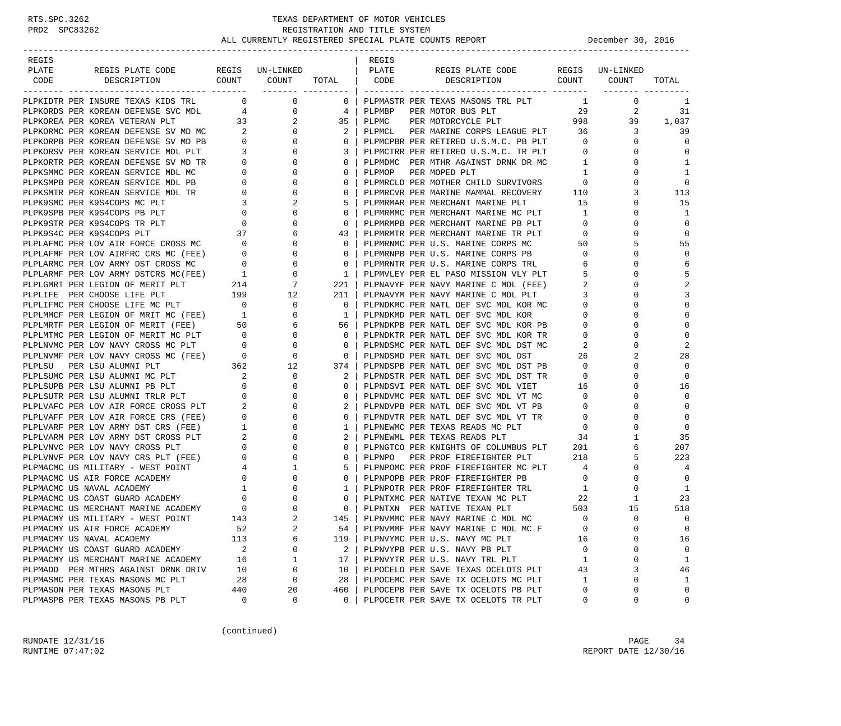### RTS.SPC.3262 TEXAS DEPARTMENT OF MOTOR VEHICLES<br>PRD2 SPC83262 REGISTRATION AND TITLE SYSTEM REGISTRATION AND TITLE SYSTEM ALL CURRENTLY REGISTERED SPECIAL PLATE COUNTS REPORT **DECEMBER 1999** December 30, 2016

| REGIS                     |                                                                                                                                                                                                                                               |                                       |                                             |                    | REGIS  |                                                                                 |                         |                 |                |
|---------------------------|-----------------------------------------------------------------------------------------------------------------------------------------------------------------------------------------------------------------------------------------------|---------------------------------------|---------------------------------------------|--------------------|--------|---------------------------------------------------------------------------------|-------------------------|-----------------|----------------|
| PLATE                     | REGIS PLATE CODE REGIS UN-LINKED                                                                                                                                                                                                              |                                       |                                             |                    | PLATE  | REGIS PLATE CODE                                                                |                         | REGIS UN-LINKED |                |
| CODE                      | DESCRIPTION                                                                                                                                                                                                                                   |                                       | COUNT COUNT                                 | TOTAL   CODE       |        | DESCRIPTION COUNT COUNT                                                         |                         |                 | TOTAL          |
|                           |                                                                                                                                                                                                                                               |                                       |                                             | ________ _________ |        |                                                                                 |                         |                 |                |
|                           | PLPKIDTR PER INSURE TEXAS KIDS TRL 0                                                                                                                                                                                                          |                                       | $\overline{0}$                              | $0-1$              |        | PLPMASTR PER TEXAS MASONS TRL PLT                                               | $\mathbf{1}$            | $\mathbf{0}$    | 1              |
|                           | PLPKORDS PER KOREAN DEFENSE SVC MDL 4                                                                                                                                                                                                         |                                       | $\overline{0}$                              | 4                  | PLPMBP |                                                                                 |                         | 2               | 31             |
|                           |                                                                                                                                                                                                                                               |                                       | $\begin{array}{c} 2 \\ 0 \end{array}$       | $35 \mid$          | PLPMC  |                                                                                 |                         | 39              | 1,037          |
|                           |                                                                                                                                                                                                                                               |                                       |                                             | $\mathbf{2}$       |        | PLPMCL PER MARINE CORPS LEAGUE PLT 36                                           |                         | 3               | 39             |
|                           |                                                                                                                                                                                                                                               |                                       | $\overline{0}$                              | $\mathbf{0}$       |        | PLPMCPBR PER RETIRED U.S.M.C. PB PLT                                            | $\overline{0}$          | $\mathbf{0}$    | $\mathbf 0$    |
|                           |                                                                                                                                                                                                                                               |                                       | $\circ$                                     | 3                  |        | PLPMCTRR PER RETIRED U.S.M.C. TR PLT                                            | $\overline{0}$          | $\Omega$        | 0              |
|                           |                                                                                                                                                                                                                                               |                                       | $\circ$                                     | $\mathbf{0}$       |        | PLPMDMC PER MTHR AGAINST DRNK DR MC                                             | $\overline{1}$          | 0               | 1              |
|                           |                                                                                                                                                                                                                                               |                                       | $\mathbf{0}$                                | $\mathbf{0}$       | PLPMOP | PER MOPED PLT                                                                   | 1                       | $\Omega$        | $\mathbf{1}$   |
|                           | PLPKOREA PER KOREAN DEFENSE SVC MDL 4<br>PLPKOREA PER KOREAN DEFENSE SV MD MC 2<br>PLPKORPB PER KOREAN DEFENSE SV MD PB 0<br>PLPKORPB PER KOREAN SERVICE MDL PLT 3<br>PLPKORTR PER KOREAN SERVICE MDL PT 0<br>PLPKSMMC PER KOREAN SERVICE MDL |                                       | $\overline{0}$                              | 0                  |        | PLPMRCLD PER MOTHER CHILD SURVIVORS                                             | $\overline{0}$          | $\Omega$        | $\mathbf 0$    |
|                           |                                                                                                                                                                                                                                               |                                       | 0                                           | $\mathbf{0}$       |        | PLPMRCVR PER MARINE MAMMAL RECOVERY 110<br>DLDMPMAR DER MERCHANT MARINE DLT     |                         | 3               | 113            |
|                           |                                                                                                                                                                                                                                               |                                       | 2                                           | 5                  |        | PLPMRMAR PER MERCHANT MARINE PLT                                                | 15                      | $\mathbf 0$     | 15             |
|                           | PLPK9SPB PER K9S4COPS PB PLT                                                                                                                                                                                                                  |                                       | $\mathbf 0$                                 | $\mathbf{0}$       |        | PLPMRMMC PER MERCHANT MARINE MC PLT                                             | $\mathbf{1}$            | $\mathbf 0$     | 1              |
|                           | PLPK9STR PER K9S4COPS TR PLT                                                                                                                                                                                                                  | $\begin{array}{c}0\\0\\37\end{array}$ | $\mathbf{0}$                                | $\mathbf{0}$       |        | PLPMRMPB PER MERCHANT MARINE PB PLT                                             | $\overline{0}$          | 0               | $\mathbf{0}$   |
| PLPK9S4C PER K9S4COPS PLT |                                                                                                                                                                                                                                               |                                       | 6                                           | 43                 |        | PLPMRMTR PER MERCHANT MARINE TR PLT                                             | $\circ$                 | $\Omega$        | $\mathbf 0$    |
|                           | PLINING PER LOV AIR FORCE CROSS MC                                                                                                                                                                                                            |                                       | 0<br>$\begin{bmatrix} 0 \\ 0 \end{bmatrix}$ | $\overline{0}$     |        | PLPMRNMC PER U.S. MARINE CORPS MC                                               | 50                      | 5               | 55             |
|                           | PLPLAFMF PER LOV AIRFRC CRS MC (FEE)                                                                                                                                                                                                          |                                       | $\overline{0}$                              | $\mathbf{0}$       |        | PLPMRNPB PER U.S. MARINE CORPS PB                                               | $\overline{0}$          | $\Omega$        | $\mathbf 0$    |
|                           |                                                                                                                                                                                                                                               |                                       | $\mathbf 0$                                 | $\mathbf{0}$       |        | PLPMRNTR PER U.S. MARINE CORPS TRL                                              | - 6                     | 0               | 6              |
|                           | PLPLARMC PER LOV ARMY DST CROSS MC 0<br>PLPLARMF PER LOV ARMY DSTCRS MC (FEE) 1<br>PLPLGMRT PER LEGION OF MERIT PLT 214                                                                                                                       |                                       | $\mathbf 0$                                 | 1                  |        | PLPMVLEY PER EL PASO MISSION VLY PLT                                            | 5                       | $\Omega$        | 5              |
|                           |                                                                                                                                                                                                                                               |                                       | 7                                           | 221                |        | PLPNAVYF PER NAVY MARINE C MDL (FEE) 2                                          |                         | $\Omega$        | 2              |
|                           | PLPLIFE PER CHOOSE LIFE PLT 199 12<br>PLPLIFMC PER CHOOSE LIFE MC PLT 0 0 0                                                                                                                                                                   |                                       |                                             | 211                |        | PLPNAVYM PER NAVY MARINE C MDL PLT                                              | $\overline{\mathbf{3}}$ | 0               | 3              |
|                           |                                                                                                                                                                                                                                               |                                       |                                             | $\overline{0}$     |        | PLPNDKMC PER NATL DEF SVC MDL KOR MC                                            | $\overline{0}$          | $\Omega$        | $\mathbf{0}$   |
|                           |                                                                                                                                                                                                                                               |                                       | $\overline{0}$                              | $\overline{1}$     |        | PLPNDKMD PER NATL DEF SVC MDL KOR                                               | $\overline{0}$          | $\Omega$        | $\mathbf 0$    |
|                           |                                                                                                                                                                                                                                               |                                       | 6                                           | 56                 |        | PLPNDKPB PER NATL DEF SVC MDL KOR PB                                            | $\overline{0}$          | $\Omega$        | $\Omega$       |
|                           | PLETIFING FER LEGION OF MRIT MC (FEE) 1<br>PLELMRTF PER LEGION OF MERIT (FEE) 50<br>PLELMTMC PER LEGION OF MERIT MC PLT 0<br>PLELMVMC PER LOV NAVY CROSS MC PLT 0<br>PLELMVMF PER LOV NAVY CROSS MC (FEE) 0                                   |                                       | $\overline{0}$                              | $\mathbf{0}$       |        | PLPNDKTR PER NATL DEF SVC MDL KOR TR                                            | $\circ$                 | $\Omega$        | $\Omega$       |
|                           | PLPLNVMC PER LOV NAVY CROSS MC PLT<br>PLPLNVMF PER LOV NAVY CROSS MC (FEE)                                                                                                                                                                    |                                       | $\overline{0}$                              | $\circ$            |        | PLPNDSMC PER NATL DEF SVC MDL DST MC                                            | $\overline{2}$<br>MC    | 0               | $\overline{2}$ |
|                           |                                                                                                                                                                                                                                               |                                       | $\overline{0}$                              | $\mathbf{0}$       |        | PLPNDSMD PER NATL DEF SVC MDL DST                                               | 26                      | 2               | 28             |
|                           |                                                                                                                                                                                                                                               |                                       |                                             | 374                |        | PLPNDSPB PER NATL DEF SVC MDL DST PB 0                                          |                         | $\mathbf 0$     | $\mathbf 0$    |
|                           | PLPLSUM PER LSU ALUMNI PLT 362 12<br>PLPLSUMC PER LSU ALUMNI MC PLT 2 0<br>PLPLSUPB PER LSU ALUMNI PB PLT 0 0                                                                                                                                 |                                       |                                             | 2                  |        | PLPNDSTR PER NATL DEF SVC MDL DST TR                                            | $\overline{0}$          | $\Omega$        | $\Omega$       |
|                           |                                                                                                                                                                                                                                               |                                       |                                             | $\mathbf{0}$       |        | PLPNDSVI PER NATL DEF SVC MDL VIET 16                                           |                         | $\mathbf 0$     | 16             |
|                           | PLPLSUTR PER LSU ALUMNI TRLR PLT 0<br>PLPLVAFC PER LOV AIR FORCE CROSS PLT 2<br>PLPLVAFF PER LOV AIR FORCE CRS (FEE) 0<br>PLPLVARF PER LOV ARMY DST CRS (FEE) 1<br>PLPLVARM PER LOV ARMY DST CROSS PLT 2                                      |                                       | 0                                           | $\mathbf{0}$       |        | PLPNDVMC PER NATL DEF SVC MDL VT MC<br>PLPNDVPB PER NATL DEF SVC MDL VT PB      | $\overline{0}$          | 0               | $\Omega$       |
|                           |                                                                                                                                                                                                                                               |                                       | $\mathbf{0}$                                | 2                  |        |                                                                                 | $\overline{0}$          | $\Omega$        | $\mathbf{0}$   |
|                           |                                                                                                                                                                                                                                               |                                       | $\mathbf 0$                                 | $\mathbf{0}$       |        | PLPNDVTR PER NATL DEF SVC MDL VT TR                                             | $\overline{0}$          | 0               | $\mathbf 0$    |
|                           |                                                                                                                                                                                                                                               |                                       | $\mathbf{0}$                                | $\mathbf{1}$       |        | PLPNEWMC PER TEXAS READS MC PLT                                                 | $\overline{0}$          | 0               | $\mathbf 0$    |
|                           |                                                                                                                                                                                                                                               |                                       | 0                                           | 2                  |        | PLPNEWML PER TEXAS READS PLT                                                    | 34                      | 1               | 35             |
|                           | PLPLVNVC PER LOV NAVY CROSS PLT $\qquad \qquad 0$<br>PLPLVNVF PER LOV NAVY CRS PLT (FEE) $\qquad \qquad 0$                                                                                                                                    |                                       | 0                                           | 0                  |        | PLPNGTCO PER KNIGHTS OF COLUMBUS PLT 201<br>PLPNPO PER PROF FIREFIGHTER PLT 218 |                         | 6               | 207            |
|                           |                                                                                                                                                                                                                                               |                                       | $\mathbf 0$                                 | $\mathbf{0}$       |        |                                                                                 |                         | 5               | 223            |
|                           |                                                                                                                                                                                                                                               |                                       | $\mathbf{1}$                                | 5                  |        | PLPNPOMC PER PROF FIREFIGHTER MC PLT                                            | 4                       | $\mathbf 0$     | 4              |
|                           | PLPMACMC US MILITARY - WEST POINT 4<br>PLPMACMC US AIR FORCE ACADEMY 0<br>PLPMACMC US NAVAL ACADEMY 1                                                                                                                                         |                                       | $\mathbf{0}$                                | $\mathbf{0}$       |        | PLPNPOPB PER PROF FIREFIGHTER PB                                                | $\overline{0}$          | $\mathbf 0$     | $\Omega$       |
|                           |                                                                                                                                                                                                                                               |                                       | 0                                           | $\mathbf{1}$       |        | PLPNPOTR PER PROF FIREFIGHTER TRL                                               | $\mathbf{1}$            | $\mathbf 0$     | 1              |
|                           |                                                                                                                                                                                                                                               | $\overline{0}$                        | 0                                           | $\mathbf{0}$       |        | PLPNTXMC PER NATIVE TEXAN MC PLT<br>plpntxn per native texan plt                | 22                      | $\mathbf{1}$    | 23             |
|                           |                                                                                                                                                                                                                                               |                                       | $\mathbf 0$                                 | $\mathbf{0}$       |        | PLPNTXN PER NATIVE TEXAN PLT                                                    | 503                     | 15              | 518            |
|                           | PLPMACMY US MILITARY - WEST POINT                                                                                                                                                                                                             | 143                                   | $\overline{a}$                              | 145                |        | PLPNVMMC PER NAVY MARINE C MDL MC                                               | $\Omega$                | $\Omega$        | $\Omega$       |
|                           | PLPMACMY US AIR FORCE ACADEMY                                                                                                                                                                                                                 | 52                                    | $\overline{a}$                              | 54                 |        | PLPNVMMF PER NAVY MARINE C MDL MC F                                             | 0                       | 0               | 0              |
| PLPMACMY US NAVAL ACADEMY |                                                                                                                                                                                                                                               | 113                                   | 6                                           | 119                |        | PLPNVYMC PER U.S. NAVY MC PLT                                                   | 16                      | 0               | 16             |
|                           | PLPMACMY US COAST GUARD ACADEMY                                                                                                                                                                                                               | 2                                     | 0                                           | 2                  |        | PLPNVYPB PER U.S. NAVY PB PLT                                                   | 0                       | 0               | 0              |
|                           | PLPMACMY US MERCHANT MARINE ACADEMY                                                                                                                                                                                                           | 16                                    | 1                                           | 17                 |        | PLPNVYTR PER U.S. NAVY TRL PLT                                                  | 1                       | 0               | 1              |
|                           | PLPMADD PER MTHRS AGAINST DRNK DRIV                                                                                                                                                                                                           | 10                                    | 0                                           | 10                 |        | PLPOCELO PER SAVE TEXAS OCELOTS PLT                                             | 43                      | 3               | 46             |
|                           | PLPMASMC PER TEXAS MASONS MC PLT                                                                                                                                                                                                              | 28                                    | 0                                           | 28                 |        | PLPOCEMC PER SAVE TX OCELOTS MC PLT                                             | 1                       | 0               | 1              |
|                           | PLPMASON PER TEXAS MASONS PLT                                                                                                                                                                                                                 | 440                                   | 20                                          | 460                |        | PLPOCEPB PER SAVE TX OCELOTS PB PLT                                             | 0                       | 0               | $\mathbf 0$    |
|                           | PLPMASPB PER TEXAS MASONS PB PLT                                                                                                                                                                                                              | 0                                     | 0                                           | $\mathbf{0}$       |        | PLPOCETR PER SAVE TX OCELOTS TR PLT                                             | 0                       | 0               | $\mathsf 0$    |

(continued)

RUNDATE  $12/31/16$  PAGE 34 RUNTIME 07:47:02 REPORT DATE 12/30/16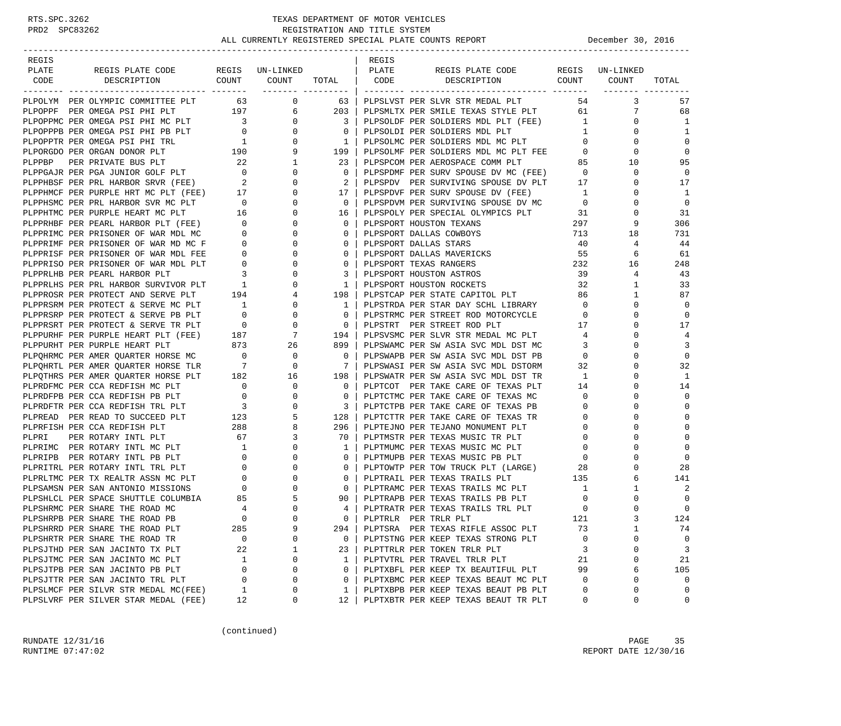| REGIS |                                                                                                                                                                                                                                |                                                 |                          |                          | REGIS |                                                                              |                |                 |                |
|-------|--------------------------------------------------------------------------------------------------------------------------------------------------------------------------------------------------------------------------------|-------------------------------------------------|--------------------------|--------------------------|-------|------------------------------------------------------------------------------|----------------|-----------------|----------------|
| PLATE | REGIS PLATE CODE                                                                                                                                                                                                               |                                                 | REGIS UN-LINKED          |                          | PLATE | REGIS PLATE CODE                                                             |                | REGIS UN-LINKED |                |
| CODE  | DESCRIPTION                                                                                                                                                                                                                    |                                                 | COUNT COUNT TOTAL   CODE |                          |       | DESCRIPTION                                                                  |                | COUNT COUNT     | TOTAL          |
|       | PLPOLYM PER OLYMPIC COMMITTEE PLT 63 0                                                                                                                                                                                         |                                                 |                          | 63                       |       | PLPSLVST PER SLVR STR MEDAL PLT                                              |                | 54 6<br>3       | 57             |
|       | PLPOPPF PER OMEGA PSI PHI PLT                                                                                                                                                                                                  | 197                                             | 6                        | 203                      |       | PLPSMLTX PER SMILE TEXAS STYLE PLT                                           |                | 7               | 68             |
|       |                                                                                                                                                                                                                                |                                                 | $\mathbf{0}$             | 3 I                      |       | PLPSOLDF PER SOLDIERS MDL PLT (FEE)                                          | 1              | 0               | 1              |
|       | PLPOPPMC PER OMEGA PSI PHI MC PLT<br>PLPOPPPB PER OMEGA PSI PHI PB PLT<br>PLPOPPTR PER OMEGA PSI PHI TRL<br>PLPORGDO PER ORGAN DONOR PLT<br>PLPORGDO PER ORGAN DONOR PLT<br>PLDDPP PER PRINTER THE TREATED PRINTER OF PRINTERS |                                                 | $\overline{0}$           | $\Omega$                 |       | PLPSOLDI PER SOLDIERS MDL PLT                                                | $\mathbf{1}$   | $\Omega$        | 1              |
|       |                                                                                                                                                                                                                                |                                                 | $\mathbf{0}$             | $\mathbf{1}$             |       |                                                                              | $\overline{0}$ | 0               | $\mathbf 0$    |
|       |                                                                                                                                                                                                                                |                                                 | 9                        | 199                      |       | PLPSOLMC PER SOLDIERS MDL MC PLT<br>PLPSOLMF PER SOLDIERS MDL MC PLT FEE     | $\mathbf{0}$   | 0               | $\mathbf 0$    |
|       |                                                                                                                                                                                                                                |                                                 | 1                        | 23                       |       |                                                                              | 85             | 10              | 95             |
|       |                                                                                                                                                                                                                                |                                                 | 0                        | 0                        |       | PLPSPCOM PER AEROSPACE COMM PLT<br>PLPSPDMF PER SURV SPOUSE DV MC (FEE)      | $\overline{0}$ | 0               | $\mathbf 0$    |
|       | PLPPBP PER PRIVATE BUS PLT 22<br>PLPPGAJR PER PGA JUNIOR GOLF PLT 0<br>PLPPHBSF PER PRL HARBOR SRVR (FEE) 2                                                                                                                    |                                                 | 0                        | 2                        |       | PLPSPDV PER SURVIVING SPOUSE DV PLT 17                                       |                | $\Omega$        | 17             |
|       |                                                                                                                                                                                                                                |                                                 | 0                        | 17                       |       |                                                                              | $\overline{1}$ | 0               | 1              |
|       | PLPPHMCF PER PURPLE HRT MC PLT (FEE) 17<br>PLPPHSMC PER PRL HARBOR SVR MC PLT 0<br>PLPPHSMC PER PRL HARBOR SVR MC PLT                                                                                                          |                                                 | $\mathbf{0}$             | $\overline{0}$           |       | PLPSPDVF PER SURV SPOUSE DV (FEE) 1<br>PLPSPDVM PER SURVIVING SPOUSE DV MC 0 |                | $\Omega$        | $\overline{0}$ |
|       | PLPPHTMC PER PURPLE HEART MC PLT                                                                                                                                                                                               | 16                                              | $\mathbf{0}$             | 16                       |       | PLPSPOLY PER SPECIAL OLYMPICS PLT 31                                         |                | 0               | 31             |
|       | PLPPRHBF PER PEARL HARBOR PLT (FEE)                                                                                                                                                                                            |                                                 | 0                        | 0                        |       | PLPSPORT HOUSTON TEXANS                                                      | 297            | 9               | 306            |
|       | PLPPRIMC PER PRISONER OF WAR MDL MC                                                                                                                                                                                            | $\begin{matrix} 0 \\ 0 \end{matrix}$            | $\Omega$                 | $\Omega$                 |       | PLPSPORT DALLAS COWBOYS 713                                                  |                | 18              | 731            |
|       | PLPPRIMF PER PRISONER OF WAR MD MC F                                                                                                                                                                                           |                                                 | $\mathbf{0}$             | 0                        |       | PLPSPORT DALLAS STARS                                                        | 40             | 4               | 44             |
|       | PLPPRISF PER PRISONER OF WAR MDL FEE                                                                                                                                                                                           | $\begin{array}{c} 0 \\ 0 \end{array}$           | 0                        | $\mathbf 0$              |       | PLPSPORT DALLAS MAVERICKS                                                    | 55             | 6               | 61             |
|       | PLPPRISO PER PRISONER OF WAR MDL PLT                                                                                                                                                                                           | $\overline{0}$                                  | 0                        | 0                        |       | PLPSPORT TEXAS RANGERS                                                       | 232            | 16              | 248            |
|       |                                                                                                                                                                                                                                |                                                 | 0                        | 3                        |       | PLPSPORT HOUSTON ASTROS                                                      | 39             | 4               | 43             |
|       | PLPPRLHB PER PEARL HARBOR PLT 3<br>PLPPRLHS PER PRL HARBOR SURVIVOR PLT 1                                                                                                                                                      |                                                 | $\mathbf{0}$             | 1                        |       | PLPSPORT HOUSTON ROCKETS                                                     | 32             | $\mathbf{1}$    | 33             |
|       | PLPPROSR PER PROTECT AND SERVE PLT 194                                                                                                                                                                                         |                                                 | 4                        | 198                      |       |                                                                              |                | 1               | 87             |
|       | PLPPRSRM PER PROTECT & SERVE MC PLT                                                                                                                                                                                            | $\overline{1}$                                  | $\mathbf{0}$             | $\mathbf{1}$             |       | PLPSTCAP PER STATE CAPITOL PLT 66<br>PLPSTRDA PER STAR DAY SCHL LIBRARY 0    |                | $\Omega$        | $\mathbf 0$    |
|       | PLPPRSRP PER PROTECT & SERVE PB PLT                                                                                                                                                                                            | $\overline{0}$                                  | $\mathbf{0}$             | $\mathbf 0$              |       | PLPSTRMC PER STREET ROD MOTORCYCLE 0                                         |                | 0               | $\mathbf 0$    |
|       |                                                                                                                                                                                                                                |                                                 | 0                        | $\mathbf 0$              |       | PLPSTRT PER STREET ROD PLT                                                   | 17             | $\Omega$        | 17             |
|       | PLPPRSRT PER PROTECT & SERVE TR PLT 0<br>PLPPURHF PER PURPLE HEART PLT (FEE) 187<br>DI DDUPLWE PER PURPLE HEART PLT (FEE) 187                                                                                                  |                                                 | 7                        | 194 l                    |       | PLPSVSMC PER SLVR STR MEDAL MC PLT                                           | $\overline{4}$ | $\Omega$        | 4              |
|       | PLPPURHT PER PURPLE HEART PLT                                                                                                                                                                                                  |                                                 | 26                       | 899                      |       | PLPSWAMC PER SW ASIA SVC MDL DST MC                                          | 3              | 0               | 3              |
|       | PLPQHRMC PER AMER QUARTER HORSE MC                                                                                                                                                                                             | $\begin{array}{c} 873 \\ 0 \end{array}$         | $\mathbf 0$              | $\overline{\phantom{0}}$ |       | PLPSWAPB PER SW ASIA SVC MDL DST PB                                          | $\overline{0}$ | $\Omega$        | $\mathbf 0$    |
|       | PLPQHRTL PER AMER QUARTER HORSE TLR 7                                                                                                                                                                                          |                                                 | $\mathbf{0}$             | $\overline{7}$           |       | PLPSWASI PER SW ASIA SVC MDL DSTORM                                          | 32             | 0               | 32             |
|       | PLPQTHRS PER AMER QUARTER HORSE PLT 182                                                                                                                                                                                        |                                                 | 16                       | 198                      |       | PLPSWATR PER SW ASIA SVC MDL DST TR                                          | 1              | $\Omega$        | $\mathbf{1}$   |
|       | PLPRDFMC PER CCA REDFISH MC PLT                                                                                                                                                                                                | $\frac{0}{2}$                                   | $\mathbf{0}$             | $\Omega$                 |       | PLPTCOT PER TAKE CARE OF TEXAS PLT                                           | 14             | $\Omega$        | 14             |
|       | PLPRDFPB PER CCA REDFISH PB PLT                                                                                                                                                                                                | $\begin{array}{ccc} & & 0 \\ & & 3 \end{array}$ | $\overline{0}$           | $\mathbf 0$              |       | PLPTCTMC PER TAKE CARE OF TEXAS MC                                           | $\mathbf 0$    | 0               | $\mathbf 0$    |
|       | PLPRDFTR PER CCA REDFISH TRL PLT                                                                                                                                                                                               |                                                 | $\mathbf{0}$             | 3                        |       | PLPTCTPB PER TAKE CARE OF TEXAS PB                                           | $\mathbf 0$    | $\Omega$        | $\mathbf 0$    |
|       | PLPREAD PER READ TO SUCCEED PLT                                                                                                                                                                                                | 123                                             | 5                        | 128                      |       | PLPTCTTR PER TAKE CARE OF TEXAS TR                                           | $\overline{0}$ | $\Omega$        | $\Omega$       |
|       | PLPRFISH PER CCA REDFISH PLT                                                                                                                                                                                                   | 288                                             | 8                        | 296                      |       | PLPTEJNO PER TEJANO MONUMENT PLT                                             | $\overline{0}$ |                 | $\Omega$       |
| PLPRI | PER ROTARY INTL PLT                                                                                                                                                                                                            | $\begin{array}{c} 67 \end{array}$               | 3                        | 70                       |       | PLPTMSTR PER TEXAS MUSIC TR PLT                                              | $\overline{0}$ |                 | $\Omega$       |
|       | PLPRIMC PER ROTARY INTL MC PLT 1<br>PLPRIPB PER ROTARY INTL PB PLT 0<br>PLPRITRL PER ROTARY INTL TRL PLT 0<br>PLPRLTMC PER TX REALTR ASSN MC PLT 0<br>PLPSAMSN PER SAN ANTONIO MISSIONS 0                                      |                                                 | $\mathbf{0}$             | 1                        |       | PLPTMUMC PER TEXAS MUSIC MC PLT                                              | $\overline{0}$ | 0               | $\Omega$       |
|       |                                                                                                                                                                                                                                |                                                 | $\Omega$                 | $\mathbf 0$              |       | PLPTMUPB PER TEXAS MUSIC PB PLT                                              | $\mathbf{0}$   | $\Omega$        | $\mathbf 0$    |
|       |                                                                                                                                                                                                                                |                                                 | 0                        | 0                        |       | PLPTOWTP PER TOW TRUCK PLT (LARGE) 28                                        |                | $\Omega$        | 28             |
|       |                                                                                                                                                                                                                                |                                                 | 0                        | $\mathbf 0$              |       | PLPTRAIL PER TEXAS TRAILS PLT 135                                            |                | 6               | 141            |
|       |                                                                                                                                                                                                                                |                                                 | $\Omega$                 | $\mathbf 0$              |       | PLPTRAMC PER TEXAS TRAILS MC PLT                                             | 1              | 1               | 2              |
|       | PLPSHLCL PER SPACE SHUTTLE COLUMBIA $85$ PLPSHRMC PER SHARE THE ROAD MC $4$                                                                                                                                                    |                                                 | 5                        | 90                       |       | PLPTRAPB PER TEXAS TRAILS PB PLT<br>PLPTRATR PER TEXAS TRAILS TRL PLT        | $\mathbf 0$    | 0               | $\mathbf 0$    |
|       | PLPSHRMC PER SHARE THE ROAD MC                                                                                                                                                                                                 | 4                                               | $\Omega$                 | 4                        |       | PLPTRATR PER TEXAS TRAILS TRL PLT                                            | $\mathbf 0$    | $\Omega$        | $\mathbf 0$    |
|       | PLPSHRPB PER SHARE THE ROAD PB                                                                                                                                                                                                 | $\Omega$                                        | $\Omega$                 | $\Omega$                 |       | PLPTRLR PER TRLR PLT                                                         | 121            |                 | 124            |
|       | PLPSHRRD PER SHARE THE ROAD PLT                                                                                                                                                                                                | 285                                             | 9                        | 294                      |       | PLPTSRA PER TEXAS RIFLE ASSOC PLT                                            | 73             | 1               | 74             |
|       | PLPSHRTR PER SHARE THE ROAD TR                                                                                                                                                                                                 | 0                                               | 0                        | 0                        |       | PLPTSTNG PER KEEP TEXAS STRONG PLT                                           | 0              | O               | 0              |
|       | PLPSJTHD PER SAN JACINTO TX PLT                                                                                                                                                                                                | 22                                              | 1                        | 23                       |       | PLPTTRLR PER TOKEN TRLR PLT                                                  | 3              | 0               | 3              |
|       | PLPSJTMC PER SAN JACINTO MC PLT                                                                                                                                                                                                | 1                                               | 0                        | 1                        |       | PLPTVTRL PER TRAVEL TRLR PLT                                                 | 21             | 0               | 21             |
|       | PLPSJTPB PER SAN JACINTO PB PLT                                                                                                                                                                                                | 0                                               | 0                        | 0                        |       | PLPTXBFL PER KEEP TX BEAUTIFUL PLT                                           | 99             | 6               | 105            |
|       | PLPSJTTR PER SAN JACINTO TRL PLT                                                                                                                                                                                               | 0                                               | 0                        | 0                        |       | PLPTXBMC PER KEEP TEXAS BEAUT MC PLT                                         | 0              | 0               | 0              |
|       | PLPSLMCF PER SILVR STR MEDAL MC(FEE)                                                                                                                                                                                           | 1                                               | 0                        | 1                        |       | PLPTXBPB PER KEEP TEXAS BEAUT PB PLT                                         | 0              | O               | 0              |
|       | PLPSLVRF PER SILVER STAR MEDAL (FEE)                                                                                                                                                                                           | 12                                              | 0                        | 12                       |       | PLPTXBTR PER KEEP TEXAS BEAUT TR PLT                                         | 0              | 0               | 0              |

(continued)

RUNDATE  $12/31/16$  PAGE 35 RUNTIME 07:47:02 REPORT DATE 12/30/16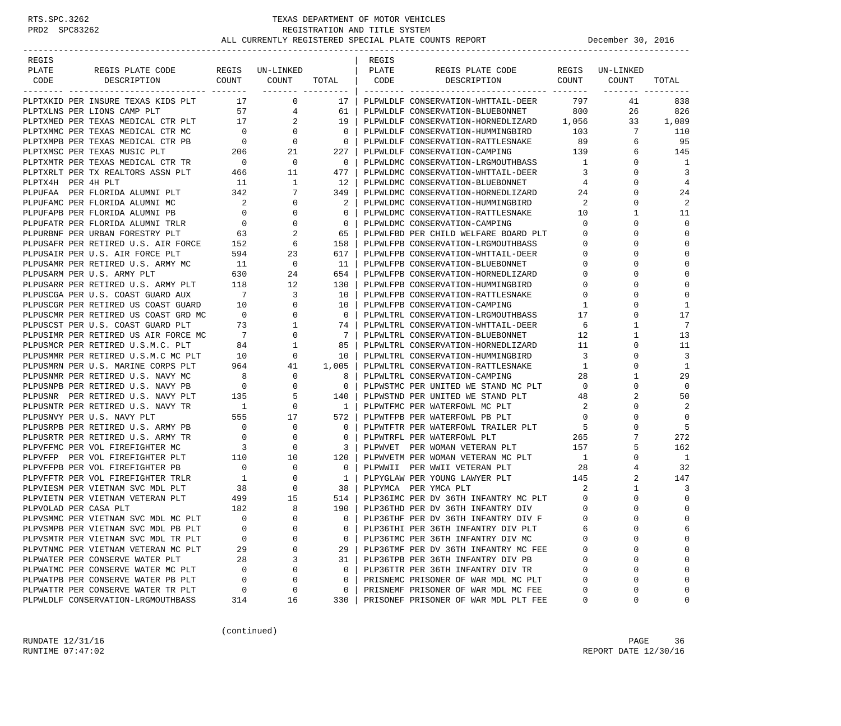| REGIS                 |                                                                                |                                     |                 |                                  | REGIS |                                          |                |                         |                |
|-----------------------|--------------------------------------------------------------------------------|-------------------------------------|-----------------|----------------------------------|-------|------------------------------------------|----------------|-------------------------|----------------|
| PLATE                 | REGIS PLATE CODE                                                               |                                     | REGIS UN-LINKED |                                  | PLATE | REGIS PLATE CODE                         |                | REGIS UN-LINKED         |                |
| CODE                  | DESCRIPTION                                                                    |                                     | COUNT COUNT     | TOTAL   CODE<br>------- -------- |       | DESCRIPTION                              | COUNT          | COUNT<br>-------- ----- | TOTAL          |
|                       | PLPTXKID PER INSURE TEXAS KIDS PLT                                             | 17                                  | 0               | 17                               |       | PLPWLDLF CONSERVATION-WHTTAIL-DEER       | 797            | 41                      | 838            |
|                       | PLPTXLNS PER LIONS CAMP PLT                                                    |                                     | 57 — 1<br>4     | 61                               |       | PLPWLDLF CONSERVATION-BLUEBONNET         | 800            | 26                      | 826            |
|                       | PLPTXMED PER TEXAS MEDICAL CTR PLT 17                                          |                                     | 2               | 19                               |       | PLPWLDLF CONSERVATION-HORNEDLIZARD 1,056 |                | 33                      | 1,089          |
|                       | PLPTXMMC PER TEXAS MEDICAL CTR MC                                              | $\overline{\phantom{0}}$            | $\overline{0}$  | $\overline{\phantom{0}}$         |       | PLPWLDLF CONSERVATION-HUMMINGBIRD        | 103            | 7                       | 110            |
|                       | PLPTXMPB PER TEXAS MEDICAL CTR PB                                              |                                     | 0               | $\overline{\phantom{0}}$         |       | PLPWLDLF CONSERVATION-RATTLESNAKE        | 89             | 6                       | -95            |
|                       | PLPTXMSC PER TEXAS MUSIC PLT                                                   | $\begin{array}{c}0\\206\end{array}$ | 21              | 227                              |       | PLPWLDLF CONSERVATION-CAMPING            | 139            | 6                       | 145            |
|                       | PLPTXMTR PER TEXAS MEDICAL CTR TR                                              | $\overline{\phantom{0}}$            | $\overline{0}$  | $\overline{0}$                   |       | PLPWLDMC CONSERVATION-LRGMOUTHBASS       | $\overline{1}$ | 0                       | 1              |
|                       | PLPTXRLT PER TX REALTORS ASSN PLT                                              | 466                                 | 11              | 477                              |       | PLPWLDMC CONSERVATION-WHTTAIL-DEER       | $\overline{3}$ | $\mathbf 0$             | 3              |
| PLPTX4H PER 4H PLT    |                                                                                | 11                                  | 1               | 12                               |       | PLPWLDMC CONSERVATION-BLUEBONNET         | 4              | $\Omega$                | $\overline{4}$ |
|                       | PLPUFAA PER FLORIDA ALUMNI PLT                                                 | 342                                 | 7               | 349                              |       | PLPWLDMC CONSERVATION-HORNEDLIZARD       | 24             | 0                       | 24             |
|                       | PLPUFAMC PER FLORIDA ALUMNI MC                                                 | $\overline{\phantom{a}}$            | $\mathbf 0$     | 2                                |       | PLPWLDMC CONSERVATION-HUMMINGBIRD        | 2              | 0                       | $\overline{2}$ |
|                       | PLPUFAPB PER FLORIDA ALUMNI PB                                                 | $\overline{0}$                      | $\mathbf 0$     | $\mathbf{0}$                     |       | PLPWLDMC CONSERVATION-RATTLESNAKE        | 10             | 1                       | 11             |
|                       | PLPUFATR PER FLORIDA ALUMNI TRLR                                               | $\overline{0}$                      | $\mathbf 0$     | $\mathbf{0}$                     |       | PLPWLDMC CONSERVATION-CAMPING            | $\mathbf 0$    | $\Omega$                | $\Omega$       |
|                       | PLPURBNF PER URBAN FORESTRY PLT                                                | 63                                  | 2               | 65                               |       | PLPWLFBD PER CHILD WELFARE BOARD PLT     | $\mathbf 0$    | $\Omega$                | $\Omega$       |
|                       | PLPUSAFR PER RETIRED U.S. AIR FORCE 152<br>PLPUSAIR PER U.S. AIR FORCE PLT 594 |                                     | 6               | 158                              |       | PLPWLFPB CONSERVATION-LRGMOUTHBASS       | 0              | 0                       | $\Omega$       |
|                       | PLPUSAIR PER U.S. AIR FORCE PLT                                                |                                     | 23              | 617                              |       | PLPWLFPB CONSERVATION-WHTTAIL-DEER       | 0              | $\Omega$                | $\Omega$       |
|                       | PLPUSAMR PER RETIRED U.S. ARMY MC                                              | 11                                  | $\overline{0}$  | 11                               |       | PLPWLFPB CONSERVATION-BLUEBONNET         | 0              | $\Omega$                | $\Omega$       |
|                       | PLPUSARM PER U.S. ARMY PLT                                                     | 630                                 | 24              | 654                              |       | PLPWLFPB CONSERVATION-HORNEDLIZARD       | 0              | $\Omega$                | $\Omega$       |
|                       | PLPUSARR PER RETIRED U.S. ARMY PLT                                             | 118                                 | 12              | 130                              |       | PLPWLFPB CONSERVATION-HUMMINGBIRD        | 0              | $\Omega$                | $\Omega$       |
|                       | PLPUSCGA PER U.S. COAST GUARD AUX                                              | $7\phantom{0}$                      | 3               | 10                               |       | PLPWLFPB CONSERVATION-RATTLESNAKE        | 0              | 0                       | $\Omega$       |
|                       | PLPUSCGR PER RETIRED US COAST GUARD                                            | 10                                  | $\mathbf 0$     | 10                               |       | PLPWLFPB CONSERVATION-CAMPING            | 1              | $\Omega$                | 1              |
|                       | PLPUSCMR PER RETIRED US COAST GRD MC                                           | $\overline{\phantom{0}}$            | $\mathbf 0$     | $\overline{0}$                   |       | PLPWLTRL CONSERVATION-LRGMOUTHBASS       | 17             | 0                       | 17             |
|                       | PLPUSCST PER U.S. COAST GUARD PLT                                              | 73                                  | $\mathbf{1}$    | 74                               |       | PLPWLTRL CONSERVATION-WHTTAIL-DEER       | -6             | 1                       | 7              |
|                       | PLPUSIMR PER RETIRED US AIR FORCE MC                                           | $\overline{7}$                      | 0               | 7                                |       | PLPWLTRL CONSERVATION-BLUEBONNET         | 12             | 1                       | 13             |
|                       | PLPUSMCR PER RETIRED U.S.M.C. PLT                                              | 84                                  | 1               | 85                               |       | PLPWLTRL CONSERVATION-HORNEDLIZARD       | 11             | 0                       | 11             |
|                       | PLPUSMMR PER RETIRED U.S.M.C MC PLT                                            | 10                                  | 0               | 10                               |       | PLPWLTRL CONSERVATION-HUMMINGBIRD        | $\overline{3}$ | $\Omega$                | 3              |
|                       | PLPUSMRN PER U.S. MARINE CORPS PLT                                             | 964                                 | 41              | 1,005                            |       | PLPWLTRL CONSERVATION-RATTLESNAKE        | 1              | 0                       | 1              |
|                       | PLPUSNMR PER RETIRED U.S. NAVY MC                                              | 8                                   | $\mathbf 0$     | 8                                |       | PLPWLTRL CONSERVATION-CAMPING            | 28             |                         | 29             |
|                       | PLPUSNPB PER RETIRED U.S. NAVY PB                                              | $\overline{0}$                      | $\mathbf 0$     | $\mathbf{0}$                     |       | PLPWSTMC PER UNITED WE STAND MC PLT      | $\overline{0}$ | $\Omega$                | $\Omega$       |
|                       | PLPUSNR PER RETIRED U.S. NAVY PLT                                              | 135                                 | 5               | 140                              |       | PLPWSTND PER UNITED WE STAND PLT         | 48             | 2                       | 50             |
|                       | PLPUSNTR PER RETIRED U.S. NAVY TR                                              | $\overline{1}$                      | $\circ$         | 1 <sup>1</sup>                   |       | PLPWTFMC PER WATERFOWL MC PLT            | 2              | $\Omega$                | 2              |
|                       | PLPUSNVY PER U.S. NAVY PLT                                                     | 555                                 | 17              | 572                              |       | PLPWTFPB PER WATERFOWL PB PLT            | $\mathbf 0$    | 0                       | $\Omega$       |
|                       | PLPUSRPB PER RETIRED U.S. ARMY PB                                              | $\overline{0}$                      | $\mathbf 0$     | $\mathbf{0}$                     |       | PLPWTFTR PER WATERFOWL TRAILER PLT       | - 5            | $\Omega$                | 5              |
|                       | PLPUSRTR PER RETIRED U.S. ARMY TR                                              | $\overline{\phantom{0}}$            | 0               | $\circ$                          |       | PLPWTRFL PER WATERFOWL PLT               | 265            | 7                       | 272            |
|                       | PLPVFFMC PER VOL FIREFIGHTER MC                                                | $\overline{\mathbf{3}}$             | 0               | 3                                |       | PLPWVET PER WOMAN VETERAN PLT            | 157            | 5                       | 162            |
|                       | PLPVFFP PER VOL FIREFIGHTER PLT                                                | 110                                 | 10              | 120                              |       | PLPWVETM PER WOMAN VETERAN MC PLT        | $\overline{1}$ | $\mathbf 0$             | $\overline{1}$ |
|                       | PLPVFFPB PER VOL FIREFIGHTER PB                                                | $\overline{\phantom{0}}$            | 0               | $\mathbf{0}$                     |       | PLPWWII PER WWII VETERAN PLT             | 28             | 4                       | 32             |
|                       | PLPVFFTR PER VOL FIREFIGHTER TRLR                                              | $\overline{1}$                      | 0               | 1                                |       | PLPYGLAW PER YOUNG LAWYER PLT            | 145            | 2                       | 147            |
|                       | PLPVIESM PER VIETNAM SVC MDL PLT                                               | 38                                  | 0               | 38                               |       | PLPYMCA PER YMCA PLT                     | -2             | 1                       | 3              |
|                       | PLPVIETN PER VIETNAM VETERAN PLT                                               | 499                                 | 15              | 514                              |       | PLP36IMC PER DV 36TH INFANTRY MC PLT     | $\overline{0}$ | 0                       | $\mathbf 0$    |
| PLPVOLAD PER CASA PLT |                                                                                | 182                                 | 8               | 190 l                            |       | PLP36THD PER DV 36TH INFANTRY DIV        | $\Omega$       | $\Omega$                | $\mathbf 0$    |
|                       | PLPVSMMC PER VIETNAM SVC MDL MC PLT                                            | $\overline{0}$                      | $\Omega$        |                                  |       | 0   PLP36THF PER DV 36TH INFANTRY DIV F  | $\Omega$       | $\Omega$                | $\Omega$       |
|                       | PLPVSMPB PER VIETNAM SVC MDL PB PLT                                            | 0                                   | 0               | 0                                |       | PLP36THI PER 36TH INFANTRY DIV PLT       | 6              | 0                       | 6              |
|                       | PLPVSMTR PER VIETNAM SVC MDL TR PLT                                            | 0                                   | 0               | 0                                |       | PLP36TMC PER 36TH INFANTRY DIV MC        |                | 0                       | $\Omega$       |
|                       | PLPVTNMC PER VIETNAM VETERAN MC PLT                                            | 29                                  | 0               | 29                               |       | PLP36TMF PER DV 36TH INFANTRY MC FEE     | 0              | 0                       | $\Omega$       |
|                       | PLPWATER PER CONSERVE WATER PLT                                                | 28                                  | 3               | 31                               |       | PLP36TPB PER 36TH INFANTRY DIV PB        | 0              | 0                       | $\Omega$       |
|                       | PLPWATMC PER CONSERVE WATER MC PLT                                             | 0                                   | 0               | 0                                |       | PLP36TTR PER 36TH INFANTRY DIV TR        | 0              | 0                       | $\Omega$       |
|                       | PLPWATPB PER CONSERVE WATER PB PLT                                             | $\Omega$                            | 0               | 0                                |       | PRISNEMC PRISONER OF WAR MDL MC PLT      | 0              | 0                       | $\Omega$       |
|                       | PLPWATTR PER CONSERVE WATER TR PLT                                             | 0                                   | 0               | 0                                |       | PRISNEMF PRISONER OF WAR MDL MC FEE      | 0              | 0                       | $\Omega$       |
|                       | PLPWLDLF CONSERVATION-LRGMOUTHBASS                                             | 314                                 | 16              | 330                              |       | PRISONEF PRISONER OF WAR MDL PLT FEE     | 0              | 0                       | 0              |

(continued)

RUNDATE 12/31/16 PAGE 36 RUNTIME 07:47:02 REPORT DATE 12/30/16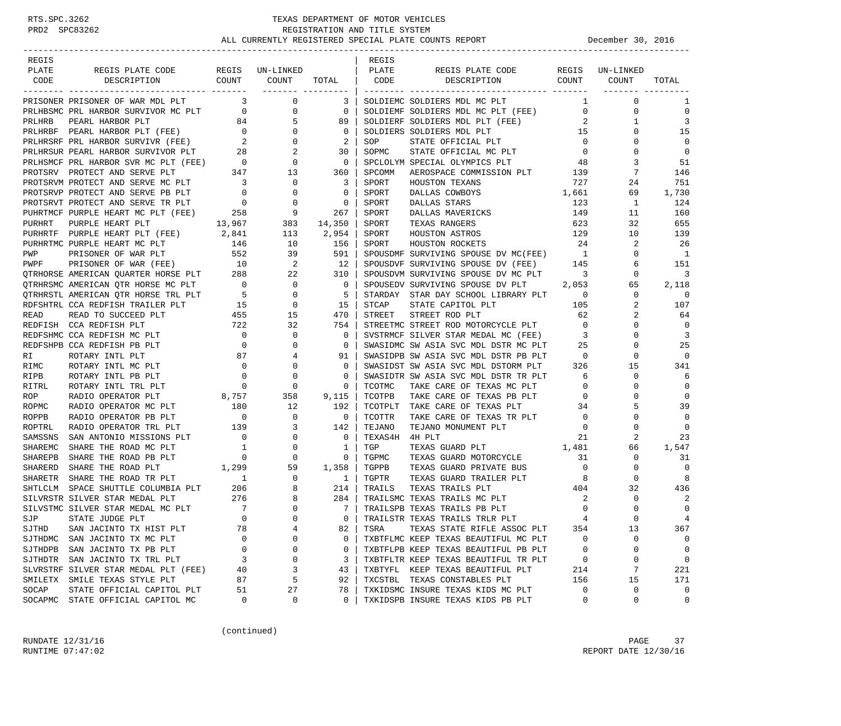| REGIS              |                                                                                                                                                                                 |                                     |                                                      |                                       | REGIS   |                                                                                                                                                                                                                    |                                         |                            |                          |
|--------------------|---------------------------------------------------------------------------------------------------------------------------------------------------------------------------------|-------------------------------------|------------------------------------------------------|---------------------------------------|---------|--------------------------------------------------------------------------------------------------------------------------------------------------------------------------------------------------------------------|-----------------------------------------|----------------------------|--------------------------|
| PLATE              | REGIS PLATE CODE REGIS UN-LINKED                                                                                                                                                |                                     |                                                      |                                       | PLATE   | REGIS PLATE CODE REGIS UN-LINKED                                                                                                                                                                                   |                                         |                            |                          |
| CODE               | COUNT<br>DESCRIPTION                                                                                                                                                            |                                     | COUNT                                                | TOTAL   CODE                          |         | DESCRIPTION COUNT                                                                                                                                                                                                  |                                         | COUNT                      | TOTAL                    |
|                    | PRISONER PRISONER OF WAR MDL PLT                                                                                                                                                |                                     | $\overline{3}$ 0                                     | 3                                     |         | SOLDIEMC SOLDIERS MDL MC PLT                                                                                                                                                                                       |                                         | $\mathbf 1$<br>$\mathbf 0$ | 1                        |
|                    |                                                                                                                                                                                 |                                     |                                                      |                                       |         | SOLDIEMF SOLDIERS MDL MC PLT (FEE) 0                                                                                                                                                                               |                                         | 0                          | $\mathbf 0$              |
|                    |                                                                                                                                                                                 |                                     |                                                      |                                       |         | SOLDIERF SOLDIERS MDL PLT (FEE)                                                                                                                                                                                    | $\overline{\mathbf{2}}$                 | 1                          | 3                        |
|                    |                                                                                                                                                                                 |                                     |                                                      |                                       |         | SOLDIERS SOLDIERS MDL PLT                                                                                                                                                                                          | $\frac{1}{2}$ 15                        | 0                          | 15                       |
|                    |                                                                                                                                                                                 |                                     |                                                      |                                       | SOP     | STATE OFFICIAL PLT 0<br>STATE OFFICIAL MC PLT 0                                                                                                                                                                    |                                         | 0                          | 0                        |
|                    |                                                                                                                                                                                 |                                     |                                                      |                                       | SOPMC   |                                                                                                                                                                                                                    |                                         | $\mathbf 0$                | $\overline{0}$           |
|                    |                                                                                                                                                                                 |                                     |                                                      |                                       |         | SPCLOLYM SPECIAL OLYMPICS PLT 48                                                                                                                                                                                   |                                         | 3                          | 51                       |
|                    |                                                                                                                                                                                 |                                     |                                                      |                                       | SPCOMM  | AEROSPACE COMMISSION PLT 139                                                                                                                                                                                       |                                         | 7                          | 146                      |
|                    | PROTSRVM PROTECT AND SERVE MC PLT                                                                                                                                               |                                     | $\overline{\phantom{0}}$                             | $\overline{\mathbf{3}}$               | SPORT   | HOUSTON TEXANS                                                                                                                                                                                                     | 727                                     | 24                         | 751                      |
|                    | PROTSRVP PROTECT AND SERVE PB PLT                                                                                                                                               |                                     | $\begin{matrix} 0 && 0 \\ 0 && 0 \end{matrix}$       | $\begin{array}{c} 0 \\ 0 \end{array}$ | SPORT   | DALLAS COWBOYS 1,661                                                                                                                                                                                               |                                         | 69                         | 1,730                    |
|                    | PROTSRVT PROTECT AND SERVE TR PLT                                                                                                                                               |                                     |                                                      |                                       | SPORT   | DALLAS STARS                                                                                                                                                                                                       | 123                                     | 1                          | 124                      |
|                    | PUHRTMCF PURPLE HEART MC PLT (FEE) 258                                                                                                                                          |                                     | $9$ $267$<br>383 $14,350$                            | 267                                   | SPORT   | DALLAS MAVERICKS                                                                                                                                                                                                   | 149                                     | 11                         | 160                      |
| PURHRT             | PURPLE HEART PLT<br>13,967                                                                                                                                                      |                                     |                                                      |                                       | SPORT   | TEXAS RANGERS                                                                                                                                                                                                      | 623                                     | 32                         | 655                      |
|                    | PURHRTF PURPLE HEART PLT (FEE) 2,841                                                                                                                                            |                                     | 113                                                  | 2,954                                 | SPORT   | HOUSTON ASTROS 129                                                                                                                                                                                                 |                                         | 10                         | 139                      |
|                    |                                                                                                                                                                                 |                                     |                                                      |                                       | SPORT   | HOUSTON ROCKETS                                                                                                                                                                                                    | 24                                      | 2                          | -26                      |
|                    |                                                                                                                                                                                 |                                     |                                                      |                                       |         | SPOUSDMF SURVIVING SPOUSE DV MC(FEE) 1                                                                                                                                                                             |                                         | $\mathbf 0$                | $\overline{\phantom{a}}$ |
|                    |                                                                                                                                                                                 |                                     |                                                      |                                       |         | SPOUSDVF SURVIVING SPOUSE DV (FEE) 145                                                                                                                                                                             |                                         | 6                          | 151                      |
|                    |                                                                                                                                                                                 |                                     |                                                      |                                       |         | SPOUSDVM SURVIVING SPOUSE DV MC PLT                                                                                                                                                                                | $\overline{\phantom{a}}$                | $\mathbf 0$                | 3                        |
|                    |                                                                                                                                                                                 |                                     |                                                      |                                       |         | SPOUSEDV SURVIVING SPOUSE DV PLT 2,053                                                                                                                                                                             |                                         | 65                         | 2,118                    |
|                    |                                                                                                                                                                                 |                                     |                                                      |                                       |         | $\begin{tabular}{lllllllll} \texttt{STARDAY} & \texttt{STAR} & \texttt{DAY} & \texttt{SCHOOL} & \texttt{LIBRARY PLT} & & & 0 \\ \texttt{STCAP} & \texttt{STATE} & \texttt{CAPITOL PLT} & & & 105 \\ \end{tabular}$ |                                         | $\mathbf 0$                | 0                        |
|                    |                                                                                                                                                                                 |                                     |                                                      |                                       |         |                                                                                                                                                                                                                    |                                         | 2                          | 107                      |
|                    |                                                                                                                                                                                 |                                     |                                                      |                                       | STREET  | STREET ROD PLT                                                                                                                                                                                                     | 62                                      | 2                          | 64                       |
|                    |                                                                                                                                                                                 |                                     |                                                      |                                       |         | STREETMC STREET ROD MOTORCYCLE PLT 0                                                                                                                                                                               |                                         | $\Omega$                   | 0                        |
|                    | KEDFISH CCA REDFISH PLT 722<br>REDFSHMC CCA REDFISH MC PLT 0<br>PEDECUPP CCA REDFISH CC ==                                                                                      |                                     | $\overline{0}$                                       | $\overline{\phantom{0}}$              |         | SVSTRMCF SILVER STAR MEDAL MC (FEE) 3                                                                                                                                                                              |                                         | $\Omega$                   | 3                        |
|                    | $\begin{array}{c}0\\87\end{array}$<br>REDFSHPB CCA REDFISH PB PLT                                                                                                               |                                     | 0                                                    | $\mathbf{0}$                          |         | SWASIDMC SW ASIA SVC MDL DSTR MC PLT 25<br>SWASIDPB SW ASIA SVC MDL DSTR PB PLT 0                                                                                                                                  |                                         | 0                          | 25                       |
| RI                 | ROTARY INTL PLT                                                                                                                                                                 |                                     | $4\overline{ }$                                      | 91                                    |         | SWASIDPB SW ASIA SVC MDL DSTR PB PLT                                                                                                                                                                               |                                         | 0                          | 0                        |
| RIMC               | $\begin{array}{c} 0 \\ 0 \end{array}$<br>ROTARY INTL MC PLT                                                                                                                     |                                     | $\overline{0}$                                       | 0                                     |         | SWASIDST SW ASIA SVC MDL DSTORM PLT                                                                                                                                                                                | 326                                     | 15                         | 341                      |
| RIPB               | ROTARY INTL PB PLT                                                                                                                                                              |                                     | $\mathbf 0$                                          | $\mathbf{0}$                          |         | SWASIDTR SW ASIA SVC MDL DSTR TR PLT                                                                                                                                                                               | 6                                       | $\mathbf 0$                | 6                        |
| RITRL              | ROTARY INTL TRL PLT                                                                                                                                                             | $\overline{0}$                      | $\overline{0}$                                       | 0                                     | TCOTMC  | TAKE CARE OF TEXAS MC PLT                                                                                                                                                                                          | $\overline{0}$                          | 0                          | $\mathbf 0$              |
| ROP                | RADIO OPERATOR PLT                                                                                                                                                              |                                     | $8,757$ 358<br>T 180 12                              | 9,115                                 | TCOTPB  | TAKE CARE OF TEXAS PB PLT                                                                                                                                                                                          | $\overline{0}$                          | 0                          | 0                        |
| ROPMC              | RADIO OPERATOR MC PLT                                                                                                                                                           |                                     |                                                      | 192                                   |         | TCOTPLT TAKE CARE OF TEXAS PLT                                                                                                                                                                                     | 34                                      | 5                          | 39                       |
| ROPPB              | RADIO OPERATOR PB PLT                                                                                                                                                           | $\begin{array}{c}0\\139\end{array}$ | $\overline{\phantom{0}}$                             | $\overline{\phantom{0}}$              | TCOTTR  | TAKE CARE OF TEXAS TR PLT 0                                                                                                                                                                                        |                                         | 0                          | 0                        |
| ROPTRL             | RADIO OPERATOR TRL PLT                                                                                                                                                          |                                     | $\overline{3}$                                       | 142                                   | TEJANO  | TEJANO MONUMENT PLT                                                                                                                                                                                                | $\overline{0}$                          | 0                          | 0                        |
| SAMSSNS            | SAN ANTONIO MISSIONS PLT                                                                                                                                                        |                                     | $\overline{0}$<br>$\overline{0}$                     | $\overline{\phantom{0}}$              | TEXAS4H | 4H PLT                                                                                                                                                                                                             | 21                                      | 2                          | 23                       |
| SHAREMC            | SHARE THE ROAD MC PLT                                                                                                                                                           |                                     | $\begin{matrix} 1 & & & 0 \\ 0 & & & 0 \end{matrix}$ | $\mathbf{1}$                          | TGP     | TEXAS GUARD PLT 1,481<br>TEXAS GUARD MOTORCYCLE 31                                                                                                                                                                 |                                         | 66                         | 1,547                    |
| SHAREPB            | SHARE THE ROAD PB PLT                                                                                                                                                           |                                     |                                                      | $\overline{\phantom{0}}$              | TGPMC   |                                                                                                                                                                                                                    |                                         | 0                          | 31                       |
| SHARERD            |                                                                                                                                                                                 |                                     |                                                      | 1,358                                 | TGPPB   | TEXAS GUARD PRIVATE BUS                                                                                                                                                                                            | $\overline{0}$                          | $\mathbf 0$                | 0                        |
| SHARETR            | SHARE THE ROAD PLT 1,299 59<br>SHARE THE ROAD TR PLT 1 0<br>SPACE SHUTTLE COLUMBIA PLT 206 8<br>SILVER STAR MEDAL PLT 276 8<br>SILVER STAR MEDAL PLT 7 0<br>STATE JUDGE PLT 0 0 |                                     |                                                      | $\overline{1}$                        | TGPTR   | TEXAS GUARD TRAILER PLT                                                                                                                                                                                            | $\begin{array}{c} 8 \\ 404 \end{array}$ | $\mathbf 0$                | 8                        |
| SHTLCLM            |                                                                                                                                                                                 |                                     |                                                      | 214                                   | TRAILS  | TEXAS TRAILS PLT<br>TRAILSMC TEXAS TRAILS MC PLT                                                                                                                                                                   |                                         | 32                         | 436                      |
|                    | SILVRSTR SILVER STAR MEDAL PLT                                                                                                                                                  |                                     |                                                      | 284<br>$\overline{7}$                 |         |                                                                                                                                                                                                                    | $\overline{\phantom{0}}^2$              | 0<br>$\Omega$              | 2                        |
|                    | SILVSTMC SILVER STAR MEDAL MC PLT                                                                                                                                               |                                     |                                                      | $\Omega$                              |         | TRAILSPB TEXAS TRAILS PB PLT                                                                                                                                                                                       | $\overline{0}$                          | $\Omega$                   | 0<br>$\overline{4}$      |
| SJP                | STATE JUDGE PLT                                                                                                                                                                 |                                     |                                                      |                                       |         | TRAILSTR TEXAS TRAILS TRLR PLT                                                                                                                                                                                     | 354                                     |                            |                          |
| SJTHD              | SAN JACINTO TX HIST PLT                                                                                                                                                         | 78<br>O                             | 4<br>0                                               | 82                                    | TSRA    | TEXAS STATE RIFLE ASSOC PLT<br>TXBTFLMC KEEP TEXAS BEAUTIFUL MC PLT                                                                                                                                                | 0                                       | 13                         | 367                      |
|                    | SJTHDMC SAN JACINTO TX MC PLT                                                                                                                                                   |                                     | 0                                                    | 0                                     |         | TXBTFLPB KEEP TEXAS BEAUTIFUL PB PLT                                                                                                                                                                               |                                         | 0                          | 0                        |
| SJTHDPB<br>SJTHDTR | SAN JACINTO TX PB PLT                                                                                                                                                           | 0<br>3                              | 0                                                    | 0<br>3                                |         | TXBTFLTR KEEP TEXAS BEAUTIFUL TR PLT                                                                                                                                                                               | 0                                       | 0<br>0                     | 0<br>$\mathbf 0$         |
|                    | SAN JACINTO TX TRL PLT<br>SLVRSTRF SILVER STAR MEDAL PLT (FEE)                                                                                                                  | 40                                  | 3                                                    | 43                                    |         | TXBTYFL KEEP TEXAS BEAUTIFUL PLT                                                                                                                                                                                   | 0<br>214                                | 7                          | 221                      |
| SMILETX            | SMILE TEXAS STYLE PLT                                                                                                                                                           | 87                                  | 5                                                    | 92                                    | TXCSTBL | TEXAS CONSTABLES PLT                                                                                                                                                                                               | 156                                     | 15                         | 171                      |
| SOCAP              | STATE OFFICIAL CAPITOL PLT                                                                                                                                                      | 51                                  | 27                                                   | 78                                    |         | TXKIDSMC INSURE TEXAS KIDS MC PLT                                                                                                                                                                                  | 0                                       | 0                          | 0                        |
|                    | SOCAPMC STATE OFFICIAL CAPITOL MC                                                                                                                                               | 0                                   | 0                                                    | 0                                     |         | TXKIDSPB INSURE TEXAS KIDS PB PLT                                                                                                                                                                                  | 0                                       | 0                          | 0                        |
|                    |                                                                                                                                                                                 |                                     |                                                      |                                       |         |                                                                                                                                                                                                                    |                                         |                            |                          |

(continued)

RUNDATE  $12/31/16$  PAGE 37 RUNTIME 07:47:02 REPORT DATE 12/30/16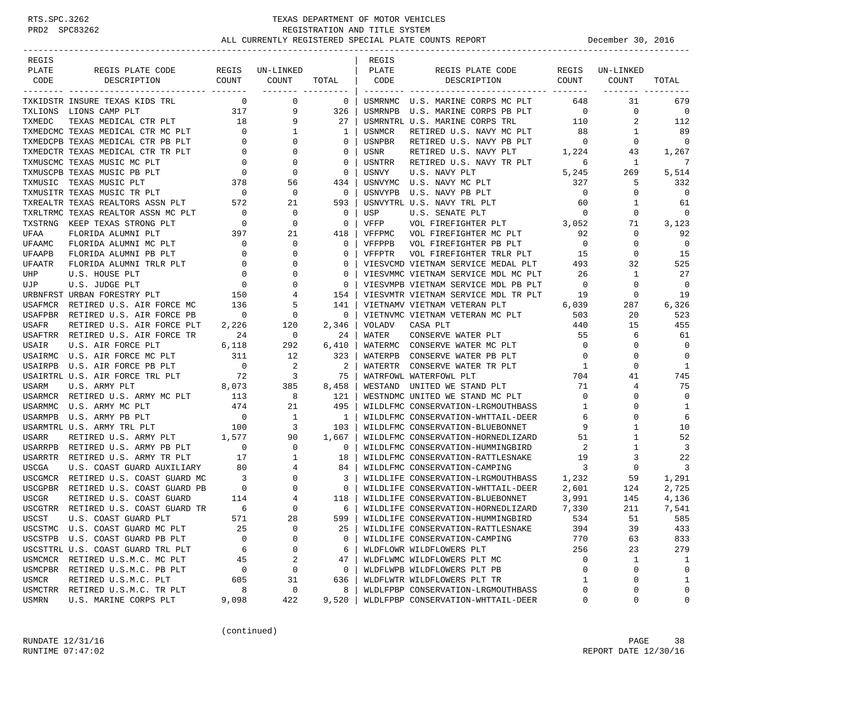# RTS.SPC.3262 TEXAS DEPARTMENT OF MOTOR VEHICLES<br>PRD2 SPC83262 REGISTRATION AND TITLE SYSTEM<br>ALL CURRENTLY REGISTREED SPECIAL PLATE COUNTS REGISTRATION AND TITLE SYSTEM ALL CURRENTLY REGISTERED SPECIAL PLATE COUNTS REPORT **DECEMBER 30, 2016**

| REGIS        |                                     |                                          |                          |                | REGIS   |                                     |                |             |                |
|--------------|-------------------------------------|------------------------------------------|--------------------------|----------------|---------|-------------------------------------|----------------|-------------|----------------|
| PLATE        | REGIS PLATE CODE                    | REGIS                                    | UN-LINKED                |                | PLATE   | REGIS PLATE CODE                    | REGIS          | UN-LINKED   |                |
| CODE         | DESCRIPTION                         | COUNT                                    | COUNT                    | TOTAL          | CODE    | DESCRIPTION                         | COUNT          | COUNT       | TOTAL          |
|              | _________________                   |                                          |                          |                |         | ------------                        |                |             |                |
|              | TXKIDSTR INSURE TEXAS KIDS TRL      | $\mathbf 0$                              | 0                        | $\mathbf{0}$   | USMRNMC | U.S. MARINE CORPS MC PLT            | 648            | 31          | 679            |
|              | TXLIONS LIONS CAMP PLT              | $\begin{array}{c} 317 \\ 18 \end{array}$ | 9                        | 326            | USMRNPB | U.S. MARINE CORPS PB PLT            | $\overline{0}$ | $\mathbf 0$ | 0              |
| TXMEDC       | TEXAS MEDICAL CTR PLT               |                                          | 9                        | 27             |         | USMRNTRL U.S. MARINE CORPS TRL      | 110            | 2           | 112            |
|              | TXMEDCMC TEXAS MEDICAL CTR MC PLT   | $\overline{0}$                           | 1                        | 1              | USNMCR  | RETIRED U.S. NAVY MC PLT            | 88             | 1           | 89             |
|              | TXMEDCPB TEXAS MEDICAL CTR PB PLT   | $\mathbf 0$                              | 0                        | $\mathbf 0$    | USNPBR  | RETIRED U.S. NAVY PB PLT            | $\overline{0}$ | $\mathbf 0$ | $\mathbf 0$    |
|              | TXMEDCTR TEXAS MEDICAL CTR TR PLT   | $\overline{0}$                           | $\Omega$                 | 0              | USNR    | RETIRED U.S. NAVY PLT               | 1,224          | 43          | 1,267          |
|              | TXMUSCMC TEXAS MUSIC MC PLT         | $\overline{0}$                           | 0                        | 0              | USNTRR  | RETIRED U.S. NAVY TR PLT            | 6              | 1           | 7              |
|              | TXMUSCPB TEXAS MUSIC PB PLT         |                                          | 0                        | $\mathbf 0$    | USNVY   | U.S. NAVY PLT                       | 5,245          | 269         | 5,514          |
| TXMUSIC      | TEXAS MUSIC PLT                     | 378                                      | 56                       | 434            | USNVYMC | U.S. NAVY MC PLT                    | 327            | 5           | 332            |
|              | TXMUSITR TEXAS MUSIC TR PLT         | $\mathbf 0$                              | 0                        | $\mathbf 0$    | USNVYPB | U.S. NAVY PB PLT                    | $\overline{0}$ | 0           | $\mathbf 0$    |
|              | TXREALTR TEXAS REALTORS ASSN PLT    | 572                                      | 21                       | 593            |         | USNVYTRL U.S. NAVY TRL PLT          | 60             | 1           | 61             |
|              | TXRLTRMC TEXAS REALTOR ASSN MC PLT  | $\overline{\phantom{0}}$                 | 0                        | 0              | USP     | U.S. SENATE PLT                     | $\overline{0}$ | 0           | 0              |
|              | TXSTRNG KEEP TEXAS STRONG PLT       | $\overline{\phantom{0}}$                 | $\mathbf 0$              | $\mathbf 0$    | VFFP    | VOL FIREFIGHTER PLT                 | 3,052          | 71          | 3,123          |
| UFAA         | FLORIDA ALUMNI PLT                  | 397                                      | 21                       | 418            | VFFPMC  | VOL FIREFIGHTER MC PLT              | 92             | 0           | 92             |
| UFAAMC       | FLORIDA ALUMNI MC PLT               | $\mathbf 0$                              | 0                        | $\mathbf 0$    | VFFPPB  | VOL FIREFIGHTER PB PLT              | $\overline{0}$ | 0           | $\overline{0}$ |
| UFAAPB       | FLORIDA ALUMNI PB PLT               | 0                                        | $\Omega$                 | 0              | VFFPTR  | VOL FIREFIGHTER TRLR PLT            | 15             | 0           | 15             |
| UFAATR       | FLORIDA ALUMNI TRLR PLT             | $\mathbf 0$                              | 0                        | 0              |         | VIESVCMD VIETNAM SERVICE MEDAL PLT  | 493            | 32          | 525            |
| UHP          | U.S. HOUSE PLT                      | $\mathbf 0$                              | $\Omega$                 | $\mathbf 0$    |         | VIESVMMC VIETNAM SERVICE MDL MC PLT | 26             | 1           | 27             |
| UJP          | U.S. JUDGE PLT                      | $\begin{array}{c}0\\150\end{array}$      | 0                        | $\mathbf 0$    |         | VIESVMPB VIETNAM SERVICE MDL PB PLT | $\overline{0}$ | 0           | 0              |
|              | URBNFRST URBAN FORESTRY PLT         | 150                                      | 4                        | 154            |         | VIESVMTR VIETNAM SERVICE MDL TR PLT | 19             | $\mathbf 0$ | 19             |
|              | USAFMCR RETIRED U.S. AIR FORCE MC   | 136                                      | 5                        | 141            |         | VIETNAMV VIETNAM VETERAN PLT        | 6,039          | 287         | 6,326          |
|              | USAFPBR RETIRED U.S. AIR FORCE PB   | $\overline{\phantom{0}}$                 | $\mathbf{0}$             | 0              |         | VIETNVMC VIETNAM VETERAN MC PLT     | 503            | 20          | 523            |
| USAFR        | RETIRED U.S. AIR FORCE PLT          | 2,226                                    | 120                      | 2,346          | VOLADV  | CASA PLT                            | 440            | 15          | 455            |
|              | USAFTRR RETIRED U.S. AIR FORCE TR   | 24                                       | $\overline{\phantom{0}}$ | 24             | WATER   | CONSERVE WATER PLT                  | 55             | 6           | 61             |
| USAIR        | U.S. AIR FORCE PLT                  | 6,118                                    | 292                      | 6,410          |         | WATERMC CONSERVE WATER MC PLT       | $\overline{0}$ | 0           | 0              |
|              | USAIRMC U.S. AIR FORCE MC PLT       | 311                                      | 12                       | 323            | WATERPB | CONSERVE WATER PB PLT               | $\overline{0}$ | 0           | $\Omega$       |
| USAIRPB      | U.S. AIR FORCE PB PLT               | $\overline{0}$                           | 2                        | 2              | WATERTR | CONSERVE WATER TR PLT               | $\mathbf{1}$   | 0           | 1              |
|              | USAIRTRL U.S. AIR FORCE TRL PLT     | 72                                       | 3                        | 75             |         | WATRFOWL WATERFOWL PLT              | 704            | 41          | 745            |
| <b>USARM</b> | U.S. ARMY PLT                       | 8,073                                    | 385                      | 8,458          | WESTAND | UNITED WE STAND PLT                 | 71             | 4           | 75             |
|              | USARMCR RETIRED U.S. ARMY MC PLT    | 113                                      | 8                        | 121            |         | WESTNDMC UNITED WE STAND MC PLT     | $\circ$        | 0           | 0              |
| USARMMC      | U.S. ARMY MC PLT                    | 474                                      | 21                       | 495            |         | WILDLFMC CONSERVATION-LRGMOUTHBASS  | 1              | 0           | 1              |
| USARMPB      | U.S. ARMY PB PLT                    | $\overline{0}$                           | 1                        | $\mathbf{1}$   |         | WILDLFMC CONSERVATION-WHTTAIL-DEER  | 6              | 0           | 6              |
|              | USARMTRL U.S. ARMY TRL PLT          | 100                                      | 3                        | 103            |         | WILDLFMC CONSERVATION-BLUEBONNET    | 9              | 1           | 10             |
| USARR        | RETIRED U.S. ARMY PLT               | 1,577                                    | 90                       | 1,667          |         | WILDLFMC CONSERVATION-HORNEDLIZARD  | 51             | 1           | 52             |
|              | USARRPB RETIRED U.S. ARMY PB PLT    | $\overline{0}$                           | $\mathbf 0$              | $\mathbf 0$    |         | WILDLFMC CONSERVATION-HUMMINGBIRD   | 2              | 1           | $\overline{3}$ |
|              | USARRTR RETIRED U.S. ARMY TR PLT    | 17                                       | 1                        | 18             |         | WILDLFMC CONSERVATION-RATTLESNAKE   | 19             | 3           | 22             |
| USCGA        | U.S. COAST GUARD AUXILIARY          | 80                                       | 4                        | 84             |         | WILDLFMC CONSERVATION-CAMPING       | $\overline{3}$ | 0           | 3              |
|              | USCGMCR RETIRED U.S. COAST GUARD MC | $\overline{\phantom{a}}$                 | $\mathbf 0$              | 3              |         | WILDLIFE CONSERVATION-LRGMOUTHBASS  | 1,232          | 59          | 1,291          |
| USCGPBR      | RETIRED U.S. COAST GUARD PB         | $\overline{\phantom{0}}$                 | 0                        | $\overline{0}$ |         | WILDLIFE CONSERVATION-WHTTAIL-DEER  | 2,601          | 124         | 2,725          |
| <b>USCGR</b> | RETIRED U.S. COAST GUARD            | 114                                      | 4                        | 118            |         | WILDLIFE CONSERVATION-BLUEBONNET    | 3,991          | 145         | 4,136          |
|              | USCGTRR RETIRED U.S. COAST GUARD TR | - 6                                      | $\Omega$                 | 6              |         | WILDLIFE CONSERVATION-HORNEDLIZARD  | 7,330          | 211         | 7,541          |
| USCST        | U.S. COAST GUARD PLT                | 571                                      | 28                       | 599            |         | WILDLIFE CONSERVATION-HUMMINGBIRD   | 534            | 51          | 585            |
|              | USCSTMC U.S. COAST GUARD MC PLT     | 25                                       | 0                        | 25             |         | WILDLIFE CONSERVATION-RATTLESNAKE   | 394            | 39          | 433            |
|              | USCSTPB U.S. COAST GUARD PB PLT     | $\mathbf 0$                              | 0                        | 0              |         | WILDLIFE CONSERVATION-CAMPING       | 770            | 63          | 833            |
|              | USCSTTRL U.S. COAST GUARD TRL PLT   | 6                                        | 0                        | 6              |         | WLDFLOWR WILDFLOWERS PLT            | 256            | 23          | 279            |
|              | USMCMCR RETIRED U.S.M.C. MC PLT     | 45                                       | 2                        | 47             |         | WLDFLWMC WILDFLOWERS PLT MC         | 0              | 1           | 1              |
|              | USMCPBR RETIRED U.S.M.C. PB PLT     | 0                                        | 0                        | 0              |         | WLDFLWPB WILDFLOWERS PLT PB         | 0              | 0           | 0              |
| USMCR        | RETIRED U.S.M.C. PLT                | 605                                      | 31                       | 636            |         | WLDFLWTR WILDFLOWERS PLT TR         | 1              | 0           | $\mathbf{1}$   |
| USMCTRR      | RETIRED U.S.M.C. TR PLT             | 8                                        | 0                        | 8              |         | WLDLFPBP CONSERVATION-LRGMOUTHBASS  | 0              | 0           | 0              |
| USMRN        | U.S. MARINE CORPS PLT               | 9,098                                    | 422                      | 9,520          |         | WLDLFPBP CONSERVATION-WHTTAIL-DEER  | 0              | 0           | 0              |

(continued)

RUNDATE 12/31/16 PAGE 38 RUNTIME 07:47:02 REPORT DATE 12/30/16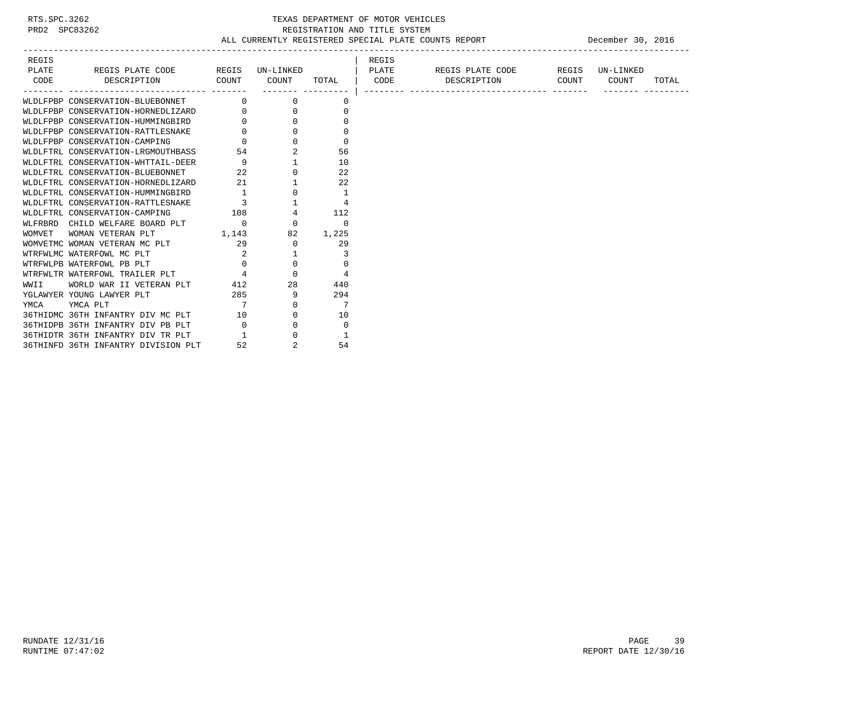# RTS.SPC.3262 TEXAS DEPARTMENT OF MOTOR VEHICLES<br>PRD2 SPC83262 TEXAS REGISTRATION AND TITLE SYSTEM<br>ALL CURRENTLY REGISTERED SPECIAL PLATE COUNTS REGISTRATION AND TITLE SYSTEM ALL CURRENTLY REGISTERED SPECIAL PLATE COUNTS REPORT **DECEMBER 30, 2016**

| REGIS                                                                         |                                                              |                                                       |              | REGIS |                  |       |                |
|-------------------------------------------------------------------------------|--------------------------------------------------------------|-------------------------------------------------------|--------------|-------|------------------|-------|----------------|
| PLATE<br>REGIS PLATE CODE                                                     | REGIS                                                        | UN-LINKED                                             |              | PLATE | REGIS PLATE CODE | REGIS | UN-LINKED      |
| CODE<br>DESCRIPTION                                                           | COUNT                                                        | COUNT                                                 | TOTAL   CODE |       | DESCRIPTION      | COUNT | COUNT<br>TOTAL |
|                                                                               |                                                              |                                                       |              |       |                  |       |                |
| WLDLFPBP CONSERVATION-BLUEBONNET                                              |                                                              | $\Omega$                                              | 0            |       |                  |       |                |
| WLDLFPBP CONSERVATION-HORNEDLIZARD 0                                          |                                                              | $\mathbf{0}$                                          | 0            |       |                  |       |                |
| WLDLFPBP CONSERVATION-HUMMINGBIRD                                             |                                                              | $\Omega$                                              |              |       |                  |       |                |
| WLDLFPBP CONSERVATION-RATTLESNAKE                                             |                                                              | $\begin{array}{c} 0 \\ 0 \end{array}$<br>$\mathbf{0}$ | 0            |       |                  |       |                |
| WLDLFPBP CONSERVATION-CAMPING                                                 |                                                              | $\Omega$                                              | 0            |       |                  |       |                |
| WLDLFTRL CONSERVATION-LRGMOUTHBASS 54<br>WLDLFTRL CONSERVATION-WHTTAIL-DEER 9 |                                                              |                                                       | 56           |       |                  |       |                |
|                                                                               |                                                              |                                                       | 10           |       |                  |       |                |
| WLDLFTRL CONSERVATION-BLUEBONNET                                              |                                                              | $\mathbf{0}$                                          | 22           |       |                  |       |                |
| WLDLFTRL CONSERVATION-HORNEDLIZARD                                            | $\begin{array}{ccc}\n & 22 \\ \hline\n0 & & 21\n\end{array}$ |                                                       | 22           |       |                  |       |                |
| WLDLFTRL CONSERVATION-HUMMINGBIRD                                             | $\frac{1}{3}$                                                | 0                                                     | 1            |       |                  |       |                |
| WLDLFTRL CONSERVATION-RATTLESNAKE                                             |                                                              |                                                       | 4            |       |                  |       |                |
| WLDLFTRL CONSERVATION-CAMPING                                                 | 108                                                          | $\overline{4}$                                        | 112          |       |                  |       |                |
| WLFRBRD CHILD WELFARE BOARD PLT 0                                             |                                                              | $\Omega$                                              | $\Omega$     |       |                  |       |                |
| WOMVET<br>WOMAN VETERAN PLT                                                   | 1,143                                                        | 82                                                    | 1,225        |       |                  |       |                |
| WOMVETMC WOMAN VETERAN MC PLT                                                 | 29                                                           | $\Omega$                                              | 29           |       |                  |       |                |
| WTRFWLMC WATERFOWL MC PLT                                                     | $\begin{array}{c} 2 \\ 0 \end{array}$                        |                                                       | 3            |       |                  |       |                |
| WTRFWLPB WATERFOWL PB PLT                                                     |                                                              | $\mathbf{0}$                                          | $\Omega$     |       |                  |       |                |
| WTRFWLTR WATERFOWL TRAILER PLT 4                                              |                                                              | $\Omega$                                              | 4            |       |                  |       |                |
| WORLD WAR II VETERAN PLT<br>WWII                                              | 412                                                          | 28                                                    | 440          |       |                  |       |                |
| YGLAWYER YOUNG LAWYER PLT                                                     | 285                                                          | 9                                                     | 294          |       |                  |       |                |
| YMCA PLT<br>YMCA                                                              | $\overline{7}$                                               | $\Omega$                                              | 7            |       |                  |       |                |
| 36THIDMC 36TH INFANTRY DIV MC PLT                                             | 10                                                           | 0                                                     | 10           |       |                  |       |                |
| 36THIDPB 36TH INFANTRY DIV PB PLT                                             | $\overline{0}$                                               | $\mathbf{0}$                                          | $\Omega$     |       |                  |       |                |
| 36THIDTR 36TH INFANTRY DIV TR PLT                                             | $\mathbf{1}$                                                 | $\Omega$                                              | -1           |       |                  |       |                |
| 36THINFD 36TH INFANTRY DIVISION PLT                                           | 52                                                           | $\overline{2}$                                        | 54           |       |                  |       |                |

RUNDATE  $12/31/16$  PAGE 39 RUNTIME 07:47:02 REPORT DATE 12/30/16